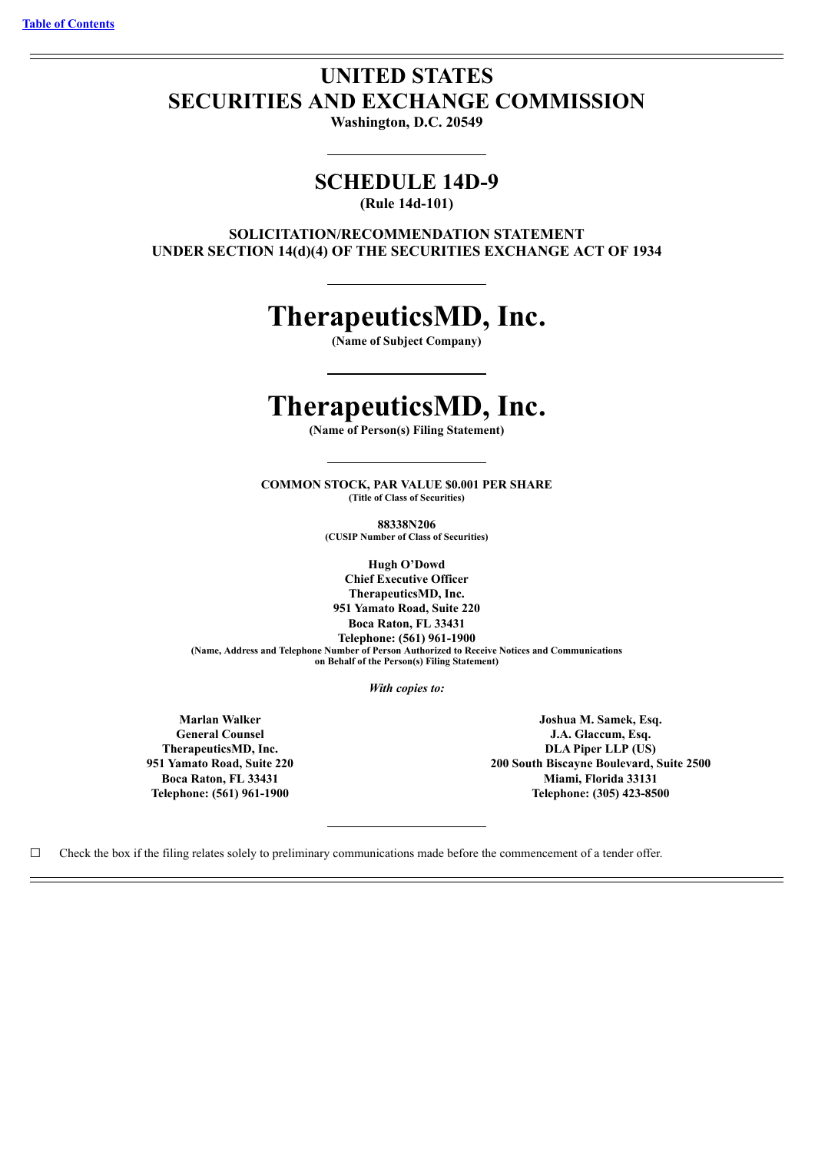## **UNITED STATES SECURITIES AND EXCHANGE COMMISSION**

**Washington, D.C. 20549**

### **SCHEDULE 14D-9**

**(Rule 14d-101)**

**SOLICITATION/RECOMMENDATION STATEMENT UNDER SECTION 14(d)(4) OF THE SECURITIES EXCHANGE ACT OF 1934**

# **TherapeuticsMD, Inc.**

**(Name of Subject Company)**

# **TherapeuticsMD, Inc.**

**(Name of Person(s) Filing Statement)**

**COMMON STOCK, PAR VALUE \$0.001 PER SHARE (Title of Class of Securities)**

> **88338N206 (CUSIP Number of Class of Securities)**

**Hugh O'Dowd Chief Executive Officer TherapeuticsMD, Inc. 951 Yamato Road, Suite 220 Boca Raton, FL 33431 Telephone: (561) 961-1900 (Name, Address and Telephone Number of Person Authorized to Receive Notices and Communications on Behalf of the Person(s) Filing Statement)**

*With copies to:*

**Marlan Walker General Counsel TherapeuticsMD, Inc. 951 Yamato Road, Suite 220 Boca Raton, FL 33431 Telephone: (561) 961-1900**

**Joshua M. Samek, Esq. J.A. Glaccum, Esq. DLA Piper LLP (US) 200 South Biscayne Boulevard, Suite 2500 Miami, Florida 33131 Telephone: (305) 423-8500**

 $\Box$  Check the box if the filing relates solely to preliminary communications made before the commencement of a tender offer.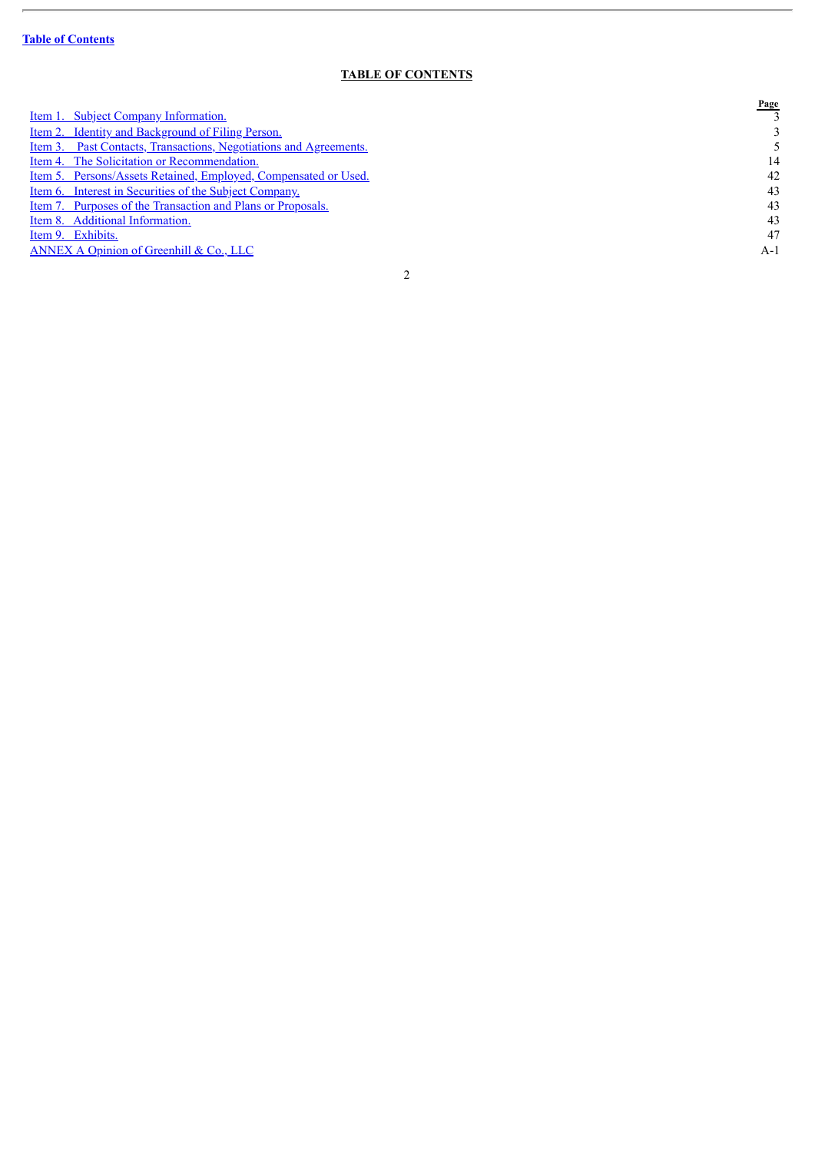$\overline{a}$ 

### **TABLE OF CONTENTS**

<span id="page-1-0"></span>

|                                                                          | Page |
|--------------------------------------------------------------------------|------|
| <u>Item 1. Subject Company Information.</u>                              |      |
| <u>Item 2. Identity and Background of Filing Person.</u>                 |      |
| <u>Item 3. Past Contacts, Transactions, Negotiations and Agreements.</u> |      |
| Item 4. The Solicitation or Recommendation.                              | 14   |
| Item 5. Persons/Assets Retained, Employed, Compensated or Used.          | 42   |
| <u>Item 6. Interest in Securities of the Subject Company.</u>            | 43   |
| <u>Item 7. Purposes of the Transaction and Plans or Proposals.</u>       | 43   |
| Item 8. Additional Information.                                          | 43   |
| Item 9. Exhibits.                                                        | 47   |
| ANNEX A Opinion of Greenhill & Co., LLC                                  | A-l  |
|                                                                          |      |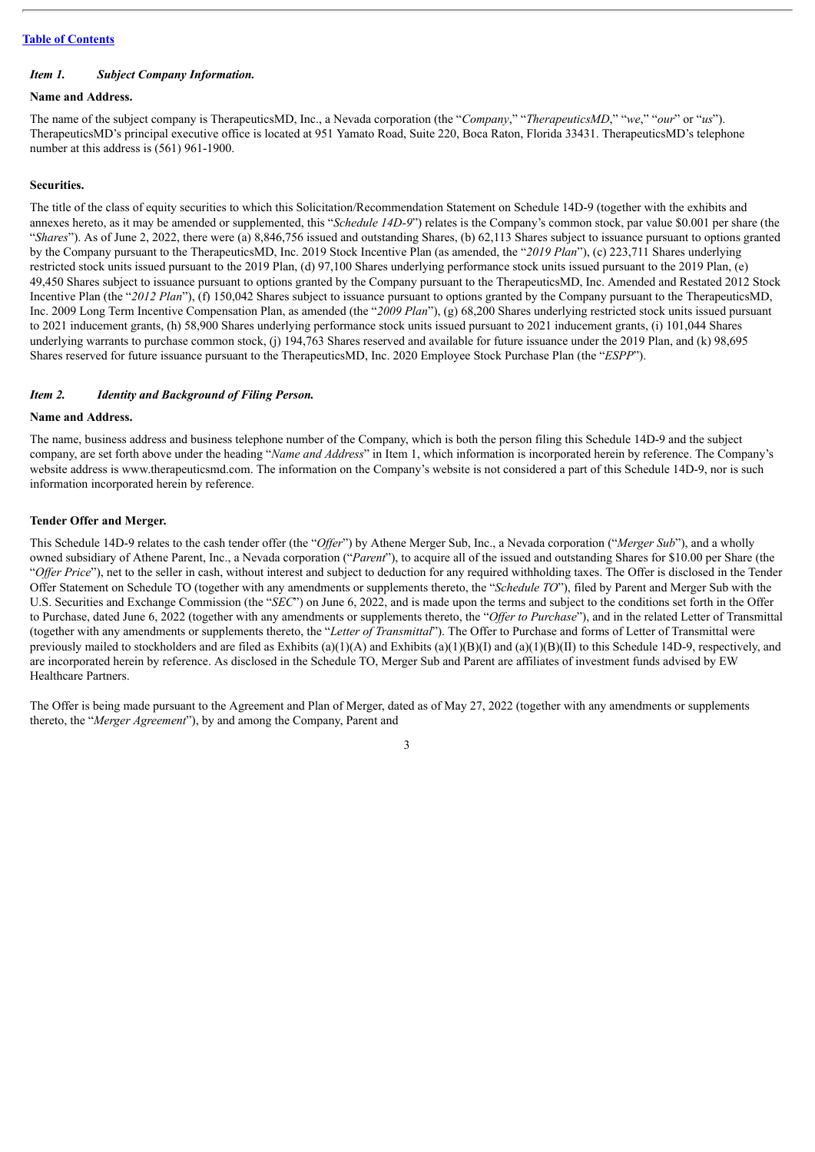#### <span id="page-2-0"></span>*Item 1. Subject Company Information.*

#### **Name and Address.**

The name of the subject company is TherapeuticsMD, Inc., a Nevada corporation (the "*Company*," "*TherapeuticsMD*," "*we*," "*our*" or "*us*"). TherapeuticsMD's principal executive office is located at 951 Yamato Road, Suite 220, Boca Raton, Florida 33431. TherapeuticsMD's telephone number at this address is (561) 961-1900.

#### **Securities.**

The title of the class of equity securities to which this Solicitation/Recommendation Statement on Schedule 14D-9 (together with the exhibits and annexes hereto, as it may be amended or supplemented, this "*Schedule 14D-9*") relates is the Company's common stock, par value \$0.001 per share (the "Shares"). As of June 2, 2022, there were (a) 8,846,756 issued and outstanding Shares, (b) 62,113 Shares subject to issuance pursuant to options granted by the Company pursuant to the TherapeuticsMD, Inc. 2019 Stock Incentive Plan (as amended, the "*2019 Plan*"), (c) 223,711 Shares underlying restricted stock units issued pursuant to the 2019 Plan, (d) 97,100 Shares underlying performance stock units issued pursuant to the 2019 Plan, (e) 49,450 Shares subject to issuance pursuant to options granted by the Company pursuant to the TherapeuticsMD, Inc. Amended and Restated 2012 Stock Incentive Plan (the "*2012 Plan*"), (f) 150,042 Shares subject to issuance pursuant to options granted by the Company pursuant to the TherapeuticsMD, Inc. 2009 Long Term Incentive Compensation Plan, as amended (the "*2009 Plan*"), (g) 68,200 Shares underlying restricted stock units issued pursuant to 2021 inducement grants, (h) 58,900 Shares underlying performance stock units issued pursuant to 2021 inducement grants, (i) 101,044 Shares underlying warrants to purchase common stock, (j) 194,763 Shares reserved and available for future issuance under the 2019 Plan, and (k) 98,695 Shares reserved for future issuance pursuant to the TherapeuticsMD, Inc. 2020 Employee Stock Purchase Plan (the "*ESPP*").

#### <span id="page-2-1"></span>*Item 2. Identity and Background of Filing Person.*

#### **Name and Address.**

The name, business address and business telephone number of the Company, which is both the person filing this Schedule 14D-9 and the subject company, are set forth above under the heading "*Name and Address*" in Item 1, which information is incorporated herein by reference. The Company's website address is www.therapeuticsmd.com. The information on the Company's website is not considered a part of this Schedule 14D-9, nor is such information incorporated herein by reference.

#### **Tender Offer and Merger.**

This Schedule 14D-9 relates to the cash tender offer (the "*Of er*") by Athene Merger Sub, Inc., a Nevada corporation ("*Merger Sub*"), and a wholly owned subsidiary of Athene Parent, Inc., a Nevada corporation ("*Parent*"), to acquire all of the issued and outstanding Shares for \$10.00 per Share (the "*Offer Price*"), net to the seller in cash, without interest and subject to deduction for any required withholding taxes. The Offer is disclosed in the Tender Offer Statement on Schedule TO (together with any amendments or supplements thereto, the "*Schedule TO*"), filed by Parent and Merger Sub with the U.S. Securities and Exchange Commission (the "*SEC*") on June 6, 2022, and is made upon the terms and subject to the conditions set forth in the Offer to Purchase, dated June 6, 2022 (together with any amendments or supplements thereto, the "Offer to Purchase"), and in the related Letter of Transmittal (together with any amendments or supplements thereto, the "*Letter of Transmittal*"). The Offer to Purchase and forms of Letter of Transmittal were previously mailed to stockholders and are filed as Exhibits (a)(1)(A) and Exhibits (a)(1)(B)(I) and (a)(1)(B)(II) to this Schedule 14D-9, respectively, and are incorporated herein by reference. As disclosed in the Schedule TO, Merger Sub and Parent are affiliates of investment funds advised by EW Healthcare Partners.

The Offer is being made pursuant to the Agreement and Plan of Merger, dated as of May 27, 2022 (together with any amendments or supplements thereto, the "*Merger Agreement*"), by and among the Company, Parent and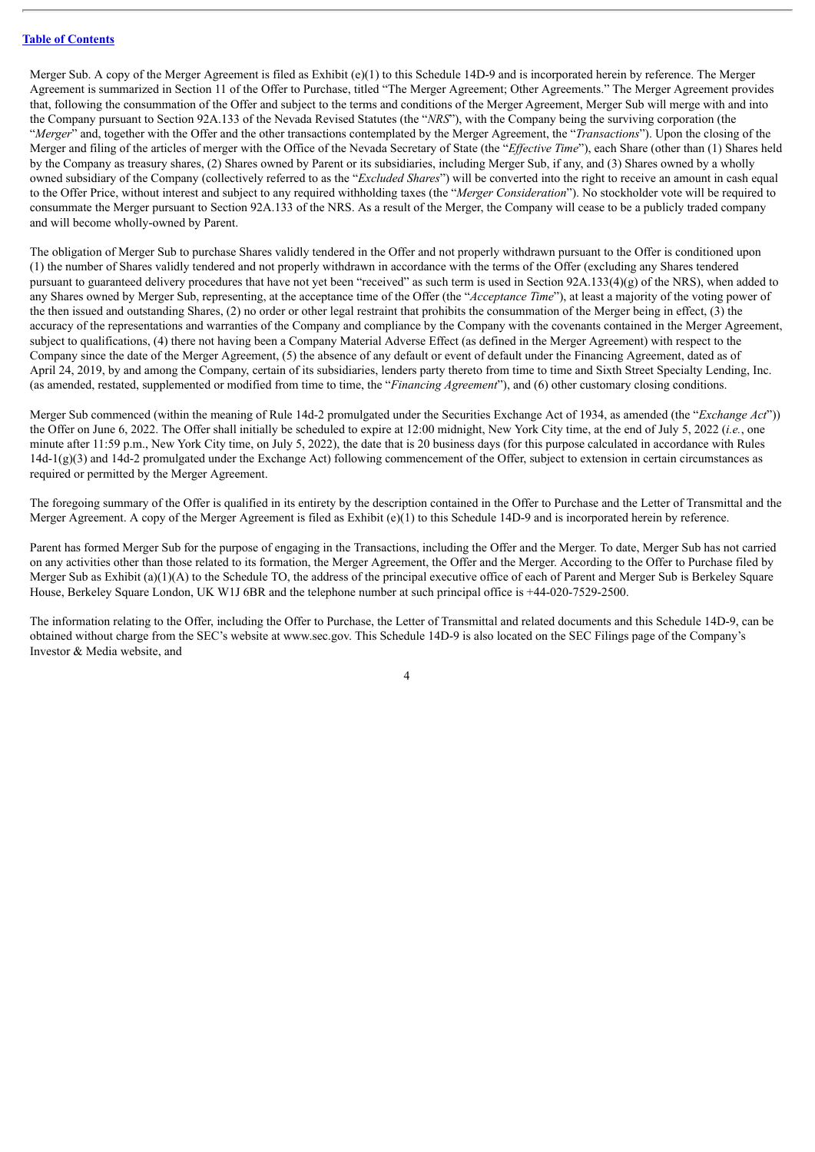Merger Sub. A copy of the Merger Agreement is filed as Exhibit (e)(1) to this Schedule 14D-9 and is incorporated herein by reference. The Merger Agreement is summarized in Section 11 of the Offer to Purchase, titled "The Merger Agreement; Other Agreements." The Merger Agreement provides that, following the consummation of the Offer and subject to the terms and conditions of the Merger Agreement, Merger Sub will merge with and into the Company pursuant to Section 92A.133 of the Nevada Revised Statutes (the "*NRS*"), with the Company being the surviving corporation (the "*Merger*" and, together with the Offer and the other transactions contemplated by the Merger Agreement, the "*Transactions*"). Upon the closing of the Merger and filing of the articles of merger with the Office of the Nevada Secretary of State (the "*Effective Time*"), each Share (other than (1) Shares held by the Company as treasury shares, (2) Shares owned by Parent or its subsidiaries, including Merger Sub, if any, and (3) Shares owned by a wholly owned subsidiary of the Company (collectively referred to as the "*Excluded Shares*") will be converted into the right to receive an amount in cash equal to the Offer Price, without interest and subject to any required withholding taxes (the "*Merger Consideration*"). No stockholder vote will be required to consummate the Merger pursuant to Section 92A.133 of the NRS. As a result of the Merger, the Company will cease to be a publicly traded company and will become wholly-owned by Parent.

The obligation of Merger Sub to purchase Shares validly tendered in the Offer and not properly withdrawn pursuant to the Offer is conditioned upon (1) the number of Shares validly tendered and not properly withdrawn in accordance with the terms of the Offer (excluding any Shares tendered pursuant to guaranteed delivery procedures that have not yet been "received" as such term is used in Section 92A.133(4)(g) of the NRS), when added to any Shares owned by Merger Sub, representing, at the acceptance time of the Offer (the "*Acceptance Time*"), at least a majority of the voting power of the then issued and outstanding Shares, (2) no order or other legal restraint that prohibits the consummation of the Merger being in effect, (3) the accuracy of the representations and warranties of the Company and compliance by the Company with the covenants contained in the Merger Agreement, subject to qualifications, (4) there not having been a Company Material Adverse Effect (as defined in the Merger Agreement) with respect to the Company since the date of the Merger Agreement, (5) the absence of any default or event of default under the Financing Agreement, dated as of April 24, 2019, by and among the Company, certain of its subsidiaries, lenders party thereto from time to time and Sixth Street Specialty Lending, Inc. (as amended, restated, supplemented or modified from time to time, the "*Financing Agreement*"), and (6) other customary closing conditions.

Merger Sub commenced (within the meaning of Rule 14d-2 promulgated under the Securities Exchange Act of 1934, as amended (the "*Exchange Act*")) the Offer on June 6, 2022. The Offer shall initially be scheduled to expire at 12:00 midnight, New York City time, at the end of July 5, 2022 (*i.e.*, one minute after 11:59 p.m., New York City time, on July 5, 2022), the date that is 20 business days (for this purpose calculated in accordance with Rules  $14d-1(g)(3)$  and  $14d-2$  promulgated under the Exchange Act) following commencement of the Offer, subject to extension in certain circumstances as required or permitted by the Merger Agreement.

The foregoing summary of the Offer is qualified in its entirety by the description contained in the Offer to Purchase and the Letter of Transmittal and the Merger Agreement. A copy of the Merger Agreement is filed as Exhibit (e)(1) to this Schedule 14D-9 and is incorporated herein by reference.

Parent has formed Merger Sub for the purpose of engaging in the Transactions, including the Offer and the Merger. To date, Merger Sub has not carried on any activities other than those related to its formation, the Merger Agreement, the Offer and the Merger. According to the Offer to Purchase filed by Merger Sub as Exhibit (a)(1)(A) to the Schedule TO, the address of the principal executive office of each of Parent and Merger Sub is Berkeley Square House, Berkeley Square London, UK W1J 6BR and the telephone number at such principal office is +44-020-7529-2500.

The information relating to the Offer, including the Offer to Purchase, the Letter of Transmittal and related documents and this Schedule 14D-9, can be obtained without charge from the SEC's website at www.sec.gov. This Schedule 14D-9 is also located on the SEC Filings page of the Company's Investor & Media website, and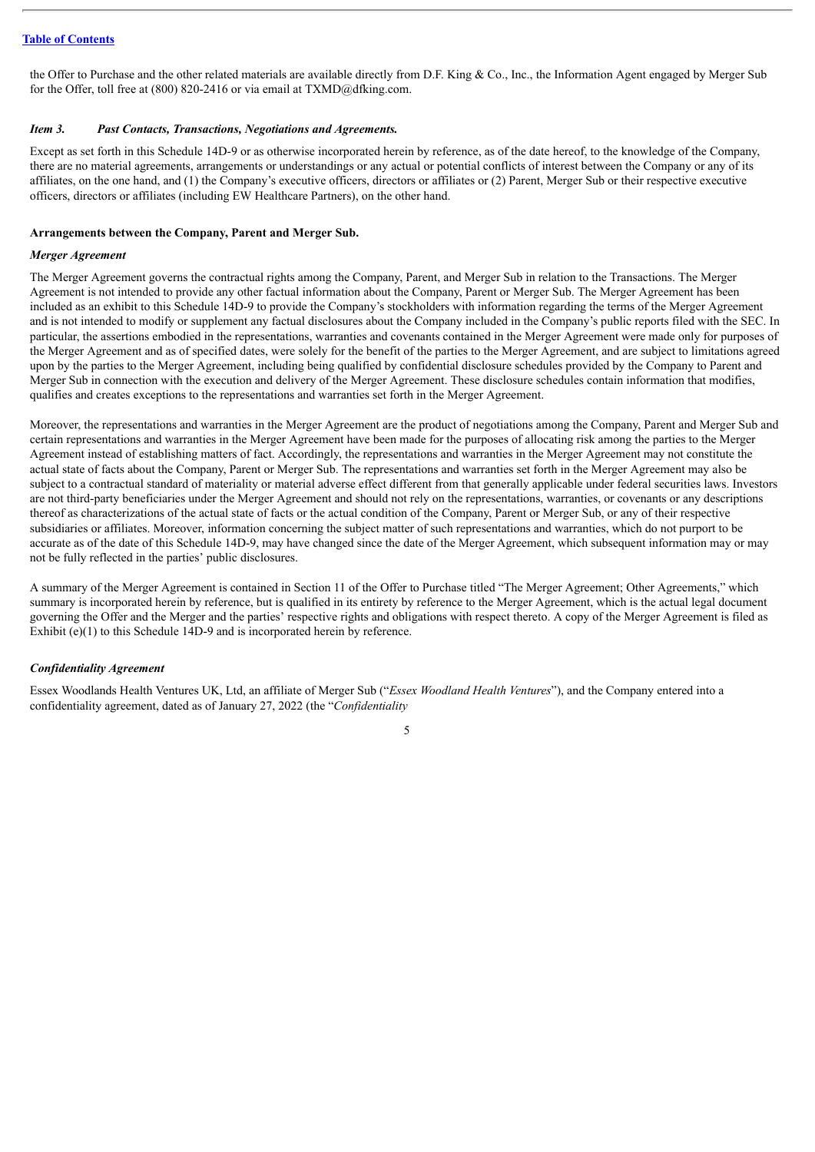the Offer to Purchase and the other related materials are available directly from D.F. King & Co., Inc., the Information Agent engaged by Merger Sub for the Offer, toll free at (800) 820-2416 or via email at TXMD@dfking.com.

#### <span id="page-4-0"></span>*Item 3. Past Contacts, Transactions, Negotiations and Agreements.*

Except as set forth in this Schedule 14D-9 or as otherwise incorporated herein by reference, as of the date hereof, to the knowledge of the Company, there are no material agreements, arrangements or understandings or any actual or potential conflicts of interest between the Company or any of its affiliates, on the one hand, and (1) the Company's executive officers, directors or affiliates or (2) Parent, Merger Sub or their respective executive officers, directors or affiliates (including EW Healthcare Partners), on the other hand.

#### **Arrangements between the Company, Parent and Merger Sub.**

#### *Merger Agreement*

The Merger Agreement governs the contractual rights among the Company, Parent, and Merger Sub in relation to the Transactions. The Merger Agreement is not intended to provide any other factual information about the Company, Parent or Merger Sub. The Merger Agreement has been included as an exhibit to this Schedule 14D-9 to provide the Company's stockholders with information regarding the terms of the Merger Agreement and is not intended to modify or supplement any factual disclosures about the Company included in the Company's public reports filed with the SEC. In particular, the assertions embodied in the representations, warranties and covenants contained in the Merger Agreement were made only for purposes of the Merger Agreement and as of specified dates, were solely for the benefit of the parties to the Merger Agreement, and are subject to limitations agreed upon by the parties to the Merger Agreement, including being qualified by confidential disclosure schedules provided by the Company to Parent and Merger Sub in connection with the execution and delivery of the Merger Agreement. These disclosure schedules contain information that modifies, qualifies and creates exceptions to the representations and warranties set forth in the Merger Agreement.

Moreover, the representations and warranties in the Merger Agreement are the product of negotiations among the Company, Parent and Merger Sub and certain representations and warranties in the Merger Agreement have been made for the purposes of allocating risk among the parties to the Merger Agreement instead of establishing matters of fact. Accordingly, the representations and warranties in the Merger Agreement may not constitute the actual state of facts about the Company, Parent or Merger Sub. The representations and warranties set forth in the Merger Agreement may also be subject to a contractual standard of materiality or material adverse effect different from that generally applicable under federal securities laws. Investors are not third-party beneficiaries under the Merger Agreement and should not rely on the representations, warranties, or covenants or any descriptions thereof as characterizations of the actual state of facts or the actual condition of the Company, Parent or Merger Sub, or any of their respective subsidiaries or affiliates. Moreover, information concerning the subject matter of such representations and warranties, which do not purport to be accurate as of the date of this Schedule 14D-9, may have changed since the date of the Merger Agreement, which subsequent information may or may not be fully reflected in the parties' public disclosures.

A summary of the Merger Agreement is contained in Section 11 of the Offer to Purchase titled "The Merger Agreement; Other Agreements," which summary is incorporated herein by reference, but is qualified in its entirety by reference to the Merger Agreement, which is the actual legal document governing the Offer and the Merger and the parties' respective rights and obligations with respect thereto. A copy of the Merger Agreement is filed as Exhibit (e)(1) to this Schedule 14D-9 and is incorporated herein by reference.

#### *Confidentiality Agreement*

Essex Woodlands Health Ventures UK, Ltd, an affiliate of Merger Sub ("*Essex Woodland Health Ventures*"), and the Company entered into a confidentiality agreement, dated as of January 27, 2022 (the "*Confidentiality*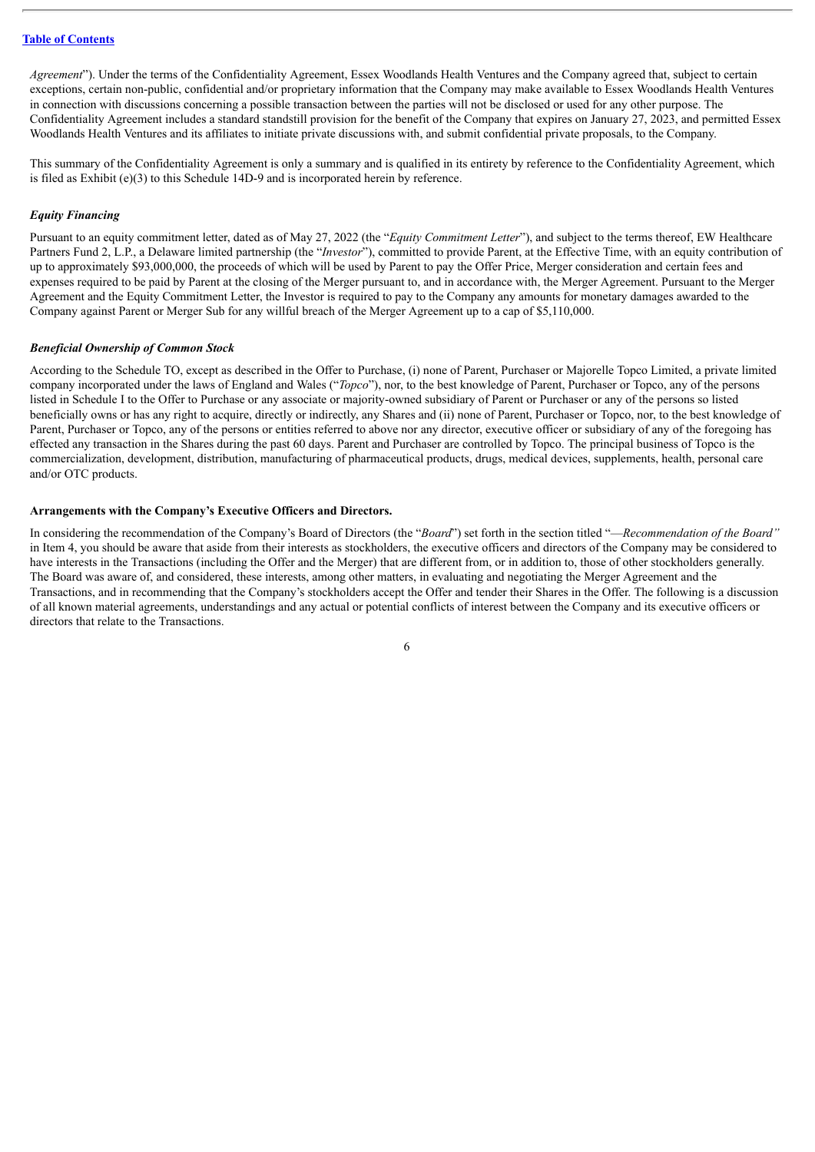*Agreement*"). Under the terms of the Confidentiality Agreement, Essex Woodlands Health Ventures and the Company agreed that, subject to certain exceptions, certain non-public, confidential and/or proprietary information that the Company may make available to Essex Woodlands Health Ventures in connection with discussions concerning a possible transaction between the parties will not be disclosed or used for any other purpose. The Confidentiality Agreement includes a standard standstill provision for the benefit of the Company that expires on January 27, 2023, and permitted Essex Woodlands Health Ventures and its affiliates to initiate private discussions with, and submit confidential private proposals, to the Company.

This summary of the Confidentiality Agreement is only a summary and is qualified in its entirety by reference to the Confidentiality Agreement, which is filed as Exhibit (e)(3) to this Schedule 14D-9 and is incorporated herein by reference.

#### *Equity Financing*

Pursuant to an equity commitment letter, dated as of May 27, 2022 (the "*Equity Commitment Letter*"), and subject to the terms thereof, EW Healthcare Partners Fund 2, L.P., a Delaware limited partnership (the "*Investor*"), committed to provide Parent, at the Effective Time, with an equity contribution of up to approximately \$93,000,000, the proceeds of which will be used by Parent to pay the Offer Price, Merger consideration and certain fees and expenses required to be paid by Parent at the closing of the Merger pursuant to, and in accordance with, the Merger Agreement. Pursuant to the Merger Agreement and the Equity Commitment Letter, the Investor is required to pay to the Company any amounts for monetary damages awarded to the Company against Parent or Merger Sub for any willful breach of the Merger Agreement up to a cap of \$5,110,000.

#### *Beneficial Ownership of Common Stock*

According to the Schedule TO, except as described in the Offer to Purchase, (i) none of Parent, Purchaser or Majorelle Topco Limited, a private limited company incorporated under the laws of England and Wales ("*Topco*"), nor, to the best knowledge of Parent, Purchaser or Topco, any of the persons listed in Schedule I to the Offer to Purchase or any associate or majority-owned subsidiary of Parent or Purchaser or any of the persons so listed beneficially owns or has any right to acquire, directly or indirectly, any Shares and (ii) none of Parent, Purchaser or Topco, nor, to the best knowledge of Parent, Purchaser or Topco, any of the persons or entities referred to above nor any director, executive officer or subsidiary of any of the foregoing has effected any transaction in the Shares during the past 60 days. Parent and Purchaser are controlled by Topco. The principal business of Topco is the commercialization, development, distribution, manufacturing of pharmaceutical products, drugs, medical devices, supplements, health, personal care and/or OTC products.

#### **Arrangements with the Company's Executive Officers and Directors.**

In considering the recommendation of the Company's Board of Directors (the "*Board*") set forth in the section titled "—*Recommendation of the Board"* in Item 4, you should be aware that aside from their interests as stockholders, the executive officers and directors of the Company may be considered to have interests in the Transactions (including the Offer and the Merger) that are different from, or in addition to, those of other stockholders generally. The Board was aware of, and considered, these interests, among other matters, in evaluating and negotiating the Merger Agreement and the Transactions, and in recommending that the Company's stockholders accept the Offer and tender their Shares in the Offer. The following is a discussion of all known material agreements, understandings and any actual or potential conflicts of interest between the Company and its executive officers or directors that relate to the Transactions.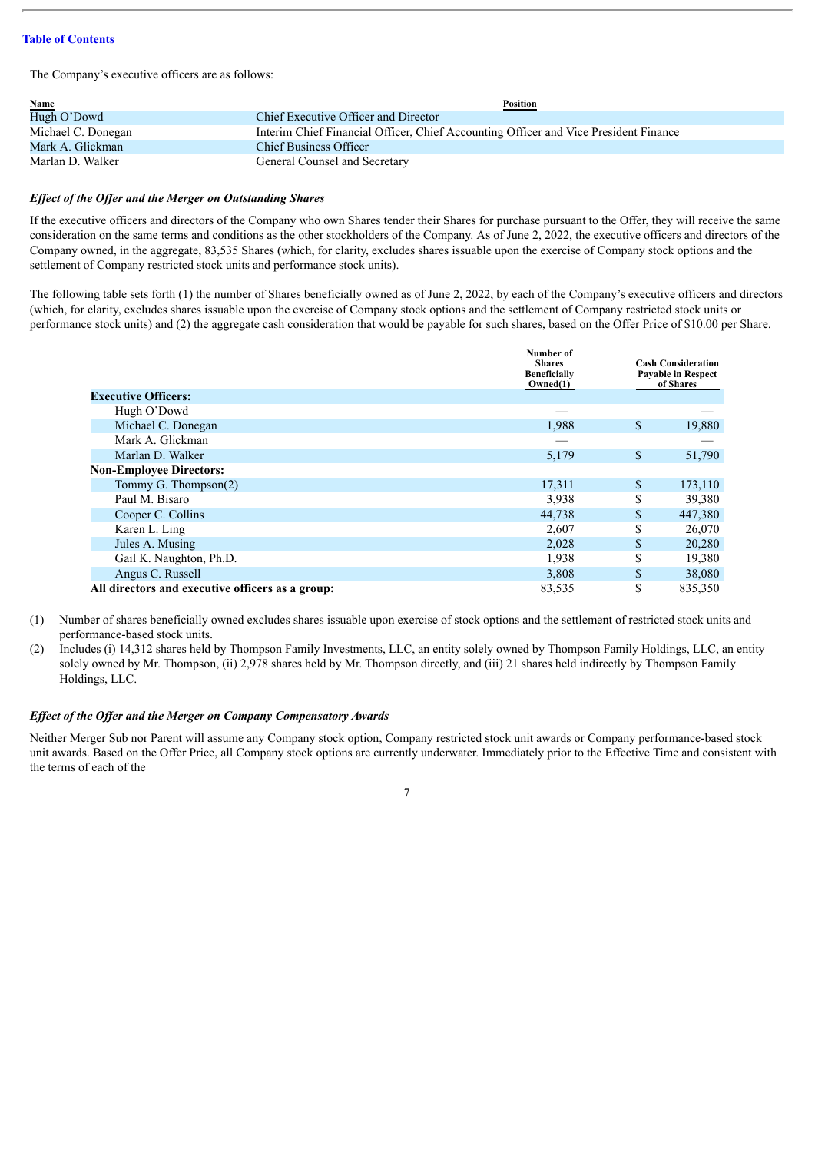The Company's executive officers are as follows:

| <b>Name</b>        | <b>Position</b>                                                                      |
|--------------------|--------------------------------------------------------------------------------------|
| Hugh O'Dowd        | Chief Executive Officer and Director                                                 |
| Michael C. Donegan | Interim Chief Financial Officer, Chief Accounting Officer and Vice President Finance |
| Mark A. Glickman   | <b>Chief Business Officer</b>                                                        |
| Marlan D. Walker   | General Counsel and Secretary                                                        |

#### *Ef ect of the Of er and the Merger on Outstanding Shares*

If the executive officers and directors of the Company who own Shares tender their Shares for purchase pursuant to the Offer, they will receive the same consideration on the same terms and conditions as the other stockholders of the Company. As of June 2, 2022, the executive officers and directors of the Company owned, in the aggregate, 83,535 Shares (which, for clarity, excludes shares issuable upon the exercise of Company stock options and the settlement of Company restricted stock units and performance stock units).

The following table sets forth (1) the number of Shares beneficially owned as of June 2, 2022, by each of the Company's executive officers and directors (which, for clarity, excludes shares issuable upon the exercise of Company stock options and the settlement of Company restricted stock units or performance stock units) and (2) the aggregate cash consideration that would be payable for such shares, based on the Offer Price of \$10.00 per Share.

|                                                  | Number of<br><b>Shares</b><br><b>Beneficially</b><br>Owned(1) |              | <b>Cash Consideration</b><br><b>Payable in Respect</b><br>of Shares |
|--------------------------------------------------|---------------------------------------------------------------|--------------|---------------------------------------------------------------------|
| <b>Executive Officers:</b>                       |                                                               |              |                                                                     |
| Hugh O'Dowd                                      |                                                               |              |                                                                     |
| Michael C. Donegan                               | 1,988                                                         | \$           | 19,880                                                              |
| Mark A. Glickman                                 |                                                               |              |                                                                     |
| Marlan D. Walker                                 | 5,179                                                         | $\mathbf{s}$ | 51,790                                                              |
| <b>Non-Employee Directors:</b>                   |                                                               |              |                                                                     |
| Tommy G. Thompson(2)                             | 17,311                                                        | \$           | 173,110                                                             |
| Paul M. Bisaro                                   | 3,938                                                         | \$           | 39,380                                                              |
| Cooper C. Collins                                | 44,738                                                        | S            | 447,380                                                             |
| Karen L. Ling                                    | 2,607                                                         | \$           | 26,070                                                              |
| Jules A. Musing                                  | 2,028                                                         | \$           | 20,280                                                              |
| Gail K. Naughton, Ph.D.                          | 1,938                                                         | \$           | 19,380                                                              |
| Angus C. Russell                                 | 3,808                                                         | \$           | 38,080                                                              |
| All directors and executive officers as a group: | 83,535                                                        | \$           | 835,350                                                             |

(1) Number of shares beneficially owned excludes shares issuable upon exercise of stock options and the settlement of restricted stock units and performance-based stock units.

(2) Includes (i) 14,312 shares held by Thompson Family Investments, LLC, an entity solely owned by Thompson Family Holdings, LLC, an entity solely owned by Mr. Thompson, (ii) 2,978 shares held by Mr. Thompson directly, and (iii) 21 shares held indirectly by Thompson Family Holdings, LLC.

#### *Ef ect of the Of er and the Merger on Company Compensatory Awards*

Neither Merger Sub nor Parent will assume any Company stock option, Company restricted stock unit awards or Company performance-based stock unit awards. Based on the Offer Price, all Company stock options are currently underwater. Immediately prior to the Effective Time and consistent with the terms of each of the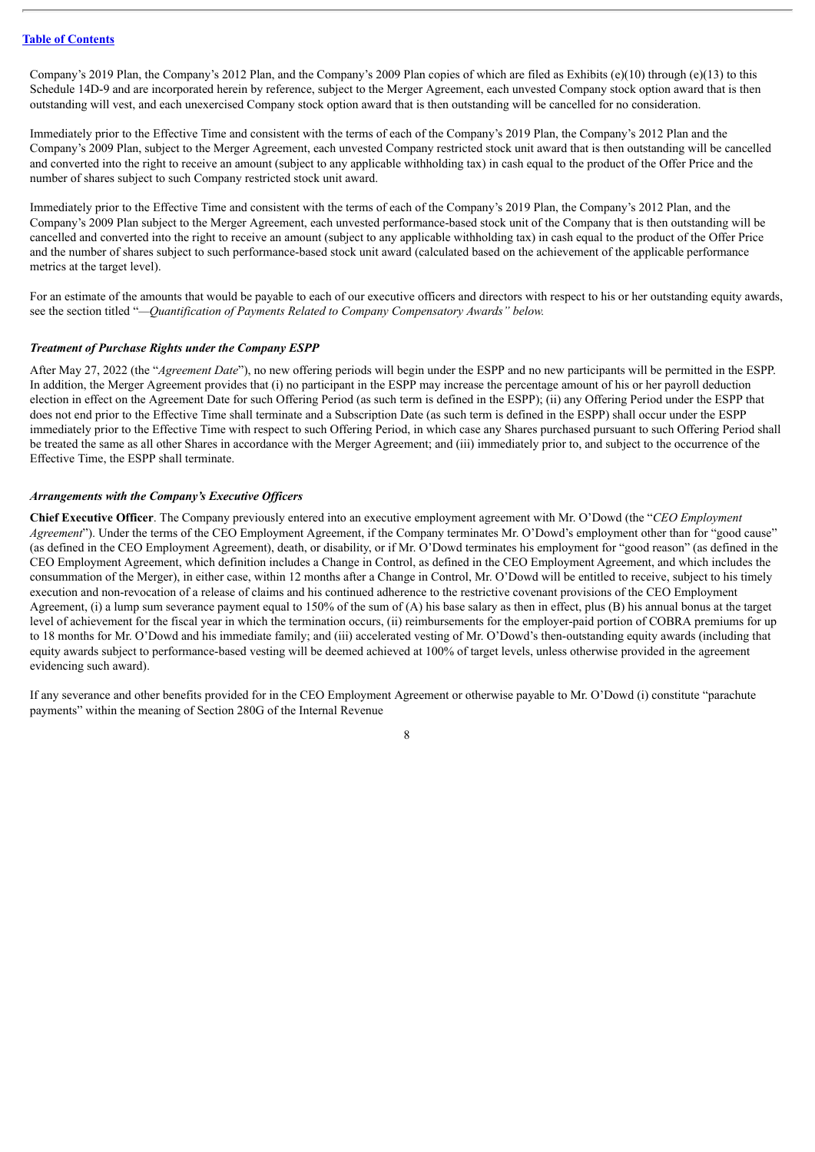Company's 2019 Plan, the Company's 2012 Plan, and the Company's 2009 Plan copies of which are filed as Exhibits (e)(10) through (e)(13) to this Schedule 14D-9 and are incorporated herein by reference, subject to the Merger Agreement, each unvested Company stock option award that is then outstanding will vest, and each unexercised Company stock option award that is then outstanding will be cancelled for no consideration.

Immediately prior to the Effective Time and consistent with the terms of each of the Company's 2019 Plan, the Company's 2012 Plan and the Company's 2009 Plan, subject to the Merger Agreement, each unvested Company restricted stock unit award that is then outstanding will be cancelled and converted into the right to receive an amount (subject to any applicable withholding tax) in cash equal to the product of the Offer Price and the number of shares subject to such Company restricted stock unit award.

Immediately prior to the Effective Time and consistent with the terms of each of the Company's 2019 Plan, the Company's 2012 Plan, and the Company's 2009 Plan subject to the Merger Agreement, each unvested performance-based stock unit of the Company that is then outstanding will be cancelled and converted into the right to receive an amount (subject to any applicable withholding tax) in cash equal to the product of the Offer Price and the number of shares subject to such performance-based stock unit award (calculated based on the achievement of the applicable performance metrics at the target level).

For an estimate of the amounts that would be payable to each of our executive officers and directors with respect to his or her outstanding equity awards, see the section titled "*—Quantification of Payments Related to Company Compensatory Awards" below.*

#### *Treatment of Purchase Rights under the Company ESPP*

After May 27, 2022 (the "*Agreement Date*"), no new offering periods will begin under the ESPP and no new participants will be permitted in the ESPP. In addition, the Merger Agreement provides that (i) no participant in the ESPP may increase the percentage amount of his or her payroll deduction election in effect on the Agreement Date for such Offering Period (as such term is defined in the ESPP); (ii) any Offering Period under the ESPP that does not end prior to the Effective Time shall terminate and a Subscription Date (as such term is defined in the ESPP) shall occur under the ESPP immediately prior to the Effective Time with respect to such Offering Period, in which case any Shares purchased pursuant to such Offering Period shall be treated the same as all other Shares in accordance with the Merger Agreement; and (iii) immediately prior to, and subject to the occurrence of the Effective Time, the ESPP shall terminate.

#### *Arrangements with the Company's Executive Of icers*

**Chief Executive Officer**. The Company previously entered into an executive employment agreement with Mr. O'Dowd (the "*CEO Employment Agreement*"). Under the terms of the CEO Employment Agreement, if the Company terminates Mr. O'Dowd's employment other than for "good cause" (as defined in the CEO Employment Agreement), death, or disability, or if Mr. O'Dowd terminates his employment for "good reason" (as defined in the CEO Employment Agreement, which definition includes a Change in Control, as defined in the CEO Employment Agreement, and which includes the consummation of the Merger), in either case, within 12 months after a Change in Control, Mr. O'Dowd will be entitled to receive, subject to his timely execution and non-revocation of a release of claims and his continued adherence to the restrictive covenant provisions of the CEO Employment Agreement, (i) a lump sum severance payment equal to 150% of the sum of (A) his base salary as then in effect, plus (B) his annual bonus at the target level of achievement for the fiscal year in which the termination occurs, (ii) reimbursements for the employer-paid portion of COBRA premiums for up to 18 months for Mr. O'Dowd and his immediate family; and (iii) accelerated vesting of Mr. O'Dowd's then-outstanding equity awards (including that equity awards subject to performance-based vesting will be deemed achieved at 100% of target levels, unless otherwise provided in the agreement evidencing such award).

If any severance and other benefits provided for in the CEO Employment Agreement or otherwise payable to Mr. O'Dowd (i) constitute "parachute payments" within the meaning of Section 280G of the Internal Revenue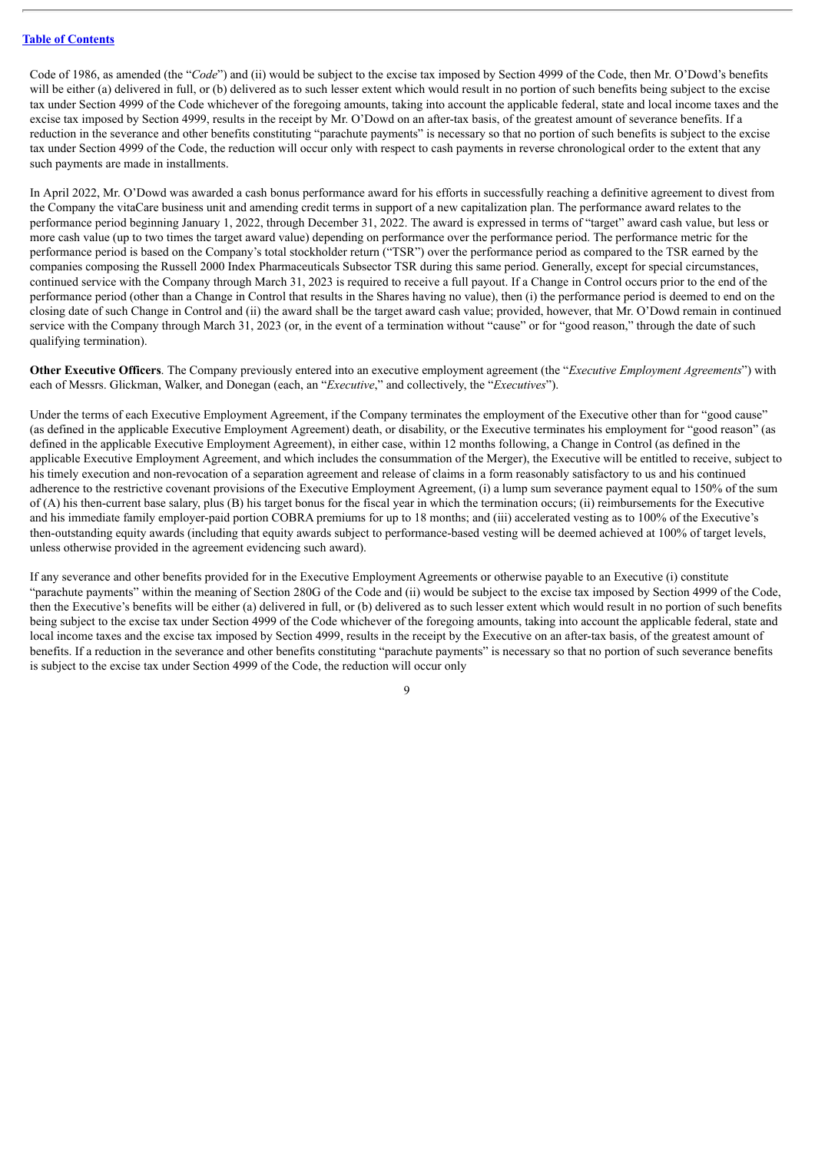Code of 1986, as amended (the "*Code*") and (ii) would be subject to the excise tax imposed by Section 4999 of the Code, then Mr. O'Dowd's benefits will be either (a) delivered in full, or (b) delivered as to such lesser extent which would result in no portion of such benefits being subject to the excise tax under Section 4999 of the Code whichever of the foregoing amounts, taking into account the applicable federal, state and local income taxes and the excise tax imposed by Section 4999, results in the receipt by Mr. O'Dowd on an after-tax basis, of the greatest amount of severance benefits. If a reduction in the severance and other benefits constituting "parachute payments" is necessary so that no portion of such benefits is subject to the excise tax under Section 4999 of the Code, the reduction will occur only with respect to cash payments in reverse chronological order to the extent that any such payments are made in installments.

In April 2022, Mr. O'Dowd was awarded a cash bonus performance award for his efforts in successfully reaching a definitive agreement to divest from the Company the vitaCare business unit and amending credit terms in support of a new capitalization plan. The performance award relates to the performance period beginning January 1, 2022, through December 31, 2022. The award is expressed in terms of "target" award cash value, but less or more cash value (up to two times the target award value) depending on performance over the performance period. The performance metric for the performance period is based on the Company's total stockholder return ("TSR") over the performance period as compared to the TSR earned by the companies composing the Russell 2000 Index Pharmaceuticals Subsector TSR during this same period. Generally, except for special circumstances, continued service with the Company through March 31, 2023 is required to receive a full payout. If a Change in Control occurs prior to the end of the performance period (other than a Change in Control that results in the Shares having no value), then (i) the performance period is deemed to end on the closing date of such Change in Control and (ii) the award shall be the target award cash value; provided, however, that Mr. O'Dowd remain in continued service with the Company through March 31, 2023 (or, in the event of a termination without "cause" or for "good reason," through the date of such qualifying termination).

**Other Executive Officers**. The Company previously entered into an executive employment agreement (the "*Executive Employment Agreements*") with each of Messrs. Glickman, Walker, and Donegan (each, an "*Executive*," and collectively, the "*Executives*").

Under the terms of each Executive Employment Agreement, if the Company terminates the employment of the Executive other than for "good cause" (as defined in the applicable Executive Employment Agreement) death, or disability, or the Executive terminates his employment for "good reason" (as defined in the applicable Executive Employment Agreement), in either case, within 12 months following, a Change in Control (as defined in the applicable Executive Employment Agreement, and which includes the consummation of the Merger), the Executive will be entitled to receive, subject to his timely execution and non-revocation of a separation agreement and release of claims in a form reasonably satisfactory to us and his continued adherence to the restrictive covenant provisions of the Executive Employment Agreement, (i) a lump sum severance payment equal to 150% of the sum of (A) his then-current base salary, plus (B) his target bonus for the fiscal year in which the termination occurs; (ii) reimbursements for the Executive and his immediate family employer-paid portion COBRA premiums for up to 18 months; and (iii) accelerated vesting as to 100% of the Executive's then-outstanding equity awards (including that equity awards subject to performance-based vesting will be deemed achieved at 100% of target levels, unless otherwise provided in the agreement evidencing such award).

If any severance and other benefits provided for in the Executive Employment Agreements or otherwise payable to an Executive (i) constitute "parachute payments" within the meaning of Section 280G of the Code and (ii) would be subject to the excise tax imposed by Section 4999 of the Code, then the Executive's benefits will be either (a) delivered in full, or (b) delivered as to such lesser extent which would result in no portion of such benefits being subject to the excise tax under Section 4999 of the Code whichever of the foregoing amounts, taking into account the applicable federal, state and local income taxes and the excise tax imposed by Section 4999, results in the receipt by the Executive on an after-tax basis, of the greatest amount of benefits. If a reduction in the severance and other benefits constituting "parachute payments" is necessary so that no portion of such severance benefits is subject to the excise tax under Section 4999 of the Code, the reduction will occur only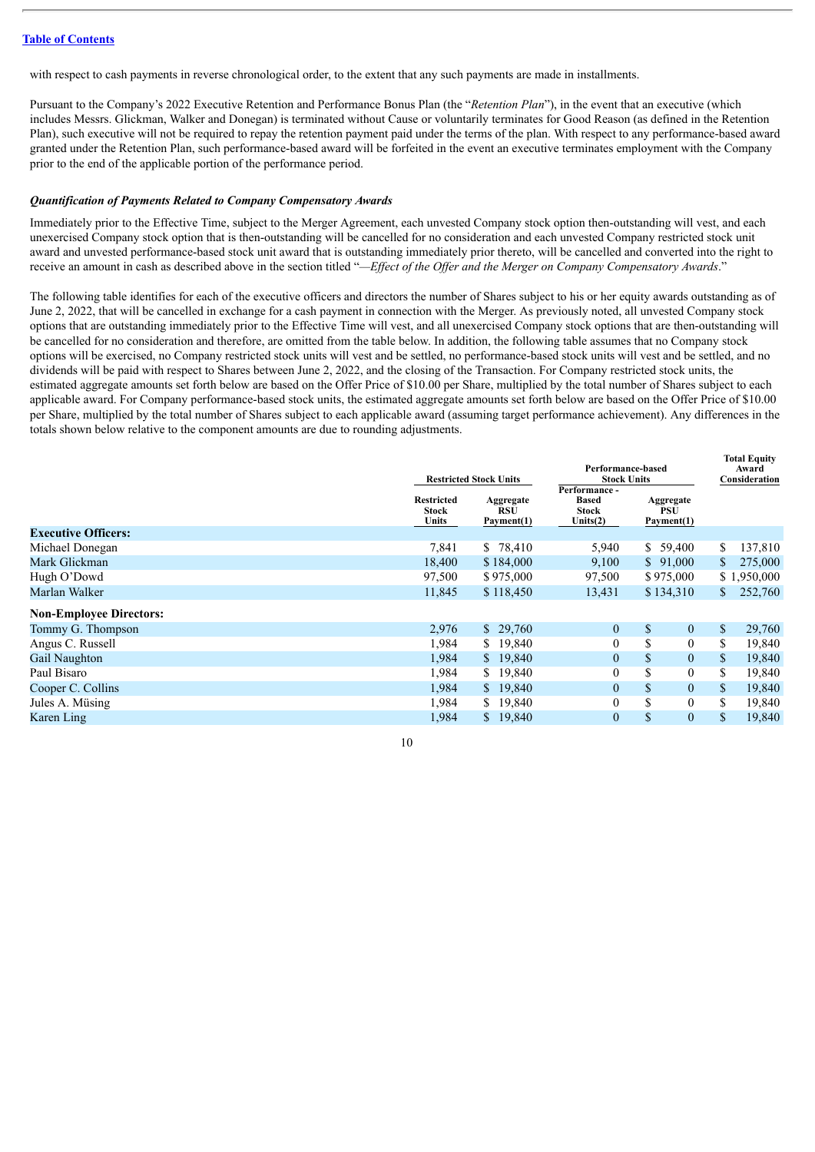with respect to cash payments in reverse chronological order, to the extent that any such payments are made in installments.

Pursuant to the Company's 2022 Executive Retention and Performance Bonus Plan (the "*Retention Plan*"), in the event that an executive (which includes Messrs. Glickman, Walker and Donegan) is terminated without Cause or voluntarily terminates for Good Reason (as defined in the Retention Plan), such executive will not be required to repay the retention payment paid under the terms of the plan. With respect to any performance-based award granted under the Retention Plan, such performance-based award will be forfeited in the event an executive terminates employment with the Company prior to the end of the applicable portion of the performance period.

#### *Quantification of Payments Related to Company Compensatory Awards*

Immediately prior to the Effective Time, subject to the Merger Agreement, each unvested Company stock option then-outstanding will vest, and each unexercised Company stock option that is then-outstanding will be cancelled for no consideration and each unvested Company restricted stock unit award and unvested performance-based stock unit award that is outstanding immediately prior thereto, will be cancelled and converted into the right to receive an amount in cash as described above in the section titled "—Effect of the Offer and the Merger on Company Compensatory Awards."

The following table identifies for each of the executive officers and directors the number of Shares subject to his or her equity awards outstanding as of June 2, 2022, that will be cancelled in exchange for a cash payment in connection with the Merger. As previously noted, all unvested Company stock options that are outstanding immediately prior to the Effective Time will vest, and all unexercised Company stock options that are then-outstanding will be cancelled for no consideration and therefore, are omitted from the table below. In addition, the following table assumes that no Company stock options will be exercised, no Company restricted stock units will vest and be settled, no performance-based stock units will vest and be settled, and no dividends will be paid with respect to Shares between June 2, 2022, and the closing of the Transaction. For Company restricted stock units, the estimated aggregate amounts set forth below are based on the Offer Price of \$10.00 per Share, multiplied by the total number of Shares subject to each applicable award. For Company performance-based stock units, the estimated aggregate amounts set forth below are based on the Offer Price of \$10.00 per Share, multiplied by the total number of Shares subject to each applicable award (assuming target performance achievement). Any differences in the totals shown below relative to the component amounts are due to rounding adjustments.

|                                | <b>Restricted Stock Units</b><br><b>Restricted</b><br>Aggregate<br><b>RSU</b><br>Stock |              | Performance-based<br><b>Stock Units</b><br>Performance -<br><b>Based</b><br>Stock | <b>Total Equity</b><br>Award<br>Consideration |                        |
|--------------------------------|----------------------------------------------------------------------------------------|--------------|-----------------------------------------------------------------------------------|-----------------------------------------------|------------------------|
|                                | Units                                                                                  | Payment(1)   | Units $(2)$                                                                       | Payment(1)                                    |                        |
| <b>Executive Officers:</b>     |                                                                                        |              |                                                                                   |                                               |                        |
| Michael Donegan                | 7,841                                                                                  | \$ 78,410    | 5,940                                                                             | 59,400<br>S.                                  | 137,810<br>\$          |
| Mark Glickman                  | 18,400                                                                                 | \$184,000    | 9,100                                                                             | \$91,000                                      | 275,000<br>\$          |
| Hugh O'Dowd                    | 97,500                                                                                 | \$975,000    | 97,500                                                                            | \$975,000                                     | \$1,950,000            |
| Marlan Walker                  | 11,845                                                                                 | \$118,450    | 13,431                                                                            | \$134,310                                     | 252,760<br>S.          |
| <b>Non-Employee Directors:</b> |                                                                                        |              |                                                                                   |                                               |                        |
| Tommy G. Thompson              | 2,976                                                                                  | \$29,760     | $\boldsymbol{0}$                                                                  | $\mathbb{S}$<br>$\mathbf{0}$                  | $\mathbb{S}$<br>29,760 |
| Angus C. Russell               | 1,984                                                                                  | \$19,840     | $\mathbf{0}$                                                                      | \$<br>$\overline{0}$                          | 19,840<br>S.           |
| Gail Naughton                  | 1,984                                                                                  | \$19,840     | $\boldsymbol{0}$                                                                  | \$<br>$\overline{0}$                          | 19,840<br><sup>S</sup> |
| Paul Bisaro                    | 1,984                                                                                  | 19,840<br>S. | $\boldsymbol{0}$                                                                  | \$<br>$\mathbf{0}$                            | \$<br>19,840           |
| Cooper C. Collins              | 1,984                                                                                  | 19,840<br>S. | $\boldsymbol{0}$                                                                  | \$<br>$\overline{0}$                          | $\mathbb{S}$<br>19,840 |
| Jules A. Müsing                | 1,984                                                                                  | 19,840<br>S. | $\mathbf{0}$                                                                      | \$<br>$\theta$                                | \$<br>19,840           |
| Karen Ling                     | 1,984                                                                                  | \$19,840     | $\boldsymbol{0}$                                                                  | \$<br>$\overline{0}$                          | 19,840<br>S.           |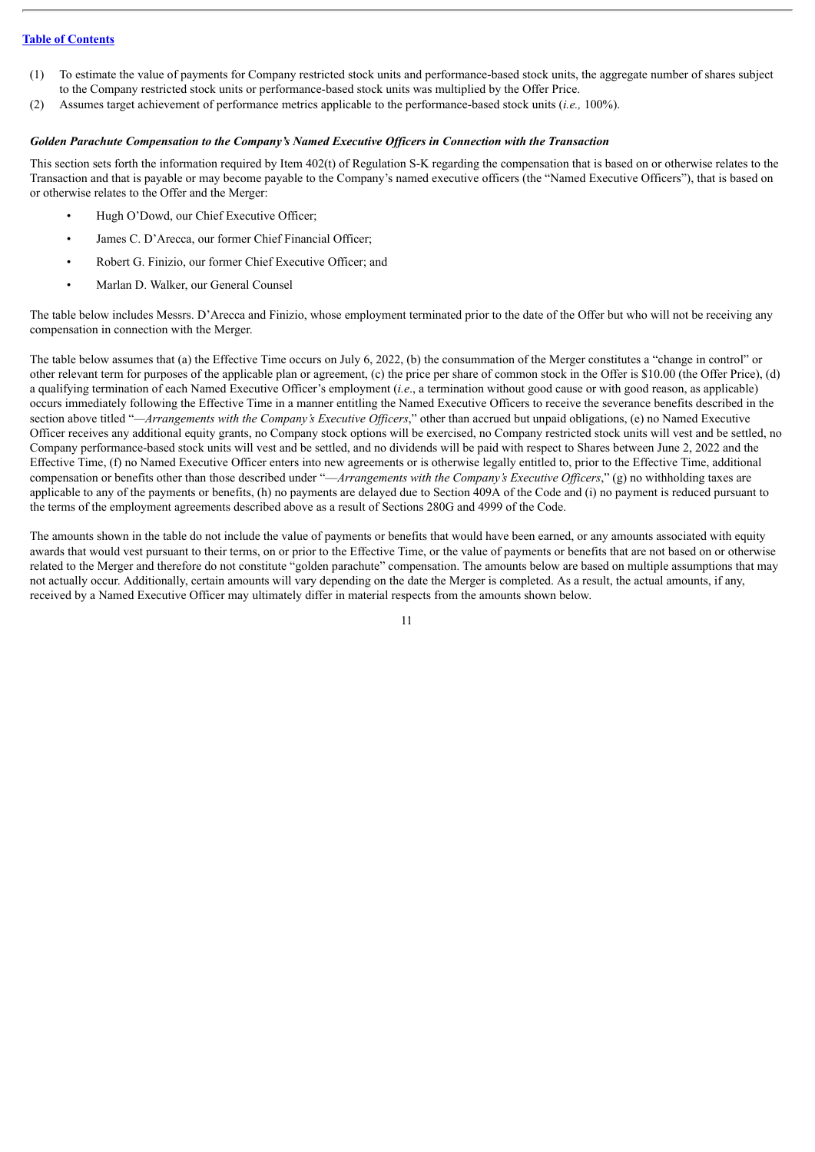- (1) To estimate the value of payments for Company restricted stock units and performance-based stock units, the aggregate number of shares subject to the Company restricted stock units or performance-based stock units was multiplied by the Offer Price.
- (2) Assumes target achievement of performance metrics applicable to the performance-based stock units (*i.e.,* 100%).

#### *Golden Parachute Compensation to the Company's Named Executive Of icers in Connection with the Transaction*

This section sets forth the information required by Item 402(t) of Regulation S-K regarding the compensation that is based on or otherwise relates to the Transaction and that is payable or may become payable to the Company's named executive officers (the "Named Executive Officers"), that is based on or otherwise relates to the Offer and the Merger:

- Hugh O'Dowd, our Chief Executive Officer;
- James C. D'Arecca, our former Chief Financial Officer;
- Robert G. Finizio, our former Chief Executive Officer; and
- Marlan D. Walker, our General Counsel

The table below includes Messrs. D'Arecca and Finizio, whose employment terminated prior to the date of the Offer but who will not be receiving any compensation in connection with the Merger.

The table below assumes that (a) the Effective Time occurs on July 6, 2022, (b) the consummation of the Merger constitutes a "change in control" or other relevant term for purposes of the applicable plan or agreement, (c) the price per share of common stock in the Offer is \$10.00 (the Offer Price), (d) a qualifying termination of each Named Executive Officer's employment (*i.e*., a termination without good cause or with good reason, as applicable) occurs immediately following the Effective Time in a manner entitling the Named Executive Officers to receive the severance benefits described in the section above titled "*—Arrangements with the Company's Executive Of icers*," other than accrued but unpaid obligations, (e) no Named Executive Officer receives any additional equity grants, no Company stock options will be exercised, no Company restricted stock units will vest and be settled, no Company performance-based stock units will vest and be settled, and no dividends will be paid with respect to Shares between June 2, 2022 and the Effective Time, (f) no Named Executive Officer enters into new agreements or is otherwise legally entitled to, prior to the Effective Time, additional compensation or benefits other than those described under "—*Arrangements with the Company's Executive Of icers*," (g) no withholding taxes are applicable to any of the payments or benefits, (h) no payments are delayed due to Section 409A of the Code and (i) no payment is reduced pursuant to the terms of the employment agreements described above as a result of Sections 280G and 4999 of the Code.

The amounts shown in the table do not include the value of payments or benefits that would have been earned, or any amounts associated with equity awards that would vest pursuant to their terms, on or prior to the Effective Time, or the value of payments or benefits that are not based on or otherwise related to the Merger and therefore do not constitute "golden parachute" compensation. The amounts below are based on multiple assumptions that may not actually occur. Additionally, certain amounts will vary depending on the date the Merger is completed. As a result, the actual amounts, if any, received by a Named Executive Officer may ultimately differ in material respects from the amounts shown below.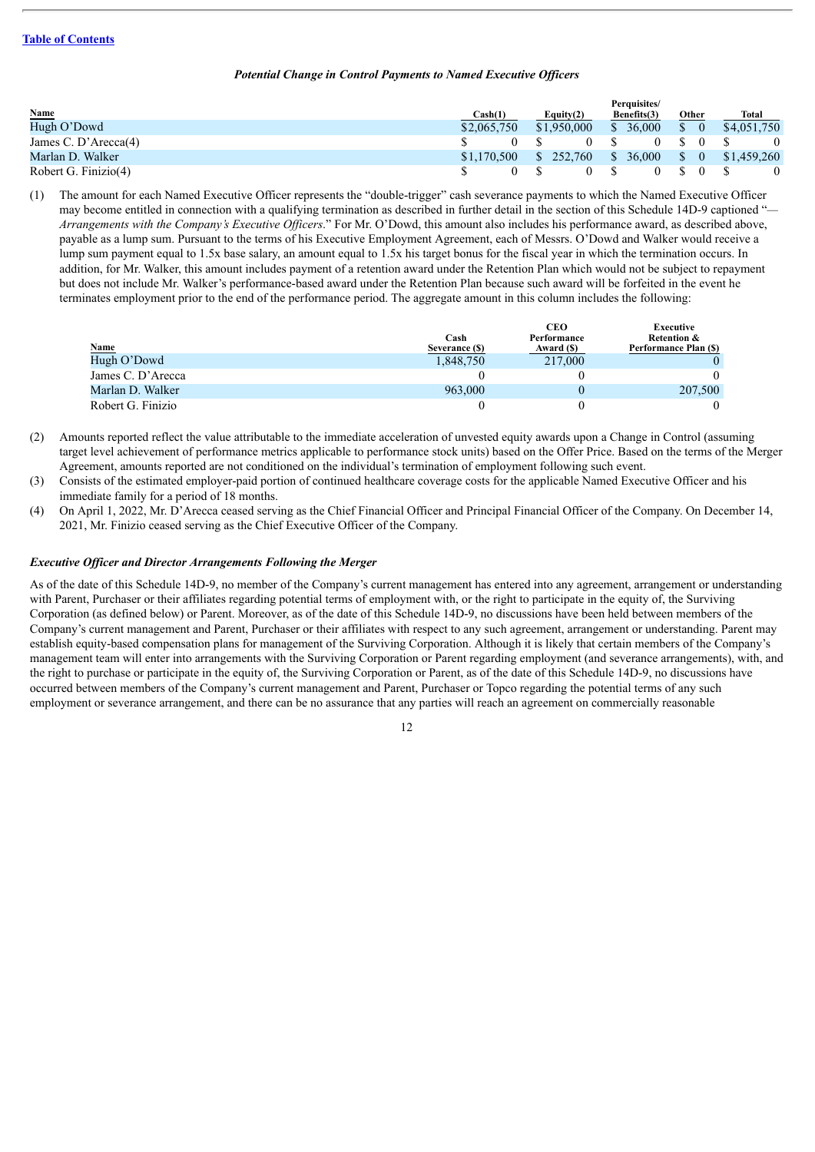#### *Potential Change in Control Payments to Named Executive Of icers*

|                      |             |        |              |     | Perauisites/ |                                                                 |                                                    |
|----------------------|-------------|--------|--------------|-----|--------------|-----------------------------------------------------------------|----------------------------------------------------|
| <b>Name</b>          | Cash(1)     |        | Equity $(2)$ |     | Benefits(3)  | Other                                                           | Total                                              |
| Hugh O'Dowd          | \$2,065,750 |        | \$1,950,000  |     | \$36,000     |                                                                 | $$0 \quad $4,051,750$                              |
| James C. D'Arecca(4) |             | $0 \&$ |              | 0 S |              | $0 \quad$ \$ $0 \quad$ \$                                       | $\overline{0}$                                     |
| Marlan D. Walker     | \$1.170.500 |        |              |     |              |                                                                 | $$252,760 \quad $36,000 \quad $0 \quad $1,459,260$ |
| Robert G. Finizio(4) |             |        |              |     |              | $\begin{array}{ccc} \text{S} & \text{O} & \text{S} \end{array}$ |                                                    |

(1) The amount for each Named Executive Officer represents the "double-trigger" cash severance payments to which the Named Executive Officer may become entitled in connection with a qualifying termination as described in further detail in the section of this Schedule 14D-9 captioned "*— Arrangements with the Company's Executive Of icers*." For Mr. O'Dowd, this amount also includes his performance award, as described above, payable as a lump sum. Pursuant to the terms of his Executive Employment Agreement, each of Messrs. O'Dowd and Walker would receive a lump sum payment equal to 1.5x base salary, an amount equal to 1.5x his target bonus for the fiscal year in which the termination occurs. In addition, for Mr. Walker, this amount includes payment of a retention award under the Retention Plan which would not be subject to repayment but does not include Mr. Walker's performance-based award under the Retention Plan because such award will be forfeited in the event he terminates employment prior to the end of the performance period. The aggregate amount in this column includes the following:

|                   |                        | CEO                       | Executive                                       |
|-------------------|------------------------|---------------------------|-------------------------------------------------|
| <b>Name</b>       | Cash<br>Severance (\$) | Performance<br>Award (\$) | <b>Retention &amp;</b><br>Performance Plan (\$) |
| Hugh O'Dowd       | 1,848,750              | 217,000                   |                                                 |
| James C. D'Arecca |                        |                           |                                                 |
| Marlan D. Walker  | 963,000                |                           | 207,500                                         |
| Robert G. Finizio |                        |                           |                                                 |

(2) Amounts reported reflect the value attributable to the immediate acceleration of unvested equity awards upon a Change in Control (assuming target level achievement of performance metrics applicable to performance stock units) based on the Offer Price. Based on the terms of the Merger Agreement, amounts reported are not conditioned on the individual's termination of employment following such event.

(3) Consists of the estimated employer-paid portion of continued healthcare coverage costs for the applicable Named Executive Officer and his immediate family for a period of 18 months.

(4) On April 1, 2022, Mr. D'Arecca ceased serving as the Chief Financial Officer and Principal Financial Officer of the Company. On December 14, 2021, Mr. Finizio ceased serving as the Chief Executive Officer of the Company.

#### *Executive Of icer and Director Arrangements Following the Merger*

As of the date of this Schedule 14D-9, no member of the Company's current management has entered into any agreement, arrangement or understanding with Parent, Purchaser or their affiliates regarding potential terms of employment with, or the right to participate in the equity of, the Surviving Corporation (as defined below) or Parent. Moreover, as of the date of this Schedule 14D-9, no discussions have been held between members of the Company's current management and Parent, Purchaser or their affiliates with respect to any such agreement, arrangement or understanding. Parent may establish equity-based compensation plans for management of the Surviving Corporation. Although it is likely that certain members of the Company's management team will enter into arrangements with the Surviving Corporation or Parent regarding employment (and severance arrangements), with, and the right to purchase or participate in the equity of, the Surviving Corporation or Parent, as of the date of this Schedule 14D-9, no discussions have occurred between members of the Company's current management and Parent, Purchaser or Topco regarding the potential terms of any such employment or severance arrangement, and there can be no assurance that any parties will reach an agreement on commercially reasonable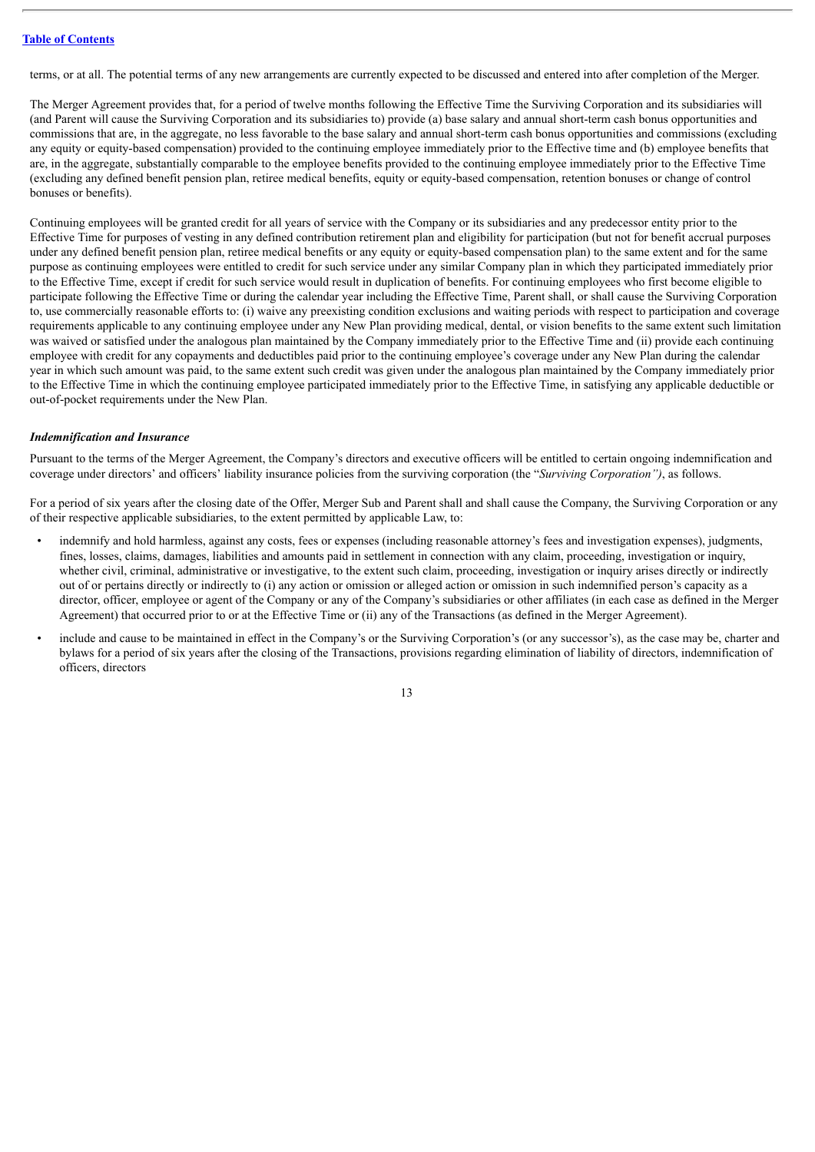terms, or at all. The potential terms of any new arrangements are currently expected to be discussed and entered into after completion of the Merger.

The Merger Agreement provides that, for a period of twelve months following the Effective Time the Surviving Corporation and its subsidiaries will (and Parent will cause the Surviving Corporation and its subsidiaries to) provide (a) base salary and annual short-term cash bonus opportunities and commissions that are, in the aggregate, no less favorable to the base salary and annual short-term cash bonus opportunities and commissions (excluding any equity or equity-based compensation) provided to the continuing employee immediately prior to the Effective time and (b) employee benefits that are, in the aggregate, substantially comparable to the employee benefits provided to the continuing employee immediately prior to the Effective Time (excluding any defined benefit pension plan, retiree medical benefits, equity or equity-based compensation, retention bonuses or change of control bonuses or benefits).

Continuing employees will be granted credit for all years of service with the Company or its subsidiaries and any predecessor entity prior to the Effective Time for purposes of vesting in any defined contribution retirement plan and eligibility for participation (but not for benefit accrual purposes under any defined benefit pension plan, retiree medical benefits or any equity or equity-based compensation plan) to the same extent and for the same purpose as continuing employees were entitled to credit for such service under any similar Company plan in which they participated immediately prior to the Effective Time, except if credit for such service would result in duplication of benefits. For continuing employees who first become eligible to participate following the Effective Time or during the calendar year including the Effective Time, Parent shall, or shall cause the Surviving Corporation to, use commercially reasonable efforts to: (i) waive any preexisting condition exclusions and waiting periods with respect to participation and coverage requirements applicable to any continuing employee under any New Plan providing medical, dental, or vision benefits to the same extent such limitation was waived or satisfied under the analogous plan maintained by the Company immediately prior to the Effective Time and (ii) provide each continuing employee with credit for any copayments and deductibles paid prior to the continuing employee's coverage under any New Plan during the calendar year in which such amount was paid, to the same extent such credit was given under the analogous plan maintained by the Company immediately prior to the Effective Time in which the continuing employee participated immediately prior to the Effective Time, in satisfying any applicable deductible or out-of-pocket requirements under the New Plan.

#### *Indemnification and Insurance*

Pursuant to the terms of the Merger Agreement, the Company's directors and executive officers will be entitled to certain ongoing indemnification and coverage under directors' and officers' liability insurance policies from the surviving corporation (the "*Surviving Corporation")*, as follows.

For a period of six years after the closing date of the Offer, Merger Sub and Parent shall and shall cause the Company, the Surviving Corporation or any of their respective applicable subsidiaries, to the extent permitted by applicable Law, to:

- indemnify and hold harmless, against any costs, fees or expenses (including reasonable attorney's fees and investigation expenses), judgments, fines, losses, claims, damages, liabilities and amounts paid in settlement in connection with any claim, proceeding, investigation or inquiry, whether civil, criminal, administrative or investigative, to the extent such claim, proceeding, investigation or inquiry arises directly or indirectly out of or pertains directly or indirectly to (i) any action or omission or alleged action or omission in such indemnified person's capacity as a director, officer, employee or agent of the Company or any of the Company's subsidiaries or other affiliates (in each case as defined in the Merger Agreement) that occurred prior to or at the Effective Time or (ii) any of the Transactions (as defined in the Merger Agreement).
- include and cause to be maintained in effect in the Company's or the Surviving Corporation's (or any successor's), as the case may be, charter and bylaws for a period of six years after the closing of the Transactions, provisions regarding elimination of liability of directors, indemnification of officers, directors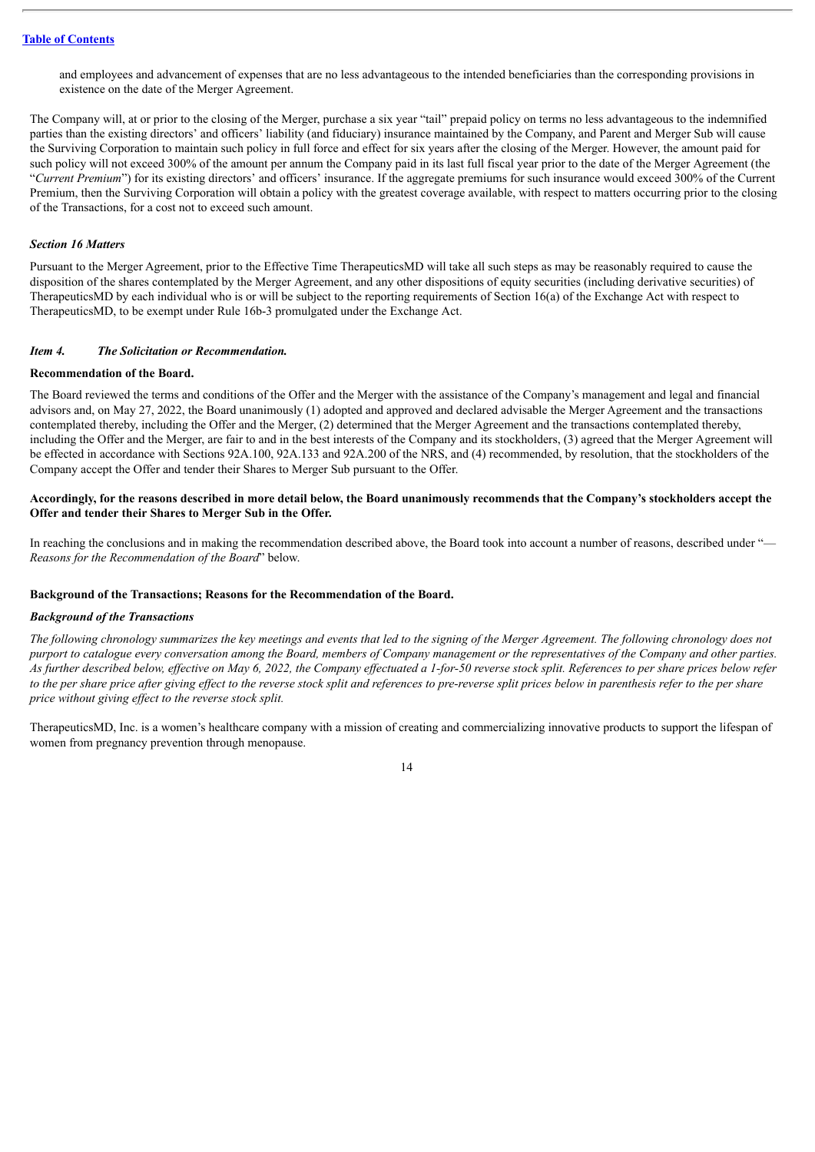and employees and advancement of expenses that are no less advantageous to the intended beneficiaries than the corresponding provisions in existence on the date of the Merger Agreement.

The Company will, at or prior to the closing of the Merger, purchase a six year "tail" prepaid policy on terms no less advantageous to the indemnified parties than the existing directors' and officers' liability (and fiduciary) insurance maintained by the Company, and Parent and Merger Sub will cause the Surviving Corporation to maintain such policy in full force and effect for six years after the closing of the Merger. However, the amount paid for such policy will not exceed 300% of the amount per annum the Company paid in its last full fiscal year prior to the date of the Merger Agreement (the "*Current Premium*") for its existing directors' and officers' insurance. If the aggregate premiums for such insurance would exceed 300% of the Current Premium, then the Surviving Corporation will obtain a policy with the greatest coverage available, with respect to matters occurring prior to the closing of the Transactions, for a cost not to exceed such amount.

#### *Section 16 Matters*

Pursuant to the Merger Agreement, prior to the Effective Time TherapeuticsMD will take all such steps as may be reasonably required to cause the disposition of the shares contemplated by the Merger Agreement, and any other dispositions of equity securities (including derivative securities) of TherapeuticsMD by each individual who is or will be subject to the reporting requirements of Section 16(a) of the Exchange Act with respect to TherapeuticsMD, to be exempt under Rule 16b-3 promulgated under the Exchange Act.

#### <span id="page-13-0"></span>*Item 4. The Solicitation or Recommendation.*

#### **Recommendation of the Board.**

The Board reviewed the terms and conditions of the Offer and the Merger with the assistance of the Company's management and legal and financial advisors and, on May 27, 2022, the Board unanimously (1) adopted and approved and declared advisable the Merger Agreement and the transactions contemplated thereby, including the Offer and the Merger, (2) determined that the Merger Agreement and the transactions contemplated thereby, including the Offer and the Merger, are fair to and in the best interests of the Company and its stockholders, (3) agreed that the Merger Agreement will be effected in accordance with Sections 92A.100, 92A.133 and 92A.200 of the NRS, and (4) recommended, by resolution, that the stockholders of the Company accept the Offer and tender their Shares to Merger Sub pursuant to the Offer.

#### Accordingly, for the reasons described in more detail below, the Board unanimously recommends that the Company's stockholders accept the **Offer and tender their Shares to Merger Sub in the Offer.**

In reaching the conclusions and in making the recommendation described above, the Board took into account a number of reasons, described under "— *Reasons for the Recommendation of the Board*" below.

#### **Background of the Transactions; Reasons for the Recommendation of the Board.**

#### *Background of the Transactions*

The following chronology summarizes the key meetings and events that led to the signing of the Merger Agreement. The following chronology does not purport to catalogue every conversation among the Board, members of Company management or the representatives of the Company and other parties. As further described below, effective on May 6, 2022, the Company effectuated a 1-for-50 reverse stock split. References to per share prices below refer to the per share price after giving effect to the reverse stock split and references to pre-reverse split prices below in parenthesis refer to the per share *price without giving ef ect to the reverse stock split.*

TherapeuticsMD, Inc. is a women's healthcare company with a mission of creating and commercializing innovative products to support the lifespan of women from pregnancy prevention through menopause.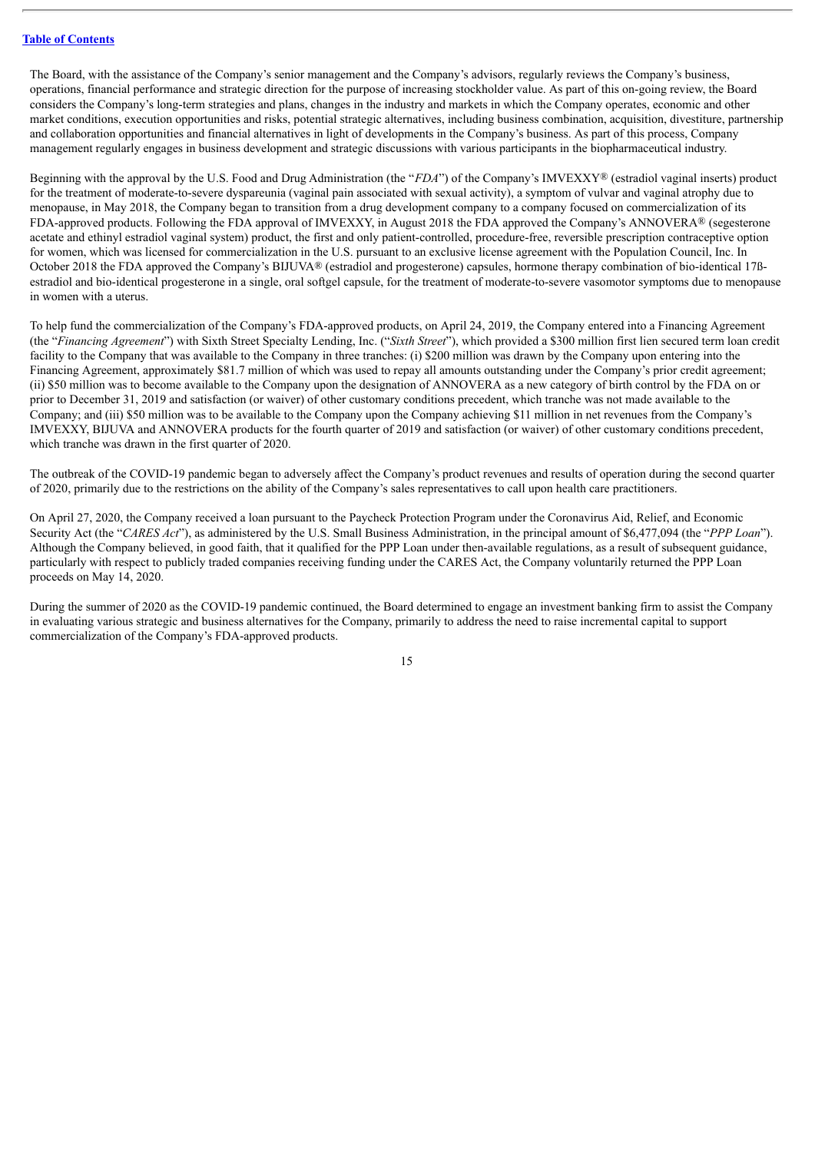The Board, with the assistance of the Company's senior management and the Company's advisors, regularly reviews the Company's business, operations, financial performance and strategic direction for the purpose of increasing stockholder value. As part of this on-going review, the Board considers the Company's long-term strategies and plans, changes in the industry and markets in which the Company operates, economic and other market conditions, execution opportunities and risks, potential strategic alternatives, including business combination, acquisition, divestiture, partnership and collaboration opportunities and financial alternatives in light of developments in the Company's business. As part of this process, Company management regularly engages in business development and strategic discussions with various participants in the biopharmaceutical industry.

Beginning with the approval by the U.S. Food and Drug Administration (the "*FDA*") of the Company's IMVEXXY® (estradiol vaginal inserts) product for the treatment of moderate-to-severe dyspareunia (vaginal pain associated with sexual activity), a symptom of vulvar and vaginal atrophy due to menopause, in May 2018, the Company began to transition from a drug development company to a company focused on commercialization of its FDA-approved products. Following the FDA approval of IMVEXXY, in August 2018 the FDA approved the Company's ANNOVERA® (segesterone acetate and ethinyl estradiol vaginal system) product, the first and only patient-controlled, procedure-free, reversible prescription contraceptive option for women, which was licensed for commercialization in the U.S. pursuant to an exclusive license agreement with the Population Council, Inc. In October 2018 the FDA approved the Company's BIJUVA® (estradiol and progesterone) capsules, hormone therapy combination of bio-identical 17ßestradiol and bio-identical progesterone in a single, oral softgel capsule, for the treatment of moderate-to-severe vasomotor symptoms due to menopause in women with a uterus.

To help fund the commercialization of the Company's FDA-approved products, on April 24, 2019, the Company entered into a Financing Agreement (the "*Financing Agreement*") with Sixth Street Specialty Lending, Inc. ("*Sixth Street*"), which provided a \$300 million first lien secured term loan credit facility to the Company that was available to the Company in three tranches: (i) \$200 million was drawn by the Company upon entering into the Financing Agreement, approximately \$81.7 million of which was used to repay all amounts outstanding under the Company's prior credit agreement; (ii) \$50 million was to become available to the Company upon the designation of ANNOVERA as a new category of birth control by the FDA on or prior to December 31, 2019 and satisfaction (or waiver) of other customary conditions precedent, which tranche was not made available to the Company; and (iii) \$50 million was to be available to the Company upon the Company achieving \$11 million in net revenues from the Company's IMVEXXY, BIJUVA and ANNOVERA products for the fourth quarter of 2019 and satisfaction (or waiver) of other customary conditions precedent, which tranche was drawn in the first quarter of 2020.

The outbreak of the COVID-19 pandemic began to adversely affect the Company's product revenues and results of operation during the second quarter of 2020, primarily due to the restrictions on the ability of the Company's sales representatives to call upon health care practitioners.

On April 27, 2020, the Company received a loan pursuant to the Paycheck Protection Program under the Coronavirus Aid, Relief, and Economic Security Act (the "*CARES Act*"), as administered by the U.S. Small Business Administration, in the principal amount of \$6,477,094 (the "*PPP Loan*"). Although the Company believed, in good faith, that it qualified for the PPP Loan under then-available regulations, as a result of subsequent guidance, particularly with respect to publicly traded companies receiving funding under the CARES Act, the Company voluntarily returned the PPP Loan proceeds on May 14, 2020.

During the summer of 2020 as the COVID-19 pandemic continued, the Board determined to engage an investment banking firm to assist the Company in evaluating various strategic and business alternatives for the Company, primarily to address the need to raise incremental capital to support commercialization of the Company's FDA-approved products.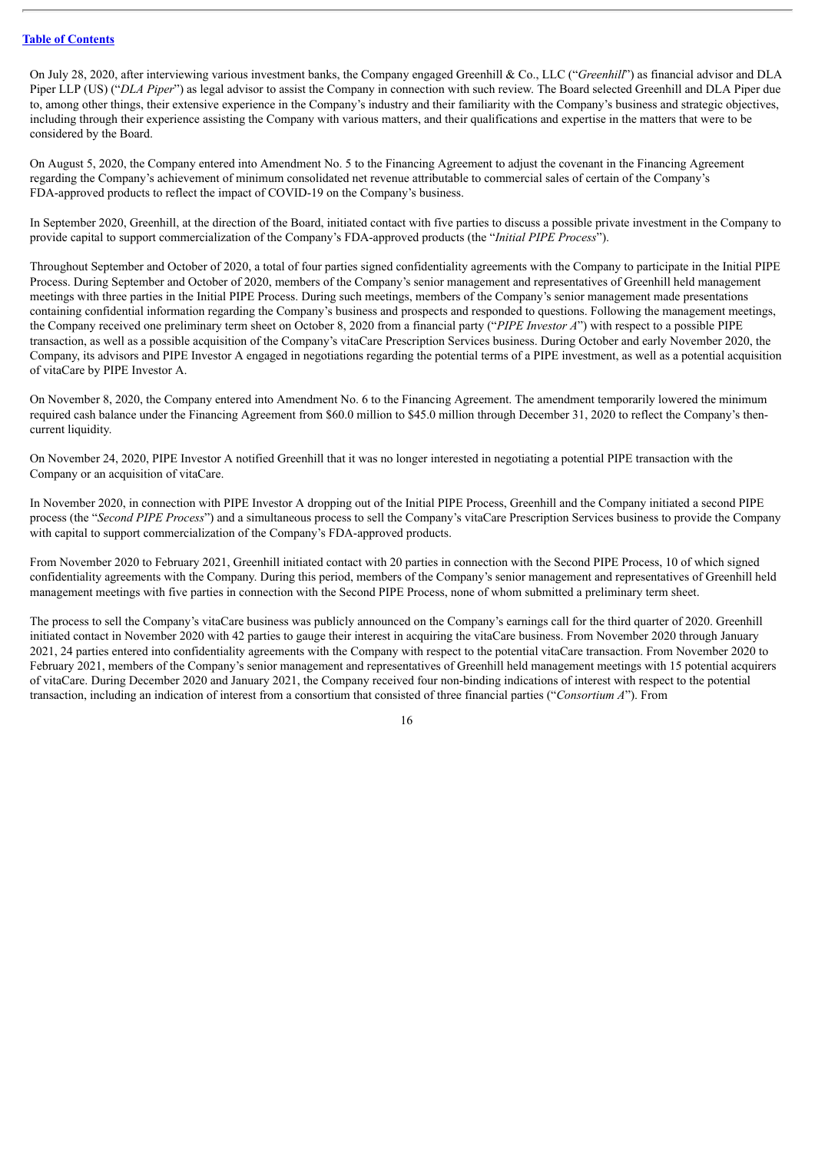On July 28, 2020, after interviewing various investment banks, the Company engaged Greenhill & Co., LLC ("*Greenhill*") as financial advisor and DLA Piper LLP (US) ("*DLA Piper*") as legal advisor to assist the Company in connection with such review. The Board selected Greenhill and DLA Piper due to, among other things, their extensive experience in the Company's industry and their familiarity with the Company's business and strategic objectives, including through their experience assisting the Company with various matters, and their qualifications and expertise in the matters that were to be considered by the Board.

On August 5, 2020, the Company entered into Amendment No. 5 to the Financing Agreement to adjust the covenant in the Financing Agreement regarding the Company's achievement of minimum consolidated net revenue attributable to commercial sales of certain of the Company's FDA-approved products to reflect the impact of COVID-19 on the Company's business.

In September 2020, Greenhill, at the direction of the Board, initiated contact with five parties to discuss a possible private investment in the Company to provide capital to support commercialization of the Company's FDA-approved products (the "*Initial PIPE Process*").

Throughout September and October of 2020, a total of four parties signed confidentiality agreements with the Company to participate in the Initial PIPE Process. During September and October of 2020, members of the Company's senior management and representatives of Greenhill held management meetings with three parties in the Initial PIPE Process. During such meetings, members of the Company's senior management made presentations containing confidential information regarding the Company's business and prospects and responded to questions. Following the management meetings, the Company received one preliminary term sheet on October 8, 2020 from a financial party ("*PIPE Investor A*") with respect to a possible PIPE transaction, as well as a possible acquisition of the Company's vitaCare Prescription Services business. During October and early November 2020, the Company, its advisors and PIPE Investor A engaged in negotiations regarding the potential terms of a PIPE investment, as well as a potential acquisition of vitaCare by PIPE Investor A.

On November 8, 2020, the Company entered into Amendment No. 6 to the Financing Agreement. The amendment temporarily lowered the minimum required cash balance under the Financing Agreement from \$60.0 million to \$45.0 million through December 31, 2020 to reflect the Company's thencurrent liquidity.

On November 24, 2020, PIPE Investor A notified Greenhill that it was no longer interested in negotiating a potential PIPE transaction with the Company or an acquisition of vitaCare.

In November 2020, in connection with PIPE Investor A dropping out of the Initial PIPE Process, Greenhill and the Company initiated a second PIPE process (the "*Second PIPE Process*") and a simultaneous process to sell the Company's vitaCare Prescription Services business to provide the Company with capital to support commercialization of the Company's FDA-approved products.

From November 2020 to February 2021, Greenhill initiated contact with 20 parties in connection with the Second PIPE Process, 10 of which signed confidentiality agreements with the Company. During this period, members of the Company's senior management and representatives of Greenhill held management meetings with five parties in connection with the Second PIPE Process, none of whom submitted a preliminary term sheet.

The process to sell the Company's vitaCare business was publicly announced on the Company's earnings call for the third quarter of 2020. Greenhill initiated contact in November 2020 with 42 parties to gauge their interest in acquiring the vitaCare business. From November 2020 through January 2021, 24 parties entered into confidentiality agreements with the Company with respect to the potential vitaCare transaction. From November 2020 to February 2021, members of the Company's senior management and representatives of Greenhill held management meetings with 15 potential acquirers of vitaCare. During December 2020 and January 2021, the Company received four non-binding indications of interest with respect to the potential transaction, including an indication of interest from a consortium that consisted of three financial parties ("*Consortium A*"). From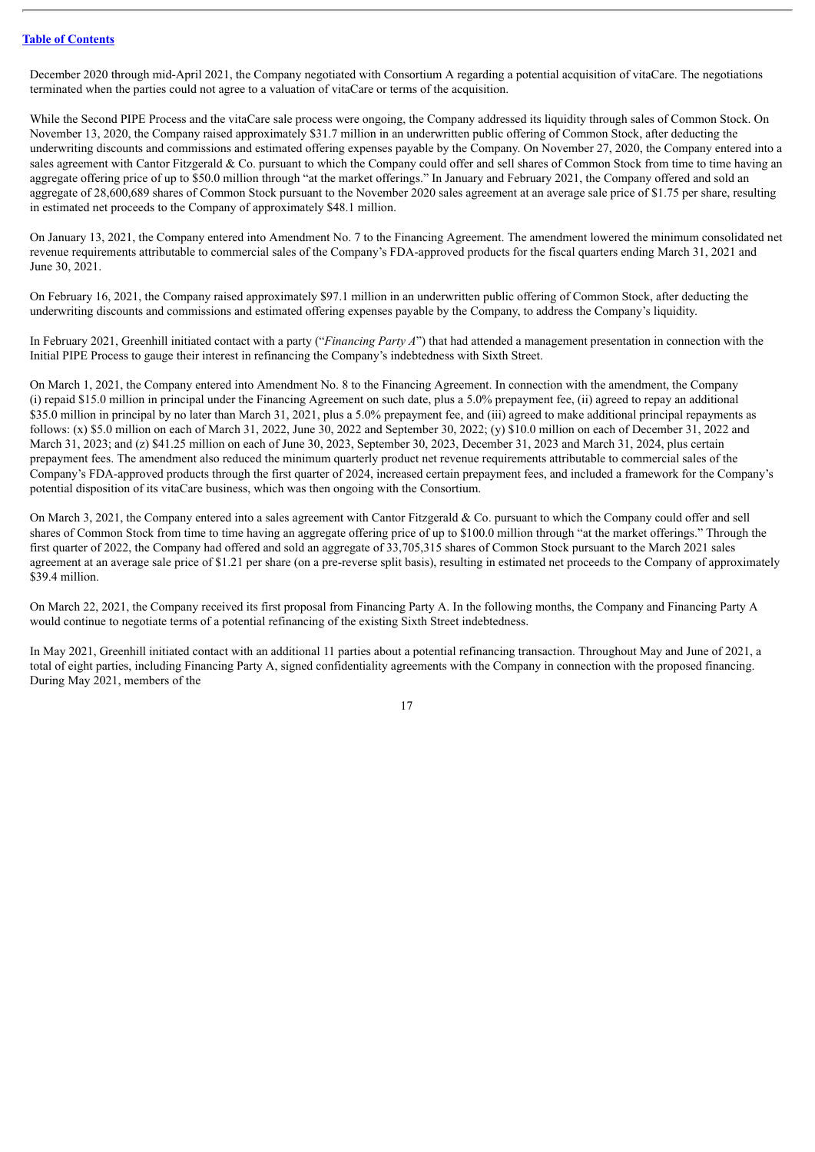December 2020 through mid-April 2021, the Company negotiated with Consortium A regarding a potential acquisition of vitaCare. The negotiations terminated when the parties could not agree to a valuation of vitaCare or terms of the acquisition.

While the Second PIPE Process and the vitaCare sale process were ongoing, the Company addressed its liquidity through sales of Common Stock. On November 13, 2020, the Company raised approximately \$31.7 million in an underwritten public offering of Common Stock, after deducting the underwriting discounts and commissions and estimated offering expenses payable by the Company. On November 27, 2020, the Company entered into a sales agreement with Cantor Fitzgerald & Co. pursuant to which the Company could offer and sell shares of Common Stock from time to time having an aggregate offering price of up to \$50.0 million through "at the market offerings." In January and February 2021, the Company offered and sold an aggregate of 28,600,689 shares of Common Stock pursuant to the November 2020 sales agreement at an average sale price of \$1.75 per share, resulting in estimated net proceeds to the Company of approximately \$48.1 million.

On January 13, 2021, the Company entered into Amendment No. 7 to the Financing Agreement. The amendment lowered the minimum consolidated net revenue requirements attributable to commercial sales of the Company's FDA-approved products for the fiscal quarters ending March 31, 2021 and June 30, 2021.

On February 16, 2021, the Company raised approximately \$97.1 million in an underwritten public offering of Common Stock, after deducting the underwriting discounts and commissions and estimated offering expenses payable by the Company, to address the Company's liquidity.

In February 2021, Greenhill initiated contact with a party ("*Financing Party A*") that had attended a management presentation in connection with the Initial PIPE Process to gauge their interest in refinancing the Company's indebtedness with Sixth Street.

On March 1, 2021, the Company entered into Amendment No. 8 to the Financing Agreement. In connection with the amendment, the Company (i) repaid \$15.0 million in principal under the Financing Agreement on such date, plus a 5.0% prepayment fee, (ii) agreed to repay an additional \$35.0 million in principal by no later than March 31, 2021, plus a 5.0% prepayment fee, and (iii) agreed to make additional principal repayments as follows: (x) \$5.0 million on each of March 31, 2022, June 30, 2022 and September 30, 2022; (y) \$10.0 million on each of December 31, 2022 and March 31, 2023; and (z) \$41.25 million on each of June 30, 2023, September 30, 2023, December 31, 2023 and March 31, 2024, plus certain prepayment fees. The amendment also reduced the minimum quarterly product net revenue requirements attributable to commercial sales of the Company's FDA-approved products through the first quarter of 2024, increased certain prepayment fees, and included a framework for the Company's potential disposition of its vitaCare business, which was then ongoing with the Consortium.

On March 3, 2021, the Company entered into a sales agreement with Cantor Fitzgerald & Co. pursuant to which the Company could offer and sell shares of Common Stock from time to time having an aggregate offering price of up to \$100.0 million through "at the market offerings." Through the first quarter of 2022, the Company had offered and sold an aggregate of 33,705,315 shares of Common Stock pursuant to the March 2021 sales agreement at an average sale price of \$1.21 per share (on a pre-reverse split basis), resulting in estimated net proceeds to the Company of approximately \$39.4 million.

On March 22, 2021, the Company received its first proposal from Financing Party A. In the following months, the Company and Financing Party A would continue to negotiate terms of a potential refinancing of the existing Sixth Street indebtedness.

In May 2021, Greenhill initiated contact with an additional 11 parties about a potential refinancing transaction. Throughout May and June of 2021, a total of eight parties, including Financing Party A, signed confidentiality agreements with the Company in connection with the proposed financing. During May 2021, members of the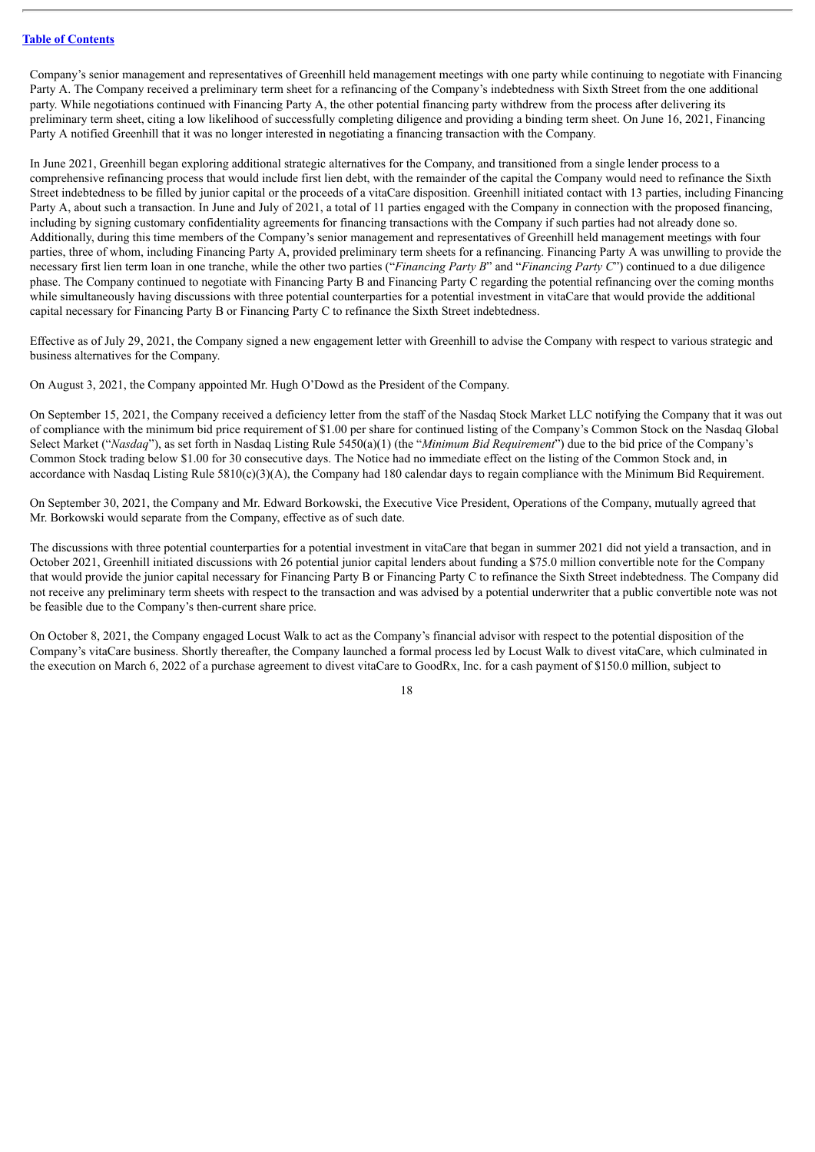Company's senior management and representatives of Greenhill held management meetings with one party while continuing to negotiate with Financing Party A. The Company received a preliminary term sheet for a refinancing of the Company's indebtedness with Sixth Street from the one additional party. While negotiations continued with Financing Party A, the other potential financing party withdrew from the process after delivering its preliminary term sheet, citing a low likelihood of successfully completing diligence and providing a binding term sheet. On June 16, 2021, Financing Party A notified Greenhill that it was no longer interested in negotiating a financing transaction with the Company.

In June 2021, Greenhill began exploring additional strategic alternatives for the Company, and transitioned from a single lender process to a comprehensive refinancing process that would include first lien debt, with the remainder of the capital the Company would need to refinance the Sixth Street indebtedness to be filled by junior capital or the proceeds of a vitaCare disposition. Greenhill initiated contact with 13 parties, including Financing Party A, about such a transaction. In June and July of 2021, a total of 11 parties engaged with the Company in connection with the proposed financing, including by signing customary confidentiality agreements for financing transactions with the Company if such parties had not already done so. Additionally, during this time members of the Company's senior management and representatives of Greenhill held management meetings with four parties, three of whom, including Financing Party A, provided preliminary term sheets for a refinancing. Financing Party A was unwilling to provide the necessary first lien term loan in one tranche, while the other two parties ("*Financing Party B*" and "*Financing Party C*") continued to a due diligence phase. The Company continued to negotiate with Financing Party B and Financing Party C regarding the potential refinancing over the coming months while simultaneously having discussions with three potential counterparties for a potential investment in vitaCare that would provide the additional capital necessary for Financing Party B or Financing Party C to refinance the Sixth Street indebtedness.

Effective as of July 29, 2021, the Company signed a new engagement letter with Greenhill to advise the Company with respect to various strategic and business alternatives for the Company.

On August 3, 2021, the Company appointed Mr. Hugh O'Dowd as the President of the Company.

On September 15, 2021, the Company received a deficiency letter from the staff of the Nasdaq Stock Market LLC notifying the Company that it was out of compliance with the minimum bid price requirement of \$1.00 per share for continued listing of the Company's Common Stock on the Nasdaq Global Select Market ("*Nasdaq*"), as set forth in Nasdaq Listing Rule 5450(a)(1) (the "*Minimum Bid Requirement*") due to the bid price of the Company's Common Stock trading below \$1.00 for 30 consecutive days. The Notice had no immediate effect on the listing of the Common Stock and, in accordance with Nasdaq Listing Rule  $5810(c)(3)(A)$ , the Company had 180 calendar days to regain compliance with the Minimum Bid Requirement.

On September 30, 2021, the Company and Mr. Edward Borkowski, the Executive Vice President, Operations of the Company, mutually agreed that Mr. Borkowski would separate from the Company, effective as of such date.

The discussions with three potential counterparties for a potential investment in vitaCare that began in summer 2021 did not yield a transaction, and in October 2021, Greenhill initiated discussions with 26 potential junior capital lenders about funding a \$75.0 million convertible note for the Company that would provide the junior capital necessary for Financing Party B or Financing Party C to refinance the Sixth Street indebtedness. The Company did not receive any preliminary term sheets with respect to the transaction and was advised by a potential underwriter that a public convertible note was not be feasible due to the Company's then-current share price.

On October 8, 2021, the Company engaged Locust Walk to act as the Company's financial advisor with respect to the potential disposition of the Company's vitaCare business. Shortly thereafter, the Company launched a formal process led by Locust Walk to divest vitaCare, which culminated in the execution on March 6, 2022 of a purchase agreement to divest vitaCare to GoodRx, Inc. for a cash payment of \$150.0 million, subject to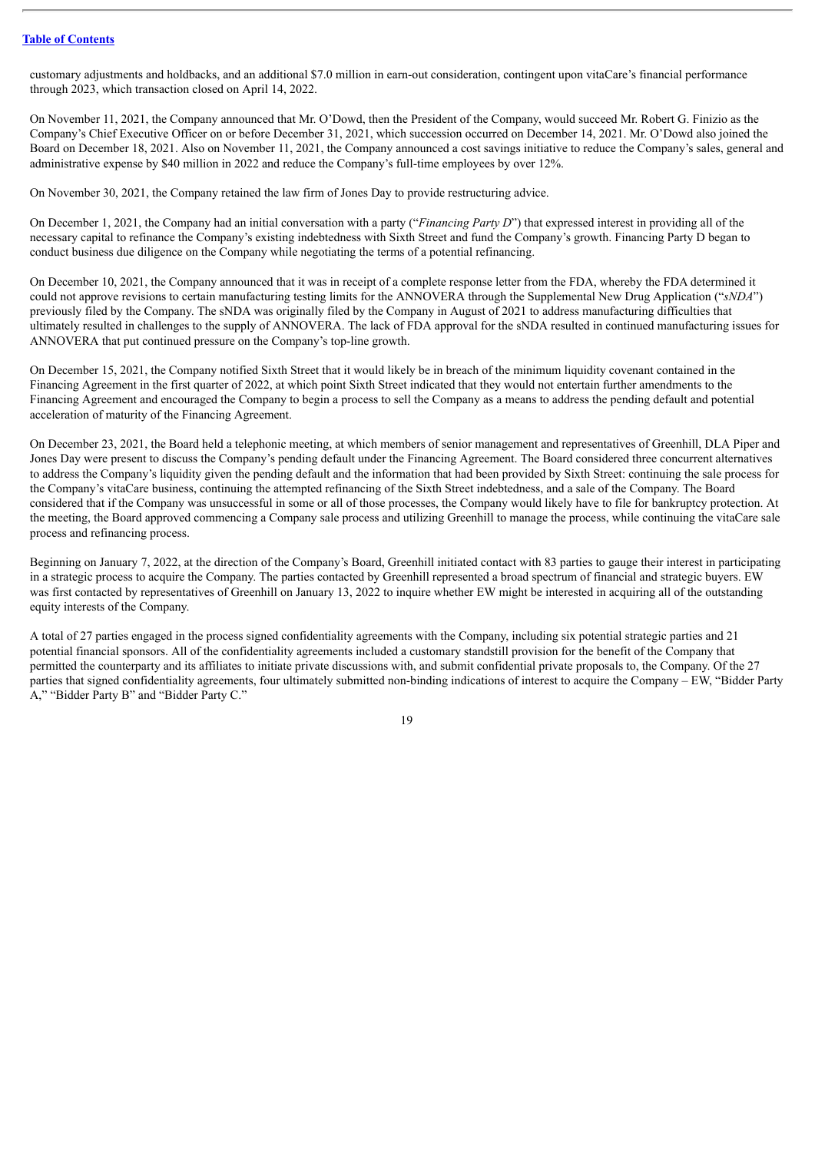customary adjustments and holdbacks, and an additional \$7.0 million in earn-out consideration, contingent upon vitaCare's financial performance through 2023, which transaction closed on April 14, 2022.

On November 11, 2021, the Company announced that Mr. O'Dowd, then the President of the Company, would succeed Mr. Robert G. Finizio as the Company's Chief Executive Officer on or before December 31, 2021, which succession occurred on December 14, 2021. Mr. O'Dowd also joined the Board on December 18, 2021. Also on November 11, 2021, the Company announced a cost savings initiative to reduce the Company's sales, general and administrative expense by \$40 million in 2022 and reduce the Company's full-time employees by over 12%.

On November 30, 2021, the Company retained the law firm of Jones Day to provide restructuring advice.

On December 1, 2021, the Company had an initial conversation with a party ("*Financing Party D*") that expressed interest in providing all of the necessary capital to refinance the Company's existing indebtedness with Sixth Street and fund the Company's growth. Financing Party D began to conduct business due diligence on the Company while negotiating the terms of a potential refinancing.

On December 10, 2021, the Company announced that it was in receipt of a complete response letter from the FDA, whereby the FDA determined it could not approve revisions to certain manufacturing testing limits for the ANNOVERA through the Supplemental New Drug Application ("*sNDA*") previously filed by the Company. The sNDA was originally filed by the Company in August of 2021 to address manufacturing difficulties that ultimately resulted in challenges to the supply of ANNOVERA. The lack of FDA approval for the sNDA resulted in continued manufacturing issues for ANNOVERA that put continued pressure on the Company's top-line growth.

On December 15, 2021, the Company notified Sixth Street that it would likely be in breach of the minimum liquidity covenant contained in the Financing Agreement in the first quarter of 2022, at which point Sixth Street indicated that they would not entertain further amendments to the Financing Agreement and encouraged the Company to begin a process to sell the Company as a means to address the pending default and potential acceleration of maturity of the Financing Agreement.

On December 23, 2021, the Board held a telephonic meeting, at which members of senior management and representatives of Greenhill, DLA Piper and Jones Day were present to discuss the Company's pending default under the Financing Agreement. The Board considered three concurrent alternatives to address the Company's liquidity given the pending default and the information that had been provided by Sixth Street: continuing the sale process for the Company's vitaCare business, continuing the attempted refinancing of the Sixth Street indebtedness, and a sale of the Company. The Board considered that if the Company was unsuccessful in some or all of those processes, the Company would likely have to file for bankruptcy protection. At the meeting, the Board approved commencing a Company sale process and utilizing Greenhill to manage the process, while continuing the vitaCare sale process and refinancing process.

Beginning on January 7, 2022, at the direction of the Company's Board, Greenhill initiated contact with 83 parties to gauge their interest in participating in a strategic process to acquire the Company. The parties contacted by Greenhill represented a broad spectrum of financial and strategic buyers. EW was first contacted by representatives of Greenhill on January 13, 2022 to inquire whether EW might be interested in acquiring all of the outstanding equity interests of the Company.

A total of 27 parties engaged in the process signed confidentiality agreements with the Company, including six potential strategic parties and 21 potential financial sponsors. All of the confidentiality agreements included a customary standstill provision for the benefit of the Company that permitted the counterparty and its affiliates to initiate private discussions with, and submit confidential private proposals to, the Company. Of the 27 parties that signed confidentiality agreements, four ultimately submitted non-binding indications of interest to acquire the Company – EW, "Bidder Party A," "Bidder Party B" and "Bidder Party C."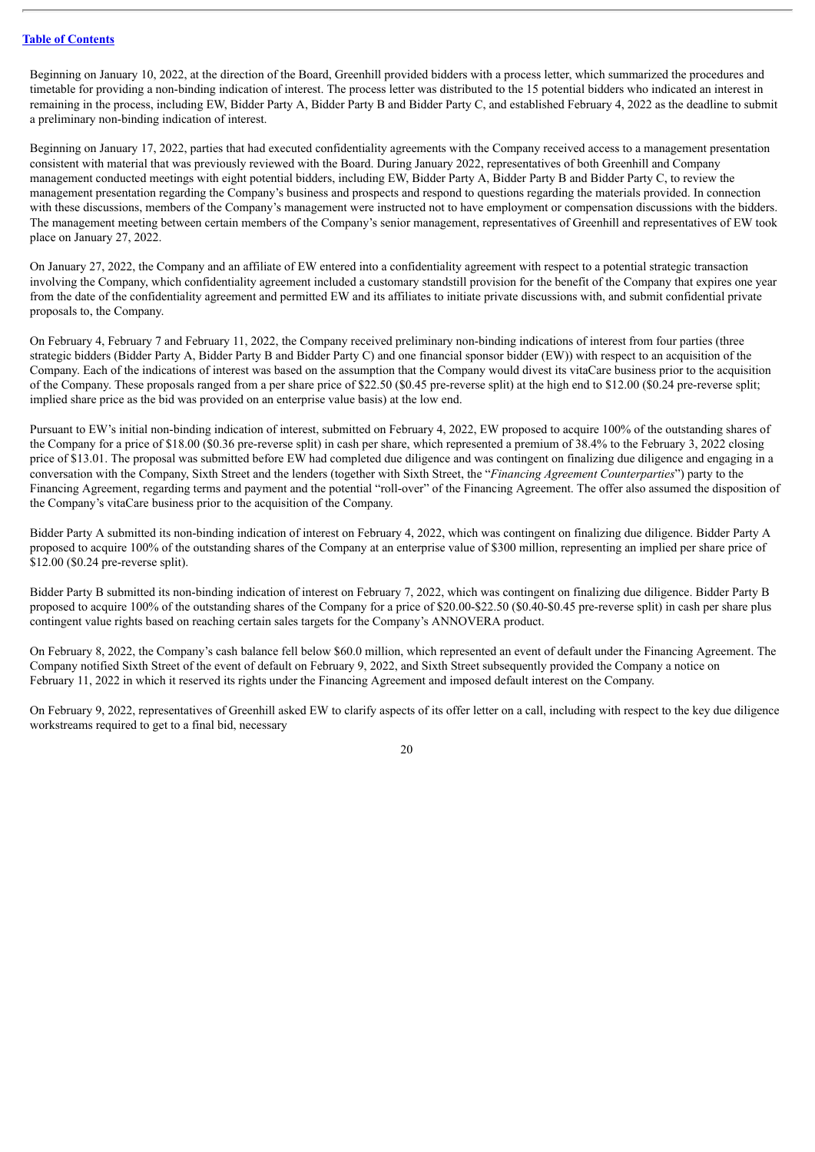Beginning on January 10, 2022, at the direction of the Board, Greenhill provided bidders with a process letter, which summarized the procedures and timetable for providing a non-binding indication of interest. The process letter was distributed to the 15 potential bidders who indicated an interest in remaining in the process, including EW, Bidder Party A, Bidder Party B and Bidder Party C, and established February 4, 2022 as the deadline to submit a preliminary non-binding indication of interest.

Beginning on January 17, 2022, parties that had executed confidentiality agreements with the Company received access to a management presentation consistent with material that was previously reviewed with the Board. During January 2022, representatives of both Greenhill and Company management conducted meetings with eight potential bidders, including EW, Bidder Party A, Bidder Party B and Bidder Party C, to review the management presentation regarding the Company's business and prospects and respond to questions regarding the materials provided. In connection with these discussions, members of the Company's management were instructed not to have employment or compensation discussions with the bidders. The management meeting between certain members of the Company's senior management, representatives of Greenhill and representatives of EW took place on January 27, 2022.

On January 27, 2022, the Company and an affiliate of EW entered into a confidentiality agreement with respect to a potential strategic transaction involving the Company, which confidentiality agreement included a customary standstill provision for the benefit of the Company that expires one year from the date of the confidentiality agreement and permitted EW and its affiliates to initiate private discussions with, and submit confidential private proposals to, the Company.

On February 4, February 7 and February 11, 2022, the Company received preliminary non-binding indications of interest from four parties (three strategic bidders (Bidder Party A, Bidder Party B and Bidder Party C) and one financial sponsor bidder (EW)) with respect to an acquisition of the Company. Each of the indications of interest was based on the assumption that the Company would divest its vitaCare business prior to the acquisition of the Company. These proposals ranged from a per share price of \$22.50 (\$0.45 pre-reverse split) at the high end to \$12.00 (\$0.24 pre-reverse split; implied share price as the bid was provided on an enterprise value basis) at the low end.

Pursuant to EW's initial non-binding indication of interest, submitted on February 4, 2022, EW proposed to acquire 100% of the outstanding shares of the Company for a price of \$18.00 (\$0.36 pre-reverse split) in cash per share, which represented a premium of 38.4% to the February 3, 2022 closing price of \$13.01. The proposal was submitted before EW had completed due diligence and was contingent on finalizing due diligence and engaging in a conversation with the Company, Sixth Street and the lenders (together with Sixth Street, the "*Financing Agreement Counterparties*") party to the Financing Agreement, regarding terms and payment and the potential "roll-over" of the Financing Agreement. The offer also assumed the disposition of the Company's vitaCare business prior to the acquisition of the Company.

Bidder Party A submitted its non-binding indication of interest on February 4, 2022, which was contingent on finalizing due diligence. Bidder Party A proposed to acquire 100% of the outstanding shares of the Company at an enterprise value of \$300 million, representing an implied per share price of \$12.00 (\$0.24 pre-reverse split).

Bidder Party B submitted its non-binding indication of interest on February 7, 2022, which was contingent on finalizing due diligence. Bidder Party B proposed to acquire 100% of the outstanding shares of the Company for a price of \$20.00-\$22.50 (\$0.40-\$0.45 pre-reverse split) in cash per share plus contingent value rights based on reaching certain sales targets for the Company's ANNOVERA product.

On February 8, 2022, the Company's cash balance fell below \$60.0 million, which represented an event of default under the Financing Agreement. The Company notified Sixth Street of the event of default on February 9, 2022, and Sixth Street subsequently provided the Company a notice on February 11, 2022 in which it reserved its rights under the Financing Agreement and imposed default interest on the Company.

On February 9, 2022, representatives of Greenhill asked EW to clarify aspects of its offer letter on a call, including with respect to the key due diligence workstreams required to get to a final bid, necessary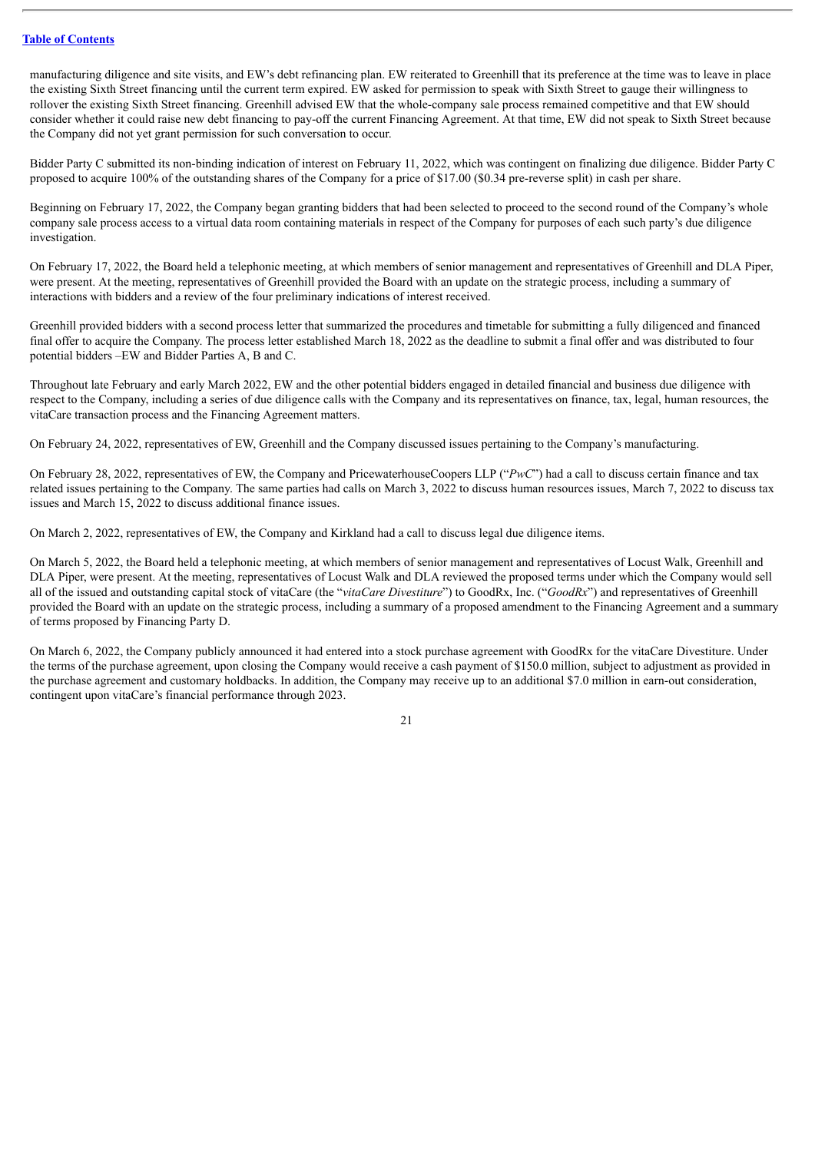manufacturing diligence and site visits, and EW's debt refinancing plan. EW reiterated to Greenhill that its preference at the time was to leave in place the existing Sixth Street financing until the current term expired. EW asked for permission to speak with Sixth Street to gauge their willingness to rollover the existing Sixth Street financing. Greenhill advised EW that the whole-company sale process remained competitive and that EW should consider whether it could raise new debt financing to pay-off the current Financing Agreement. At that time, EW did not speak to Sixth Street because the Company did not yet grant permission for such conversation to occur.

Bidder Party C submitted its non-binding indication of interest on February 11, 2022, which was contingent on finalizing due diligence. Bidder Party C proposed to acquire 100% of the outstanding shares of the Company for a price of \$17.00 (\$0.34 pre-reverse split) in cash per share.

Beginning on February 17, 2022, the Company began granting bidders that had been selected to proceed to the second round of the Company's whole company sale process access to a virtual data room containing materials in respect of the Company for purposes of each such party's due diligence investigation.

On February 17, 2022, the Board held a telephonic meeting, at which members of senior management and representatives of Greenhill and DLA Piper, were present. At the meeting, representatives of Greenhill provided the Board with an update on the strategic process, including a summary of interactions with bidders and a review of the four preliminary indications of interest received.

Greenhill provided bidders with a second process letter that summarized the procedures and timetable for submitting a fully diligenced and financed final offer to acquire the Company. The process letter established March 18, 2022 as the deadline to submit a final offer and was distributed to four potential bidders –EW and Bidder Parties A, B and C.

Throughout late February and early March 2022, EW and the other potential bidders engaged in detailed financial and business due diligence with respect to the Company, including a series of due diligence calls with the Company and its representatives on finance, tax, legal, human resources, the vitaCare transaction process and the Financing Agreement matters.

On February 24, 2022, representatives of EW, Greenhill and the Company discussed issues pertaining to the Company's manufacturing.

On February 28, 2022, representatives of EW, the Company and PricewaterhouseCoopers LLP ("*PwC*") had a call to discuss certain finance and tax related issues pertaining to the Company. The same parties had calls on March 3, 2022 to discuss human resources issues, March 7, 2022 to discuss tax issues and March 15, 2022 to discuss additional finance issues.

On March 2, 2022, representatives of EW, the Company and Kirkland had a call to discuss legal due diligence items.

On March 5, 2022, the Board held a telephonic meeting, at which members of senior management and representatives of Locust Walk, Greenhill and DLA Piper, were present. At the meeting, representatives of Locust Walk and DLA reviewed the proposed terms under which the Company would sell all of the issued and outstanding capital stock of vitaCare (the "*vitaCare Divestiture*") to GoodRx, Inc. ("*GoodRx*") and representatives of Greenhill provided the Board with an update on the strategic process, including a summary of a proposed amendment to the Financing Agreement and a summary of terms proposed by Financing Party D.

On March 6, 2022, the Company publicly announced it had entered into a stock purchase agreement with GoodRx for the vitaCare Divestiture. Under the terms of the purchase agreement, upon closing the Company would receive a cash payment of \$150.0 million, subject to adjustment as provided in the purchase agreement and customary holdbacks. In addition, the Company may receive up to an additional \$7.0 million in earn-out consideration, contingent upon vitaCare's financial performance through 2023.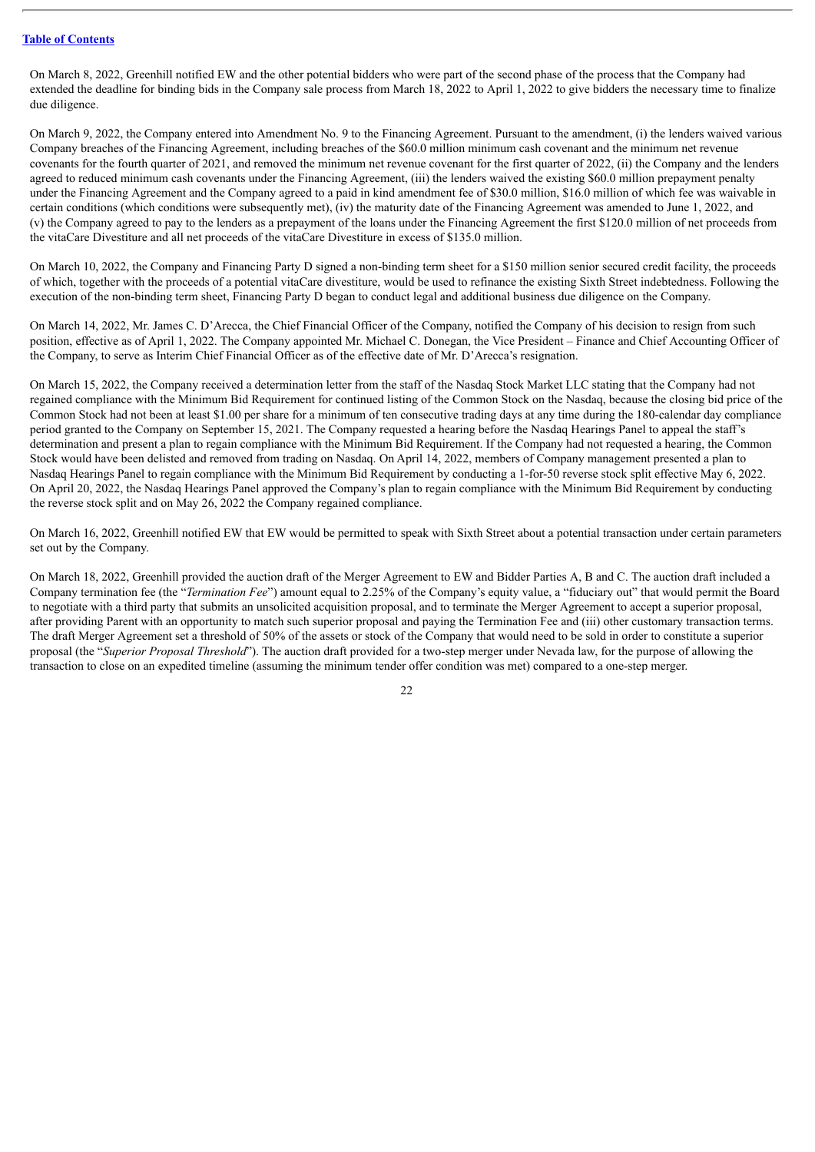On March 8, 2022, Greenhill notified EW and the other potential bidders who were part of the second phase of the process that the Company had extended the deadline for binding bids in the Company sale process from March 18, 2022 to April 1, 2022 to give bidders the necessary time to finalize due diligence.

On March 9, 2022, the Company entered into Amendment No. 9 to the Financing Agreement. Pursuant to the amendment, (i) the lenders waived various Company breaches of the Financing Agreement, including breaches of the \$60.0 million minimum cash covenant and the minimum net revenue covenants for the fourth quarter of 2021, and removed the minimum net revenue covenant for the first quarter of 2022, (ii) the Company and the lenders agreed to reduced minimum cash covenants under the Financing Agreement, (iii) the lenders waived the existing \$60.0 million prepayment penalty under the Financing Agreement and the Company agreed to a paid in kind amendment fee of \$30.0 million, \$16.0 million of which fee was waivable in certain conditions (which conditions were subsequently met), (iv) the maturity date of the Financing Agreement was amended to June 1, 2022, and (v) the Company agreed to pay to the lenders as a prepayment of the loans under the Financing Agreement the first \$120.0 million of net proceeds from the vitaCare Divestiture and all net proceeds of the vitaCare Divestiture in excess of \$135.0 million.

On March 10, 2022, the Company and Financing Party D signed a non-binding term sheet for a \$150 million senior secured credit facility, the proceeds of which, together with the proceeds of a potential vitaCare divestiture, would be used to refinance the existing Sixth Street indebtedness. Following the execution of the non-binding term sheet, Financing Party D began to conduct legal and additional business due diligence on the Company.

On March 14, 2022, Mr. James C. D'Arecca, the Chief Financial Officer of the Company, notified the Company of his decision to resign from such position, effective as of April 1, 2022. The Company appointed Mr. Michael C. Donegan, the Vice President – Finance and Chief Accounting Officer of the Company, to serve as Interim Chief Financial Officer as of the effective date of Mr. D'Arecca's resignation.

On March 15, 2022, the Company received a determination letter from the staff of the Nasdaq Stock Market LLC stating that the Company had not regained compliance with the Minimum Bid Requirement for continued listing of the Common Stock on the Nasdaq, because the closing bid price of the Common Stock had not been at least \$1.00 per share for a minimum of ten consecutive trading days at any time during the 180-calendar day compliance period granted to the Company on September 15, 2021. The Company requested a hearing before the Nasdaq Hearings Panel to appeal the staff's determination and present a plan to regain compliance with the Minimum Bid Requirement. If the Company had not requested a hearing, the Common Stock would have been delisted and removed from trading on Nasdaq. On April 14, 2022, members of Company management presented a plan to Nasdaq Hearings Panel to regain compliance with the Minimum Bid Requirement by conducting a 1-for-50 reverse stock split effective May 6, 2022. On April 20, 2022, the Nasdaq Hearings Panel approved the Company's plan to regain compliance with the Minimum Bid Requirement by conducting the reverse stock split and on May 26, 2022 the Company regained compliance.

On March 16, 2022, Greenhill notified EW that EW would be permitted to speak with Sixth Street about a potential transaction under certain parameters set out by the Company.

On March 18, 2022, Greenhill provided the auction draft of the Merger Agreement to EW and Bidder Parties A, B and C. The auction draft included a Company termination fee (the "*Termination Fee*") amount equal to 2.25% of the Company's equity value, a "fiduciary out" that would permit the Board to negotiate with a third party that submits an unsolicited acquisition proposal, and to terminate the Merger Agreement to accept a superior proposal, after providing Parent with an opportunity to match such superior proposal and paying the Termination Fee and (iii) other customary transaction terms. The draft Merger Agreement set a threshold of 50% of the assets or stock of the Company that would need to be sold in order to constitute a superior proposal (the "*Superior Proposal Threshold*"). The auction draft provided for a two-step merger under Nevada law, for the purpose of allowing the transaction to close on an expedited timeline (assuming the minimum tender offer condition was met) compared to a one-step merger.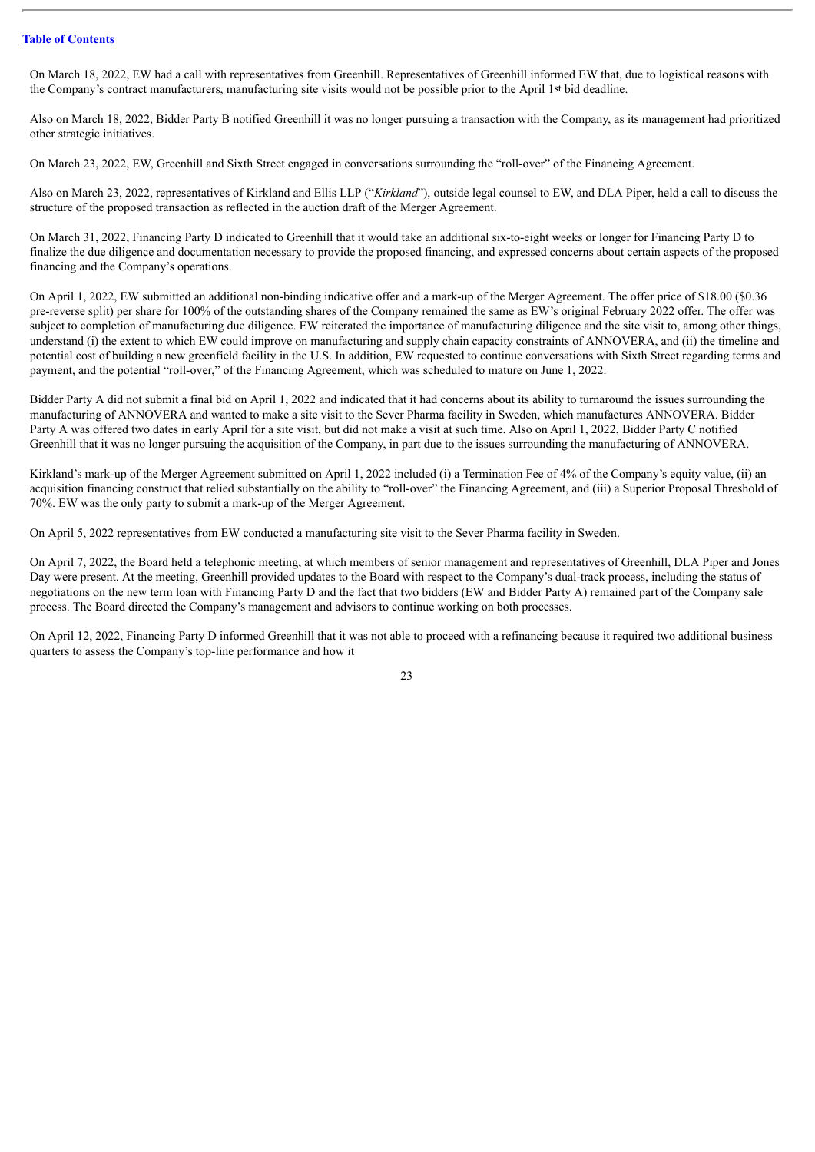On March 18, 2022, EW had a call with representatives from Greenhill. Representatives of Greenhill informed EW that, due to logistical reasons with the Company's contract manufacturers, manufacturing site visits would not be possible prior to the April 1st bid deadline.

Also on March 18, 2022, Bidder Party B notified Greenhill it was no longer pursuing a transaction with the Company, as its management had prioritized other strategic initiatives.

On March 23, 2022, EW, Greenhill and Sixth Street engaged in conversations surrounding the "roll-over" of the Financing Agreement.

Also on March 23, 2022, representatives of Kirkland and Ellis LLP ("*Kirkland*"), outside legal counsel to EW, and DLA Piper, held a call to discuss the structure of the proposed transaction as reflected in the auction draft of the Merger Agreement.

On March 31, 2022, Financing Party D indicated to Greenhill that it would take an additional six-to-eight weeks or longer for Financing Party D to finalize the due diligence and documentation necessary to provide the proposed financing, and expressed concerns about certain aspects of the proposed financing and the Company's operations.

On April 1, 2022, EW submitted an additional non-binding indicative offer and a mark-up of the Merger Agreement. The offer price of \$18.00 (\$0.36 pre-reverse split) per share for 100% of the outstanding shares of the Company remained the same as EW's original February 2022 offer. The offer was subject to completion of manufacturing due diligence. EW reiterated the importance of manufacturing diligence and the site visit to, among other things, understand (i) the extent to which EW could improve on manufacturing and supply chain capacity constraints of ANNOVERA, and (ii) the timeline and potential cost of building a new greenfield facility in the U.S. In addition, EW requested to continue conversations with Sixth Street regarding terms and payment, and the potential "roll-over," of the Financing Agreement, which was scheduled to mature on June 1, 2022.

Bidder Party A did not submit a final bid on April 1, 2022 and indicated that it had concerns about its ability to turnaround the issues surrounding the manufacturing of ANNOVERA and wanted to make a site visit to the Sever Pharma facility in Sweden, which manufactures ANNOVERA. Bidder Party A was offered two dates in early April for a site visit, but did not make a visit at such time. Also on April 1, 2022, Bidder Party C notified Greenhill that it was no longer pursuing the acquisition of the Company, in part due to the issues surrounding the manufacturing of ANNOVERA.

Kirkland's mark-up of the Merger Agreement submitted on April 1, 2022 included (i) a Termination Fee of 4% of the Company's equity value, (ii) an acquisition financing construct that relied substantially on the ability to "roll-over" the Financing Agreement, and (iii) a Superior Proposal Threshold of 70%. EW was the only party to submit a mark-up of the Merger Agreement.

On April 5, 2022 representatives from EW conducted a manufacturing site visit to the Sever Pharma facility in Sweden.

On April 7, 2022, the Board held a telephonic meeting, at which members of senior management and representatives of Greenhill, DLA Piper and Jones Day were present. At the meeting, Greenhill provided updates to the Board with respect to the Company's dual-track process, including the status of negotiations on the new term loan with Financing Party D and the fact that two bidders (EW and Bidder Party A) remained part of the Company sale process. The Board directed the Company's management and advisors to continue working on both processes.

On April 12, 2022, Financing Party D informed Greenhill that it was not able to proceed with a refinancing because it required two additional business quarters to assess the Company's top-line performance and how it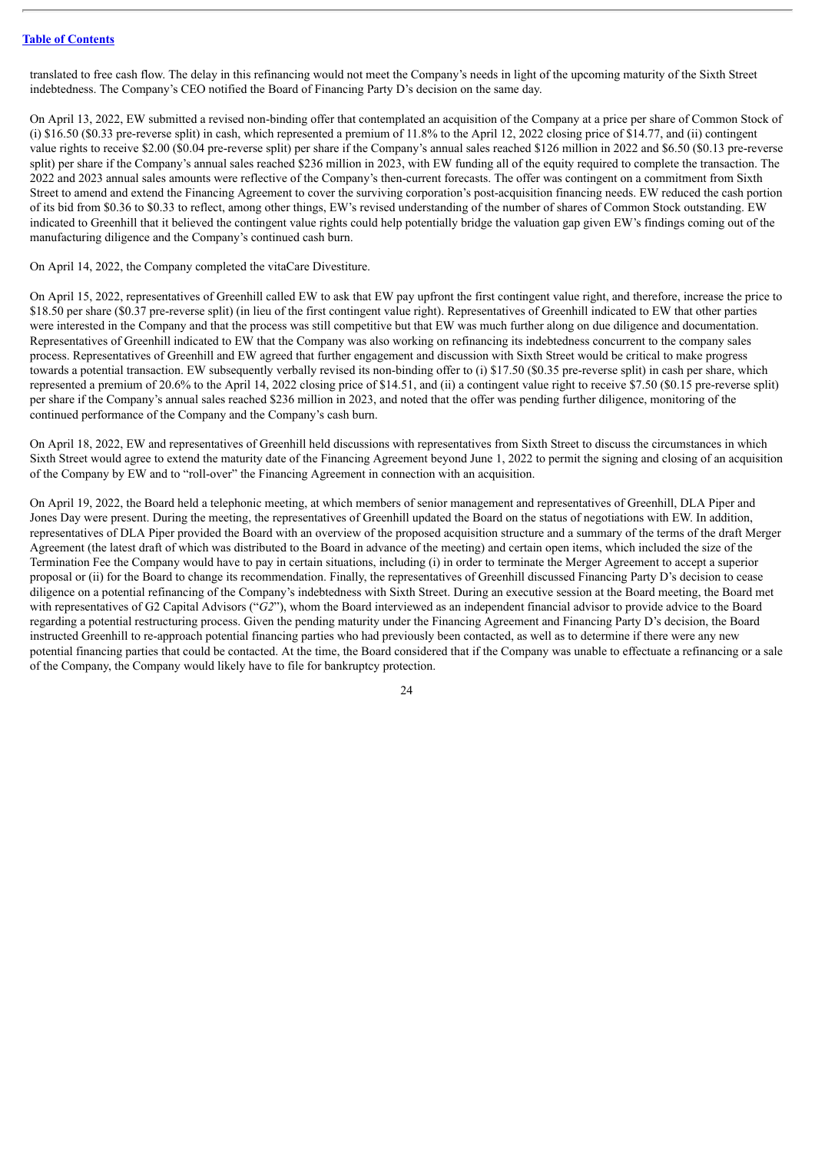translated to free cash flow. The delay in this refinancing would not meet the Company's needs in light of the upcoming maturity of the Sixth Street indebtedness. The Company's CEO notified the Board of Financing Party D's decision on the same day.

On April 13, 2022, EW submitted a revised non-binding offer that contemplated an acquisition of the Company at a price per share of Common Stock of (i) \$16.50 (\$0.33 pre-reverse split) in cash, which represented a premium of 11.8% to the April 12, 2022 closing price of \$14.77, and (ii) contingent value rights to receive \$2.00 (\$0.04 pre-reverse split) per share if the Company's annual sales reached \$126 million in 2022 and \$6.50 (\$0.13 pre-reverse split) per share if the Company's annual sales reached \$236 million in 2023, with EW funding all of the equity required to complete the transaction. The 2022 and 2023 annual sales amounts were reflective of the Company's then-current forecasts. The offer was contingent on a commitment from Sixth Street to amend and extend the Financing Agreement to cover the surviving corporation's post-acquisition financing needs. EW reduced the cash portion of its bid from \$0.36 to \$0.33 to reflect, among other things, EW's revised understanding of the number of shares of Common Stock outstanding. EW indicated to Greenhill that it believed the contingent value rights could help potentially bridge the valuation gap given EW's findings coming out of the manufacturing diligence and the Company's continued cash burn.

On April 14, 2022, the Company completed the vitaCare Divestiture.

On April 15, 2022, representatives of Greenhill called EW to ask that EW pay upfront the first contingent value right, and therefore, increase the price to \$18.50 per share (\$0.37 pre-reverse split) (in lieu of the first contingent value right). Representatives of Greenhill indicated to EW that other parties were interested in the Company and that the process was still competitive but that EW was much further along on due diligence and documentation. Representatives of Greenhill indicated to EW that the Company was also working on refinancing its indebtedness concurrent to the company sales process. Representatives of Greenhill and EW agreed that further engagement and discussion with Sixth Street would be critical to make progress towards a potential transaction. EW subsequently verbally revised its non-binding offer to (i) \$17.50 (\$0.35 pre-reverse split) in cash per share, which represented a premium of 20.6% to the April 14, 2022 closing price of \$14.51, and (ii) a contingent value right to receive \$7.50 (\$0.15 pre-reverse split) per share if the Company's annual sales reached \$236 million in 2023, and noted that the offer was pending further diligence, monitoring of the continued performance of the Company and the Company's cash burn.

On April 18, 2022, EW and representatives of Greenhill held discussions with representatives from Sixth Street to discuss the circumstances in which Sixth Street would agree to extend the maturity date of the Financing Agreement beyond June 1, 2022 to permit the signing and closing of an acquisition of the Company by EW and to "roll-over" the Financing Agreement in connection with an acquisition.

On April 19, 2022, the Board held a telephonic meeting, at which members of senior management and representatives of Greenhill, DLA Piper and Jones Day were present. During the meeting, the representatives of Greenhill updated the Board on the status of negotiations with EW. In addition, representatives of DLA Piper provided the Board with an overview of the proposed acquisition structure and a summary of the terms of the draft Merger Agreement (the latest draft of which was distributed to the Board in advance of the meeting) and certain open items, which included the size of the Termination Fee the Company would have to pay in certain situations, including (i) in order to terminate the Merger Agreement to accept a superior proposal or (ii) for the Board to change its recommendation. Finally, the representatives of Greenhill discussed Financing Party D's decision to cease diligence on a potential refinancing of the Company's indebtedness with Sixth Street. During an executive session at the Board meeting, the Board met with representatives of G2 Capital Advisors ("*G2*"), whom the Board interviewed as an independent financial advisor to provide advice to the Board regarding a potential restructuring process. Given the pending maturity under the Financing Agreement and Financing Party D's decision, the Board instructed Greenhill to re-approach potential financing parties who had previously been contacted, as well as to determine if there were any new potential financing parties that could be contacted. At the time, the Board considered that if the Company was unable to effectuate a refinancing or a sale of the Company, the Company would likely have to file for bankruptcy protection.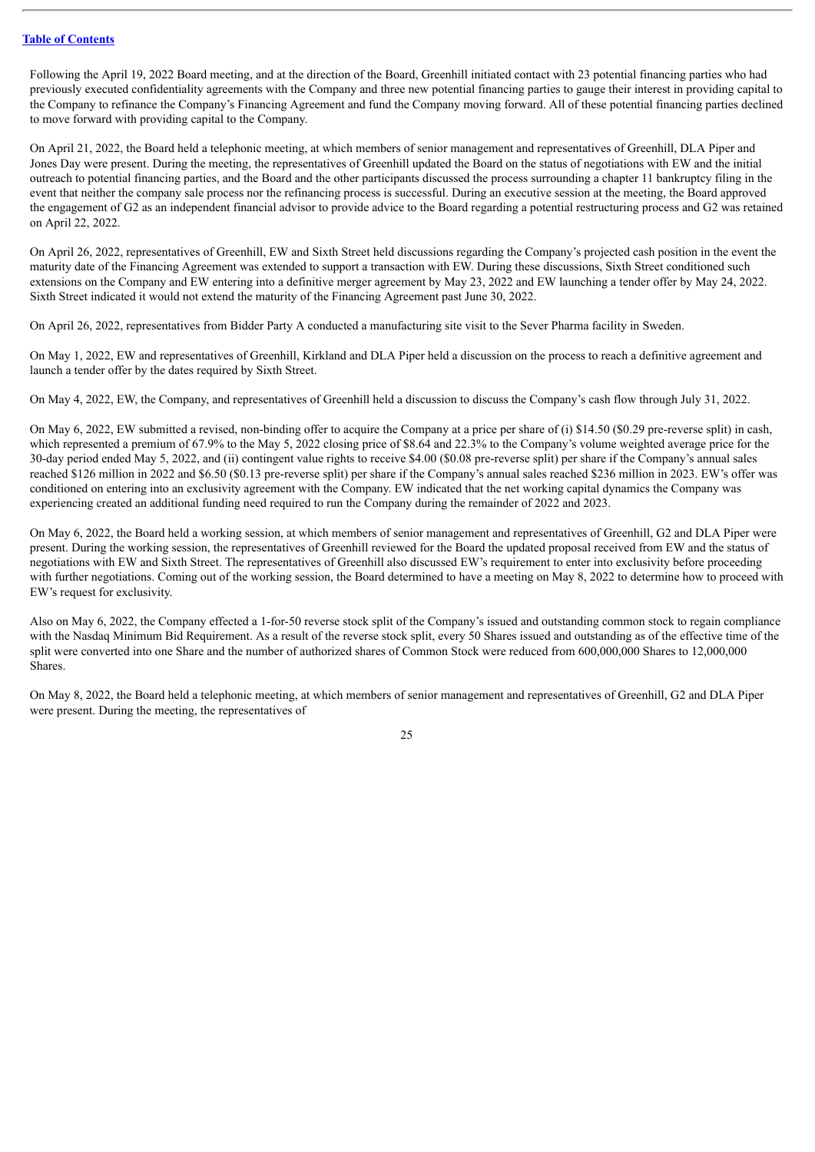Following the April 19, 2022 Board meeting, and at the direction of the Board, Greenhill initiated contact with 23 potential financing parties who had previously executed confidentiality agreements with the Company and three new potential financing parties to gauge their interest in providing capital to the Company to refinance the Company's Financing Agreement and fund the Company moving forward. All of these potential financing parties declined to move forward with providing capital to the Company.

On April 21, 2022, the Board held a telephonic meeting, at which members of senior management and representatives of Greenhill, DLA Piper and Jones Day were present. During the meeting, the representatives of Greenhill updated the Board on the status of negotiations with EW and the initial outreach to potential financing parties, and the Board and the other participants discussed the process surrounding a chapter 11 bankruptcy filing in the event that neither the company sale process nor the refinancing process is successful. During an executive session at the meeting, the Board approved the engagement of G2 as an independent financial advisor to provide advice to the Board regarding a potential restructuring process and G2 was retained on April 22, 2022.

On April 26, 2022, representatives of Greenhill, EW and Sixth Street held discussions regarding the Company's projected cash position in the event the maturity date of the Financing Agreement was extended to support a transaction with EW. During these discussions, Sixth Street conditioned such extensions on the Company and EW entering into a definitive merger agreement by May 23, 2022 and EW launching a tender offer by May 24, 2022. Sixth Street indicated it would not extend the maturity of the Financing Agreement past June 30, 2022.

On April 26, 2022, representatives from Bidder Party A conducted a manufacturing site visit to the Sever Pharma facility in Sweden.

On May 1, 2022, EW and representatives of Greenhill, Kirkland and DLA Piper held a discussion on the process to reach a definitive agreement and launch a tender offer by the dates required by Sixth Street.

On May 4, 2022, EW, the Company, and representatives of Greenhill held a discussion to discuss the Company's cash flow through July 31, 2022.

On May 6, 2022, EW submitted a revised, non-binding offer to acquire the Company at a price per share of (i) \$14.50 (\$0.29 pre-reverse split) in cash, which represented a premium of 67.9% to the May 5, 2022 closing price of \$8.64 and 22.3% to the Company's volume weighted average price for the 30-day period ended May 5, 2022, and (ii) contingent value rights to receive \$4.00 (\$0.08 pre-reverse split) per share if the Company's annual sales reached \$126 million in 2022 and \$6.50 (\$0.13 pre-reverse split) per share if the Company's annual sales reached \$236 million in 2023. EW's offer was conditioned on entering into an exclusivity agreement with the Company. EW indicated that the net working capital dynamics the Company was experiencing created an additional funding need required to run the Company during the remainder of 2022 and 2023.

On May 6, 2022, the Board held a working session, at which members of senior management and representatives of Greenhill, G2 and DLA Piper were present. During the working session, the representatives of Greenhill reviewed for the Board the updated proposal received from EW and the status of negotiations with EW and Sixth Street. The representatives of Greenhill also discussed EW's requirement to enter into exclusivity before proceeding with further negotiations. Coming out of the working session, the Board determined to have a meeting on May 8, 2022 to determine how to proceed with EW's request for exclusivity.

Also on May 6, 2022, the Company effected a 1-for-50 reverse stock split of the Company's issued and outstanding common stock to regain compliance with the Nasdaq Minimum Bid Requirement. As a result of the reverse stock split, every 50 Shares issued and outstanding as of the effective time of the split were converted into one Share and the number of authorized shares of Common Stock were reduced from 600,000,000 Shares to 12,000,000 Shares.

On May 8, 2022, the Board held a telephonic meeting, at which members of senior management and representatives of Greenhill, G2 and DLA Piper were present. During the meeting, the representatives of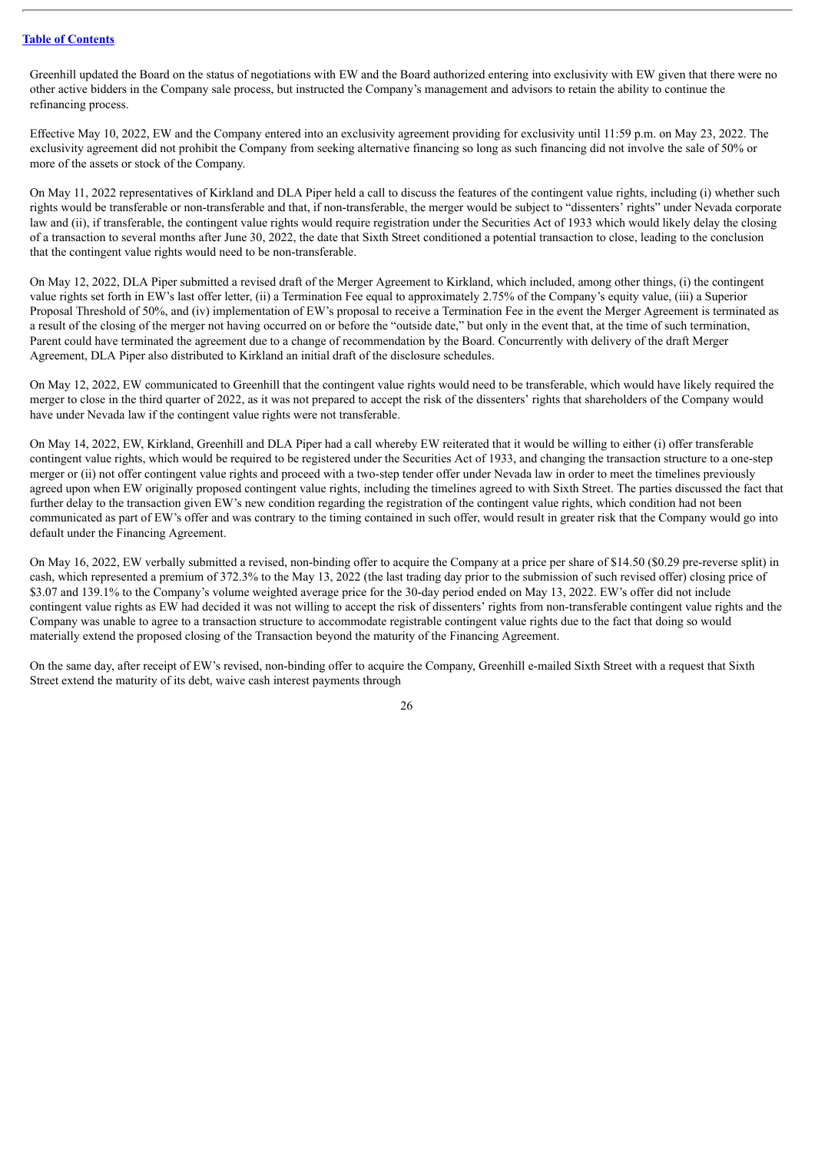Greenhill updated the Board on the status of negotiations with EW and the Board authorized entering into exclusivity with EW given that there were no other active bidders in the Company sale process, but instructed the Company's management and advisors to retain the ability to continue the refinancing process.

Effective May 10, 2022, EW and the Company entered into an exclusivity agreement providing for exclusivity until 11:59 p.m. on May 23, 2022. The exclusivity agreement did not prohibit the Company from seeking alternative financing so long as such financing did not involve the sale of 50% or more of the assets or stock of the Company.

On May 11, 2022 representatives of Kirkland and DLA Piper held a call to discuss the features of the contingent value rights, including (i) whether such rights would be transferable or non-transferable and that, if non-transferable, the merger would be subject to "dissenters' rights" under Nevada corporate law and (ii), if transferable, the contingent value rights would require registration under the Securities Act of 1933 which would likely delay the closing of a transaction to several months after June 30, 2022, the date that Sixth Street conditioned a potential transaction to close, leading to the conclusion that the contingent value rights would need to be non-transferable.

On May 12, 2022, DLA Piper submitted a revised draft of the Merger Agreement to Kirkland, which included, among other things, (i) the contingent value rights set forth in EW's last offer letter, (ii) a Termination Fee equal to approximately 2.75% of the Company's equity value, (iii) a Superior Proposal Threshold of 50%, and (iv) implementation of EW's proposal to receive a Termination Fee in the event the Merger Agreement is terminated as a result of the closing of the merger not having occurred on or before the "outside date," but only in the event that, at the time of such termination, Parent could have terminated the agreement due to a change of recommendation by the Board. Concurrently with delivery of the draft Merger Agreement, DLA Piper also distributed to Kirkland an initial draft of the disclosure schedules.

On May 12, 2022, EW communicated to Greenhill that the contingent value rights would need to be transferable, which would have likely required the merger to close in the third quarter of 2022, as it was not prepared to accept the risk of the dissenters' rights that shareholders of the Company would have under Nevada law if the contingent value rights were not transferable.

On May 14, 2022, EW, Kirkland, Greenhill and DLA Piper had a call whereby EW reiterated that it would be willing to either (i) offer transferable contingent value rights, which would be required to be registered under the Securities Act of 1933, and changing the transaction structure to a one-step merger or (ii) not offer contingent value rights and proceed with a two-step tender offer under Nevada law in order to meet the timelines previously agreed upon when EW originally proposed contingent value rights, including the timelines agreed to with Sixth Street. The parties discussed the fact that further delay to the transaction given EW's new condition regarding the registration of the contingent value rights, which condition had not been communicated as part of EW's offer and was contrary to the timing contained in such offer, would result in greater risk that the Company would go into default under the Financing Agreement.

On May 16, 2022, EW verbally submitted a revised, non-binding offer to acquire the Company at a price per share of \$14.50 (\$0.29 pre-reverse split) in cash, which represented a premium of 372.3% to the May 13, 2022 (the last trading day prior to the submission of such revised offer) closing price of \$3.07 and 139.1% to the Company's volume weighted average price for the 30-day period ended on May 13, 2022. EW's offer did not include contingent value rights as EW had decided it was not willing to accept the risk of dissenters' rights from non-transferable contingent value rights and the Company was unable to agree to a transaction structure to accommodate registrable contingent value rights due to the fact that doing so would materially extend the proposed closing of the Transaction beyond the maturity of the Financing Agreement.

On the same day, after receipt of EW's revised, non-binding offer to acquire the Company, Greenhill e-mailed Sixth Street with a request that Sixth Street extend the maturity of its debt, waive cash interest payments through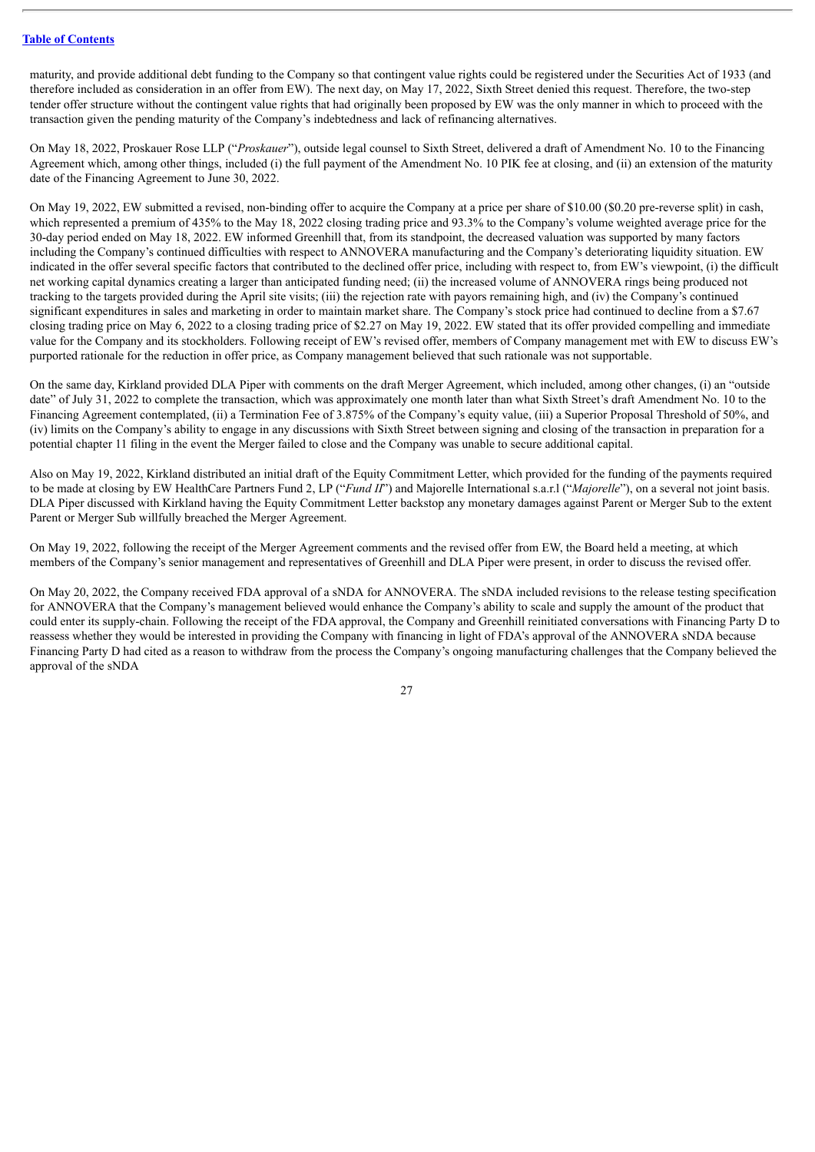maturity, and provide additional debt funding to the Company so that contingent value rights could be registered under the Securities Act of 1933 (and therefore included as consideration in an offer from EW). The next day, on May 17, 2022, Sixth Street denied this request. Therefore, the two-step tender offer structure without the contingent value rights that had originally been proposed by EW was the only manner in which to proceed with the transaction given the pending maturity of the Company's indebtedness and lack of refinancing alternatives.

On May 18, 2022, Proskauer Rose LLP ("*Proskauer*"), outside legal counsel to Sixth Street, delivered a draft of Amendment No. 10 to the Financing Agreement which, among other things, included (i) the full payment of the Amendment No. 10 PIK fee at closing, and (ii) an extension of the maturity date of the Financing Agreement to June 30, 2022.

On May 19, 2022, EW submitted a revised, non-binding offer to acquire the Company at a price per share of \$10.00 (\$0.20 pre-reverse split) in cash, which represented a premium of 435% to the May 18, 2022 closing trading price and 93.3% to the Company's volume weighted average price for the 30-day period ended on May 18, 2022. EW informed Greenhill that, from its standpoint, the decreased valuation was supported by many factors including the Company's continued difficulties with respect to ANNOVERA manufacturing and the Company's deteriorating liquidity situation. EW indicated in the offer several specific factors that contributed to the declined offer price, including with respect to, from EW's viewpoint, (i) the difficult net working capital dynamics creating a larger than anticipated funding need; (ii) the increased volume of ANNOVERA rings being produced not tracking to the targets provided during the April site visits; (iii) the rejection rate with payors remaining high, and (iv) the Company's continued significant expenditures in sales and marketing in order to maintain market share. The Company's stock price had continued to decline from a \$7.67 closing trading price on May 6, 2022 to a closing trading price of \$2.27 on May 19, 2022. EW stated that its offer provided compelling and immediate value for the Company and its stockholders. Following receipt of EW's revised offer, members of Company management met with EW to discuss EW's purported rationale for the reduction in offer price, as Company management believed that such rationale was not supportable.

On the same day, Kirkland provided DLA Piper with comments on the draft Merger Agreement, which included, among other changes, (i) an "outside date" of July 31, 2022 to complete the transaction, which was approximately one month later than what Sixth Street's draft Amendment No. 10 to the Financing Agreement contemplated, (ii) a Termination Fee of 3.875% of the Company's equity value, (iii) a Superior Proposal Threshold of 50%, and (iv) limits on the Company's ability to engage in any discussions with Sixth Street between signing and closing of the transaction in preparation for a potential chapter 11 filing in the event the Merger failed to close and the Company was unable to secure additional capital.

Also on May 19, 2022, Kirkland distributed an initial draft of the Equity Commitment Letter, which provided for the funding of the payments required to be made at closing by EW HealthCare Partners Fund 2, LP ("*Fund II*") and Majorelle International s.a.r.l ("*Majorelle*"), on a several not joint basis. DLA Piper discussed with Kirkland having the Equity Commitment Letter backstop any monetary damages against Parent or Merger Sub to the extent Parent or Merger Sub willfully breached the Merger Agreement.

On May 19, 2022, following the receipt of the Merger Agreement comments and the revised offer from EW, the Board held a meeting, at which members of the Company's senior management and representatives of Greenhill and DLA Piper were present, in order to discuss the revised offer.

On May 20, 2022, the Company received FDA approval of a sNDA for ANNOVERA. The sNDA included revisions to the release testing specification for ANNOVERA that the Company's management believed would enhance the Company's ability to scale and supply the amount of the product that could enter its supply-chain. Following the receipt of the FDA approval, the Company and Greenhill reinitiated conversations with Financing Party D to reassess whether they would be interested in providing the Company with financing in light of FDA's approval of the ANNOVERA sNDA because Financing Party D had cited as a reason to withdraw from the process the Company's ongoing manufacturing challenges that the Company believed the approval of the sNDA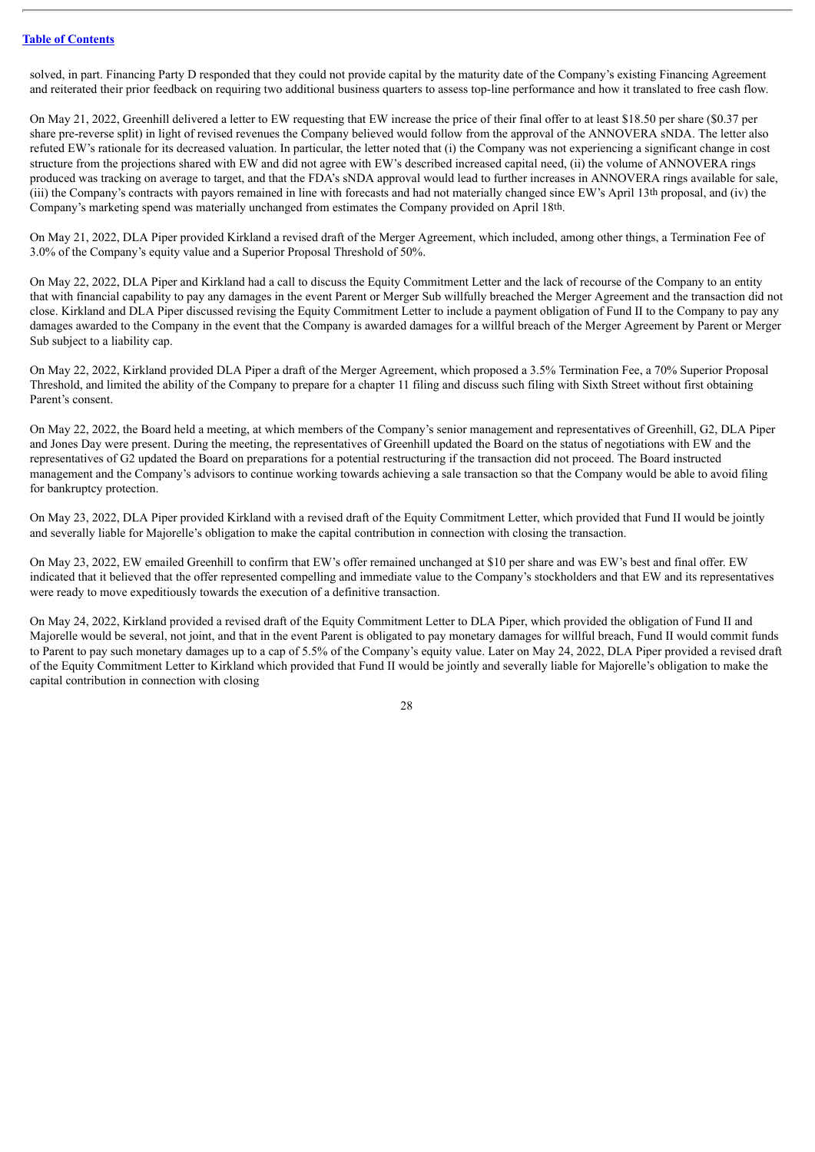solved, in part. Financing Party D responded that they could not provide capital by the maturity date of the Company's existing Financing Agreement and reiterated their prior feedback on requiring two additional business quarters to assess top-line performance and how it translated to free cash flow.

On May 21, 2022, Greenhill delivered a letter to EW requesting that EW increase the price of their final offer to at least \$18.50 per share (\$0.37 per share pre-reverse split) in light of revised revenues the Company believed would follow from the approval of the ANNOVERA sNDA. The letter also refuted EW's rationale for its decreased valuation. In particular, the letter noted that (i) the Company was not experiencing a significant change in cost structure from the projections shared with EW and did not agree with EW's described increased capital need, (ii) the volume of ANNOVERA rings produced was tracking on average to target, and that the FDA's sNDA approval would lead to further increases in ANNOVERA rings available for sale, (iii) the Company's contracts with payors remained in line with forecasts and had not materially changed since EW's April 13th proposal, and (iv) the Company's marketing spend was materially unchanged from estimates the Company provided on April 18th.

On May 21, 2022, DLA Piper provided Kirkland a revised draft of the Merger Agreement, which included, among other things, a Termination Fee of 3.0% of the Company's equity value and a Superior Proposal Threshold of 50%.

On May 22, 2022, DLA Piper and Kirkland had a call to discuss the Equity Commitment Letter and the lack of recourse of the Company to an entity that with financial capability to pay any damages in the event Parent or Merger Sub willfully breached the Merger Agreement and the transaction did not close. Kirkland and DLA Piper discussed revising the Equity Commitment Letter to include a payment obligation of Fund II to the Company to pay any damages awarded to the Company in the event that the Company is awarded damages for a willful breach of the Merger Agreement by Parent or Merger Sub subject to a liability cap.

On May 22, 2022, Kirkland provided DLA Piper a draft of the Merger Agreement, which proposed a 3.5% Termination Fee, a 70% Superior Proposal Threshold, and limited the ability of the Company to prepare for a chapter 11 filing and discuss such filing with Sixth Street without first obtaining Parent's consent.

On May 22, 2022, the Board held a meeting, at which members of the Company's senior management and representatives of Greenhill, G2, DLA Piper and Jones Day were present. During the meeting, the representatives of Greenhill updated the Board on the status of negotiations with EW and the representatives of G2 updated the Board on preparations for a potential restructuring if the transaction did not proceed. The Board instructed management and the Company's advisors to continue working towards achieving a sale transaction so that the Company would be able to avoid filing for bankruptcy protection.

On May 23, 2022, DLA Piper provided Kirkland with a revised draft of the Equity Commitment Letter, which provided that Fund II would be jointly and severally liable for Majorelle's obligation to make the capital contribution in connection with closing the transaction.

On May 23, 2022, EW emailed Greenhill to confirm that EW's offer remained unchanged at \$10 per share and was EW's best and final offer. EW indicated that it believed that the offer represented compelling and immediate value to the Company's stockholders and that EW and its representatives were ready to move expeditiously towards the execution of a definitive transaction.

On May 24, 2022, Kirkland provided a revised draft of the Equity Commitment Letter to DLA Piper, which provided the obligation of Fund II and Majorelle would be several, not joint, and that in the event Parent is obligated to pay monetary damages for willful breach, Fund II would commit funds to Parent to pay such monetary damages up to a cap of 5.5% of the Company's equity value. Later on May 24, 2022, DLA Piper provided a revised draft of the Equity Commitment Letter to Kirkland which provided that Fund II would be jointly and severally liable for Majorelle's obligation to make the capital contribution in connection with closing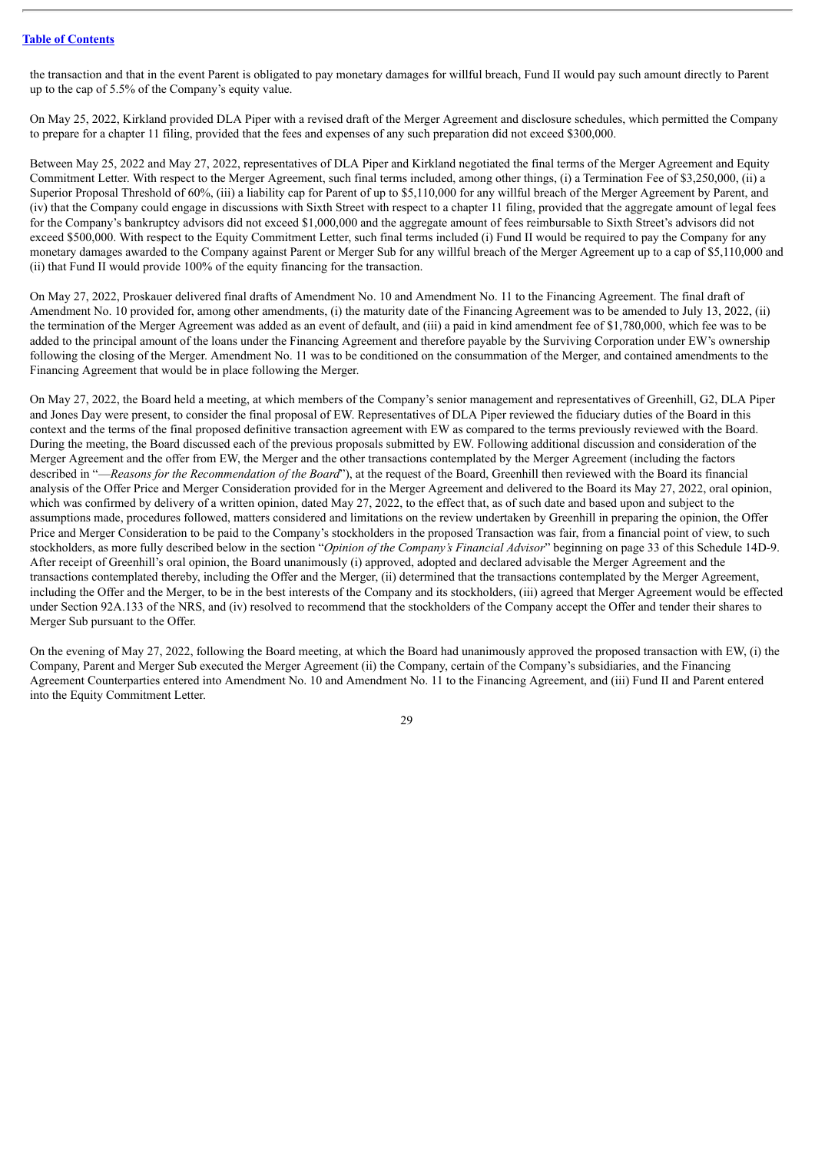the transaction and that in the event Parent is obligated to pay monetary damages for willful breach, Fund II would pay such amount directly to Parent up to the cap of 5.5% of the Company's equity value.

On May 25, 2022, Kirkland provided DLA Piper with a revised draft of the Merger Agreement and disclosure schedules, which permitted the Company to prepare for a chapter 11 filing, provided that the fees and expenses of any such preparation did not exceed \$300,000.

Between May 25, 2022 and May 27, 2022, representatives of DLA Piper and Kirkland negotiated the final terms of the Merger Agreement and Equity Commitment Letter. With respect to the Merger Agreement, such final terms included, among other things, (i) a Termination Fee of \$3,250,000, (ii) a Superior Proposal Threshold of 60%, (iii) a liability cap for Parent of up to \$5,110,000 for any willful breach of the Merger Agreement by Parent, and (iv) that the Company could engage in discussions with Sixth Street with respect to a chapter 11 filing, provided that the aggregate amount of legal fees for the Company's bankruptcy advisors did not exceed \$1,000,000 and the aggregate amount of fees reimbursable to Sixth Street's advisors did not exceed \$500,000. With respect to the Equity Commitment Letter, such final terms included (i) Fund II would be required to pay the Company for any monetary damages awarded to the Company against Parent or Merger Sub for any willful breach of the Merger Agreement up to a cap of \$5,110,000 and (ii) that Fund II would provide 100% of the equity financing for the transaction.

On May 27, 2022, Proskauer delivered final drafts of Amendment No. 10 and Amendment No. 11 to the Financing Agreement. The final draft of Amendment No. 10 provided for, among other amendments, (i) the maturity date of the Financing Agreement was to be amended to July 13, 2022, (ii) the termination of the Merger Agreement was added as an event of default, and (iii) a paid in kind amendment fee of \$1,780,000, which fee was to be added to the principal amount of the loans under the Financing Agreement and therefore payable by the Surviving Corporation under EW's ownership following the closing of the Merger. Amendment No. 11 was to be conditioned on the consummation of the Merger, and contained amendments to the Financing Agreement that would be in place following the Merger.

On May 27, 2022, the Board held a meeting, at which members of the Company's senior management and representatives of Greenhill, G2, DLA Piper and Jones Day were present, to consider the final proposal of EW. Representatives of DLA Piper reviewed the fiduciary duties of the Board in this context and the terms of the final proposed definitive transaction agreement with EW as compared to the terms previously reviewed with the Board. During the meeting, the Board discussed each of the previous proposals submitted by EW. Following additional discussion and consideration of the Merger Agreement and the offer from EW, the Merger and the other transactions contemplated by the Merger Agreement (including the factors described in "—*Reasons for the Recommendation of the Board*"), at the request of the Board, Greenhill then reviewed with the Board its financial analysis of the Offer Price and Merger Consideration provided for in the Merger Agreement and delivered to the Board its May 27, 2022, oral opinion, which was confirmed by delivery of a written opinion, dated May 27, 2022, to the effect that, as of such date and based upon and subject to the assumptions made, procedures followed, matters considered and limitations on the review undertaken by Greenhill in preparing the opinion, the Offer Price and Merger Consideration to be paid to the Company's stockholders in the proposed Transaction was fair, from a financial point of view, to such stockholders, as more fully described below in the section "*Opinion of the Company's Financial Advisor*" beginning on page 33 of this Schedule 14D-9. After receipt of Greenhill's oral opinion, the Board unanimously (i) approved, adopted and declared advisable the Merger Agreement and the transactions contemplated thereby, including the Offer and the Merger, (ii) determined that the transactions contemplated by the Merger Agreement, including the Offer and the Merger, to be in the best interests of the Company and its stockholders, (iii) agreed that Merger Agreement would be effected under Section 92A.133 of the NRS, and (iv) resolved to recommend that the stockholders of the Company accept the Offer and tender their shares to Merger Sub pursuant to the Offer.

On the evening of May 27, 2022, following the Board meeting, at which the Board had unanimously approved the proposed transaction with EW, (i) the Company, Parent and Merger Sub executed the Merger Agreement (ii) the Company, certain of the Company's subsidiaries, and the Financing Agreement Counterparties entered into Amendment No. 10 and Amendment No. 11 to the Financing Agreement, and (iii) Fund II and Parent entered into the Equity Commitment Letter.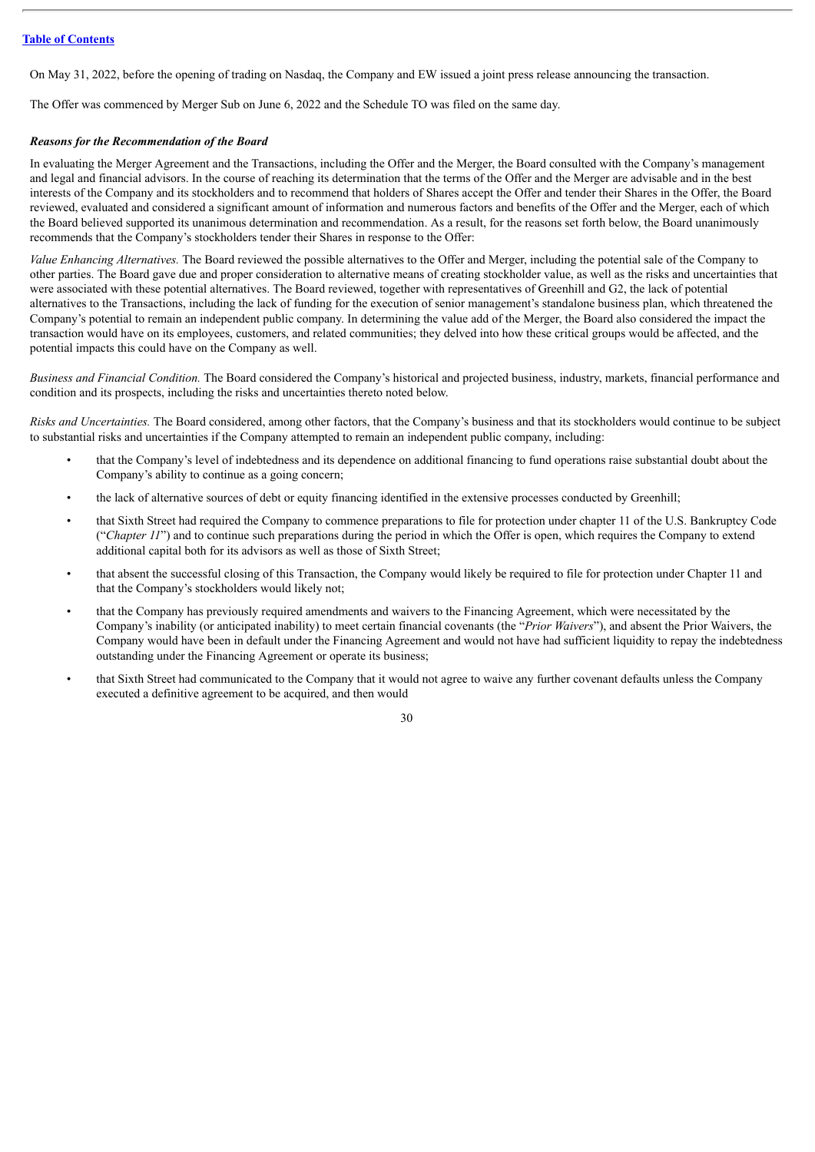On May 31, 2022, before the opening of trading on Nasdaq, the Company and EW issued a joint press release announcing the transaction.

The Offer was commenced by Merger Sub on June 6, 2022 and the Schedule TO was filed on the same day.

#### *Reasons for the Recommendation of the Board*

In evaluating the Merger Agreement and the Transactions, including the Offer and the Merger, the Board consulted with the Company's management and legal and financial advisors. In the course of reaching its determination that the terms of the Offer and the Merger are advisable and in the best interests of the Company and its stockholders and to recommend that holders of Shares accept the Offer and tender their Shares in the Offer, the Board reviewed, evaluated and considered a significant amount of information and numerous factors and benefits of the Offer and the Merger, each of which the Board believed supported its unanimous determination and recommendation. As a result, for the reasons set forth below, the Board unanimously recommends that the Company's stockholders tender their Shares in response to the Offer:

*Value Enhancing Alternatives.* The Board reviewed the possible alternatives to the Offer and Merger, including the potential sale of the Company to other parties. The Board gave due and proper consideration to alternative means of creating stockholder value, as well as the risks and uncertainties that were associated with these potential alternatives. The Board reviewed, together with representatives of Greenhill and G2, the lack of potential alternatives to the Transactions, including the lack of funding for the execution of senior management's standalone business plan, which threatened the Company's potential to remain an independent public company. In determining the value add of the Merger, the Board also considered the impact the transaction would have on its employees, customers, and related communities; they delved into how these critical groups would be affected, and the potential impacts this could have on the Company as well.

*Business and Financial Condition.* The Board considered the Company's historical and projected business, industry, markets, financial performance and condition and its prospects, including the risks and uncertainties thereto noted below.

*Risks and Uncertainties.* The Board considered, among other factors, that the Company's business and that its stockholders would continue to be subject to substantial risks and uncertainties if the Company attempted to remain an independent public company, including:

- that the Company's level of indebtedness and its dependence on additional financing to fund operations raise substantial doubt about the Company's ability to continue as a going concern;
- the lack of alternative sources of debt or equity financing identified in the extensive processes conducted by Greenhill;
- that Sixth Street had required the Company to commence preparations to file for protection under chapter 11 of the U.S. Bankruptcy Code ("*Chapter 11*") and to continue such preparations during the period in which the Offer is open, which requires the Company to extend additional capital both for its advisors as well as those of Sixth Street;
- that absent the successful closing of this Transaction, the Company would likely be required to file for protection under Chapter 11 and that the Company's stockholders would likely not;
- that the Company has previously required amendments and waivers to the Financing Agreement, which were necessitated by the Company's inability (or anticipated inability) to meet certain financial covenants (the "*Prior Waivers*"), and absent the Prior Waivers, the Company would have been in default under the Financing Agreement and would not have had sufficient liquidity to repay the indebtedness outstanding under the Financing Agreement or operate its business;
- that Sixth Street had communicated to the Company that it would not agree to waive any further covenant defaults unless the Company executed a definitive agreement to be acquired, and then would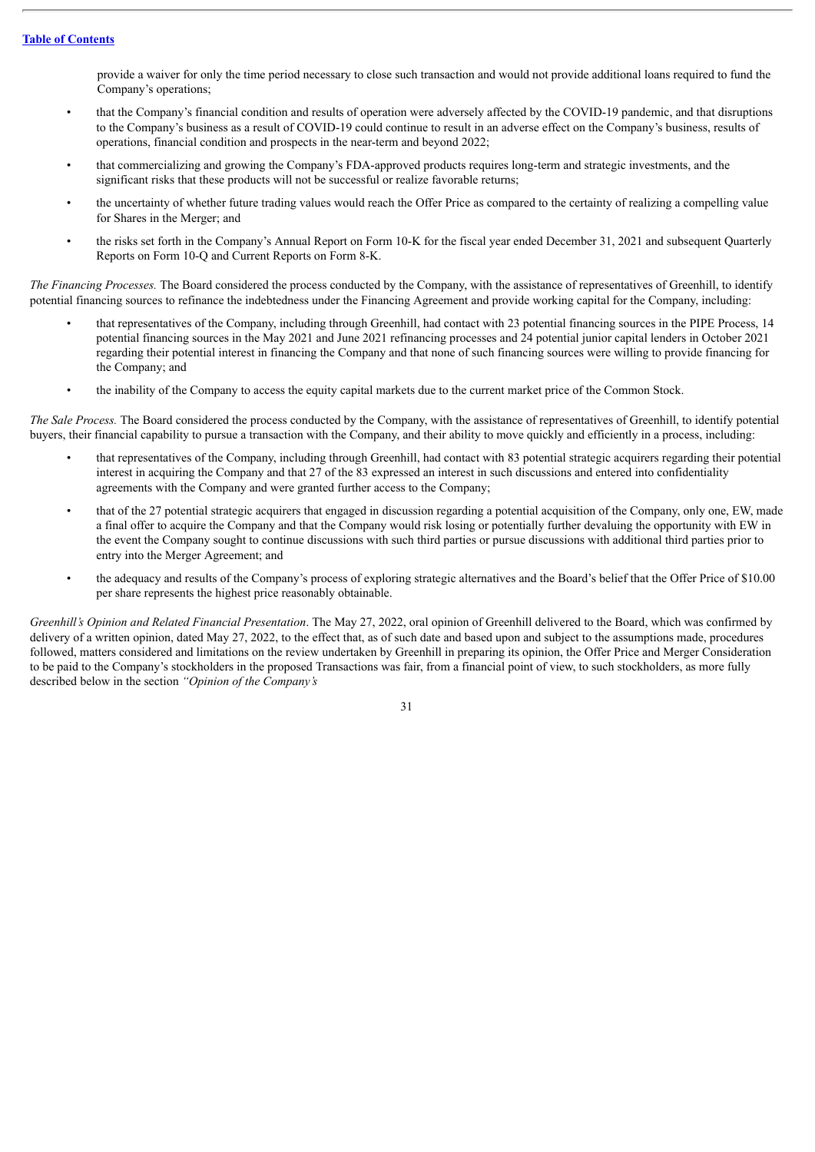provide a waiver for only the time period necessary to close such transaction and would not provide additional loans required to fund the Company's operations;

- that the Company's financial condition and results of operation were adversely affected by the COVID-19 pandemic, and that disruptions to the Company's business as a result of COVID-19 could continue to result in an adverse effect on the Company's business, results of operations, financial condition and prospects in the near-term and beyond 2022;
- that commercializing and growing the Company's FDA-approved products requires long-term and strategic investments, and the significant risks that these products will not be successful or realize favorable returns;
- the uncertainty of whether future trading values would reach the Offer Price as compared to the certainty of realizing a compelling value for Shares in the Merger; and
- the risks set forth in the Company's Annual Report on Form 10-K for the fiscal year ended December 31, 2021 and subsequent Quarterly Reports on Form 10-Q and Current Reports on Form 8-K.

*The Financing Processes.* The Board considered the process conducted by the Company, with the assistance of representatives of Greenhill, to identify potential financing sources to refinance the indebtedness under the Financing Agreement and provide working capital for the Company, including:

- that representatives of the Company, including through Greenhill, had contact with 23 potential financing sources in the PIPE Process, 14 potential financing sources in the May 2021 and June 2021 refinancing processes and 24 potential junior capital lenders in October 2021 regarding their potential interest in financing the Company and that none of such financing sources were willing to provide financing for the Company; and
- the inability of the Company to access the equity capital markets due to the current market price of the Common Stock.

*The Sale Process.* The Board considered the process conducted by the Company, with the assistance of representatives of Greenhill, to identify potential buyers, their financial capability to pursue a transaction with the Company, and their ability to move quickly and efficiently in a process, including:

- that representatives of the Company, including through Greenhill, had contact with 83 potential strategic acquirers regarding their potential interest in acquiring the Company and that 27 of the 83 expressed an interest in such discussions and entered into confidentiality agreements with the Company and were granted further access to the Company;
- that of the 27 potential strategic acquirers that engaged in discussion regarding a potential acquisition of the Company, only one, EW, made a final offer to acquire the Company and that the Company would risk losing or potentially further devaluing the opportunity with EW in the event the Company sought to continue discussions with such third parties or pursue discussions with additional third parties prior to entry into the Merger Agreement; and
- the adequacy and results of the Company's process of exploring strategic alternatives and the Board's belief that the Offer Price of \$10.00 per share represents the highest price reasonably obtainable.

*Greenhill's Opinion and Related Financial Presentation*. The May 27, 2022, oral opinion of Greenhill delivered to the Board, which was confirmed by delivery of a written opinion, dated May 27, 2022, to the effect that, as of such date and based upon and subject to the assumptions made, procedures followed, matters considered and limitations on the review undertaken by Greenhill in preparing its opinion, the Offer Price and Merger Consideration to be paid to the Company's stockholders in the proposed Transactions was fair, from a financial point of view, to such stockholders, as more fully described below in the section *"Opinion of the Company's*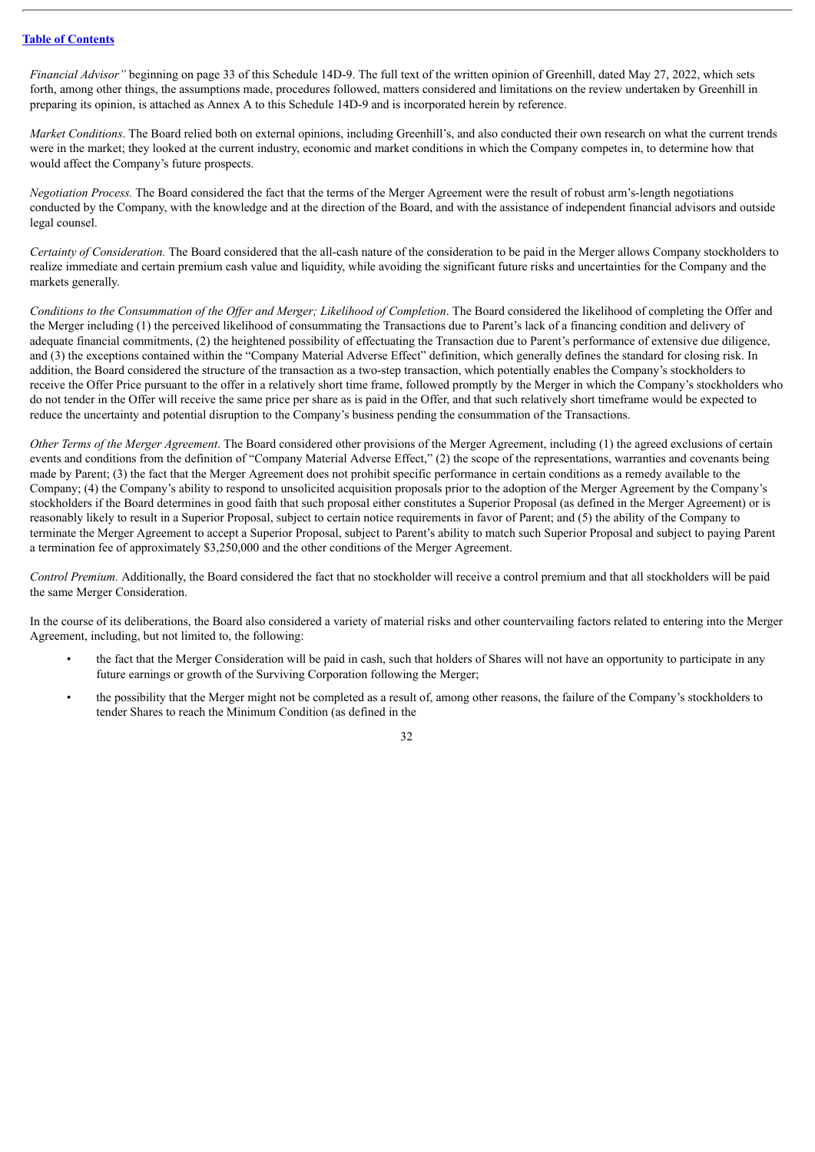*Financial Advisor"* beginning on page 33 of this Schedule 14D-9. The full text of the written opinion of Greenhill, dated May 27, 2022, which sets forth, among other things, the assumptions made, procedures followed, matters considered and limitations on the review undertaken by Greenhill in preparing its opinion, is attached as Annex A to this Schedule 14D-9 and is incorporated herein by reference.

*Market Conditions*. The Board relied both on external opinions, including Greenhill's, and also conducted their own research on what the current trends were in the market; they looked at the current industry, economic and market conditions in which the Company competes in, to determine how that would affect the Company's future prospects.

*Negotiation Process.* The Board considered the fact that the terms of the Merger Agreement were the result of robust arm's-length negotiations conducted by the Company, with the knowledge and at the direction of the Board, and with the assistance of independent financial advisors and outside legal counsel.

*Certainty of Consideration.* The Board considered that the all-cash nature of the consideration to be paid in the Merger allows Company stockholders to realize immediate and certain premium cash value and liquidity, while avoiding the significant future risks and uncertainties for the Company and the markets generally.

Conditions to the Consummation of the Offer and Merger: Likelihood of Completion. The Board considered the likelihood of completing the Offer and the Merger including (1) the perceived likelihood of consummating the Transactions due to Parent's lack of a financing condition and delivery of adequate financial commitments, (2) the heightened possibility of effectuating the Transaction due to Parent's performance of extensive due diligence, and (3) the exceptions contained within the "Company Material Adverse Effect" definition, which generally defines the standard for closing risk. In addition, the Board considered the structure of the transaction as a two-step transaction, which potentially enables the Company's stockholders to receive the Offer Price pursuant to the offer in a relatively short time frame, followed promptly by the Merger in which the Company's stockholders who do not tender in the Offer will receive the same price per share as is paid in the Offer, and that such relatively short timeframe would be expected to reduce the uncertainty and potential disruption to the Company's business pending the consummation of the Transactions.

*Other Terms of the Merger Agreement*. The Board considered other provisions of the Merger Agreement, including (1) the agreed exclusions of certain events and conditions from the definition of "Company Material Adverse Effect," (2) the scope of the representations, warranties and covenants being made by Parent; (3) the fact that the Merger Agreement does not prohibit specific performance in certain conditions as a remedy available to the Company; (4) the Company's ability to respond to unsolicited acquisition proposals prior to the adoption of the Merger Agreement by the Company's stockholders if the Board determines in good faith that such proposal either constitutes a Superior Proposal (as defined in the Merger Agreement) or is reasonably likely to result in a Superior Proposal, subject to certain notice requirements in favor of Parent; and (5) the ability of the Company to terminate the Merger Agreement to accept a Superior Proposal, subject to Parent's ability to match such Superior Proposal and subject to paying Parent a termination fee of approximately \$3,250,000 and the other conditions of the Merger Agreement.

*Control Premium.* Additionally, the Board considered the fact that no stockholder will receive a control premium and that all stockholders will be paid the same Merger Consideration.

In the course of its deliberations, the Board also considered a variety of material risks and other countervailing factors related to entering into the Merger Agreement, including, but not limited to, the following:

- the fact that the Merger Consideration will be paid in cash, such that holders of Shares will not have an opportunity to participate in any future earnings or growth of the Surviving Corporation following the Merger;
- the possibility that the Merger might not be completed as a result of, among other reasons, the failure of the Company's stockholders to tender Shares to reach the Minimum Condition (as defined in the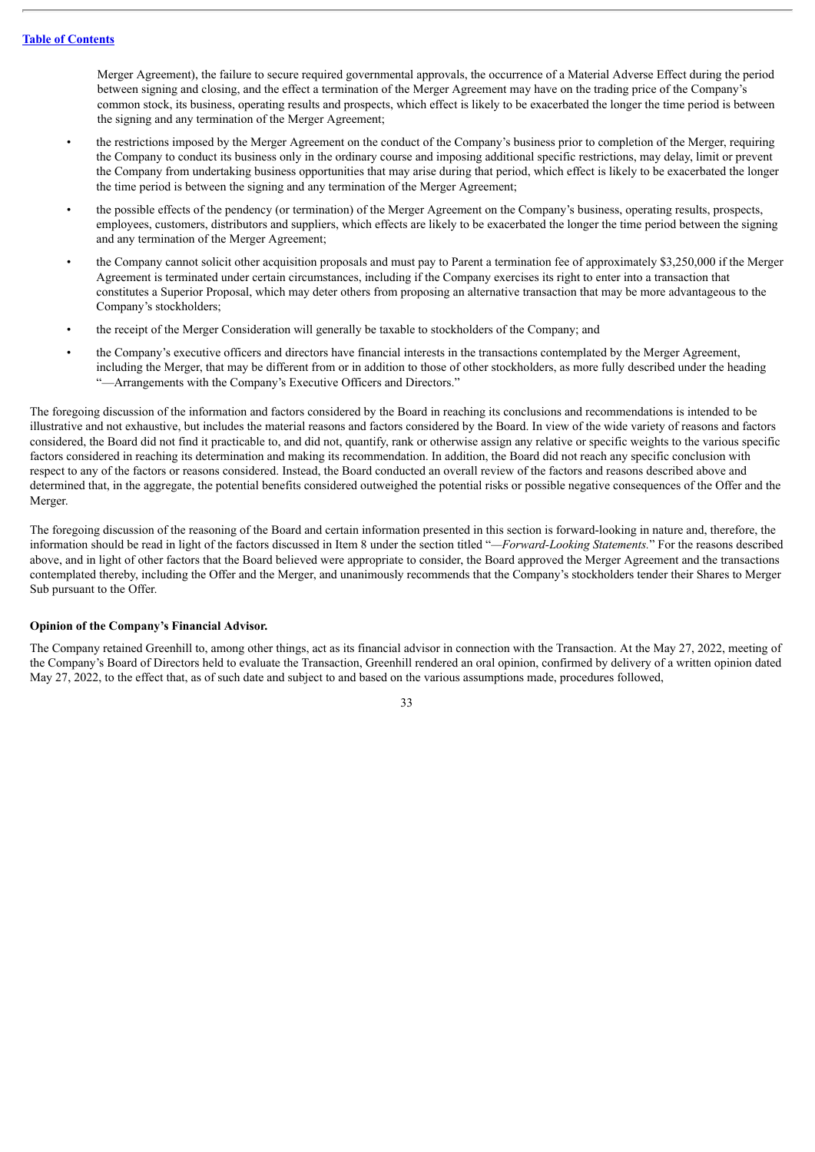Merger Agreement), the failure to secure required governmental approvals, the occurrence of a Material Adverse Effect during the period between signing and closing, and the effect a termination of the Merger Agreement may have on the trading price of the Company's common stock, its business, operating results and prospects, which effect is likely to be exacerbated the longer the time period is between the signing and any termination of the Merger Agreement;

- the restrictions imposed by the Merger Agreement on the conduct of the Company's business prior to completion of the Merger, requiring the Company to conduct its business only in the ordinary course and imposing additional specific restrictions, may delay, limit or prevent the Company from undertaking business opportunities that may arise during that period, which effect is likely to be exacerbated the longer the time period is between the signing and any termination of the Merger Agreement;
- the possible effects of the pendency (or termination) of the Merger Agreement on the Company's business, operating results, prospects, employees, customers, distributors and suppliers, which effects are likely to be exacerbated the longer the time period between the signing and any termination of the Merger Agreement;
- the Company cannot solicit other acquisition proposals and must pay to Parent a termination fee of approximately \$3,250,000 if the Merger Agreement is terminated under certain circumstances, including if the Company exercises its right to enter into a transaction that constitutes a Superior Proposal, which may deter others from proposing an alternative transaction that may be more advantageous to the Company's stockholders;
- the receipt of the Merger Consideration will generally be taxable to stockholders of the Company; and
- the Company's executive officers and directors have financial interests in the transactions contemplated by the Merger Agreement, including the Merger, that may be different from or in addition to those of other stockholders, as more fully described under the heading "—Arrangements with the Company's Executive Officers and Directors."

The foregoing discussion of the information and factors considered by the Board in reaching its conclusions and recommendations is intended to be illustrative and not exhaustive, but includes the material reasons and factors considered by the Board. In view of the wide variety of reasons and factors considered, the Board did not find it practicable to, and did not, quantify, rank or otherwise assign any relative or specific weights to the various specific factors considered in reaching its determination and making its recommendation. In addition, the Board did not reach any specific conclusion with respect to any of the factors or reasons considered. Instead, the Board conducted an overall review of the factors and reasons described above and determined that, in the aggregate, the potential benefits considered outweighed the potential risks or possible negative consequences of the Offer and the Merger.

The foregoing discussion of the reasoning of the Board and certain information presented in this section is forward-looking in nature and, therefore, the information should be read in light of the factors discussed in Item 8 under the section titled "*—Forward-Looking Statements.*" For the reasons described above, and in light of other factors that the Board believed were appropriate to consider, the Board approved the Merger Agreement and the transactions contemplated thereby, including the Offer and the Merger, and unanimously recommends that the Company's stockholders tender their Shares to Merger Sub pursuant to the Offer.

#### **Opinion of the Company's Financial Advisor.**

The Company retained Greenhill to, among other things, act as its financial advisor in connection with the Transaction. At the May 27, 2022, meeting of the Company's Board of Directors held to evaluate the Transaction, Greenhill rendered an oral opinion, confirmed by delivery of a written opinion dated May 27, 2022, to the effect that, as of such date and subject to and based on the various assumptions made, procedures followed,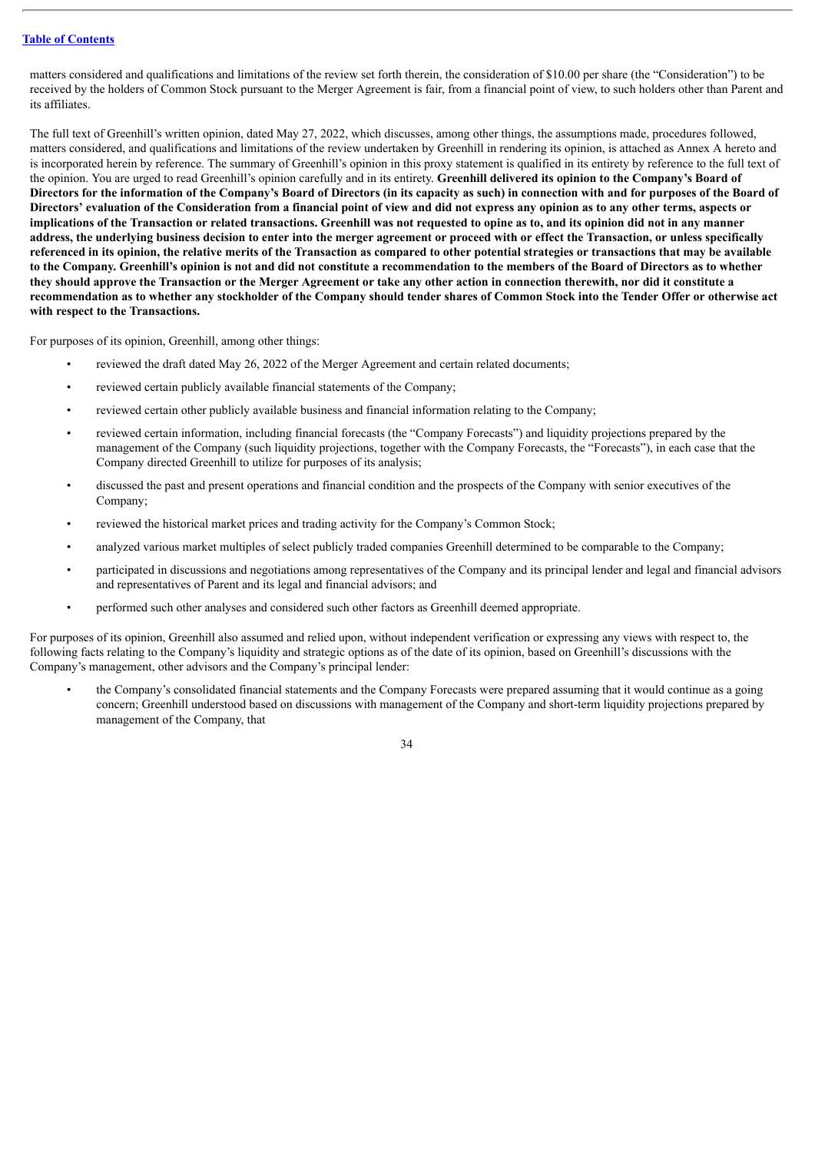matters considered and qualifications and limitations of the review set forth therein, the consideration of \$10.00 per share (the "Consideration") to be received by the holders of Common Stock pursuant to the Merger Agreement is fair, from a financial point of view, to such holders other than Parent and its affiliates.

The full text of Greenhill's written opinion, dated May 27, 2022, which discusses, among other things, the assumptions made, procedures followed, matters considered, and qualifications and limitations of the review undertaken by Greenhill in rendering its opinion, is attached as Annex A hereto and is incorporated herein by reference. The summary of Greenhill's opinion in this proxy statement is qualified in its entirety by reference to the full text of the opinion. You are urged to read Greenhill's opinion carefully and in its entirety. **Greenhill delivered its opinion to the Company's Board of** Directors for the information of the Company's Board of Directors (in its capacity as such) in connection with and for purposes of the Board of Directors' evaluation of the Consideration from a financial point of view and did not express any opinion as to any other terms, aspects or implications of the Transaction or related transactions. Greenhill was not requested to opine as to, and its opinion did not in any manner address, the underlying business decision to enter into the merger agreement or proceed with or effect the Transaction, or unless specifically referenced in its opinion, the relative merits of the Transaction as compared to other potential strategies or transactions that may be available to the Company. Greenhill's opinion is not and did not constitute a recommendation to the members of the Board of Directors as to whether they should approve the Transaction or the Merger Agreement or take any other action in connection therewith, nor did it constitute a recommendation as to whether any stockholder of the Company should tender shares of Common Stock into the Tender Offer or otherwise act **with respect to the Transactions.**

For purposes of its opinion, Greenhill, among other things:

- reviewed the draft dated May 26, 2022 of the Merger Agreement and certain related documents;
- reviewed certain publicly available financial statements of the Company;
- reviewed certain other publicly available business and financial information relating to the Company;
- reviewed certain information, including financial forecasts (the "Company Forecasts") and liquidity projections prepared by the management of the Company (such liquidity projections, together with the Company Forecasts, the "Forecasts"), in each case that the Company directed Greenhill to utilize for purposes of its analysis;
- discussed the past and present operations and financial condition and the prospects of the Company with senior executives of the Company;
- reviewed the historical market prices and trading activity for the Company's Common Stock;
- analyzed various market multiples of select publicly traded companies Greenhill determined to be comparable to the Company;
- participated in discussions and negotiations among representatives of the Company and its principal lender and legal and financial advisors and representatives of Parent and its legal and financial advisors; and
- performed such other analyses and considered such other factors as Greenhill deemed appropriate.

For purposes of its opinion, Greenhill also assumed and relied upon, without independent verification or expressing any views with respect to, the following facts relating to the Company's liquidity and strategic options as of the date of its opinion, based on Greenhill's discussions with the Company's management, other advisors and the Company's principal lender:

• the Company's consolidated financial statements and the Company Forecasts were prepared assuming that it would continue as a going concern; Greenhill understood based on discussions with management of the Company and short-term liquidity projections prepared by management of the Company, that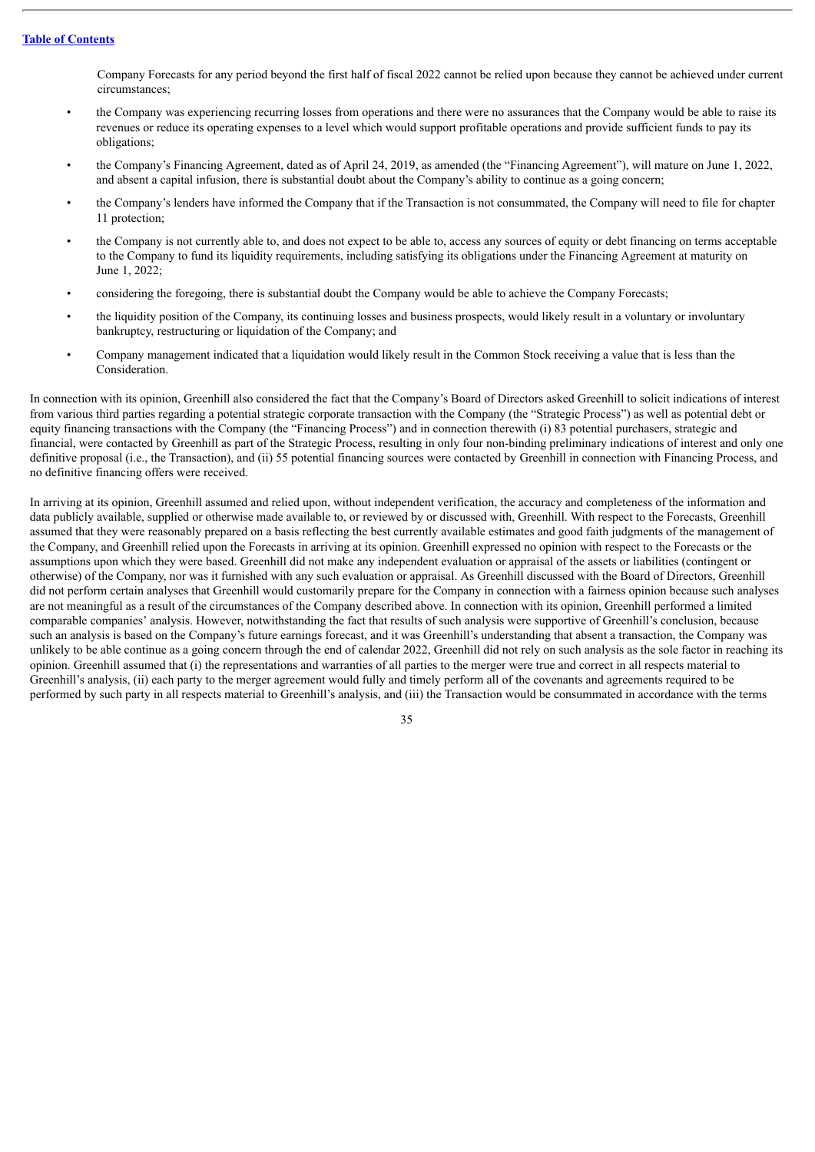Company Forecasts for any period beyond the first half of fiscal 2022 cannot be relied upon because they cannot be achieved under current circumstances;

- the Company was experiencing recurring losses from operations and there were no assurances that the Company would be able to raise its revenues or reduce its operating expenses to a level which would support profitable operations and provide sufficient funds to pay its obligations;
- the Company's Financing Agreement, dated as of April 24, 2019, as amended (the "Financing Agreement"), will mature on June 1, 2022, and absent a capital infusion, there is substantial doubt about the Company's ability to continue as a going concern;
- the Company's lenders have informed the Company that if the Transaction is not consummated, the Company will need to file for chapter 11 protection;
- the Company is not currently able to, and does not expect to be able to, access any sources of equity or debt financing on terms acceptable to the Company to fund its liquidity requirements, including satisfying its obligations under the Financing Agreement at maturity on June 1, 2022;
- considering the foregoing, there is substantial doubt the Company would be able to achieve the Company Forecasts;
- the liquidity position of the Company, its continuing losses and business prospects, would likely result in a voluntary or involuntary bankruptcy, restructuring or liquidation of the Company; and
- Company management indicated that a liquidation would likely result in the Common Stock receiving a value that is less than the Consideration.

In connection with its opinion, Greenhill also considered the fact that the Company's Board of Directors asked Greenhill to solicit indications of interest from various third parties regarding a potential strategic corporate transaction with the Company (the "Strategic Process") as well as potential debt or equity financing transactions with the Company (the "Financing Process") and in connection therewith (i) 83 potential purchasers, strategic and financial, were contacted by Greenhill as part of the Strategic Process, resulting in only four non-binding preliminary indications of interest and only one definitive proposal (i.e., the Transaction), and (ii) 55 potential financing sources were contacted by Greenhill in connection with Financing Process, and no definitive financing offers were received.

In arriving at its opinion, Greenhill assumed and relied upon, without independent verification, the accuracy and completeness of the information and data publicly available, supplied or otherwise made available to, or reviewed by or discussed with, Greenhill. With respect to the Forecasts, Greenhill assumed that they were reasonably prepared on a basis reflecting the best currently available estimates and good faith judgments of the management of the Company, and Greenhill relied upon the Forecasts in arriving at its opinion. Greenhill expressed no opinion with respect to the Forecasts or the assumptions upon which they were based. Greenhill did not make any independent evaluation or appraisal of the assets or liabilities (contingent or otherwise) of the Company, nor was it furnished with any such evaluation or appraisal. As Greenhill discussed with the Board of Directors, Greenhill did not perform certain analyses that Greenhill would customarily prepare for the Company in connection with a fairness opinion because such analyses are not meaningful as a result of the circumstances of the Company described above. In connection with its opinion, Greenhill performed a limited comparable companies' analysis. However, notwithstanding the fact that results of such analysis were supportive of Greenhill's conclusion, because such an analysis is based on the Company's future earnings forecast, and it was Greenhill's understanding that absent a transaction, the Company was unlikely to be able continue as a going concern through the end of calendar 2022, Greenhill did not rely on such analysis as the sole factor in reaching its opinion. Greenhill assumed that (i) the representations and warranties of all parties to the merger were true and correct in all respects material to Greenhill's analysis, (ii) each party to the merger agreement would fully and timely perform all of the covenants and agreements required to be performed by such party in all respects material to Greenhill's analysis, and (iii) the Transaction would be consummated in accordance with the terms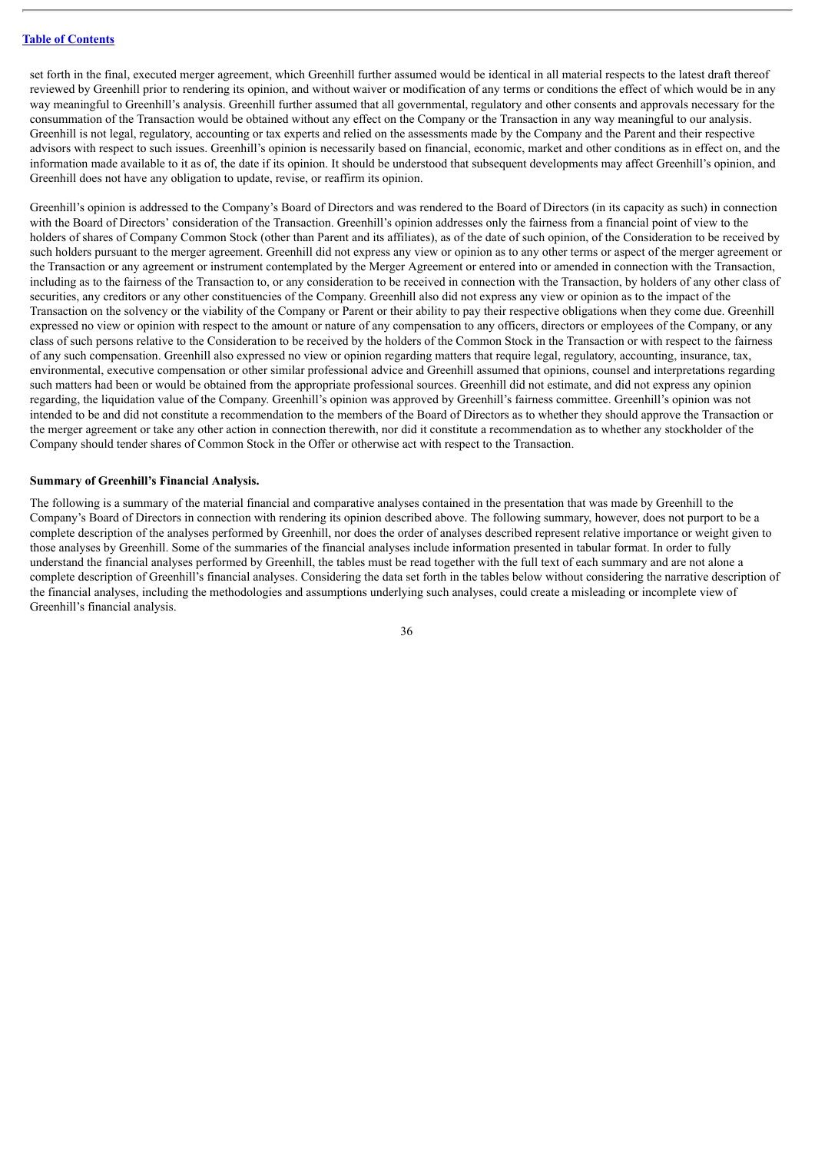set forth in the final, executed merger agreement, which Greenhill further assumed would be identical in all material respects to the latest draft thereof reviewed by Greenhill prior to rendering its opinion, and without waiver or modification of any terms or conditions the effect of which would be in any way meaningful to Greenhill's analysis. Greenhill further assumed that all governmental, regulatory and other consents and approvals necessary for the consummation of the Transaction would be obtained without any effect on the Company or the Transaction in any way meaningful to our analysis. Greenhill is not legal, regulatory, accounting or tax experts and relied on the assessments made by the Company and the Parent and their respective advisors with respect to such issues. Greenhill's opinion is necessarily based on financial, economic, market and other conditions as in effect on, and the information made available to it as of, the date if its opinion. It should be understood that subsequent developments may affect Greenhill's opinion, and Greenhill does not have any obligation to update, revise, or reaffirm its opinion.

Greenhill's opinion is addressed to the Company's Board of Directors and was rendered to the Board of Directors (in its capacity as such) in connection with the Board of Directors' consideration of the Transaction. Greenhill's opinion addresses only the fairness from a financial point of view to the holders of shares of Company Common Stock (other than Parent and its affiliates), as of the date of such opinion, of the Consideration to be received by such holders pursuant to the merger agreement. Greenhill did not express any view or opinion as to any other terms or aspect of the merger agreement or the Transaction or any agreement or instrument contemplated by the Merger Agreement or entered into or amended in connection with the Transaction, including as to the fairness of the Transaction to, or any consideration to be received in connection with the Transaction, by holders of any other class of securities, any creditors or any other constituencies of the Company. Greenhill also did not express any view or opinion as to the impact of the Transaction on the solvency or the viability of the Company or Parent or their ability to pay their respective obligations when they come due. Greenhill expressed no view or opinion with respect to the amount or nature of any compensation to any officers, directors or employees of the Company, or any class of such persons relative to the Consideration to be received by the holders of the Common Stock in the Transaction or with respect to the fairness of any such compensation. Greenhill also expressed no view or opinion regarding matters that require legal, regulatory, accounting, insurance, tax, environmental, executive compensation or other similar professional advice and Greenhill assumed that opinions, counsel and interpretations regarding such matters had been or would be obtained from the appropriate professional sources. Greenhill did not estimate, and did not express any opinion regarding, the liquidation value of the Company. Greenhill's opinion was approved by Greenhill's fairness committee. Greenhill's opinion was not intended to be and did not constitute a recommendation to the members of the Board of Directors as to whether they should approve the Transaction or the merger agreement or take any other action in connection therewith, nor did it constitute a recommendation as to whether any stockholder of the Company should tender shares of Common Stock in the Offer or otherwise act with respect to the Transaction.

#### **Summary of Greenhill's Financial Analysis.**

The following is a summary of the material financial and comparative analyses contained in the presentation that was made by Greenhill to the Company's Board of Directors in connection with rendering its opinion described above. The following summary, however, does not purport to be a complete description of the analyses performed by Greenhill, nor does the order of analyses described represent relative importance or weight given to those analyses by Greenhill. Some of the summaries of the financial analyses include information presented in tabular format. In order to fully understand the financial analyses performed by Greenhill, the tables must be read together with the full text of each summary and are not alone a complete description of Greenhill's financial analyses. Considering the data set forth in the tables below without considering the narrative description of the financial analyses, including the methodologies and assumptions underlying such analyses, could create a misleading or incomplete view of Greenhill's financial analysis.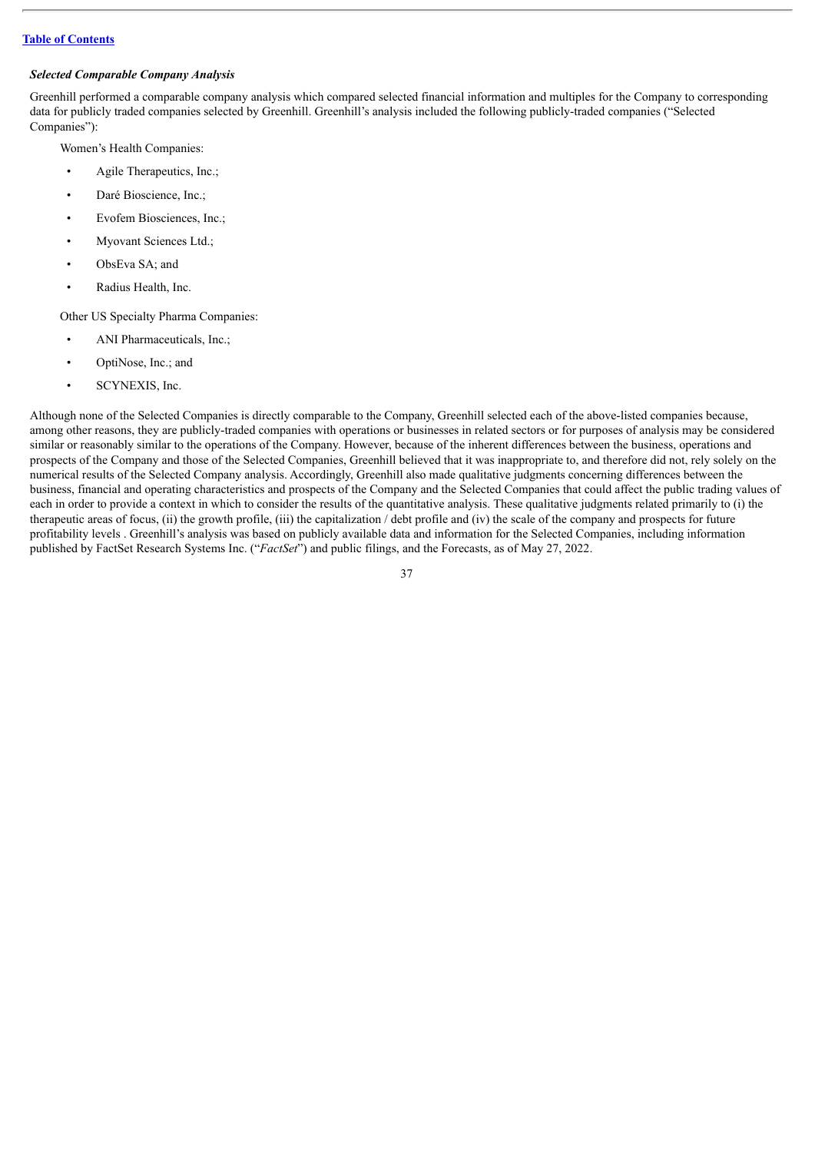### *Selected Comparable Company Analysis*

Greenhill performed a comparable company analysis which compared selected financial information and multiples for the Company to corresponding data for publicly traded companies selected by Greenhill. Greenhill's analysis included the following publicly-traded companies ("Selected Companies"):

Women's Health Companies:

- Agile Therapeutics, Inc.;
- Daré Bioscience, Inc.;
- Evofem Biosciences, Inc.;
- Myovant Sciences Ltd.;
- ObsEva SA; and
- Radius Health, Inc.

Other US Specialty Pharma Companies:

- ANI Pharmaceuticals, Inc.;
- OptiNose, Inc.; and
- SCYNEXIS, Inc.

Although none of the Selected Companies is directly comparable to the Company, Greenhill selected each of the above-listed companies because, among other reasons, they are publicly-traded companies with operations or businesses in related sectors or for purposes of analysis may be considered similar or reasonably similar to the operations of the Company. However, because of the inherent differences between the business, operations and prospects of the Company and those of the Selected Companies, Greenhill believed that it was inappropriate to, and therefore did not, rely solely on the numerical results of the Selected Company analysis. Accordingly, Greenhill also made qualitative judgments concerning differences between the business, financial and operating characteristics and prospects of the Company and the Selected Companies that could affect the public trading values of each in order to provide a context in which to consider the results of the quantitative analysis. These qualitative judgments related primarily to (i) the therapeutic areas of focus, (ii) the growth profile, (iii) the capitalization  $\ell$  debt profile and (iv) the scale of the company and prospects for future profitability levels . Greenhill's analysis was based on publicly available data and information for the Selected Companies, including information published by FactSet Research Systems Inc. ("*FactSet*") and public filings, and the Forecasts, as of May 27, 2022.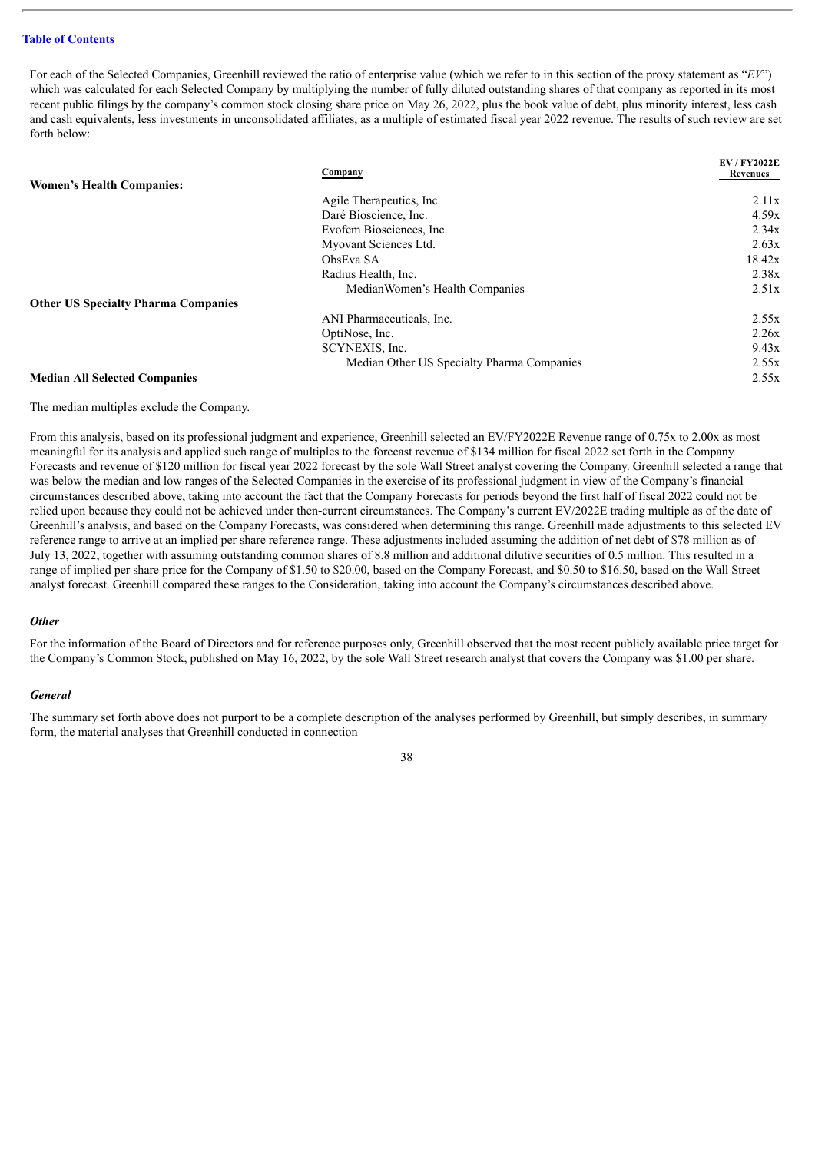For each of the Selected Companies, Greenhill reviewed the ratio of enterprise value (which we refer to in this section of the proxy statement as "*EV*") which was calculated for each Selected Company by multiplying the number of fully diluted outstanding shares of that company as reported in its most recent public filings by the company's common stock closing share price on May 26, 2022, plus the book value of debt, plus minority interest, less cash and cash equivalents, less investments in unconsolidated affiliates, as a multiple of estimated fiscal year 2022 revenue. The results of such review are set forth below:

|                                            | Company                                    | <b>EV/FY2022E</b><br>Revenues |
|--------------------------------------------|--------------------------------------------|-------------------------------|
| <b>Women's Health Companies:</b>           |                                            |                               |
|                                            | Agile Therapeutics, Inc.                   | 2.11x                         |
|                                            | Daré Bioscience, Inc.                      | 4.59x                         |
|                                            | Evofem Biosciences, Inc.                   | 2.34x                         |
|                                            | Myovant Sciences Ltd.                      | 2.63x                         |
|                                            | ObsEva SA                                  | 18.42x                        |
|                                            | Radius Health, Inc.                        | 2.38x                         |
|                                            | Median Women's Health Companies            | 2.51x                         |
| <b>Other US Specialty Pharma Companies</b> |                                            |                               |
|                                            | ANI Pharmaceuticals, Inc.                  | 2.55x                         |
|                                            | OptiNose, Inc.                             | 2.26x                         |
|                                            | SCYNEXIS, Inc.                             | 9.43x                         |
|                                            | Median Other US Specialty Pharma Companies | 2.55x                         |

#### **Median All Selected Companies** 2.55x

The median multiples exclude the Company.

From this analysis, based on its professional judgment and experience, Greenhill selected an EV/FY2022E Revenue range of 0.75x to 2.00x as most meaningful for its analysis and applied such range of multiples to the forecast revenue of \$134 million for fiscal 2022 set forth in the Company Forecasts and revenue of \$120 million for fiscal year 2022 forecast by the sole Wall Street analyst covering the Company. Greenhill selected a range that was below the median and low ranges of the Selected Companies in the exercise of its professional judgment in view of the Company's financial circumstances described above, taking into account the fact that the Company Forecasts for periods beyond the first half of fiscal 2022 could not be relied upon because they could not be achieved under then-current circumstances. The Company's current EV/2022E trading multiple as of the date of Greenhill's analysis, and based on the Company Forecasts, was considered when determining this range. Greenhill made adjustments to this selected EV reference range to arrive at an implied per share reference range. These adjustments included assuming the addition of net debt of \$78 million as of July 13, 2022, together with assuming outstanding common shares of 8.8 million and additional dilutive securities of 0.5 million. This resulted in a range of implied per share price for the Company of \$1.50 to \$20.00, based on the Company Forecast, and \$0.50 to \$16.50, based on the Wall Street analyst forecast. Greenhill compared these ranges to the Consideration, taking into account the Company's circumstances described above.

### *Other*

For the information of the Board of Directors and for reference purposes only, Greenhill observed that the most recent publicly available price target for the Company's Common Stock, published on May 16, 2022, by the sole Wall Street research analyst that covers the Company was \$1.00 per share.

#### *General*

The summary set forth above does not purport to be a complete description of the analyses performed by Greenhill, but simply describes, in summary form, the material analyses that Greenhill conducted in connection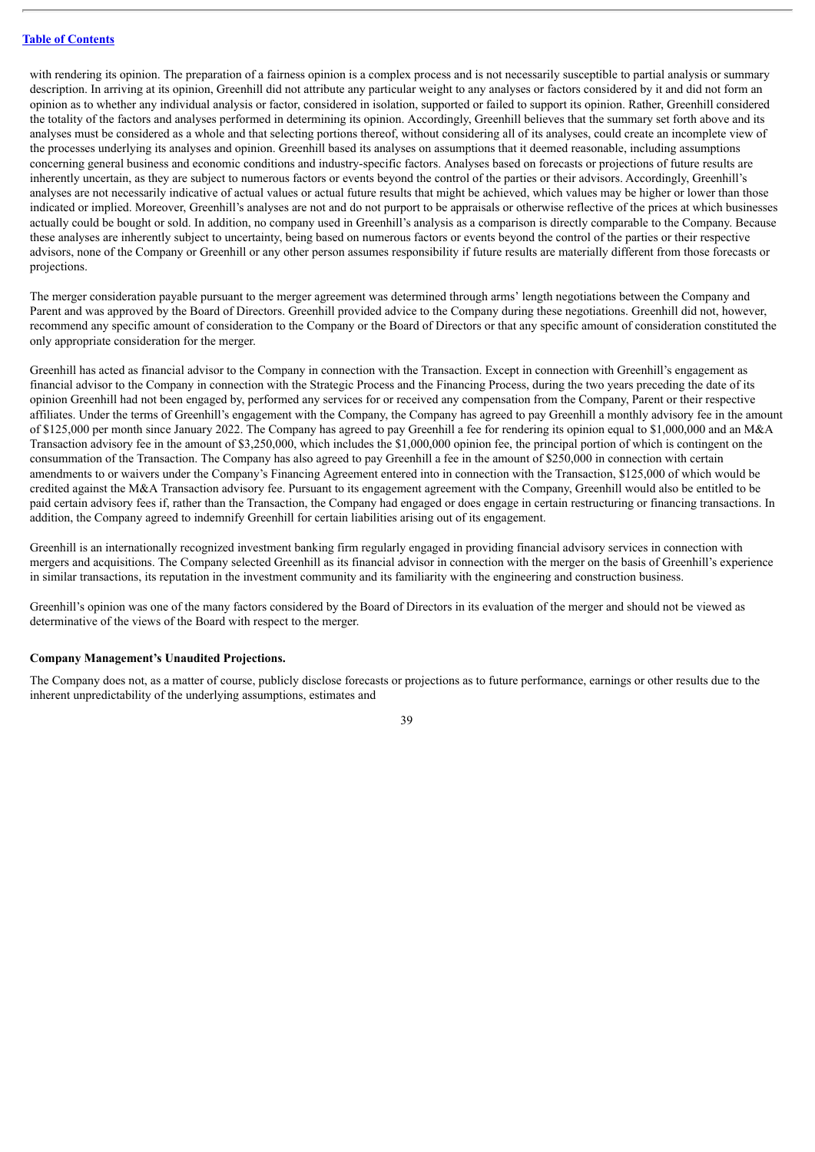with rendering its opinion. The preparation of a fairness opinion is a complex process and is not necessarily susceptible to partial analysis or summary description. In arriving at its opinion, Greenhill did not attribute any particular weight to any analyses or factors considered by it and did not form an opinion as to whether any individual analysis or factor, considered in isolation, supported or failed to support its opinion. Rather, Greenhill considered the totality of the factors and analyses performed in determining its opinion. Accordingly, Greenhill believes that the summary set forth above and its analyses must be considered as a whole and that selecting portions thereof, without considering all of its analyses, could create an incomplete view of the processes underlying its analyses and opinion. Greenhill based its analyses on assumptions that it deemed reasonable, including assumptions concerning general business and economic conditions and industry-specific factors. Analyses based on forecasts or projections of future results are inherently uncertain, as they are subject to numerous factors or events beyond the control of the parties or their advisors. Accordingly, Greenhill's analyses are not necessarily indicative of actual values or actual future results that might be achieved, which values may be higher or lower than those indicated or implied. Moreover, Greenhill's analyses are not and do not purport to be appraisals or otherwise reflective of the prices at which businesses actually could be bought or sold. In addition, no company used in Greenhill's analysis as a comparison is directly comparable to the Company. Because these analyses are inherently subject to uncertainty, being based on numerous factors or events beyond the control of the parties or their respective advisors, none of the Company or Greenhill or any other person assumes responsibility if future results are materially different from those forecasts or projections.

The merger consideration payable pursuant to the merger agreement was determined through arms' length negotiations between the Company and Parent and was approved by the Board of Directors. Greenhill provided advice to the Company during these negotiations. Greenhill did not, however, recommend any specific amount of consideration to the Company or the Board of Directors or that any specific amount of consideration constituted the only appropriate consideration for the merger.

Greenhill has acted as financial advisor to the Company in connection with the Transaction. Except in connection with Greenhill's engagement as financial advisor to the Company in connection with the Strategic Process and the Financing Process, during the two years preceding the date of its opinion Greenhill had not been engaged by, performed any services for or received any compensation from the Company, Parent or their respective affiliates. Under the terms of Greenhill's engagement with the Company, the Company has agreed to pay Greenhill a monthly advisory fee in the amount of \$125,000 per month since January 2022. The Company has agreed to pay Greenhill a fee for rendering its opinion equal to \$1,000,000 and an M&A Transaction advisory fee in the amount of \$3,250,000, which includes the \$1,000,000 opinion fee, the principal portion of which is contingent on the consummation of the Transaction. The Company has also agreed to pay Greenhill a fee in the amount of \$250,000 in connection with certain amendments to or waivers under the Company's Financing Agreement entered into in connection with the Transaction, \$125,000 of which would be credited against the M&A Transaction advisory fee. Pursuant to its engagement agreement with the Company, Greenhill would also be entitled to be paid certain advisory fees if, rather than the Transaction, the Company had engaged or does engage in certain restructuring or financing transactions. In addition, the Company agreed to indemnify Greenhill for certain liabilities arising out of its engagement.

Greenhill is an internationally recognized investment banking firm regularly engaged in providing financial advisory services in connection with mergers and acquisitions. The Company selected Greenhill as its financial advisor in connection with the merger on the basis of Greenhill's experience in similar transactions, its reputation in the investment community and its familiarity with the engineering and construction business.

Greenhill's opinion was one of the many factors considered by the Board of Directors in its evaluation of the merger and should not be viewed as determinative of the views of the Board with respect to the merger.

### **Company Management's Unaudited Projections.**

The Company does not, as a matter of course, publicly disclose forecasts or projections as to future performance, earnings or other results due to the inherent unpredictability of the underlying assumptions, estimates and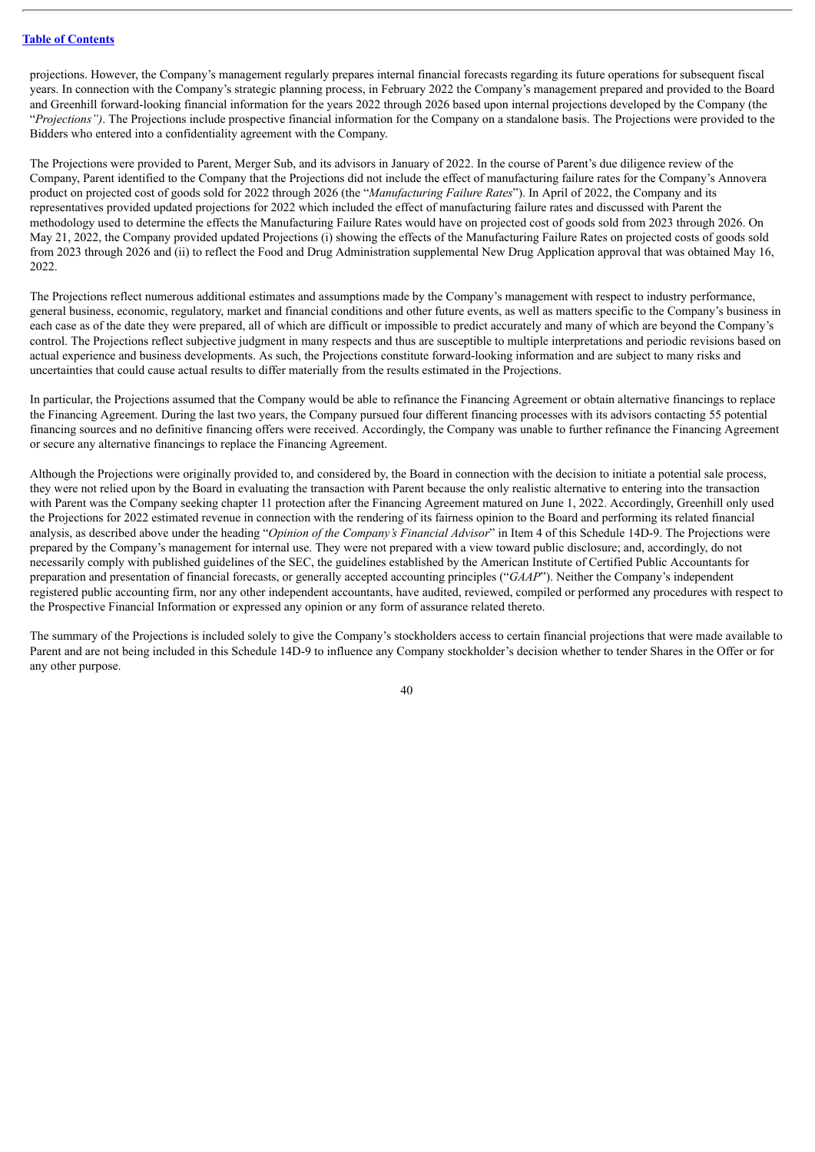projections. However, the Company's management regularly prepares internal financial forecasts regarding its future operations for subsequent fiscal years. In connection with the Company's strategic planning process, in February 2022 the Company's management prepared and provided to the Board and Greenhill forward-looking financial information for the years 2022 through 2026 based upon internal projections developed by the Company (the "*Projections")*. The Projections include prospective financial information for the Company on a standalone basis. The Projections were provided to the Bidders who entered into a confidentiality agreement with the Company.

The Projections were provided to Parent, Merger Sub, and its advisors in January of 2022. In the course of Parent's due diligence review of the Company, Parent identified to the Company that the Projections did not include the effect of manufacturing failure rates for the Company's Annovera product on projected cost of goods sold for 2022 through 2026 (the "*Manufacturing Failure Rates*"). In April of 2022, the Company and its representatives provided updated projections for 2022 which included the effect of manufacturing failure rates and discussed with Parent the methodology used to determine the effects the Manufacturing Failure Rates would have on projected cost of goods sold from 2023 through 2026. On May 21, 2022, the Company provided updated Projections (i) showing the effects of the Manufacturing Failure Rates on projected costs of goods sold from 2023 through 2026 and (ii) to reflect the Food and Drug Administration supplemental New Drug Application approval that was obtained May 16, 2022.

The Projections reflect numerous additional estimates and assumptions made by the Company's management with respect to industry performance, general business, economic, regulatory, market and financial conditions and other future events, as well as matters specific to the Company's business in each case as of the date they were prepared, all of which are difficult or impossible to predict accurately and many of which are beyond the Company's control. The Projections reflect subjective judgment in many respects and thus are susceptible to multiple interpretations and periodic revisions based on actual experience and business developments. As such, the Projections constitute forward-looking information and are subject to many risks and uncertainties that could cause actual results to differ materially from the results estimated in the Projections.

In particular, the Projections assumed that the Company would be able to refinance the Financing Agreement or obtain alternative financings to replace the Financing Agreement. During the last two years, the Company pursued four different financing processes with its advisors contacting 55 potential financing sources and no definitive financing offers were received. Accordingly, the Company was unable to further refinance the Financing Agreement or secure any alternative financings to replace the Financing Agreement.

Although the Projections were originally provided to, and considered by, the Board in connection with the decision to initiate a potential sale process, they were not relied upon by the Board in evaluating the transaction with Parent because the only realistic alternative to entering into the transaction with Parent was the Company seeking chapter 11 protection after the Financing Agreement matured on June 1, 2022. Accordingly, Greenhill only used the Projections for 2022 estimated revenue in connection with the rendering of its fairness opinion to the Board and performing its related financial analysis, as described above under the heading "*Opinion of the Company's Financial Advisor*" in Item 4 of this Schedule 14D-9. The Projections were prepared by the Company's management for internal use. They were not prepared with a view toward public disclosure; and, accordingly, do not necessarily comply with published guidelines of the SEC, the guidelines established by the American Institute of Certified Public Accountants for preparation and presentation of financial forecasts, or generally accepted accounting principles ("*GAAP*"). Neither the Company's independent registered public accounting firm, nor any other independent accountants, have audited, reviewed, compiled or performed any procedures with respect to the Prospective Financial Information or expressed any opinion or any form of assurance related thereto.

The summary of the Projections is included solely to give the Company's stockholders access to certain financial projections that were made available to Parent and are not being included in this Schedule 14D-9 to influence any Company stockholder's decision whether to tender Shares in the Offer or for any other purpose.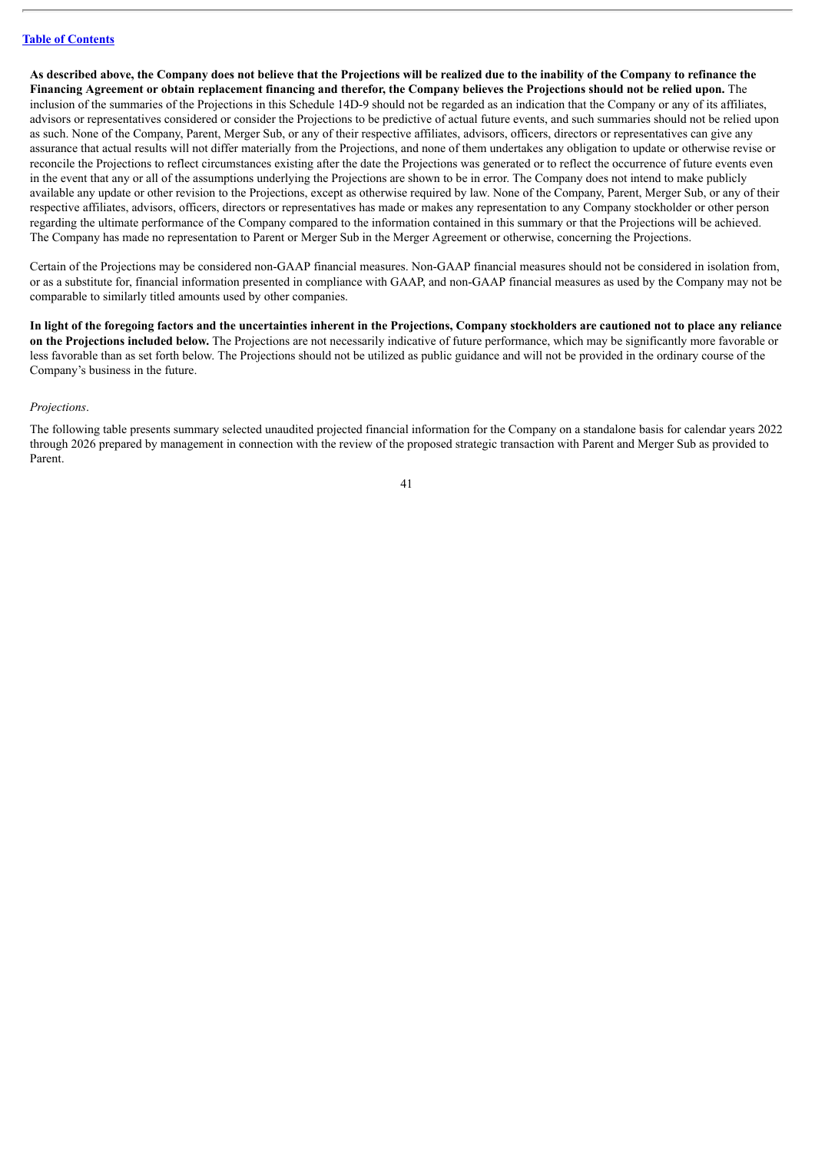As described above, the Company does not believe that the Projections will be realized due to the inability of the Company to refinance the Financing Agreement or obtain replacement financing and therefor, the Company believes the Projections should not be relied upon. The inclusion of the summaries of the Projections in this Schedule 14D-9 should not be regarded as an indication that the Company or any of its affiliates, advisors or representatives considered or consider the Projections to be predictive of actual future events, and such summaries should not be relied upon as such. None of the Company, Parent, Merger Sub, or any of their respective affiliates, advisors, officers, directors or representatives can give any assurance that actual results will not differ materially from the Projections, and none of them undertakes any obligation to update or otherwise revise or reconcile the Projections to reflect circumstances existing after the date the Projections was generated or to reflect the occurrence of future events even in the event that any or all of the assumptions underlying the Projections are shown to be in error. The Company does not intend to make publicly available any update or other revision to the Projections, except as otherwise required by law. None of the Company, Parent, Merger Sub, or any of their respective affiliates, advisors, officers, directors or representatives has made or makes any representation to any Company stockholder or other person regarding the ultimate performance of the Company compared to the information contained in this summary or that the Projections will be achieved. The Company has made no representation to Parent or Merger Sub in the Merger Agreement or otherwise, concerning the Projections.

Certain of the Projections may be considered non-GAAP financial measures. Non-GAAP financial measures should not be considered in isolation from, or as a substitute for, financial information presented in compliance with GAAP, and non-GAAP financial measures as used by the Company may not be comparable to similarly titled amounts used by other companies.

In light of the foregoing factors and the uncertainties inherent in the Projections, Company stockholders are cautioned not to place any reliance **on the Projections included below.** The Projections are not necessarily indicative of future performance, which may be significantly more favorable or less favorable than as set forth below. The Projections should not be utilized as public guidance and will not be provided in the ordinary course of the Company's business in the future.

#### *Projections*.

The following table presents summary selected unaudited projected financial information for the Company on a standalone basis for calendar years 2022 through 2026 prepared by management in connection with the review of the proposed strategic transaction with Parent and Merger Sub as provided to Parent.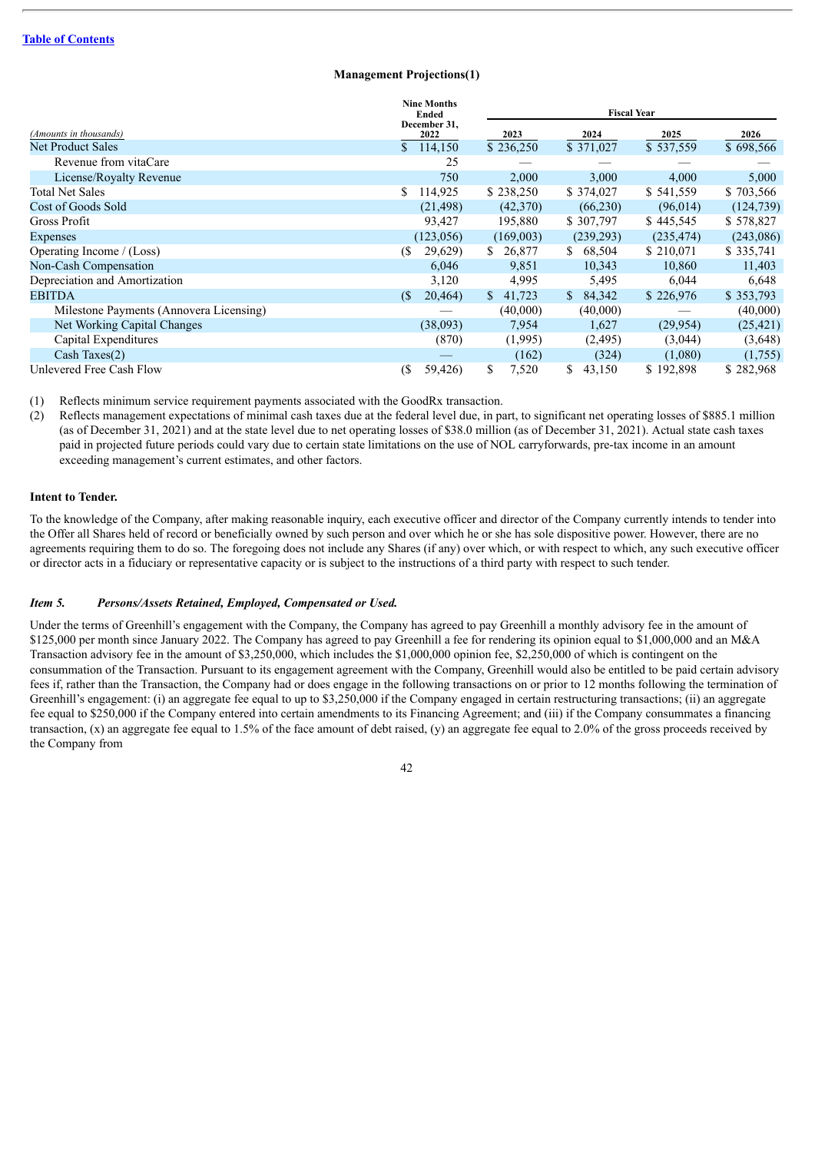### **Management Projections(1)**

|                                         | <b>Nine Months</b><br>Ended<br>December 31, |              | <b>Fiscal Year</b> |            |            |
|-----------------------------------------|---------------------------------------------|--------------|--------------------|------------|------------|
| (Amounts in thousands)                  | 2022                                        | 2023         | 2024               | 2025       | 2026       |
| <b>Net Product Sales</b>                | \$.<br>114,150                              | \$236,250    | \$371,027          | \$537,559  | \$698,566  |
| Revenue from vitaCare                   | 25                                          |              |                    |            |            |
| License/Royalty Revenue                 | 750                                         | 2,000        | 3,000              | 4,000      | 5,000      |
| <b>Total Net Sales</b>                  | 114,925<br>\$                               | \$238,250    | \$374,027          | \$541,559  | \$703,566  |
| Cost of Goods Sold                      | (21, 498)                                   | (42,370)     | (66,230)           | (96, 014)  | (124, 739) |
| Gross Profit                            | 93,427                                      | 195,880      | \$307,797          | \$445,545  | \$578,827  |
| <b>Expenses</b>                         | (123,056)                                   | (169,003)    | (239, 293)         | (235, 474) | (243,086)  |
| Operating Income / (Loss)               | 29,629)<br>(S                               | S.<br>26,877 | S.<br>68,504       | \$210,071  | \$335,741  |
| Non-Cash Compensation                   | 6,046                                       | 9,851        | 10,343             | 10,860     | 11,403     |
| Depreciation and Amortization           | 3,120                                       | 4,995        | 5,495              | 6,044      | 6,648      |
| <b>EBITDA</b>                           | 20,464<br>$\sqrt{S}$                        | \$<br>41,723 | 84,342<br>S.       | \$226,976  | \$353,793  |
| Milestone Payments (Annovera Licensing) |                                             | (40,000)     | (40,000)           |            | (40,000)   |
| Net Working Capital Changes             | (38,093)                                    | 7,954        | 1,627              | (29, 954)  | (25, 421)  |
| Capital Expenditures                    | (870)                                       | (1,995)      | (2,495)            | (3,044)    | (3,648)    |
| Cash Taxes(2)                           |                                             | (162)        | (324)              | (1,080)    | (1,755)    |
| Unlevered Free Cash Flow                | (<br>59,426)                                | \$<br>7,520  | \$<br>43,150       | \$192,898  | \$282,968  |

(1) Reflects minimum service requirement payments associated with the GoodRx transaction.

(2) Reflects management expectations of minimal cash taxes due at the federal level due, in part, to significant net operating losses of \$885.1 million (as of December 31, 2021) and at the state level due to net operating losses of \$38.0 million (as of December 31, 2021). Actual state cash taxes paid in projected future periods could vary due to certain state limitations on the use of NOL carryforwards, pre-tax income in an amount exceeding management's current estimates, and other factors.

### **Intent to Tender.**

To the knowledge of the Company, after making reasonable inquiry, each executive officer and director of the Company currently intends to tender into the Offer all Shares held of record or beneficially owned by such person and over which he or she has sole dispositive power. However, there are no agreements requiring them to do so. The foregoing does not include any Shares (if any) over which, or with respect to which, any such executive officer or director acts in a fiduciary or representative capacity or is subject to the instructions of a third party with respect to such tender.

### *Item 5. Persons/Assets Retained, Employed, Compensated or Used.*

Under the terms of Greenhill's engagement with the Company, the Company has agreed to pay Greenhill a monthly advisory fee in the amount of \$125,000 per month since January 2022. The Company has agreed to pay Greenhill a fee for rendering its opinion equal to \$1,000,000 and an M&A Transaction advisory fee in the amount of \$3,250,000, which includes the \$1,000,000 opinion fee, \$2,250,000 of which is contingent on the consummation of the Transaction. Pursuant to its engagement agreement with the Company, Greenhill would also be entitled to be paid certain advisory fees if, rather than the Transaction, the Company had or does engage in the following transactions on or prior to 12 months following the termination of Greenhill's engagement: (i) an aggregate fee equal to up to \$3,250,000 if the Company engaged in certain restructuring transactions; (ii) an aggregate fee equal to \$250,000 if the Company entered into certain amendments to its Financing Agreement; and (iii) if the Company consummates a financing transaction,  $(x)$  an aggregate fee equal to 1.5% of the face amount of debt raised,  $(y)$  an aggregate fee equal to 2.0% of the gross proceeds received by the Company from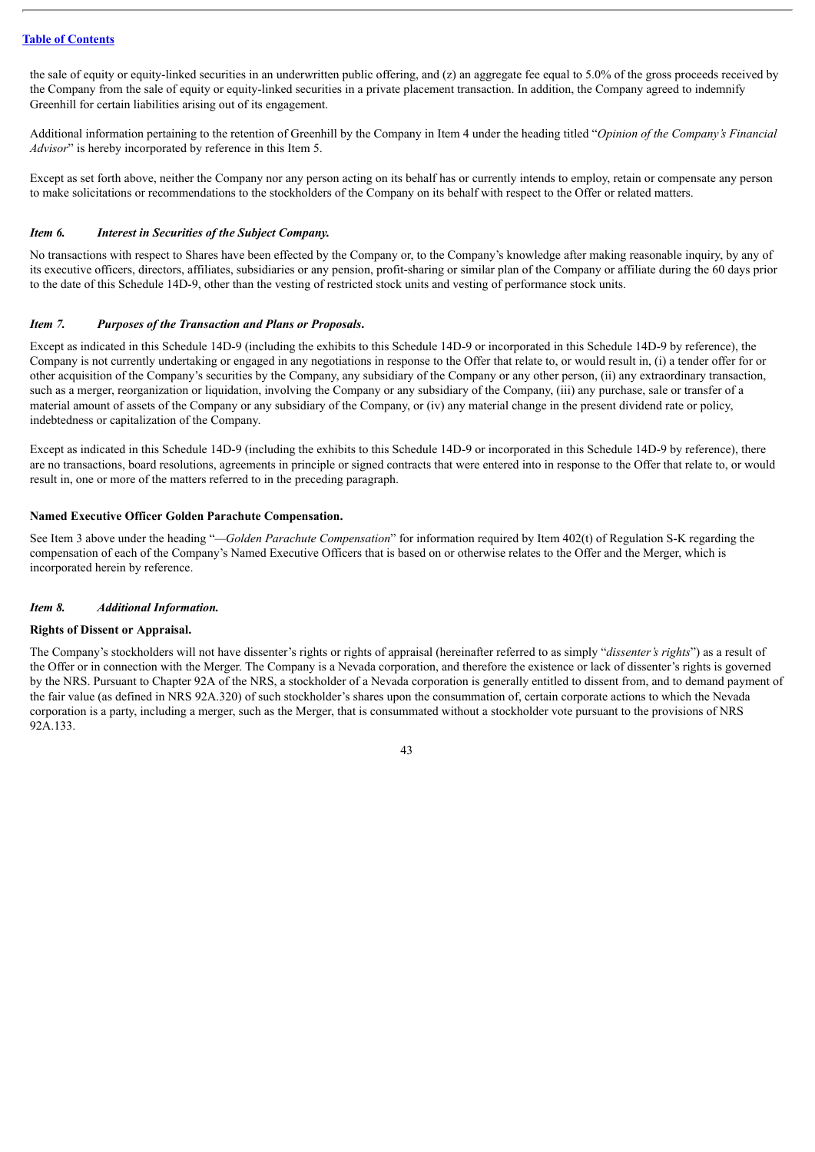the sale of equity or equity-linked securities in an underwritten public offering, and  $(z)$  an aggregate fee equal to 5.0% of the gross proceeds received by the Company from the sale of equity or equity-linked securities in a private placement transaction. In addition, the Company agreed to indemnify Greenhill for certain liabilities arising out of its engagement.

Additional information pertaining to the retention of Greenhill by the Company in Item 4 under the heading titled "*Opinion of the Company's Financial Advisor*" is hereby incorporated by reference in this Item 5.

Except as set forth above, neither the Company nor any person acting on its behalf has or currently intends to employ, retain or compensate any person to make solicitations or recommendations to the stockholders of the Company on its behalf with respect to the Offer or related matters.

### *Item 6. Interest in Securities of the Subject Company.*

No transactions with respect to Shares have been effected by the Company or, to the Company's knowledge after making reasonable inquiry, by any of its executive officers, directors, affiliates, subsidiaries or any pension, profit-sharing or similar plan of the Company or affiliate during the 60 days prior to the date of this Schedule 14D-9, other than the vesting of restricted stock units and vesting of performance stock units.

### *Item 7. Purposes of the Transaction and Plans or Proposals***.**

Except as indicated in this Schedule 14D-9 (including the exhibits to this Schedule 14D-9 or incorporated in this Schedule 14D-9 by reference), the Company is not currently undertaking or engaged in any negotiations in response to the Offer that relate to, or would result in, (i) a tender offer for or other acquisition of the Company's securities by the Company, any subsidiary of the Company or any other person, (ii) any extraordinary transaction, such as a merger, reorganization or liquidation, involving the Company or any subsidiary of the Company, (iii) any purchase, sale or transfer of a material amount of assets of the Company or any subsidiary of the Company, or (iv) any material change in the present dividend rate or policy, indebtedness or capitalization of the Company.

Except as indicated in this Schedule 14D-9 (including the exhibits to this Schedule 14D-9 or incorporated in this Schedule 14D-9 by reference), there are no transactions, board resolutions, agreements in principle or signed contracts that were entered into in response to the Offer that relate to, or would result in, one or more of the matters referred to in the preceding paragraph.

### **Named Executive Officer Golden Parachute Compensation.**

See Item 3 above under the heading "*—Golden Parachute Compensation*" for information required by Item 402(t) of Regulation S-K regarding the compensation of each of the Company's Named Executive Officers that is based on or otherwise relates to the Offer and the Merger, which is incorporated herein by reference.

### *Item 8. Additional Information.*

#### **Rights of Dissent or Appraisal.**

The Company's stockholders will not have dissenter's rights or rights of appraisal (hereinafter referred to as simply "*dissenter's rights*") as a result of the Offer or in connection with the Merger. The Company is a Nevada corporation, and therefore the existence or lack of dissenter's rights is governed by the NRS. Pursuant to Chapter 92A of the NRS, a stockholder of a Nevada corporation is generally entitled to dissent from, and to demand payment of the fair value (as defined in NRS 92A.320) of such stockholder's shares upon the consummation of, certain corporate actions to which the Nevada corporation is a party, including a merger, such as the Merger, that is consummated without a stockholder vote pursuant to the provisions of NRS 92A.133.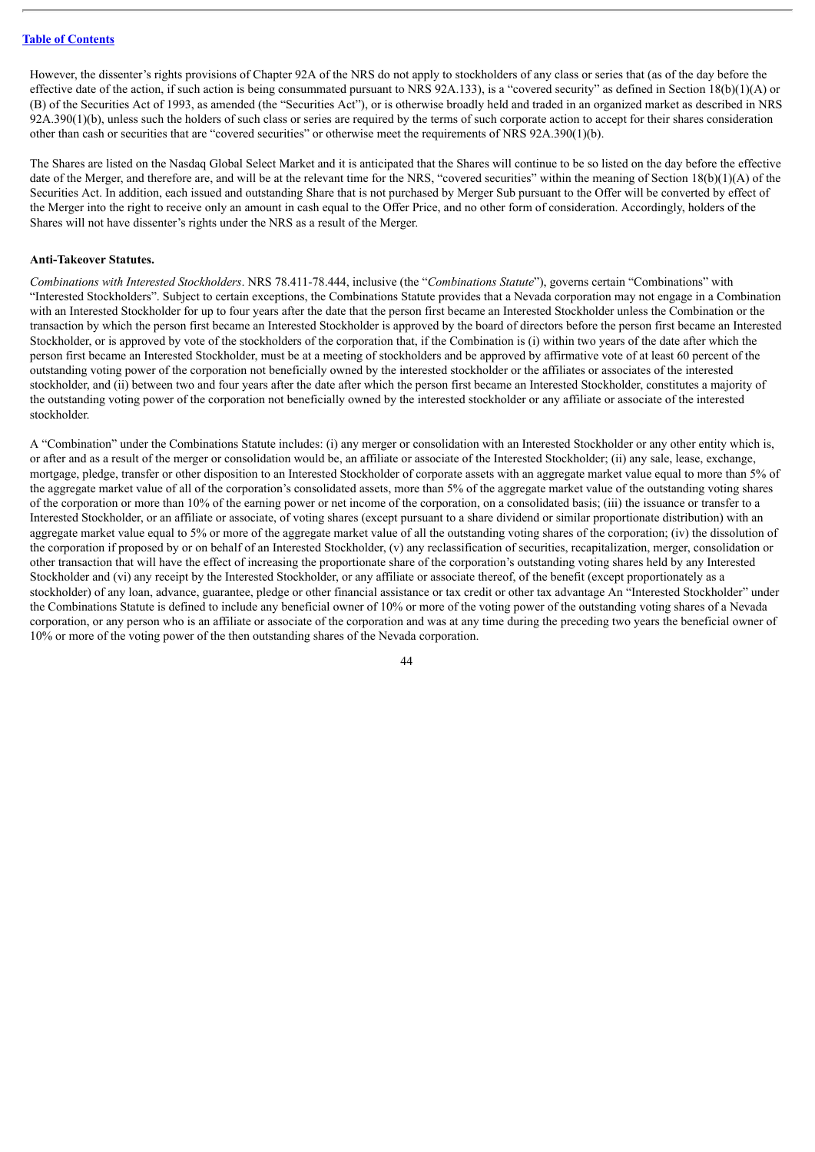However, the dissenter's rights provisions of Chapter 92A of the NRS do not apply to stockholders of any class or series that (as of the day before the effective date of the action, if such action is being consummated pursuant to NRS 92A.133), is a "covered security" as defined in Section 18(b)(1)(A) or (B) of the Securities Act of 1993, as amended (the "Securities Act"), or is otherwise broadly held and traded in an organized market as described in NRS  $92A.390(1)(b)$ , unless such the holders of such class or series are required by the terms of such corporate action to accept for their shares consideration other than cash or securities that are "covered securities" or otherwise meet the requirements of NRS 92A.390(1)(b).

The Shares are listed on the Nasdaq Global Select Market and it is anticipated that the Shares will continue to be so listed on the day before the effective date of the Merger, and therefore are, and will be at the relevant time for the NRS, "covered securities" within the meaning of Section 18(b)(1)(A) of the Securities Act. In addition, each issued and outstanding Share that is not purchased by Merger Sub pursuant to the Offer will be converted by effect of the Merger into the right to receive only an amount in cash equal to the Offer Price, and no other form of consideration. Accordingly, holders of the Shares will not have dissenter's rights under the NRS as a result of the Merger.

### **Anti-Takeover Statutes.**

*Combinations with Interested Stockholders*. NRS 78.411-78.444, inclusive (the "*Combinations Statute*"), governs certain "Combinations" with "Interested Stockholders". Subject to certain exceptions, the Combinations Statute provides that a Nevada corporation may not engage in a Combination with an Interested Stockholder for up to four years after the date that the person first became an Interested Stockholder unless the Combination or the transaction by which the person first became an Interested Stockholder is approved by the board of directors before the person first became an Interested Stockholder, or is approved by vote of the stockholders of the corporation that, if the Combination is (i) within two years of the date after which the person first became an Interested Stockholder, must be at a meeting of stockholders and be approved by affirmative vote of at least 60 percent of the outstanding voting power of the corporation not beneficially owned by the interested stockholder or the affiliates or associates of the interested stockholder, and (ii) between two and four years after the date after which the person first became an Interested Stockholder, constitutes a majority of the outstanding voting power of the corporation not beneficially owned by the interested stockholder or any affiliate or associate of the interested stockholder.

A "Combination" under the Combinations Statute includes: (i) any merger or consolidation with an Interested Stockholder or any other entity which is, or after and as a result of the merger or consolidation would be, an affiliate or associate of the Interested Stockholder; (ii) any sale, lease, exchange, mortgage, pledge, transfer or other disposition to an Interested Stockholder of corporate assets with an aggregate market value equal to more than 5% of the aggregate market value of all of the corporation's consolidated assets, more than 5% of the aggregate market value of the outstanding voting shares of the corporation or more than 10% of the earning power or net income of the corporation, on a consolidated basis; (iii) the issuance or transfer to a Interested Stockholder, or an affiliate or associate, of voting shares (except pursuant to a share dividend or similar proportionate distribution) with an aggregate market value equal to 5% or more of the aggregate market value of all the outstanding voting shares of the corporation; (iv) the dissolution of the corporation if proposed by or on behalf of an Interested Stockholder, (v) any reclassification of securities, recapitalization, merger, consolidation or other transaction that will have the effect of increasing the proportionate share of the corporation's outstanding voting shares held by any Interested Stockholder and (vi) any receipt by the Interested Stockholder, or any affiliate or associate thereof, of the benefit (except proportionately as a stockholder) of any loan, advance, guarantee, pledge or other financial assistance or tax credit or other tax advantage An "Interested Stockholder" under the Combinations Statute is defined to include any beneficial owner of 10% or more of the voting power of the outstanding voting shares of a Nevada corporation, or any person who is an affiliate or associate of the corporation and was at any time during the preceding two years the beneficial owner of 10% or more of the voting power of the then outstanding shares of the Nevada corporation.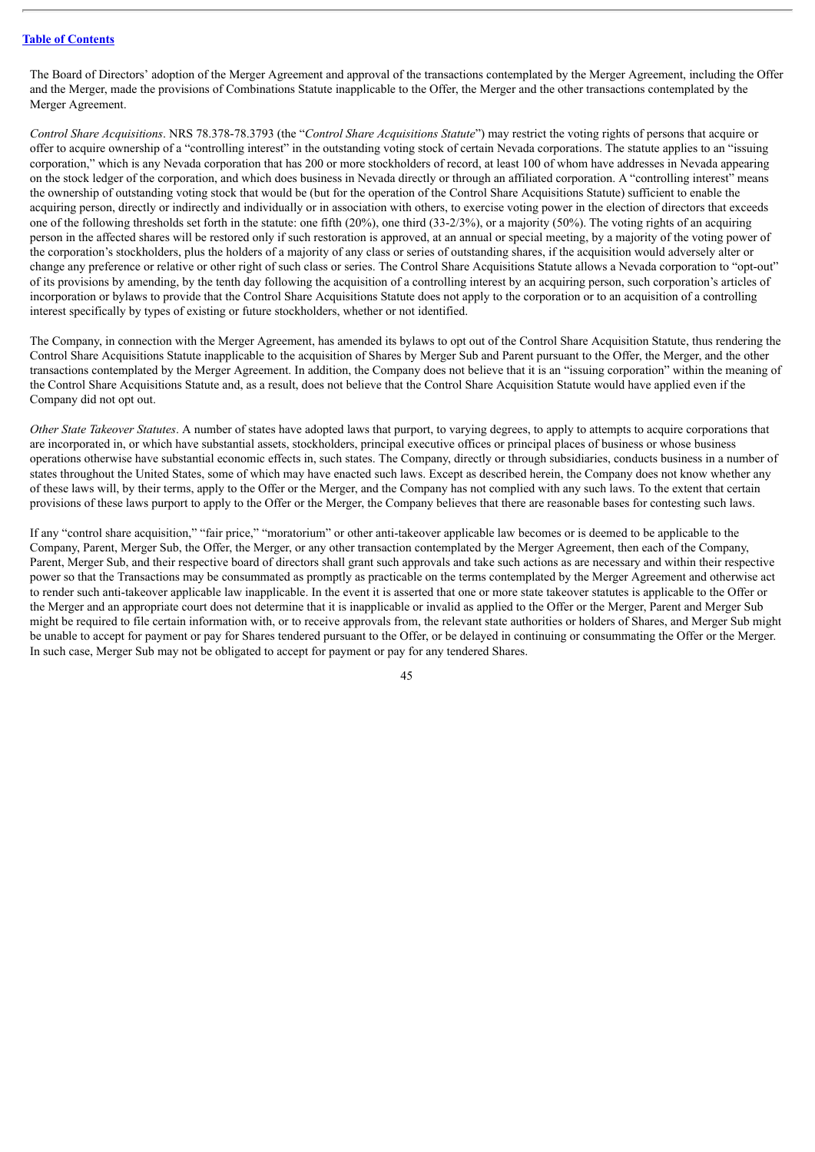The Board of Directors' adoption of the Merger Agreement and approval of the transactions contemplated by the Merger Agreement, including the Offer and the Merger, made the provisions of Combinations Statute inapplicable to the Offer, the Merger and the other transactions contemplated by the Merger Agreement.

*Control Share Acquisitions*. NRS 78.378-78.3793 (the "*Control Share Acquisitions Statute*") may restrict the voting rights of persons that acquire or offer to acquire ownership of a "controlling interest" in the outstanding voting stock of certain Nevada corporations. The statute applies to an "issuing corporation," which is any Nevada corporation that has 200 or more stockholders of record, at least 100 of whom have addresses in Nevada appearing on the stock ledger of the corporation, and which does business in Nevada directly or through an affiliated corporation. A "controlling interest" means the ownership of outstanding voting stock that would be (but for the operation of the Control Share Acquisitions Statute) sufficient to enable the acquiring person, directly or indirectly and individually or in association with others, to exercise voting power in the election of directors that exceeds one of the following thresholds set forth in the statute: one fifth  $(20\%)$ , one third  $(33-2/3\%)$ , or a majority  $(50\%)$ . The voting rights of an acquiring person in the affected shares will be restored only if such restoration is approved, at an annual or special meeting, by a majority of the voting power of the corporation's stockholders, plus the holders of a majority of any class or series of outstanding shares, if the acquisition would adversely alter or change any preference or relative or other right of such class or series. The Control Share Acquisitions Statute allows a Nevada corporation to "opt-out" of its provisions by amending, by the tenth day following the acquisition of a controlling interest by an acquiring person, such corporation's articles of incorporation or bylaws to provide that the Control Share Acquisitions Statute does not apply to the corporation or to an acquisition of a controlling interest specifically by types of existing or future stockholders, whether or not identified.

The Company, in connection with the Merger Agreement, has amended its bylaws to opt out of the Control Share Acquisition Statute, thus rendering the Control Share Acquisitions Statute inapplicable to the acquisition of Shares by Merger Sub and Parent pursuant to the Offer, the Merger, and the other transactions contemplated by the Merger Agreement. In addition, the Company does not believe that it is an "issuing corporation" within the meaning of the Control Share Acquisitions Statute and, as a result, does not believe that the Control Share Acquisition Statute would have applied even if the Company did not opt out.

*Other State Takeover Statutes*. A number of states have adopted laws that purport, to varying degrees, to apply to attempts to acquire corporations that are incorporated in, or which have substantial assets, stockholders, principal executive offices or principal places of business or whose business operations otherwise have substantial economic effects in, such states. The Company, directly or through subsidiaries, conducts business in a number of states throughout the United States, some of which may have enacted such laws. Except as described herein, the Company does not know whether any of these laws will, by their terms, apply to the Offer or the Merger, and the Company has not complied with any such laws. To the extent that certain provisions of these laws purport to apply to the Offer or the Merger, the Company believes that there are reasonable bases for contesting such laws.

If any "control share acquisition," "fair price," "moratorium" or other anti-takeover applicable law becomes or is deemed to be applicable to the Company, Parent, Merger Sub, the Offer, the Merger, or any other transaction contemplated by the Merger Agreement, then each of the Company, Parent, Merger Sub, and their respective board of directors shall grant such approvals and take such actions as are necessary and within their respective power so that the Transactions may be consummated as promptly as practicable on the terms contemplated by the Merger Agreement and otherwise act to render such anti-takeover applicable law inapplicable. In the event it is asserted that one or more state takeover statutes is applicable to the Offer or the Merger and an appropriate court does not determine that it is inapplicable or invalid as applied to the Offer or the Merger, Parent and Merger Sub might be required to file certain information with, or to receive approvals from, the relevant state authorities or holders of Shares, and Merger Sub might be unable to accept for payment or pay for Shares tendered pursuant to the Offer, or be delayed in continuing or consummating the Offer or the Merger. In such case, Merger Sub may not be obligated to accept for payment or pay for any tendered Shares.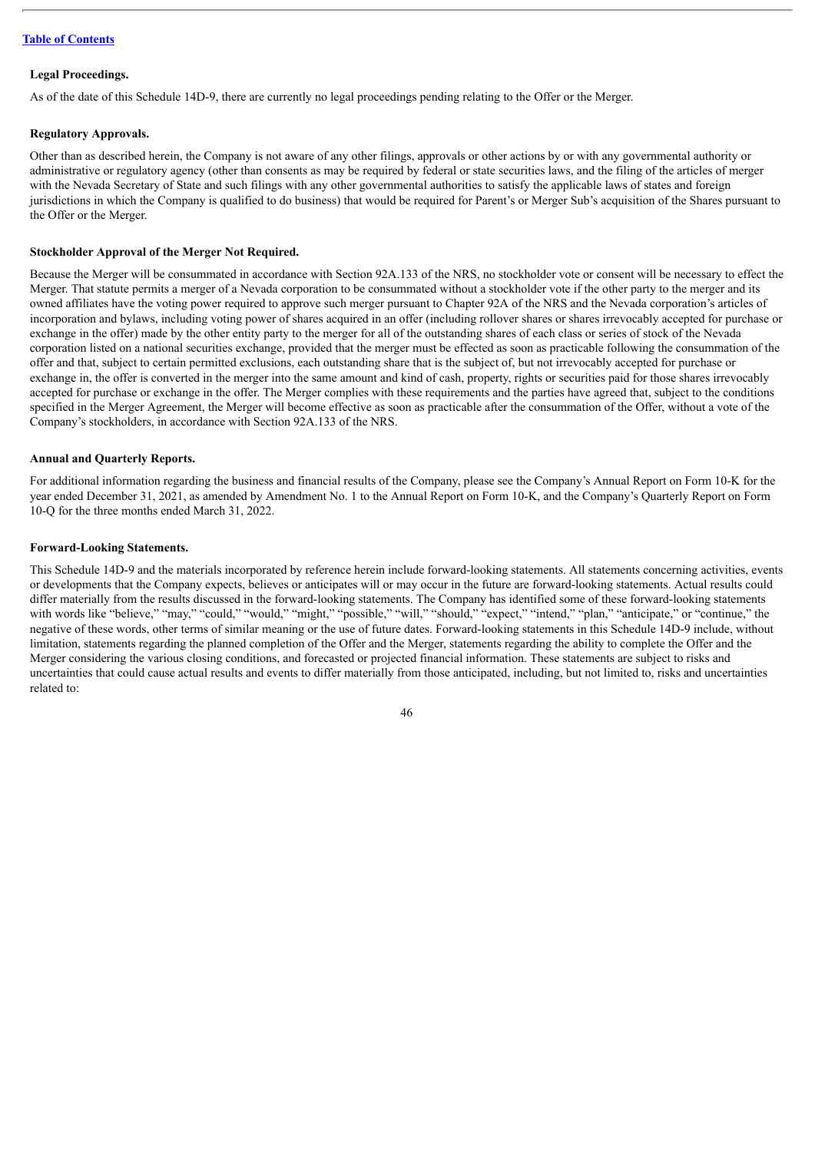### **Legal Proceedings.**

As of the date of this Schedule 14D-9, there are currently no legal proceedings pending relating to the Offer or the Merger.

### **Regulatory Approvals.**

Other than as described herein, the Company is not aware of any other filings, approvals or other actions by or with any governmental authority or administrative or regulatory agency (other than consents as may be required by federal or state securities laws, and the filing of the articles of merger with the Nevada Secretary of State and such filings with any other governmental authorities to satisfy the applicable laws of states and foreign jurisdictions in which the Company is qualified to do business) that would be required for Parent's or Merger Sub's acquisition of the Shares pursuant to the Offer or the Merger.

### **Stockholder Approval of the Merger Not Required.**

Because the Merger will be consummated in accordance with Section 92A.133 of the NRS, no stockholder vote or consent will be necessary to effect the Merger. That statute permits a merger of a Nevada corporation to be consummated without a stockholder vote if the other party to the merger and its owned affiliates have the voting power required to approve such merger pursuant to Chapter 92A of the NRS and the Nevada corporation's articles of incorporation and bylaws, including voting power of shares acquired in an offer (including rollover shares or shares irrevocably accepted for purchase or exchange in the offer) made by the other entity party to the merger for all of the outstanding shares of each class or series of stock of the Nevada corporation listed on a national securities exchange, provided that the merger must be effected as soon as practicable following the consummation of the offer and that, subject to certain permitted exclusions, each outstanding share that is the subject of, but not irrevocably accepted for purchase or exchange in, the offer is converted in the merger into the same amount and kind of cash, property, rights or securities paid for those shares irrevocably accepted for purchase or exchange in the offer. The Merger complies with these requirements and the parties have agreed that, subject to the conditions specified in the Merger Agreement, the Merger will become effective as soon as practicable after the consummation of the Offer, without a vote of the Company's stockholders, in accordance with Section 92A.133 of the NRS.

### **Annual and Quarterly Reports.**

For additional information regarding the business and financial results of the Company, please see the Company's Annual Report on Form 10-K for the year ended December 31, 2021, as amended by Amendment No. 1 to the Annual Report on Form 10-K, and the Company's Quarterly Report on Form 10-Q for the three months ended March 31, 2022.

### **Forward-Looking Statements.**

This Schedule 14D-9 and the materials incorporated by reference herein include forward-looking statements. All statements concerning activities, events or developments that the Company expects, believes or anticipates will or may occur in the future are forward-looking statements. Actual results could differ materially from the results discussed in the forward-looking statements. The Company has identified some of these forward-looking statements with words like "believe," "may," "could," "would," "might," "possible," "will," "should," "expect," "intend," "plan," "anticipate," or "continue," the negative of these words, other terms of similar meaning or the use of future dates. Forward-looking statements in this Schedule 14D-9 include, without limitation, statements regarding the planned completion of the Offer and the Merger, statements regarding the ability to complete the Offer and the Merger considering the various closing conditions, and forecasted or projected financial information. These statements are subject to risks and uncertainties that could cause actual results and events to differ materially from those anticipated, including, but not limited to, risks and uncertainties related to: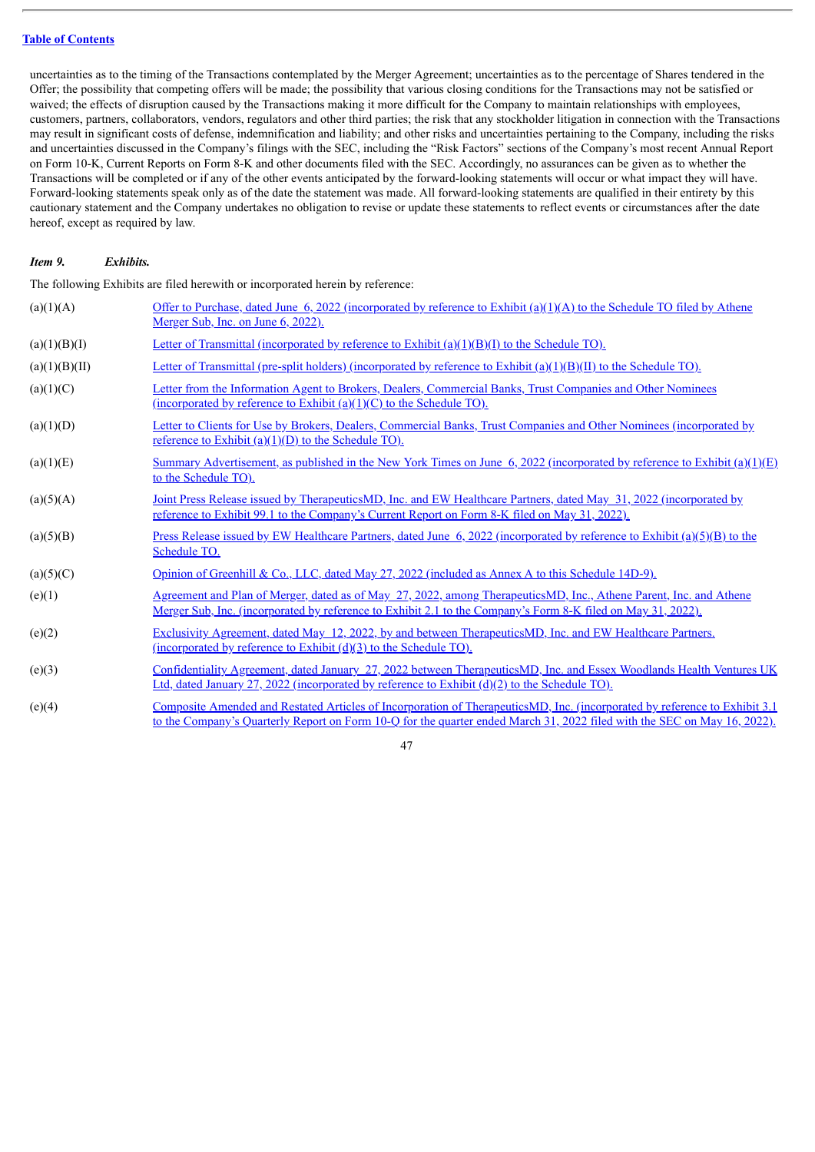uncertainties as to the timing of the Transactions contemplated by the Merger Agreement; uncertainties as to the percentage of Shares tendered in the Offer; the possibility that competing offers will be made; the possibility that various closing conditions for the Transactions may not be satisfied or waived; the effects of disruption caused by the Transactions making it more difficult for the Company to maintain relationships with employees, customers, partners, collaborators, vendors, regulators and other third parties; the risk that any stockholder litigation in connection with the Transactions may result in significant costs of defense, indemnification and liability; and other risks and uncertainties pertaining to the Company, including the risks and uncertainties discussed in the Company's filings with the SEC, including the "Risk Factors" sections of the Company's most recent Annual Report on Form 10-K, Current Reports on Form 8-K and other documents filed with the SEC. Accordingly, no assurances can be given as to whether the Transactions will be completed or if any of the other events anticipated by the forward-looking statements will occur or what impact they will have. Forward-looking statements speak only as of the date the statement was made. All forward-looking statements are qualified in their entirety by this cautionary statement and the Company undertakes no obligation to revise or update these statements to reflect events or circumstances after the date hereof, except as required by law.

### *Item 9. Exhibits.*

The following Exhibits are filed herewith or incorporated herein by reference:

| (a)(1)(A)     | Offer to Purchase, dated June 6, 2022 (incorporated by reference to Exhibit (a)(1)(A) to the Schedule TO filed by Athene<br>Merger Sub, Inc. on June 6, 2022).                                                                                         |
|---------------|--------------------------------------------------------------------------------------------------------------------------------------------------------------------------------------------------------------------------------------------------------|
| (a)(1)(B)(I)  | Letter of Transmittal (incorporated by reference to Exhibit $(a)(1)(B)(I)$ to the Schedule TO).                                                                                                                                                        |
| (a)(1)(B)(II) | Letter of Transmittal (pre-split holders) (incorporated by reference to Exhibit $(a)(1)(B)(II)$ to the Schedule TO).                                                                                                                                   |
| (a)(1)(C)     | Letter from the Information Agent to Brokers, Dealers, Commercial Banks, Trust Companies and Other Nominees<br>(incorporated by reference to Exhibit $(a)(1)(C)$ to the Schedule TO).                                                                  |
| (a)(1)(D)     | Letter to Clients for Use by Brokers, Dealers, Commercial Banks, Trust Companies and Other Nominees (incorporated by<br>reference to Exhibit $(a)(1)(D)$ to the Schedule TO).                                                                          |
| (a)(1)(E)     | Summary Advertisement, as published in the New York Times on June 6, 2022 (incorporated by reference to Exhibit (a)(1)(E)<br>to the Schedule TO).                                                                                                      |
| (a)(5)(A)     | Joint Press Release issued by TherapeuticsMD, Inc. and EW Healthcare Partners, dated May 31, 2022 (incorporated by<br>reference to Exhibit 99.1 to the Company's Current Report on Form 8-K filed on May 31, 2022).                                    |
| (a)(5)(B)     | <u>Press Release issued by EW Healthcare Partners, dated June 6, 2022 (incorporated by reference to Exhibit (a)(5)(B) to the</u><br>Schedule TO.                                                                                                       |
| (a)(5)(C)     | Opinion of Greenhill & Co., LLC, dated May 27, 2022 (included as Annex A to this Schedule 14D-9).                                                                                                                                                      |
| (e)(1)        | Agreement and Plan of Merger, dated as of May 27, 2022, among TherapeuticsMD, Inc., Athene Parent, Inc. and Athene<br>Merger Sub, Inc. (incorporated by reference to Exhibit 2.1 to the Company's Form 8-K filed on May 31, 2022).                     |
| (e)(2)        | Exclusivity Agreement, dated May 12, 2022, by and between TherapeuticsMD, Inc. and EW Healthcare Partners.<br>(incorporated by reference to Exhibit $(d)(3)$ to the Schedule TO).                                                                      |
| (e)(3)        | Confidentiality Agreement, dated January 27, 2022 between TherapeuticsMD, Inc. and Essex Woodlands Health Ventures UK<br>Ltd, dated January 27, 2022 (incorporated by reference to Exhibit $(d)(2)$ to the Schedule TO).                               |
| (e)(4)        | Composite Amended and Restated Articles of Incorporation of TherapeuticsMD, Inc. (incorporated by reference to Exhibit 3.1<br>to the Company's Quarterly Report on Form 10-Q for the quarter ended March 31, 2022 filed with the SEC on May 16, 2022). |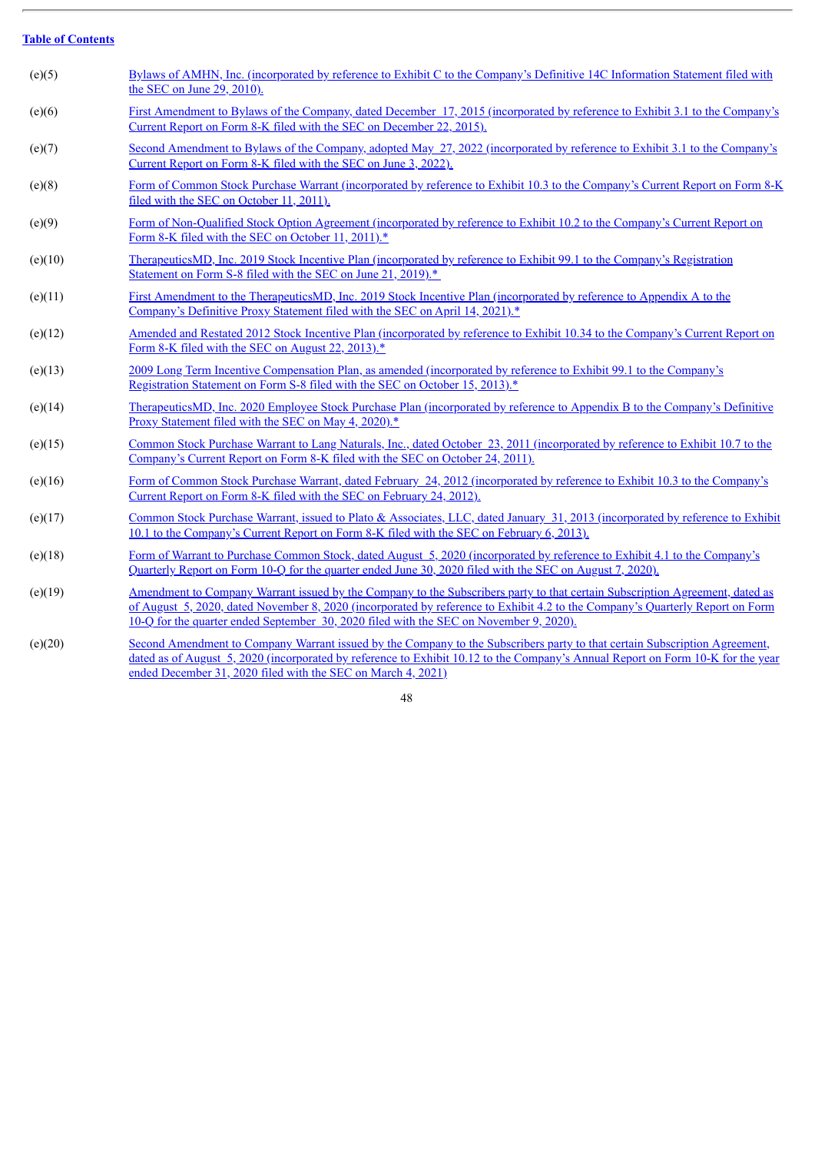| (e)(5)  | Bylaws of AMHN, Inc. (incorporated by reference to Exhibit C to the Company's Definitive 14C Information Statement filed with<br>the SEC on June 29, 2010).                                                                                                                                                                                             |
|---------|---------------------------------------------------------------------------------------------------------------------------------------------------------------------------------------------------------------------------------------------------------------------------------------------------------------------------------------------------------|
| (e)(6)  | <u>First Amendment to Bylaws of the Company, dated December 17, 2015 (incorporated by reference to Exhibit 3.1 to the Company's</u><br>Current Report on Form 8-K filed with the SEC on December 22, 2015).                                                                                                                                             |
| (e)(7)  | Second Amendment to Bylaws of the Company, adopted May 27, 2022 (incorporated by reference to Exhibit 3.1 to the Company's<br>Current Report on Form 8-K filed with the SEC on June 3, 2022).                                                                                                                                                           |
| (e)(8)  | Form of Common Stock Purchase Warrant (incorporated by reference to Exhibit 10.3 to the Company's Current Report on Form 8-K<br>filed with the SEC on October 11, 2011).                                                                                                                                                                                |
| (e)(9)  | Form of Non-Qualified Stock Option Agreement (incorporated by reference to Exhibit 10.2 to the Company's Current Report on<br>Form 8-K filed with the SEC on October 11, 2011).*                                                                                                                                                                        |
| (e)(10) | TherapeuticsMD, Inc. 2019 Stock Incentive Plan (incorporated by reference to Exhibit 99.1 to the Company's Registration<br>Statement on Form S-8 filed with the SEC on June 21, 2019). <sup>*</sup>                                                                                                                                                     |
| (e)(11) | First Amendment to the TherapeuticsMD, Inc. 2019 Stock Incentive Plan (incorporated by reference to Appendix A to the<br>Company's Definitive Proxy Statement filed with the SEC on April 14, 2021). <sup>*</sup>                                                                                                                                       |
| (e)(12) | Amended and Restated 2012 Stock Incentive Plan (incorporated by reference to Exhibit 10.34 to the Company's Current Report on<br>Form 8-K filed with the SEC on August 22, 2013).*                                                                                                                                                                      |
| (e)(13) | 2009 Long Term Incentive Compensation Plan, as amended (incorporated by reference to Exhibit 99.1 to the Company's<br>Registration Statement on Form S-8 filed with the SEC on October 15, 2013). <sup>*</sup>                                                                                                                                          |
| (e)(14) | TherapeuticsMD, Inc. 2020 Employee Stock Purchase Plan (incorporated by reference to Appendix B to the Company's Definitive<br>Proxy Statement filed with the SEC on May 4, 2020).*                                                                                                                                                                     |
| (e)(15) | Common Stock Purchase Warrant to Lang Naturals, Inc., dated October 23, 2011 (incorporated by reference to Exhibit 10.7 to the<br>Company's Current Report on Form 8-K filed with the SEC on October 24, 2011).                                                                                                                                         |
| (e)(16) | Form of Common Stock Purchase Warrant, dated February 24, 2012 (incorporated by reference to Exhibit 10.3 to the Company's<br>Current Report on Form 8-K filed with the SEC on February 24, 2012).                                                                                                                                                      |
| (e)(17) | Common Stock Purchase Warrant, issued to Plato & Associates, LLC, dated January 31, 2013 (incorporated by reference to Exhibit<br>10.1 to the Company's Current Report on Form 8-K filed with the SEC on February 6, 2013).                                                                                                                             |
| (e)(18) | Form of Warrant to Purchase Common Stock, dated August 5, 2020 (incorporated by reference to Exhibit 4.1 to the Company's<br>Quarterly Report on Form 10-Q for the quarter ended June 30, 2020 filed with the SEC on August 7, 2020).                                                                                                                   |
| (e)(19) | Amendment to Company Warrant issued by the Company to the Subscribers party to that certain Subscription Agreement, dated as<br>of August 5, 2020, dated November 8, 2020 (incorporated by reference to Exhibit 4.2 to the Company's Quarterly Report on Form<br>10-Q for the quarter ended September 30, 2020 filed with the SEC on November 9, 2020). |
| (e)(20) | Second Amendment to Company Warrant issued by the Company to the Subscribers party to that certain Subscription Agreement,<br>dated as of August 5, 2020 (incorporated by reference to Exhibit 10.12 to the Company's Annual Report on Form 10-K for the year                                                                                           |

48

ended December 31, 2020 filed with the SEC on March 4, 2021)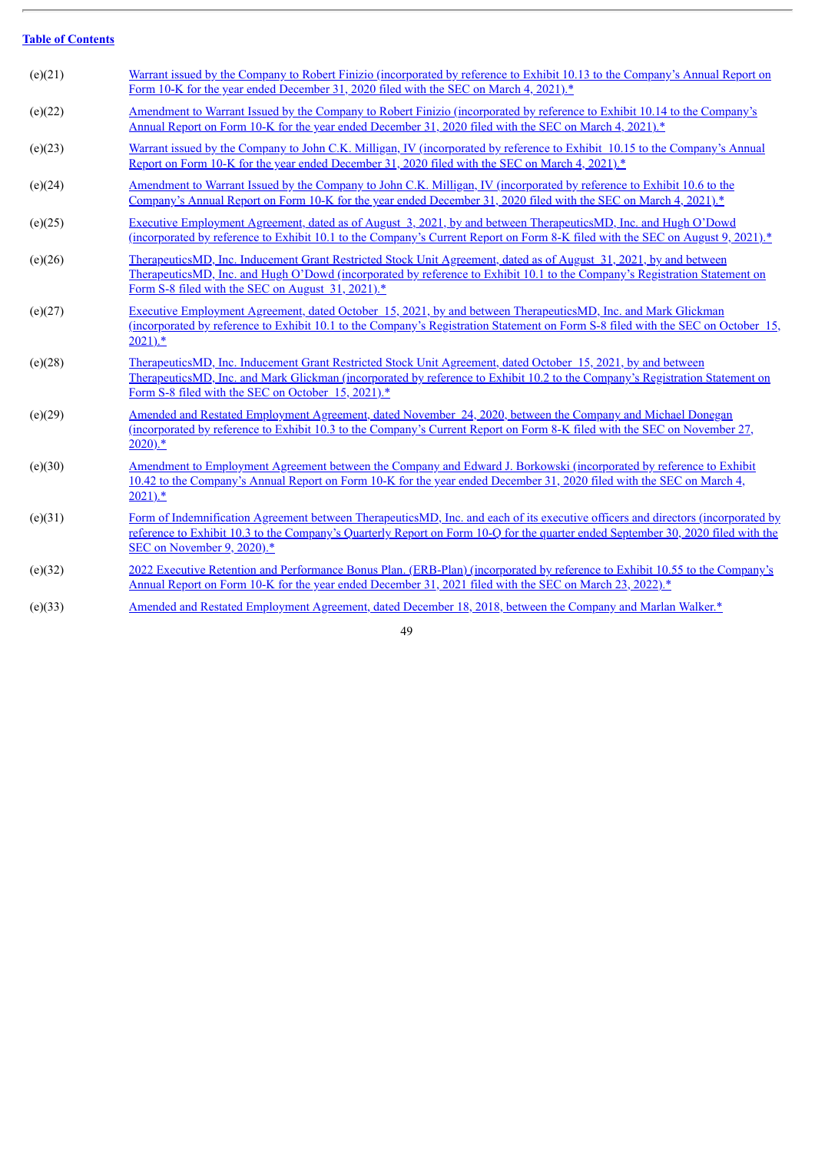J.

| (e)(21) | Warrant issued by the Company to Robert Finizio (incorporated by reference to Exhibit 10.13 to the Company's Annual Report on<br>Form 10-K for the year ended December 31, 2020 filed with the SEC on March 4, 2021).*                                                                                            |
|---------|-------------------------------------------------------------------------------------------------------------------------------------------------------------------------------------------------------------------------------------------------------------------------------------------------------------------|
| (e)(22) | <u>Amendment to Warrant Issued by the Company to Robert Finizio (incorporated by reference to Exhibit 10.14 to the Company's</u><br>Annual Report on Form 10-K for the year ended December 31, 2020 filed with the SEC on March 4, 2021).*                                                                        |
| (e)(23) | Warrant issued by the Company to John C.K. Milligan, IV (incorporated by reference to Exhibit 10.15 to the Company's Annual<br>Report on Form 10-K for the year ended December 31, 2020 filed with the SEC on March 4, 2021). <sup>*</sup>                                                                        |
| (e)(24) | Amendment to Warrant Issued by the Company to John C.K. Milligan, IV (incorporated by reference to Exhibit 10.6 to the<br>Company's Annual Report on Form 10-K for the year ended December 31, 2020 filed with the SEC on March 4, 2021).*                                                                        |
| (e)(25) | Executive Employment Agreement, dated as of August 3, 2021, by and between TherapeuticsMD, Inc. and Hugh O'Dowd<br>(incorporated by reference to Exhibit 10.1 to the Company's Current Report on Form 8-K filed with the SEC on August 9, 2021).*                                                                 |
| (e)(26) | TherapeuticsMD, Inc. Inducement Grant Restricted Stock Unit Agreement, dated as of August 31, 2021, by and between<br>TherapeuticsMD, Inc. and Hugh O'Dowd (incorporated by reference to Exhibit 10.1 to the Company's Registration Statement on<br>Form S-8 filed with the SEC on August 31, 2021). <sup>*</sup> |
| (e)(27) | Executive Employment Agreement, dated October 15, 2021, by and between TherapeuticsMD, Inc. and Mark Glickman<br><u>(incorporated by reference to Exhibit 10.1 to the Company's Registration Statement on Form S-8 filed with the SEC on October 15.</u><br>$2021$ .*                                             |
| (e)(28) | <u>TherapeuticsMD, Inc. Inducement Grant Restricted Stock Unit Agreement, dated October 15, 2021, by and between</u><br>TherapeuticsMD, Inc. and Mark Glickman (incorporated by reference to Exhibit 10.2 to the Company's Registration Statement on<br>Form S-8 filed with the SEC on October 15, 2021).*        |
| (e)(29) | <u>Amended and Restated Employment Agreement, dated November 24, 2020, between the Company and Michael Donegan</u><br>(incorporated by reference to Exhibit 10.3 to the Company's Current Report on Form 8-K filed with the SEC on November 27,<br>$2020$ ).*                                                     |
| (e)(30) | Amendment to Employment Agreement between the Company and Edward J. Borkowski (incorporated by reference to Exhibit<br>10.42 to the Company's Annual Report on Form 10-K for the year ended December 31, 2020 filed with the SEC on March 4,<br>$2021$ .*                                                         |
| (e)(31) | Form of Indemnification Agreement between TherapeuticsMD, Inc. and each of its executive officers and directors (incorporated by<br>reference to Exhibit 10.3 to the Company's Quarterly Report on Form 10-Q for the quarter ended September 30, 2020 filed with the<br>SEC on November 9, 2020).*                |
| (e)(32) | 2022 Executive Retention and Performance Bonus Plan. (ERB-Plan) (incorporated by reference to Exhibit 10.55 to the Company's<br>Annual Report on Form 10-K for the year ended December 31, 2021 filed with the SEC on March 23, 2022).*                                                                           |
| (e)(33) | Amended and Restated Employment Agreement, dated December 18, 2018, between the Company and Marlan Walker.*                                                                                                                                                                                                       |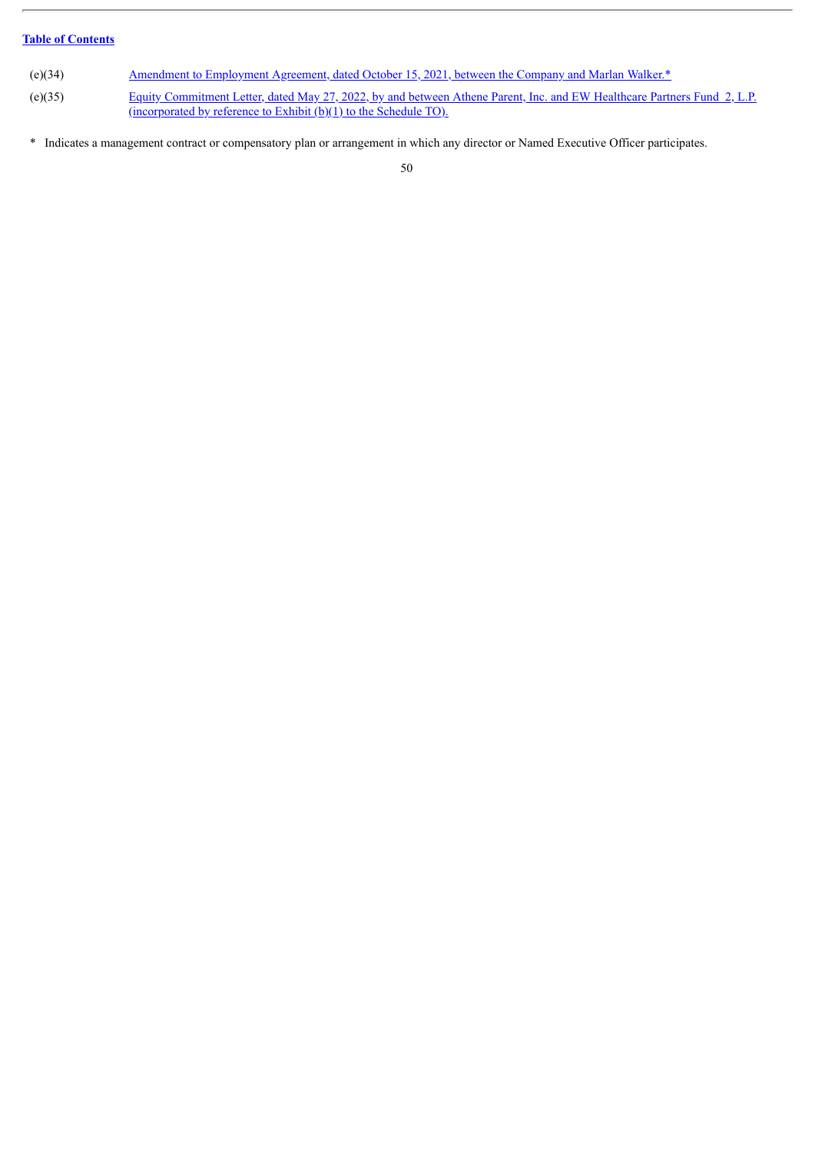- (e)(34) Amendment to [Employment](#page-73-0) Agreement, dated October 15, 2021, between the Company and Marlan Walker.\*
- (e)(35) Equity Commitment Letter, dated May 27, 2022, by and between Athene Parent, Inc. and EW Healthcare Partners Fund 2, L.P. [\(incorporated](http://www.sec.gov/Archives/edgar/data/25743/000119312522168449/d362217dex99b1.htm) by reference to Exhibit (b)(1) to the Schedule TO).
- \* Indicates a management contract or compensatory plan or arrangement in which any director or Named Executive Officer participates.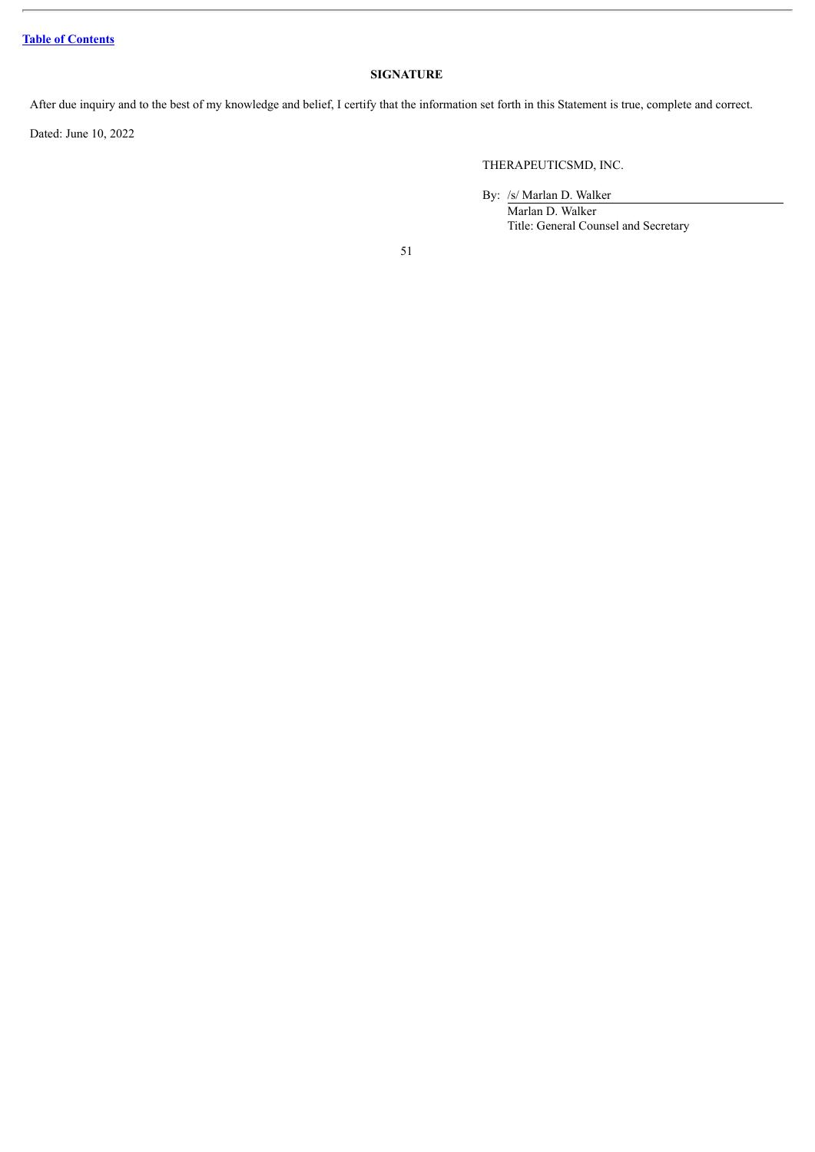# **SIGNATURE**

After due inquiry and to the best of my knowledge and belief, I certify that the information set forth in this Statement is true, complete and correct.

Dated: June 10, 2022

# THERAPEUTICSMD, INC.

By: /s/ Marlan D. Walker

Marlan D. Walker Title: General Counsel and Secretary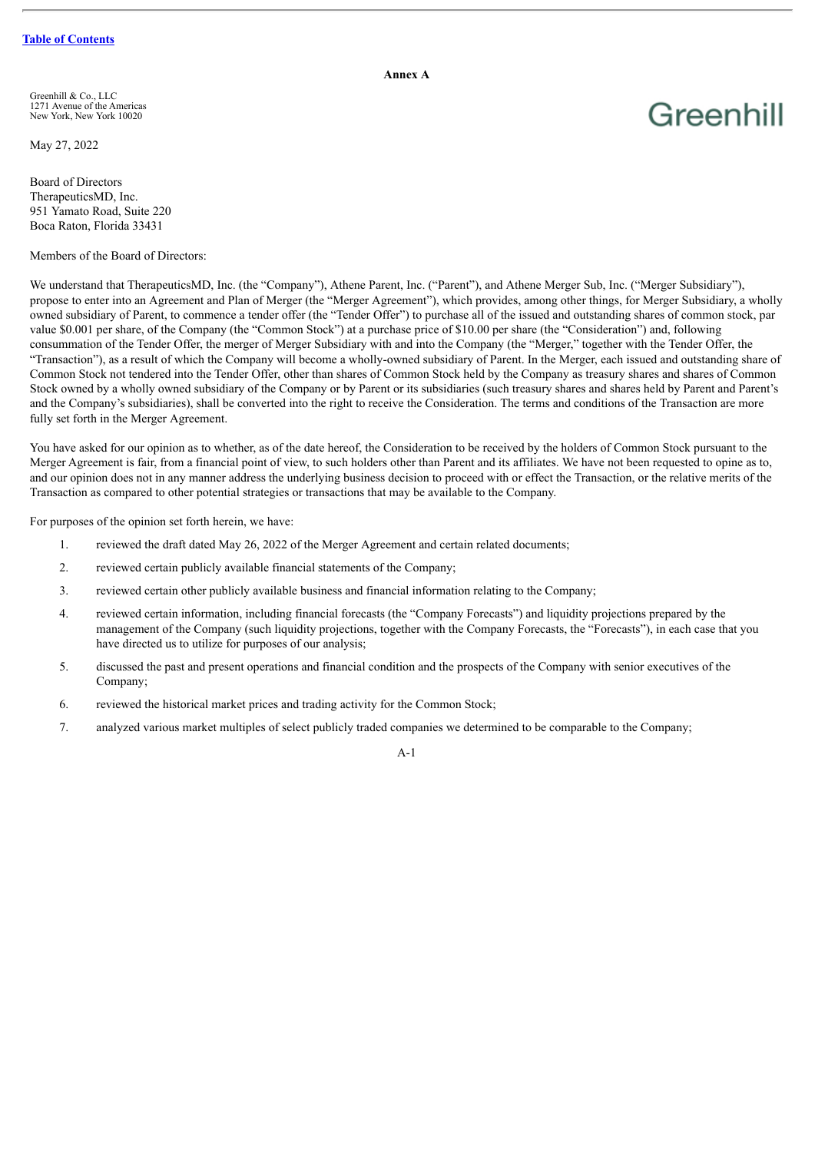**Annex A**

Greenhill

Greenhill & Co., LLC 1271 Avenue of the Americas New York, New York 10020

May 27, 2022

Board of Directors TherapeuticsMD, Inc. 951 Yamato Road, Suite 220 Boca Raton, Florida 33431

Members of the Board of Directors:

We understand that TherapeuticsMD, Inc. (the "Company"), Athene Parent, Inc. ("Parent"), and Athene Merger Sub, Inc. ("Merger Subsidiary"), propose to enter into an Agreement and Plan of Merger (the "Merger Agreement"), which provides, among other things, for Merger Subsidiary, a wholly owned subsidiary of Parent, to commence a tender offer (the "Tender Offer") to purchase all of the issued and outstanding shares of common stock, par value \$0.001 per share, of the Company (the "Common Stock") at a purchase price of \$10.00 per share (the "Consideration") and, following consummation of the Tender Offer, the merger of Merger Subsidiary with and into the Company (the "Merger," together with the Tender Offer, the "Transaction"), as a result of which the Company will become a wholly-owned subsidiary of Parent. In the Merger, each issued and outstanding share of Common Stock not tendered into the Tender Offer, other than shares of Common Stock held by the Company as treasury shares and shares of Common Stock owned by a wholly owned subsidiary of the Company or by Parent or its subsidiaries (such treasury shares and shares held by Parent and Parent's and the Company's subsidiaries), shall be converted into the right to receive the Consideration. The terms and conditions of the Transaction are more fully set forth in the Merger Agreement.

You have asked for our opinion as to whether, as of the date hereof, the Consideration to be received by the holders of Common Stock pursuant to the Merger Agreement is fair, from a financial point of view, to such holders other than Parent and its affiliates. We have not been requested to opine as to, and our opinion does not in any manner address the underlying business decision to proceed with or effect the Transaction, or the relative merits of the Transaction as compared to other potential strategies or transactions that may be available to the Company.

For purposes of the opinion set forth herein, we have:

- 1. reviewed the draft dated May 26, 2022 of the Merger Agreement and certain related documents;
- 2. reviewed certain publicly available financial statements of the Company;
- 3. reviewed certain other publicly available business and financial information relating to the Company;
- 4. reviewed certain information, including financial forecasts (the "Company Forecasts") and liquidity projections prepared by the management of the Company (such liquidity projections, together with the Company Forecasts, the "Forecasts"), in each case that you have directed us to utilize for purposes of our analysis;
- 5. discussed the past and present operations and financial condition and the prospects of the Company with senior executives of the Company;
- 6. reviewed the historical market prices and trading activity for the Common Stock;
- 7. analyzed various market multiples of select publicly traded companies we determined to be comparable to the Company;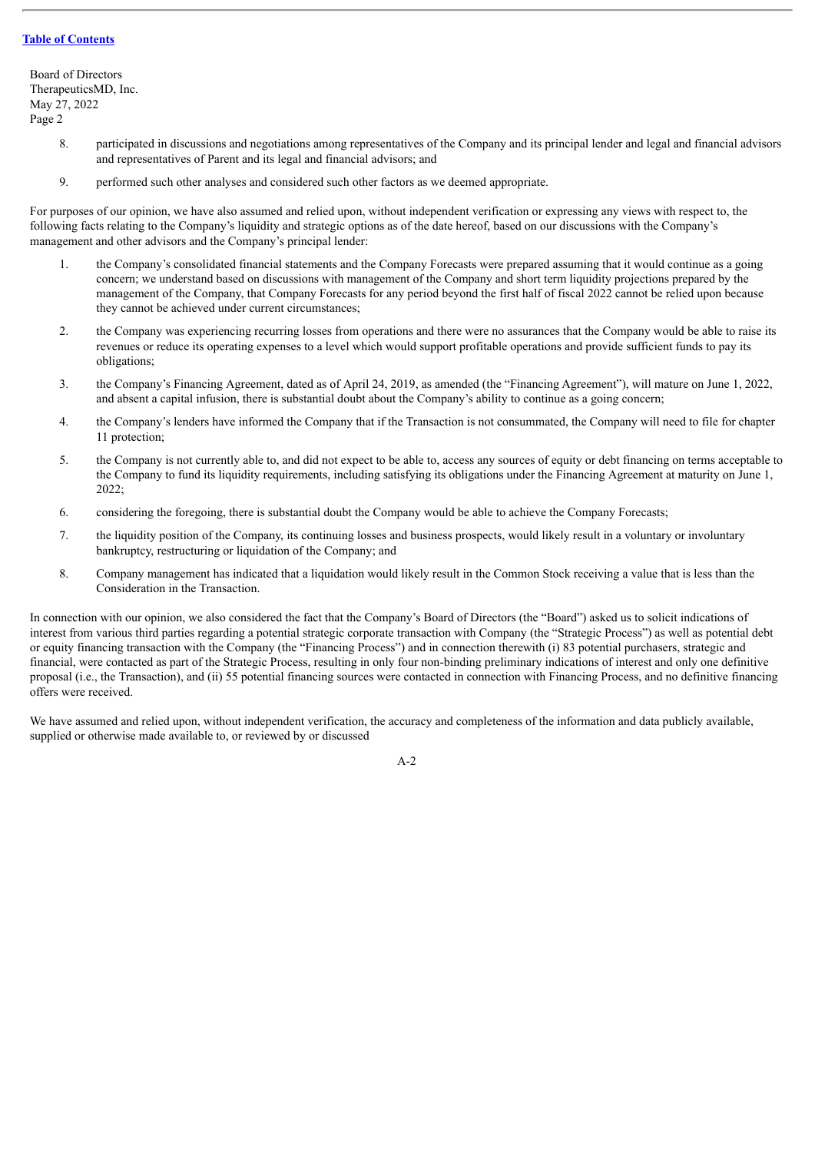Board of Directors TherapeuticsMD, Inc. May 27, 2022 Page 2

- 8. participated in discussions and negotiations among representatives of the Company and its principal lender and legal and financial advisors and representatives of Parent and its legal and financial advisors; and
- 9. performed such other analyses and considered such other factors as we deemed appropriate.

For purposes of our opinion, we have also assumed and relied upon, without independent verification or expressing any views with respect to, the following facts relating to the Company's liquidity and strategic options as of the date hereof, based on our discussions with the Company's management and other advisors and the Company's principal lender:

- 1. the Company's consolidated financial statements and the Company Forecasts were prepared assuming that it would continue as a going concern; we understand based on discussions with management of the Company and short term liquidity projections prepared by the management of the Company, that Company Forecasts for any period beyond the first half of fiscal 2022 cannot be relied upon because they cannot be achieved under current circumstances;
- 2. the Company was experiencing recurring losses from operations and there were no assurances that the Company would be able to raise its revenues or reduce its operating expenses to a level which would support profitable operations and provide sufficient funds to pay its obligations;
- 3. the Company's Financing Agreement, dated as of April 24, 2019, as amended (the "Financing Agreement"), will mature on June 1, 2022, and absent a capital infusion, there is substantial doubt about the Company's ability to continue as a going concern;
- 4. the Company's lenders have informed the Company that if the Transaction is not consummated, the Company will need to file for chapter 11 protection;
- 5. the Company is not currently able to, and did not expect to be able to, access any sources of equity or debt financing on terms acceptable to the Company to fund its liquidity requirements, including satisfying its obligations under the Financing Agreement at maturity on June 1, 2022;
- 6. considering the foregoing, there is substantial doubt the Company would be able to achieve the Company Forecasts;
- 7. the liquidity position of the Company, its continuing losses and business prospects, would likely result in a voluntary or involuntary bankruptcy, restructuring or liquidation of the Company; and
- 8. Company management has indicated that a liquidation would likely result in the Common Stock receiving a value that is less than the Consideration in the Transaction.

In connection with our opinion, we also considered the fact that the Company's Board of Directors (the "Board") asked us to solicit indications of interest from various third parties regarding a potential strategic corporate transaction with Company (the "Strategic Process") as well as potential debt or equity financing transaction with the Company (the "Financing Process") and in connection therewith (i) 83 potential purchasers, strategic and financial, were contacted as part of the Strategic Process, resulting in only four non-binding preliminary indications of interest and only one definitive proposal (i.e., the Transaction), and (ii) 55 potential financing sources were contacted in connection with Financing Process, and no definitive financing offers were received.

We have assumed and relied upon, without independent verification, the accuracy and completeness of the information and data publicly available, supplied or otherwise made available to, or reviewed by or discussed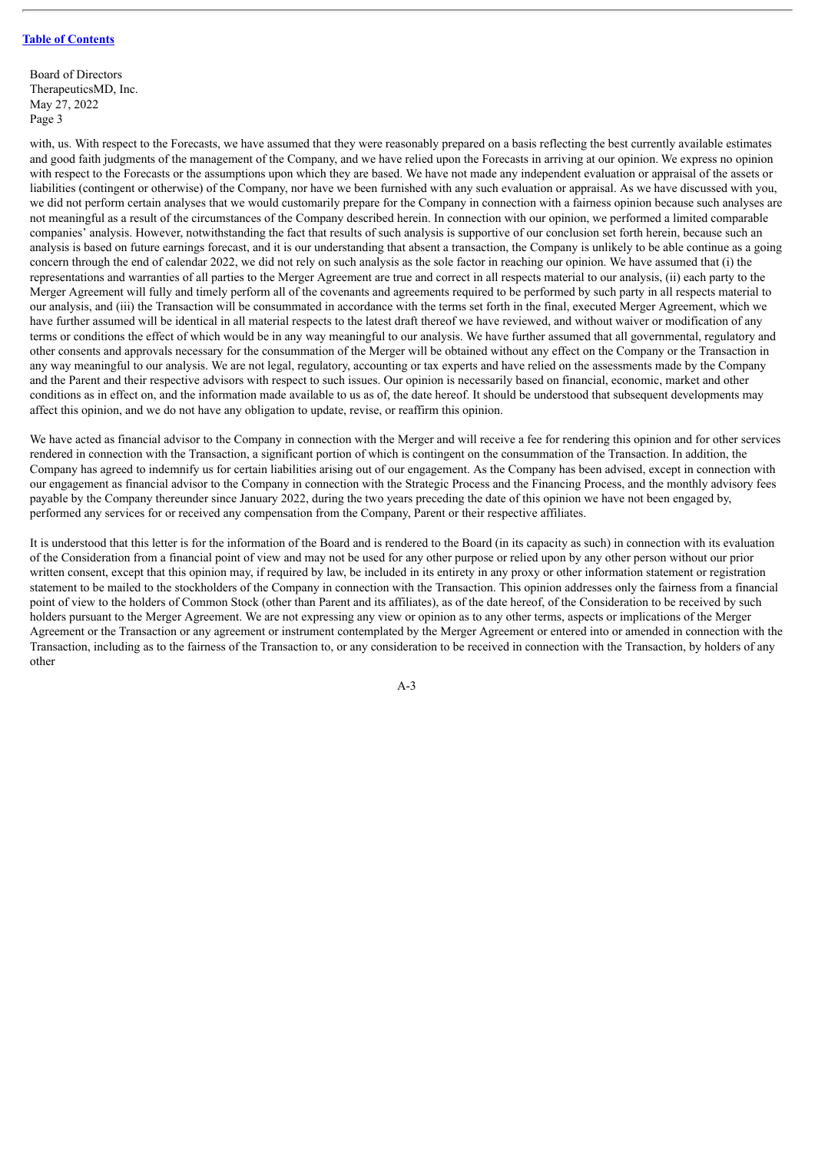Board of Directors TherapeuticsMD, Inc. May 27, 2022 Page 3

with, us. With respect to the Forecasts, we have assumed that they were reasonably prepared on a basis reflecting the best currently available estimates and good faith judgments of the management of the Company, and we have relied upon the Forecasts in arriving at our opinion. We express no opinion with respect to the Forecasts or the assumptions upon which they are based. We have not made any independent evaluation or appraisal of the assets or liabilities (contingent or otherwise) of the Company, nor have we been furnished with any such evaluation or appraisal. As we have discussed with you, we did not perform certain analyses that we would customarily prepare for the Company in connection with a fairness opinion because such analyses are not meaningful as a result of the circumstances of the Company described herein. In connection with our opinion, we performed a limited comparable companies' analysis. However, notwithstanding the fact that results of such analysis is supportive of our conclusion set forth herein, because such an analysis is based on future earnings forecast, and it is our understanding that absent a transaction, the Company is unlikely to be able continue as a going concern through the end of calendar 2022, we did not rely on such analysis as the sole factor in reaching our opinion. We have assumed that (i) the representations and warranties of all parties to the Merger Agreement are true and correct in all respects material to our analysis, (ii) each party to the Merger Agreement will fully and timely perform all of the covenants and agreements required to be performed by such party in all respects material to our analysis, and (iii) the Transaction will be consummated in accordance with the terms set forth in the final, executed Merger Agreement, which we have further assumed will be identical in all material respects to the latest draft thereof we have reviewed, and without waiver or modification of any terms or conditions the effect of which would be in any way meaningful to our analysis. We have further assumed that all governmental, regulatory and other consents and approvals necessary for the consummation of the Merger will be obtained without any effect on the Company or the Transaction in any way meaningful to our analysis. We are not legal, regulatory, accounting or tax experts and have relied on the assessments made by the Company and the Parent and their respective advisors with respect to such issues. Our opinion is necessarily based on financial, economic, market and other conditions as in effect on, and the information made available to us as of, the date hereof. It should be understood that subsequent developments may affect this opinion, and we do not have any obligation to update, revise, or reaffirm this opinion.

We have acted as financial advisor to the Company in connection with the Merger and will receive a fee for rendering this opinion and for other services rendered in connection with the Transaction, a significant portion of which is contingent on the consummation of the Transaction. In addition, the Company has agreed to indemnify us for certain liabilities arising out of our engagement. As the Company has been advised, except in connection with our engagement as financial advisor to the Company in connection with the Strategic Process and the Financing Process, and the monthly advisory fees payable by the Company thereunder since January 2022, during the two years preceding the date of this opinion we have not been engaged by, performed any services for or received any compensation from the Company, Parent or their respective affiliates.

It is understood that this letter is for the information of the Board and is rendered to the Board (in its capacity as such) in connection with its evaluation of the Consideration from a financial point of view and may not be used for any other purpose or relied upon by any other person without our prior written consent, except that this opinion may, if required by law, be included in its entirety in any proxy or other information statement or registration statement to be mailed to the stockholders of the Company in connection with the Transaction. This opinion addresses only the fairness from a financial point of view to the holders of Common Stock (other than Parent and its affiliates), as of the date hereof, of the Consideration to be received by such holders pursuant to the Merger Agreement. We are not expressing any view or opinion as to any other terms, aspects or implications of the Merger Agreement or the Transaction or any agreement or instrument contemplated by the Merger Agreement or entered into or amended in connection with the Transaction, including as to the fairness of the Transaction to, or any consideration to be received in connection with the Transaction, by holders of any other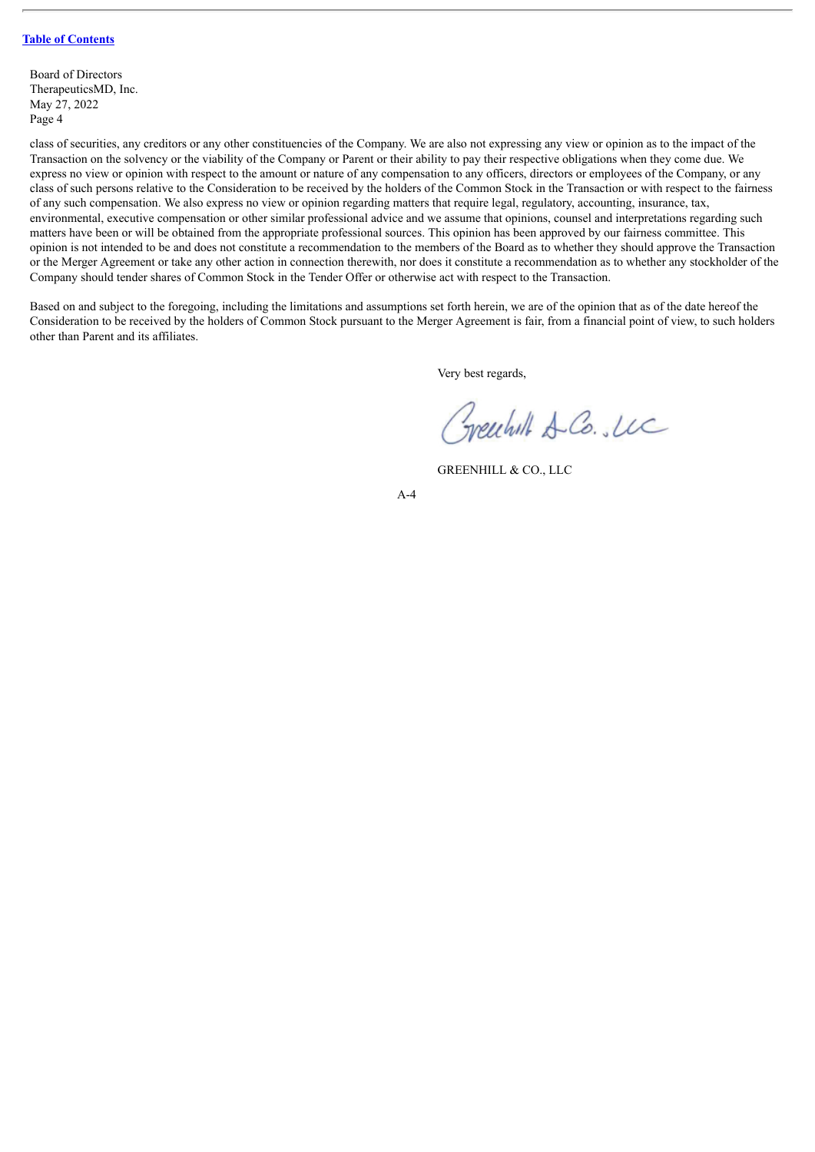Board of Directors TherapeuticsMD, Inc. May 27, 2022 Page 4

class of securities, any creditors or any other constituencies of the Company. We are also not expressing any view or opinion as to the impact of the Transaction on the solvency or the viability of the Company or Parent or their ability to pay their respective obligations when they come due. We express no view or opinion with respect to the amount or nature of any compensation to any officers, directors or employees of the Company, or any class of such persons relative to the Consideration to be received by the holders of the Common Stock in the Transaction or with respect to the fairness of any such compensation. We also express no view or opinion regarding matters that require legal, regulatory, accounting, insurance, tax, environmental, executive compensation or other similar professional advice and we assume that opinions, counsel and interpretations regarding such matters have been or will be obtained from the appropriate professional sources. This opinion has been approved by our fairness committee. This opinion is not intended to be and does not constitute a recommendation to the members of the Board as to whether they should approve the Transaction or the Merger Agreement or take any other action in connection therewith, nor does it constitute a recommendation as to whether any stockholder of the Company should tender shares of Common Stock in the Tender Offer or otherwise act with respect to the Transaction.

Based on and subject to the foregoing, including the limitations and assumptions set forth herein, we are of the opinion that as of the date hereof the Consideration to be received by the holders of Common Stock pursuant to the Merger Agreement is fair, from a financial point of view, to such holders other than Parent and its affiliates.

Very best regards,

Greechill & Co. Luc

GREENHILL & CO., LLC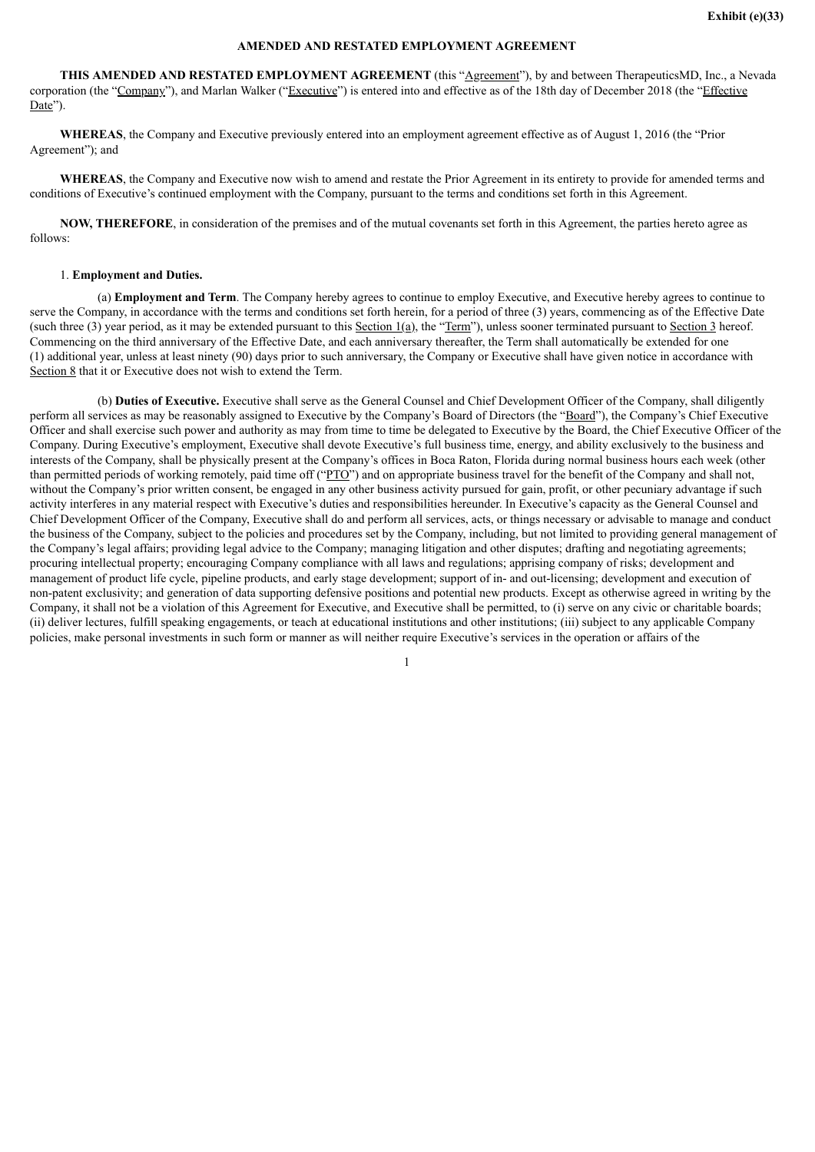### **AMENDED AND RESTATED EMPLOYMENT AGREEMENT**

<span id="page-55-0"></span>THIS AMENDED AND RESTATED EMPLOYMENT AGREEMENT (this "Agreement"), by and between TherapeuticsMD, Inc., a Nevada corporation (the "Company"), and Marlan Walker ("Executive") is entered into and effective as of the 18th day of December 2018 (the "Effective") Date").

**WHEREAS**, the Company and Executive previously entered into an employment agreement effective as of August 1, 2016 (the "Prior Agreement"); and

**WHEREAS**, the Company and Executive now wish to amend and restate the Prior Agreement in its entirety to provide for amended terms and conditions of Executive's continued employment with the Company, pursuant to the terms and conditions set forth in this Agreement.

**NOW, THEREFORE**, in consideration of the premises and of the mutual covenants set forth in this Agreement, the parties hereto agree as follows:

### 1. **Employment and Duties.**

(a) **Employment and Term**. The Company hereby agrees to continue to employ Executive, and Executive hereby agrees to continue to serve the Company, in accordance with the terms and conditions set forth herein, for a period of three (3) years, commencing as of the Effective Date (such three (3) year period, as it may be extended pursuant to this Section 1(a), the "Term"), unless sooner terminated pursuant to Section 3 hereof. Commencing on the third anniversary of the Effective Date, and each anniversary thereafter, the Term shall automatically be extended for one (1) additional year, unless at least ninety (90) days prior to such anniversary, the Company or Executive shall have given notice in accordance with Section 8 that it or Executive does not wish to extend the Term.

(b) **Duties of Executive.** Executive shall serve as the General Counsel and Chief Development Officer of the Company, shall diligently perform all services as may be reasonably assigned to Executive by the Company's Board of Directors (the "Board"), the Company's Chief Executive Officer and shall exercise such power and authority as may from time to time be delegated to Executive by the Board, the Chief Executive Officer of the Company. During Executive's employment, Executive shall devote Executive's full business time, energy, and ability exclusively to the business and interests of the Company, shall be physically present at the Company's offices in Boca Raton, Florida during normal business hours each week (other than permitted periods of working remotely, paid time off ("PTO") and on appropriate business travel for the benefit of the Company and shall not, without the Company's prior written consent, be engaged in any other business activity pursued for gain, profit, or other pecuniary advantage if such activity interferes in any material respect with Executive's duties and responsibilities hereunder. In Executive's capacity as the General Counsel and Chief Development Officer of the Company, Executive shall do and perform all services, acts, or things necessary or advisable to manage and conduct the business of the Company, subject to the policies and procedures set by the Company, including, but not limited to providing general management of the Company's legal affairs; providing legal advice to the Company; managing litigation and other disputes; drafting and negotiating agreements; procuring intellectual property; encouraging Company compliance with all laws and regulations; apprising company of risks; development and management of product life cycle, pipeline products, and early stage development; support of in- and out-licensing; development and execution of non-patent exclusivity; and generation of data supporting defensive positions and potential new products. Except as otherwise agreed in writing by the Company, it shall not be a violation of this Agreement for Executive, and Executive shall be permitted, to (i) serve on any civic or charitable boards; (ii) deliver lectures, fulfill speaking engagements, or teach at educational institutions and other institutions; (iii) subject to any applicable Company policies, make personal investments in such form or manner as will neither require Executive's services in the operation or affairs of the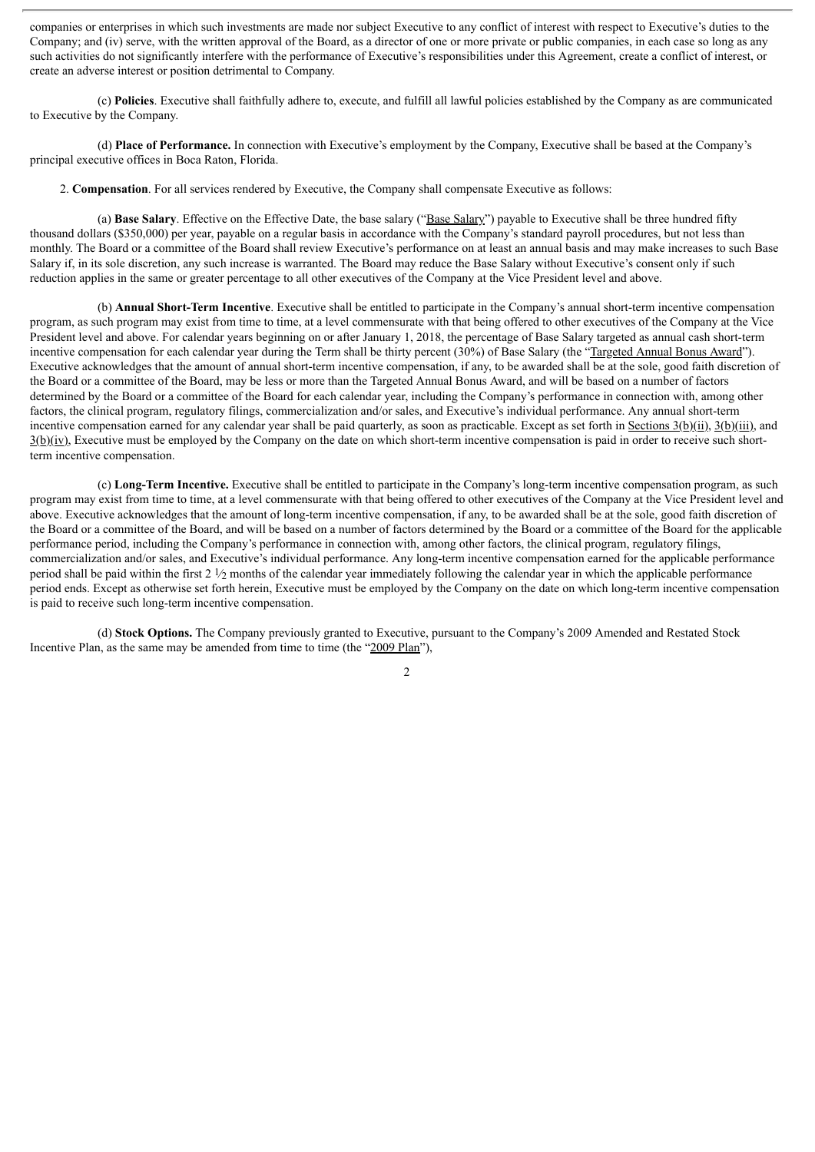companies or enterprises in which such investments are made nor subject Executive to any conflict of interest with respect to Executive's duties to the Company; and (iv) serve, with the written approval of the Board, as a director of one or more private or public companies, in each case so long as any such activities do not significantly interfere with the performance of Executive's responsibilities under this Agreement, create a conflict of interest, or create an adverse interest or position detrimental to Company.

(c) **Policies**. Executive shall faithfully adhere to, execute, and fulfill all lawful policies established by the Company as are communicated to Executive by the Company.

(d) **Place of Performance.** In connection with Executive's employment by the Company, Executive shall be based at the Company's principal executive offices in Boca Raton, Florida.

2. **Compensation**. For all services rendered by Executive, the Company shall compensate Executive as follows:

(a) **Base Salary**. Effective on the Effective Date, the base salary ("Base Salary") payable to Executive shall be three hundred fifty thousand dollars (\$350,000) per year, payable on a regular basis in accordance with the Company's standard payroll procedures, but not less than monthly. The Board or a committee of the Board shall review Executive's performance on at least an annual basis and may make increases to such Base Salary if, in its sole discretion, any such increase is warranted. The Board may reduce the Base Salary without Executive's consent only if such reduction applies in the same or greater percentage to all other executives of the Company at the Vice President level and above.

(b) **Annual Short-Term Incentive**. Executive shall be entitled to participate in the Company's annual short-term incentive compensation program, as such program may exist from time to time, at a level commensurate with that being offered to other executives of the Company at the Vice President level and above. For calendar years beginning on or after January 1, 2018, the percentage of Base Salary targeted as annual cash short-term incentive compensation for each calendar year during the Term shall be thirty percent (30%) of Base Salary (the "Targeted Annual Bonus Award"). Executive acknowledges that the amount of annual short-term incentive compensation, if any, to be awarded shall be at the sole, good faith discretion of the Board or a committee of the Board, may be less or more than the Targeted Annual Bonus Award, and will be based on a number of factors determined by the Board or a committee of the Board for each calendar year, including the Company's performance in connection with, among other factors, the clinical program, regulatory filings, commercialization and/or sales, and Executive's individual performance. Any annual short-term incentive compensation earned for any calendar year shall be paid quarterly, as soon as practicable. Except as set forth in Sections  $3(b)(ii)$ ,  $3(b)(iii)$ , and 3(b)(iv), Executive must be employed by the Company on the date on which short-term incentive compensation is paid in order to receive such shortterm incentive compensation.

(c) **Long-Term Incentive.** Executive shall be entitled to participate in the Company's long-term incentive compensation program, as such program may exist from time to time, at a level commensurate with that being offered to other executives of the Company at the Vice President level and above. Executive acknowledges that the amount of long-term incentive compensation, if any, to be awarded shall be at the sole, good faith discretion of the Board or a committee of the Board, and will be based on a number of factors determined by the Board or a committee of the Board for the applicable performance period, including the Company's performance in connection with, among other factors, the clinical program, regulatory filings, commercialization and/or sales, and Executive's individual performance. Any long-term incentive compensation earned for the applicable performance period shall be paid within the first  $2 \frac{1}{2}$  months of the calendar year immediately following the calendar year in which the applicable performance period ends. Except as otherwise set forth herein, Executive must be employed by the Company on the date on which long-term incentive compensation is paid to receive such long-term incentive compensation.

(d) **Stock Options.** The Company previously granted to Executive, pursuant to the Company's 2009 Amended and Restated Stock Incentive Plan, as the same may be amended from time to time (the "2009 Plan"),

 $\overline{2}$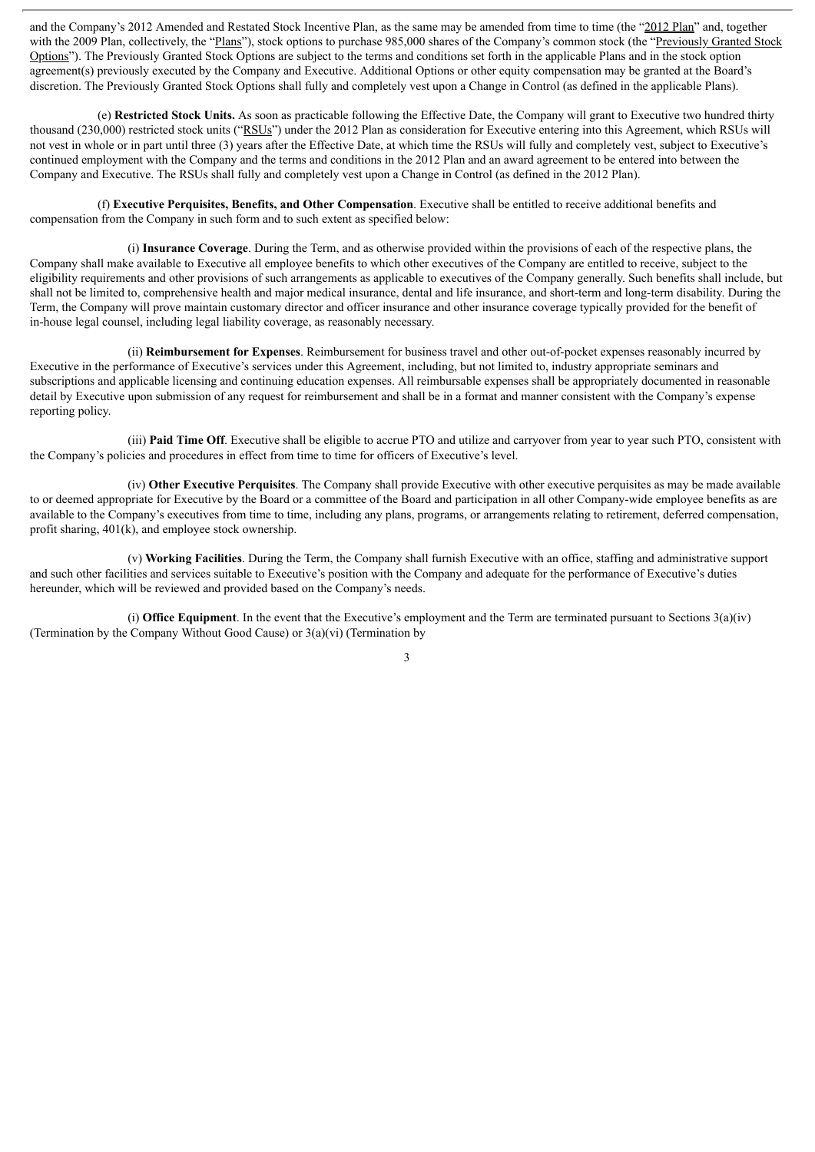and the Company's 2012 Amended and Restated Stock Incentive Plan, as the same may be amended from time to time (the "2012 Plan" and, together with the 2009 Plan, collectively, the "Plans"), stock options to purchase 985,000 shares of the Company's common stock (the "Previously Granted Stock Options"). The Previously Granted Stock Options are subject to the terms and conditions set forth in the applicable Plans and in the stock option agreement(s) previously executed by the Company and Executive. Additional Options or other equity compensation may be granted at the Board's discretion. The Previously Granted Stock Options shall fully and completely vest upon a Change in Control (as defined in the applicable Plans).

(e) **Restricted Stock Units.** As soon as practicable following the Effective Date, the Company will grant to Executive two hundred thirty thousand (230,000) restricted stock units ("RSUs") under the 2012 Plan as consideration for Executive entering into this Agreement, which RSUs will not vest in whole or in part until three (3) years after the Effective Date, at which time the RSUs will fully and completely vest, subject to Executive's continued employment with the Company and the terms and conditions in the 2012 Plan and an award agreement to be entered into between the Company and Executive. The RSUs shall fully and completely vest upon a Change in Control (as defined in the 2012 Plan).

(f) **Executive Perquisites, Benefits, and Other Compensation**. Executive shall be entitled to receive additional benefits and compensation from the Company in such form and to such extent as specified below:

(i) **Insurance Coverage**. During the Term, and as otherwise provided within the provisions of each of the respective plans, the Company shall make available to Executive all employee benefits to which other executives of the Company are entitled to receive, subject to the eligibility requirements and other provisions of such arrangements as applicable to executives of the Company generally. Such benefits shall include, but shall not be limited to, comprehensive health and major medical insurance, dental and life insurance, and short-term and long-term disability. During the Term, the Company will prove maintain customary director and officer insurance and other insurance coverage typically provided for the benefit of in-house legal counsel, including legal liability coverage, as reasonably necessary.

(ii) **Reimbursement for Expenses**. Reimbursement for business travel and other out-of-pocket expenses reasonably incurred by Executive in the performance of Executive's services under this Agreement, including, but not limited to, industry appropriate seminars and subscriptions and applicable licensing and continuing education expenses. All reimbursable expenses shall be appropriately documented in reasonable detail by Executive upon submission of any request for reimbursement and shall be in a format and manner consistent with the Company's expense reporting policy.

(iii) **Paid Time Off**. Executive shall be eligible to accrue PTO and utilize and carryover from year to year such PTO, consistent with the Company's policies and procedures in effect from time to time for officers of Executive's level.

(iv) **Other Executive Perquisites**. The Company shall provide Executive with other executive perquisites as may be made available to or deemed appropriate for Executive by the Board or a committee of the Board and participation in all other Company-wide employee benefits as are available to the Company's executives from time to time, including any plans, programs, or arrangements relating to retirement, deferred compensation, profit sharing, 401(k), and employee stock ownership.

(v) **Working Facilities**. During the Term, the Company shall furnish Executive with an office, staffing and administrative support and such other facilities and services suitable to Executive's position with the Company and adequate for the performance of Executive's duties hereunder, which will be reviewed and provided based on the Company's needs.

(i) **Office Equipment**. In the event that the Executive's employment and the Term are terminated pursuant to Sections 3(a)(iv) (Termination by the Company Without Good Cause) or  $3(a)(vi)$  (Termination by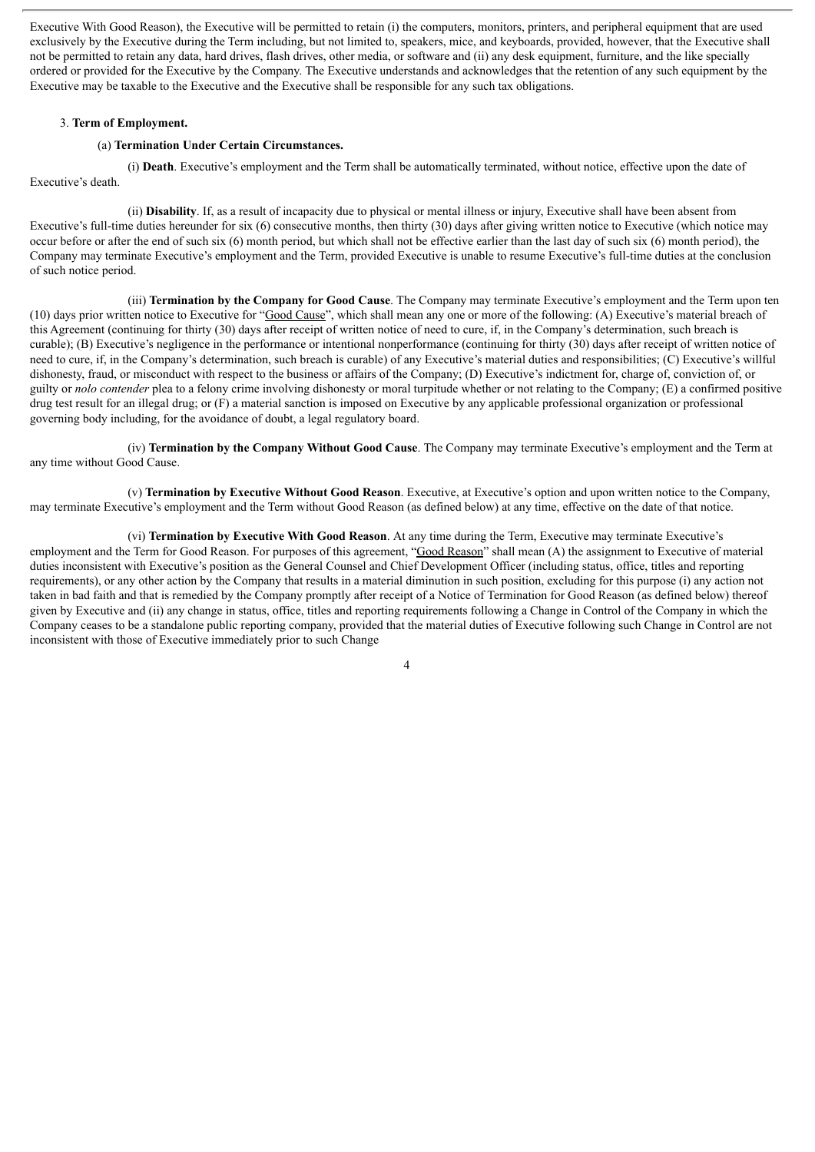Executive With Good Reason), the Executive will be permitted to retain (i) the computers, monitors, printers, and peripheral equipment that are used exclusively by the Executive during the Term including, but not limited to, speakers, mice, and keyboards, provided, however, that the Executive shall not be permitted to retain any data, hard drives, flash drives, other media, or software and (ii) any desk equipment, furniture, and the like specially ordered or provided for the Executive by the Company. The Executive understands and acknowledges that the retention of any such equipment by the Executive may be taxable to the Executive and the Executive shall be responsible for any such tax obligations.

#### 3. **Term of Employment.**

### (a) **Termination Under Certain Circumstances.**

(i) **Death**. Executive's employment and the Term shall be automatically terminated, without notice, effective upon the date of Executive's death.

(ii) **Disability**. If, as a result of incapacity due to physical or mental illness or injury, Executive shall have been absent from Executive's full-time duties hereunder for six (6) consecutive months, then thirty (30) days after giving written notice to Executive (which notice may occur before or after the end of such six (6) month period, but which shall not be effective earlier than the last day of such six (6) month period), the Company may terminate Executive's employment and the Term, provided Executive is unable to resume Executive's full-time duties at the conclusion of such notice period.

(iii) **Termination by the Company for Good Cause**. The Company may terminate Executive's employment and the Term upon ten (10) days prior written notice to Executive for "Good Cause", which shall mean any one or more of the following: (A) Executive's material breach of this Agreement (continuing for thirty (30) days after receipt of written notice of need to cure, if, in the Company's determination, such breach is curable); (B) Executive's negligence in the performance or intentional nonperformance (continuing for thirty (30) days after receipt of written notice of need to cure, if, in the Company's determination, such breach is curable) of any Executive's material duties and responsibilities; (C) Executive's willful dishonesty, fraud, or misconduct with respect to the business or affairs of the Company; (D) Executive's indictment for, charge of, conviction of, or guilty or *nolo contender* plea to a felony crime involving dishonesty or moral turpitude whether or not relating to the Company; (E) a confirmed positive drug test result for an illegal drug; or (F) a material sanction is imposed on Executive by any applicable professional organization or professional governing body including, for the avoidance of doubt, a legal regulatory board.

(iv) **Termination by the Company Without Good Cause**. The Company may terminate Executive's employment and the Term at any time without Good Cause.

(v) **Termination by Executive Without Good Reason**. Executive, at Executive's option and upon written notice to the Company, may terminate Executive's employment and the Term without Good Reason (as defined below) at any time, effective on the date of that notice.

(vi) **Termination by Executive With Good Reason**. At any time during the Term, Executive may terminate Executive's employment and the Term for Good Reason. For purposes of this agreement, "Good Reason" shall mean (A) the assignment to Executive of material duties inconsistent with Executive's position as the General Counsel and Chief Development Officer (including status, office, titles and reporting requirements), or any other action by the Company that results in a material diminution in such position, excluding for this purpose (i) any action not taken in bad faith and that is remedied by the Company promptly after receipt of a Notice of Termination for Good Reason (as defined below) thereof given by Executive and (ii) any change in status, office, titles and reporting requirements following a Change in Control of the Company in which the Company ceases to be a standalone public reporting company, provided that the material duties of Executive following such Change in Control are not inconsistent with those of Executive immediately prior to such Change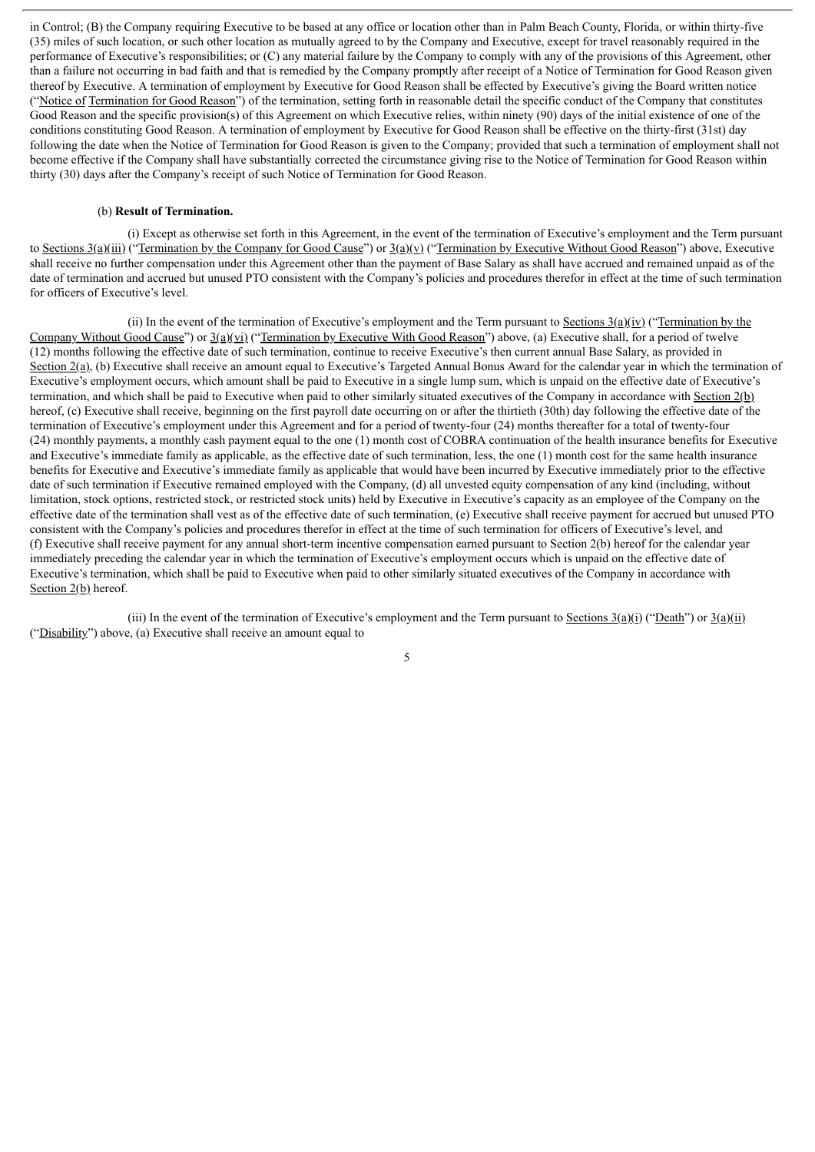in Control; (B) the Company requiring Executive to be based at any office or location other than in Palm Beach County, Florida, or within thirty-five (35) miles of such location, or such other location as mutually agreed to by the Company and Executive, except for travel reasonably required in the performance of Executive's responsibilities; or (C) any material failure by the Company to comply with any of the provisions of this Agreement, other than a failure not occurring in bad faith and that is remedied by the Company promptly after receipt of a Notice of Termination for Good Reason given thereof by Executive. A termination of employment by Executive for Good Reason shall be effected by Executive's giving the Board written notice ("Notice of Termination for Good Reason") of the termination, setting forth in reasonable detail the specific conduct of the Company that constitutes Good Reason and the specific provision(s) of this Agreement on which Executive relies, within ninety (90) days of the initial existence of one of the conditions constituting Good Reason. A termination of employment by Executive for Good Reason shall be effective on the thirty-first (31st) day following the date when the Notice of Termination for Good Reason is given to the Company; provided that such a termination of employment shall not become effective if the Company shall have substantially corrected the circumstance giving rise to the Notice of Termination for Good Reason within thirty (30) days after the Company's receipt of such Notice of Termination for Good Reason.

### (b) **Result of Termination.**

(i) Except as otherwise set forth in this Agreement, in the event of the termination of Executive's employment and the Term pursuant to Sections  $3(a)$ (iii) ("Termination by the Company for Good Cause") or  $3(a)$ (y) ("Termination by Executive Without Good Reason") above, Executive shall receive no further compensation under this Agreement other than the payment of Base Salary as shall have accrued and remained unpaid as of the date of termination and accrued but unused PTO consistent with the Company's policies and procedures therefor in effect at the time of such termination for officers of Executive's level.

(ii) In the event of the termination of Executive's employment and the Term pursuant to Sections  $3(a)(iv)$  ("Termination by the Company Without Good Cause") or  $3(a)(vi)$  ("Termination by Executive With Good Reason") above, (a) Executive shall, for a period of twelve (12) months following the effective date of such termination, continue to receive Executive's then current annual Base Salary, as provided in Section  $2(a)$ , (b) Executive shall receive an amount equal to Executive's Targeted Annual Bonus Award for the calendar year in which the termination of Executive's employment occurs, which amount shall be paid to Executive in a single lump sum, which is unpaid on the effective date of Executive's termination, and which shall be paid to Executive when paid to other similarly situated executives of the Company in accordance with Section 2(b) hereof, (c) Executive shall receive, beginning on the first payroll date occurring on or after the thirtieth (30th) day following the effective date of the termination of Executive's employment under this Agreement and for a period of twenty-four (24) months thereafter for a total of twenty-four (24) monthly payments, a monthly cash payment equal to the one (1) month cost of COBRA continuation of the health insurance benefits for Executive and Executive's immediate family as applicable, as the effective date of such termination, less, the one (1) month cost for the same health insurance benefits for Executive and Executive's immediate family as applicable that would have been incurred by Executive immediately prior to the effective date of such termination if Executive remained employed with the Company, (d) all unvested equity compensation of any kind (including, without limitation, stock options, restricted stock, or restricted stock units) held by Executive in Executive's capacity as an employee of the Company on the effective date of the termination shall vest as of the effective date of such termination, (e) Executive shall receive payment for accrued but unused PTO consistent with the Company's policies and procedures therefor in effect at the time of such termination for officers of Executive's level, and (f) Executive shall receive payment for any annual short-term incentive compensation earned pursuant to Section 2(b) hereof for the calendar year immediately preceding the calendar year in which the termination of Executive's employment occurs which is unpaid on the effective date of Executive's termination, which shall be paid to Executive when paid to other similarly situated executives of the Company in accordance with Section 2(b) hereof.

(iii) In the event of the termination of Executive's employment and the Term pursuant to Sections  $3(a)(i)$  ("Death") or  $3(a)(ii)$ ("Disability") above, (a) Executive shall receive an amount equal to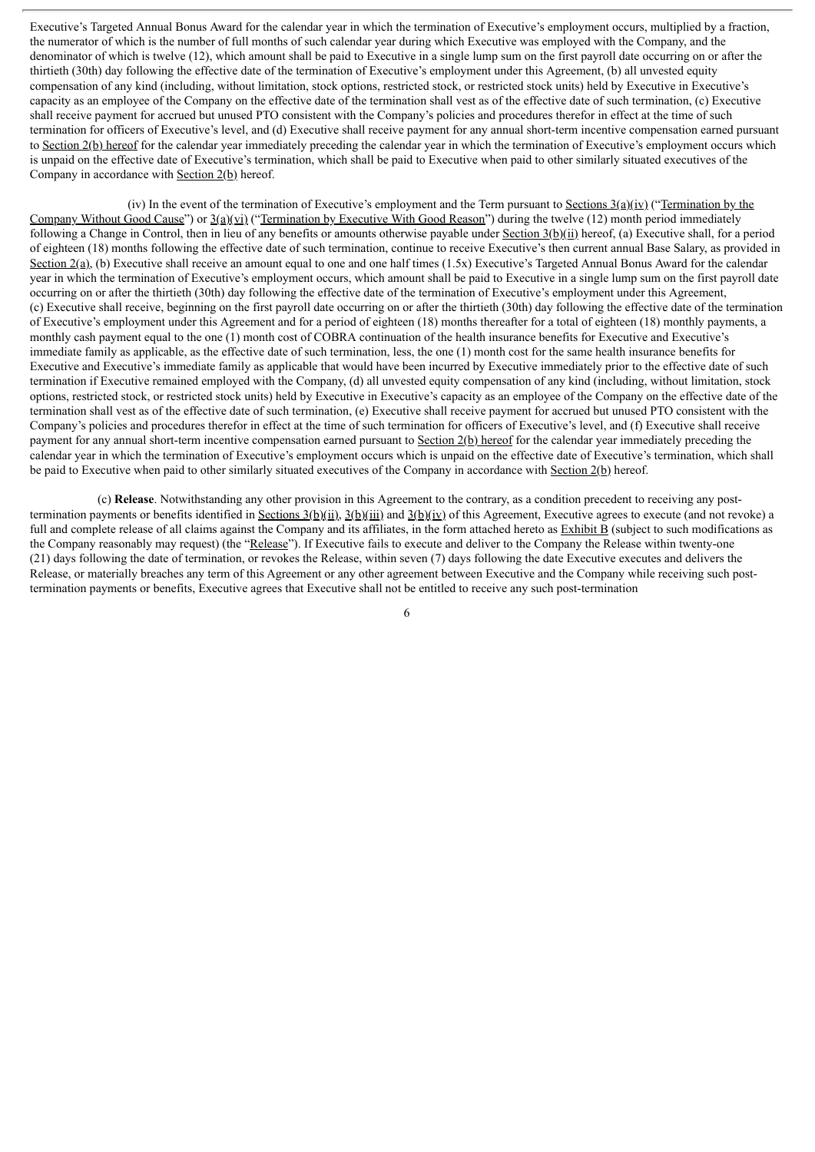Executive's Targeted Annual Bonus Award for the calendar year in which the termination of Executive's employment occurs, multiplied by a fraction, the numerator of which is the number of full months of such calendar year during which Executive was employed with the Company, and the denominator of which is twelve (12), which amount shall be paid to Executive in a single lump sum on the first payroll date occurring on or after the thirtieth (30th) day following the effective date of the termination of Executive's employment under this Agreement, (b) all unvested equity compensation of any kind (including, without limitation, stock options, restricted stock, or restricted stock units) held by Executive in Executive's capacity as an employee of the Company on the effective date of the termination shall vest as of the effective date of such termination, (c) Executive shall receive payment for accrued but unused PTO consistent with the Company's policies and procedures therefor in effect at the time of such termination for officers of Executive's level, and (d) Executive shall receive payment for any annual short-term incentive compensation earned pursuant to Section 2(b) hereof for the calendar year immediately preceding the calendar year in which the termination of Executive's employment occurs which is unpaid on the effective date of Executive's termination, which shall be paid to Executive when paid to other similarly situated executives of the Company in accordance with Section 2(b) hereof.

(iv) In the event of the termination of Executive's employment and the Term pursuant to Sections  $3(a)(iv)$  ("Termination by the Company Without Good Cause") or 3(a)(vi) ("Termination by Executive With Good Reason") during the twelve (12) month period immediately following a Change in Control, then in lieu of any benefits or amounts otherwise payable under Section 3(b)(ii) hereof, (a) Executive shall, for a period of eighteen (18) months following the effective date of such termination, continue to receive Executive's then current annual Base Salary, as provided in Section 2(a), (b) Executive shall receive an amount equal to one and one half times (1.5x) Executive's Targeted Annual Bonus Award for the calendar year in which the termination of Executive's employment occurs, which amount shall be paid to Executive in a single lump sum on the first payroll date occurring on or after the thirtieth (30th) day following the effective date of the termination of Executive's employment under this Agreement, (c) Executive shall receive, beginning on the first payroll date occurring on or after the thirtieth (30th) day following the effective date of the termination of Executive's employment under this Agreement and for a period of eighteen (18) months thereafter for a total of eighteen (18) monthly payments, a monthly cash payment equal to the one (1) month cost of COBRA continuation of the health insurance benefits for Executive and Executive's immediate family as applicable, as the effective date of such termination, less, the one (1) month cost for the same health insurance benefits for Executive and Executive's immediate family as applicable that would have been incurred by Executive immediately prior to the effective date of such termination if Executive remained employed with the Company, (d) all unvested equity compensation of any kind (including, without limitation, stock options, restricted stock, or restricted stock units) held by Executive in Executive's capacity as an employee of the Company on the effective date of the termination shall vest as of the effective date of such termination, (e) Executive shall receive payment for accrued but unused PTO consistent with the Company's policies and procedures therefor in effect at the time of such termination for officers of Executive's level, and (f) Executive shall receive payment for any annual short-term incentive compensation earned pursuant to Section 2(b) hereof for the calendar year immediately preceding the calendar year in which the termination of Executive's employment occurs which is unpaid on the effective date of Executive's termination, which shall be paid to Executive when paid to other similarly situated executives of the Company in accordance with Section 2(b) hereof.

(c) **Release**. Notwithstanding any other provision in this Agreement to the contrary, as a condition precedent to receiving any posttermination payments or benefits identified in Sections 3(b)(ii), 3(b)(iii) and 3(b)(iv) of this Agreement, Executive agrees to execute (and not revoke) a full and complete release of all claims against the Company and its affiliates, in the form attached hereto as  $Exhibit B$  (subject to such modifications as the Company reasonably may request) (the "Release"). If Executive fails to execute and deliver to the Company the Release within twenty-one (21) days following the date of termination, or revokes the Release, within seven (7) days following the date Executive executes and delivers the Release, or materially breaches any term of this Agreement or any other agreement between Executive and the Company while receiving such posttermination payments or benefits, Executive agrees that Executive shall not be entitled to receive any such post-termination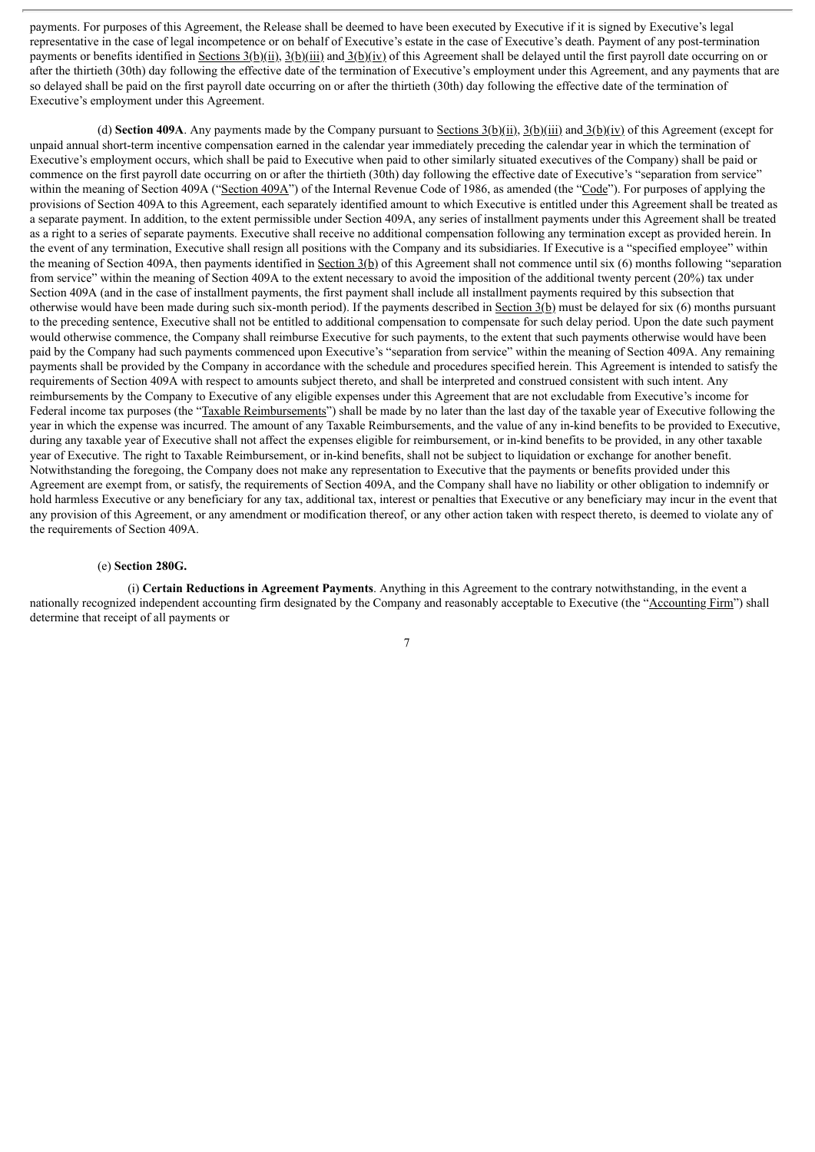payments. For purposes of this Agreement, the Release shall be deemed to have been executed by Executive if it is signed by Executive's legal representative in the case of legal incompetence or on behalf of Executive's estate in the case of Executive's death. Payment of any post-termination payments or benefits identified in Sections  $3(b)(ii)$ ,  $3(b)(iii)$  and  $3(b)(iv)$  of this Agreement shall be delayed until the first payroll date occurring on or after the thirtieth (30th) day following the effective date of the termination of Executive's employment under this Agreement, and any payments that are so delayed shall be paid on the first payroll date occurring on or after the thirtieth (30th) day following the effective date of the termination of Executive's employment under this Agreement.

(d) **Section 409A**. Any payments made by the Company pursuant to Sections  $3(b)(ii)$ ,  $3(b)(iii)$  and  $3(b)(iv)$  of this Agreement (except for unpaid annual short-term incentive compensation earned in the calendar year immediately preceding the calendar year in which the termination of Executive's employment occurs, which shall be paid to Executive when paid to other similarly situated executives of the Company) shall be paid or commence on the first payroll date occurring on or after the thirtieth (30th) day following the effective date of Executive's "separation from service" within the meaning of Section 409A ("Section 409A") of the Internal Revenue Code of 1986, as amended (the "Code"). For purposes of applying the provisions of Section 409A to this Agreement, each separately identified amount to which Executive is entitled under this Agreement shall be treated as a separate payment. In addition, to the extent permissible under Section 409A, any series of installment payments under this Agreement shall be treated as a right to a series of separate payments. Executive shall receive no additional compensation following any termination except as provided herein. In the event of any termination, Executive shall resign all positions with the Company and its subsidiaries. If Executive is a "specified employee" within the meaning of Section 409A, then payments identified in Section  $3(b)$  of this Agreement shall not commence until six (6) months following "separation from service" within the meaning of Section 409A to the extent necessary to avoid the imposition of the additional twenty percent (20%) tax under Section 409A (and in the case of installment payments, the first payment shall include all installment payments required by this subsection that otherwise would have been made during such six-month period). If the payments described in Section 3(b) must be delayed for six (6) months pursuant to the preceding sentence, Executive shall not be entitled to additional compensation to compensate for such delay period. Upon the date such payment would otherwise commence, the Company shall reimburse Executive for such payments, to the extent that such payments otherwise would have been paid by the Company had such payments commenced upon Executive's "separation from service" within the meaning of Section 409A. Any remaining payments shall be provided by the Company in accordance with the schedule and procedures specified herein. This Agreement is intended to satisfy the requirements of Section 409A with respect to amounts subject thereto, and shall be interpreted and construed consistent with such intent. Any reimbursements by the Company to Executive of any eligible expenses under this Agreement that are not excludable from Executive's income for Federal income tax purposes (the "Taxable Reimbursements") shall be made by no later than the last day of the taxable year of Executive following the year in which the expense was incurred. The amount of any Taxable Reimbursements, and the value of any in-kind benefits to be provided to Executive, during any taxable year of Executive shall not affect the expenses eligible for reimbursement, or in-kind benefits to be provided, in any other taxable year of Executive. The right to Taxable Reimbursement, or in-kind benefits, shall not be subject to liquidation or exchange for another benefit. Notwithstanding the foregoing, the Company does not make any representation to Executive that the payments or benefits provided under this Agreement are exempt from, or satisfy, the requirements of Section 409A, and the Company shall have no liability or other obligation to indemnify or hold harmless Executive or any beneficiary for any tax, additional tax, interest or penalties that Executive or any beneficiary may incur in the event that any provision of this Agreement, or any amendment or modification thereof, or any other action taken with respect thereto, is deemed to violate any of the requirements of Section 409A.

### (e) **Section 280G.**

(i) **Certain Reductions in Agreement Payments**. Anything in this Agreement to the contrary notwithstanding, in the event a nationally recognized independent accounting firm designated by the Company and reasonably acceptable to Executive (the "Accounting Firm") shall determine that receipt of all payments or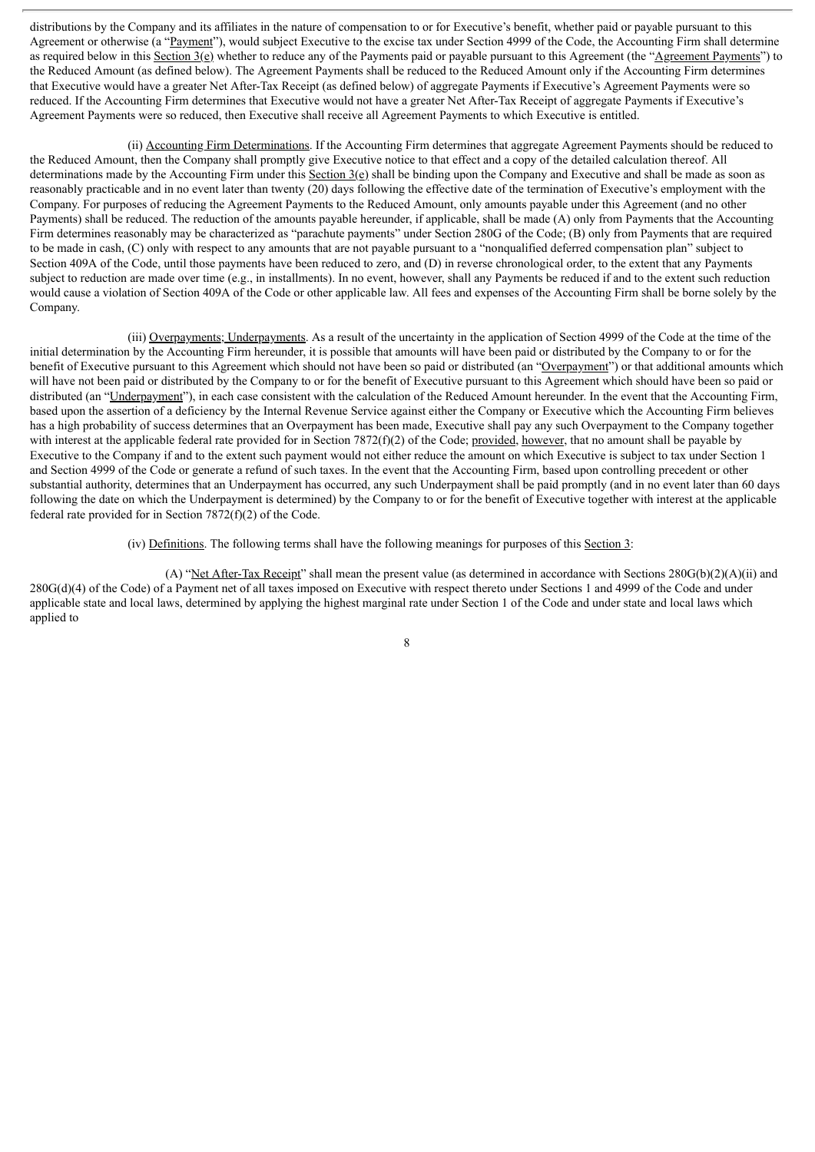distributions by the Company and its affiliates in the nature of compensation to or for Executive's benefit, whether paid or payable pursuant to this Agreement or otherwise (a "Payment"), would subject Executive to the excise tax under Section 4999 of the Code, the Accounting Firm shall determine as required below in this Section 3(e) whether to reduce any of the Payments paid or payable pursuant to this Agreement (the "Agreement Payments") to the Reduced Amount (as defined below). The Agreement Payments shall be reduced to the Reduced Amount only if the Accounting Firm determines that Executive would have a greater Net After-Tax Receipt (as defined below) of aggregate Payments if Executive's Agreement Payments were so reduced. If the Accounting Firm determines that Executive would not have a greater Net After-Tax Receipt of aggregate Payments if Executive's Agreement Payments were so reduced, then Executive shall receive all Agreement Payments to which Executive is entitled.

(ii) Accounting Firm Determinations. If the Accounting Firm determines that aggregate Agreement Payments should be reduced to the Reduced Amount, then the Company shall promptly give Executive notice to that effect and a copy of the detailed calculation thereof. All determinations made by the Accounting Firm under this Section  $3(e)$  shall be binding upon the Company and Executive and shall be made as soon as reasonably practicable and in no event later than twenty (20) days following the effective date of the termination of Executive's employment with the Company. For purposes of reducing the Agreement Payments to the Reduced Amount, only amounts payable under this Agreement (and no other Payments) shall be reduced. The reduction of the amounts payable hereunder, if applicable, shall be made (A) only from Payments that the Accounting Firm determines reasonably may be characterized as "parachute payments" under Section 280G of the Code; (B) only from Payments that are required to be made in cash, (C) only with respect to any amounts that are not payable pursuant to a "nonqualified deferred compensation plan" subject to Section 409A of the Code, until those payments have been reduced to zero, and (D) in reverse chronological order, to the extent that any Payments subject to reduction are made over time (e.g., in installments). In no event, however, shall any Payments be reduced if and to the extent such reduction would cause a violation of Section 409A of the Code or other applicable law. All fees and expenses of the Accounting Firm shall be borne solely by the Company.

(iii) Overpayments; Underpayments. As a result of the uncertainty in the application of Section 4999 of the Code at the time of the initial determination by the Accounting Firm hereunder, it is possible that amounts will have been paid or distributed by the Company to or for the benefit of Executive pursuant to this Agreement which should not have been so paid or distributed (an "Overpayment") or that additional amounts which will have not been paid or distributed by the Company to or for the benefit of Executive pursuant to this Agreement which should have been so paid or distributed (an "Underpayment"), in each case consistent with the calculation of the Reduced Amount hereunder. In the event that the Accounting Firm, based upon the assertion of a deficiency by the Internal Revenue Service against either the Company or Executive which the Accounting Firm believes has a high probability of success determines that an Overpayment has been made, Executive shall pay any such Overpayment to the Company together with interest at the applicable federal rate provided for in Section 7872(f)(2) of the Code; provided, however, that no amount shall be payable by Executive to the Company if and to the extent such payment would not either reduce the amount on which Executive is subject to tax under Section 1 and Section 4999 of the Code or generate a refund of such taxes. In the event that the Accounting Firm, based upon controlling precedent or other substantial authority, determines that an Underpayment has occurred, any such Underpayment shall be paid promptly (and in no event later than 60 days following the date on which the Underpayment is determined) by the Company to or for the benefit of Executive together with interest at the applicable federal rate provided for in Section 7872(f)(2) of the Code.

(iv) Definitions. The following terms shall have the following meanings for purposes of this Section 3:

(A) "Net After-Tax Receipt" shall mean the present value (as determined in accordance with Sections 280G(b)(2)(A)(ii) and 280G(d)(4) of the Code) of a Payment net of all taxes imposed on Executive with respect thereto under Sections 1 and 4999 of the Code and under applicable state and local laws, determined by applying the highest marginal rate under Section 1 of the Code and under state and local laws which applied to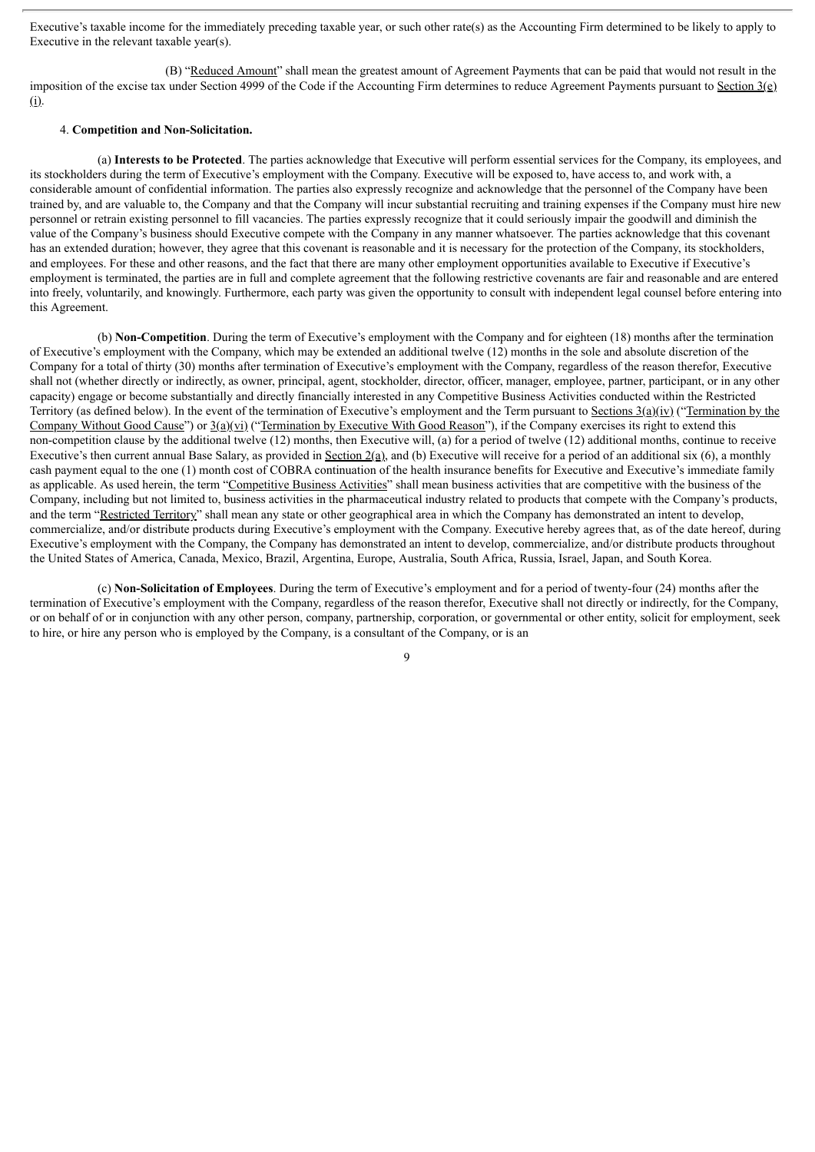Executive's taxable income for the immediately preceding taxable year, or such other rate(s) as the Accounting Firm determined to be likely to apply to Executive in the relevant taxable year(s).

(B) "Reduced Amount" shall mean the greatest amount of Agreement Payments that can be paid that would not result in the imposition of the excise tax under Section 4999 of the Code if the Accounting Firm determines to reduce Agreement Payments pursuant to Section 3(e) (i).

### 4. **Competition and Non-Solicitation.**

(a) **Interests to be Protected**. The parties acknowledge that Executive will perform essential services for the Company, its employees, and its stockholders during the term of Executive's employment with the Company. Executive will be exposed to, have access to, and work with, a considerable amount of confidential information. The parties also expressly recognize and acknowledge that the personnel of the Company have been trained by, and are valuable to, the Company and that the Company will incur substantial recruiting and training expenses if the Company must hire new personnel or retrain existing personnel to fill vacancies. The parties expressly recognize that it could seriously impair the goodwill and diminish the value of the Company's business should Executive compete with the Company in any manner whatsoever. The parties acknowledge that this covenant has an extended duration; however, they agree that this covenant is reasonable and it is necessary for the protection of the Company, its stockholders, and employees. For these and other reasons, and the fact that there are many other employment opportunities available to Executive if Executive's employment is terminated, the parties are in full and complete agreement that the following restrictive covenants are fair and reasonable and are entered into freely, voluntarily, and knowingly. Furthermore, each party was given the opportunity to consult with independent legal counsel before entering into this Agreement.

(b) **Non-Competition**. During the term of Executive's employment with the Company and for eighteen (18) months after the termination of Executive's employment with the Company, which may be extended an additional twelve (12) months in the sole and absolute discretion of the Company for a total of thirty (30) months after termination of Executive's employment with the Company, regardless of the reason therefor, Executive shall not (whether directly or indirectly, as owner, principal, agent, stockholder, director, officer, manager, employee, partner, participant, or in any other capacity) engage or become substantially and directly financially interested in any Competitive Business Activities conducted within the Restricted Territory (as defined below). In the event of the termination of Executive's employment and the Term pursuant to Sections 3(a)(iv) ("Termination by the Company Without Good Cause") or  $3(a)(yi)$  ("Termination by Executive With Good Reason"), if the Company exercises its right to extend this non-competition clause by the additional twelve (12) months, then Executive will, (a) for a period of twelve (12) additional months, continue to receive Executive's then current annual Base Salary, as provided in Section  $2(a)$ , and (b) Executive will receive for a period of an additional six (6), a monthly cash payment equal to the one (1) month cost of COBRA continuation of the health insurance benefits for Executive and Executive's immediate family as applicable. As used herein, the term "Competitive Business Activities" shall mean business activities that are competitive with the business of the Company, including but not limited to, business activities in the pharmaceutical industry related to products that compete with the Company's products, and the term "Restricted Territory" shall mean any state or other geographical area in which the Company has demonstrated an intent to develop, commercialize, and/or distribute products during Executive's employment with the Company. Executive hereby agrees that, as of the date hereof, during Executive's employment with the Company, the Company has demonstrated an intent to develop, commercialize, and/or distribute products throughout the United States of America, Canada, Mexico, Brazil, Argentina, Europe, Australia, South Africa, Russia, Israel, Japan, and South Korea.

(c) **Non-Solicitation of Employees**. During the term of Executive's employment and for a period of twenty-four (24) months after the termination of Executive's employment with the Company, regardless of the reason therefor, Executive shall not directly or indirectly, for the Company, or on behalf of or in conjunction with any other person, company, partnership, corporation, or governmental or other entity, solicit for employment, seek to hire, or hire any person who is employed by the Company, is a consultant of the Company, or is an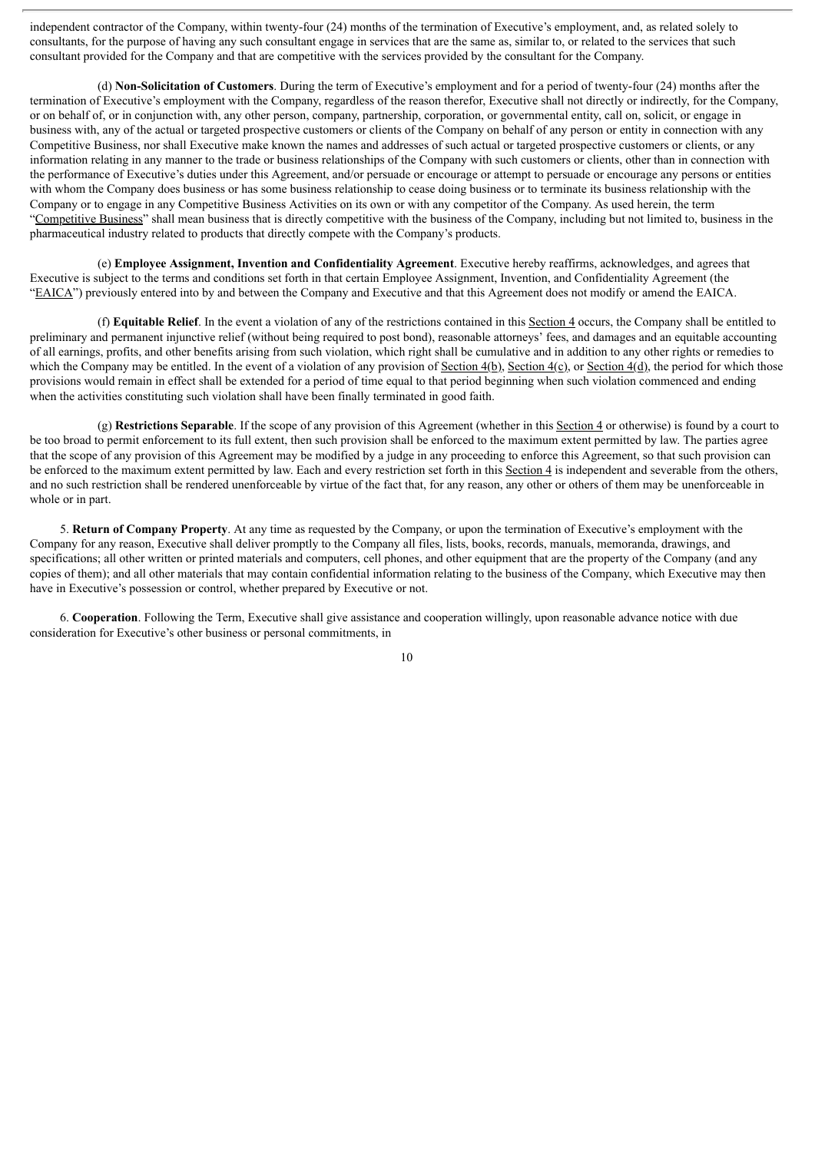independent contractor of the Company, within twenty-four (24) months of the termination of Executive's employment, and, as related solely to consultants, for the purpose of having any such consultant engage in services that are the same as, similar to, or related to the services that such consultant provided for the Company and that are competitive with the services provided by the consultant for the Company.

(d) **Non-Solicitation of Customers**. During the term of Executive's employment and for a period of twenty-four (24) months after the termination of Executive's employment with the Company, regardless of the reason therefor, Executive shall not directly or indirectly, for the Company, or on behalf of, or in conjunction with, any other person, company, partnership, corporation, or governmental entity, call on, solicit, or engage in business with, any of the actual or targeted prospective customers or clients of the Company on behalf of any person or entity in connection with any Competitive Business, nor shall Executive make known the names and addresses of such actual or targeted prospective customers or clients, or any information relating in any manner to the trade or business relationships of the Company with such customers or clients, other than in connection with the performance of Executive's duties under this Agreement, and/or persuade or encourage or attempt to persuade or encourage any persons or entities with whom the Company does business or has some business relationship to cease doing business or to terminate its business relationship with the Company or to engage in any Competitive Business Activities on its own or with any competitor of the Company. As used herein, the term "Competitive Business" shall mean business that is directly competitive with the business of the Company, including but not limited to, business in the pharmaceutical industry related to products that directly compete with the Company's products.

(e) **Employee Assignment, Invention and Confidentiality Agreement**. Executive hereby reaffirms, acknowledges, and agrees that Executive is subject to the terms and conditions set forth in that certain Employee Assignment, Invention, and Confidentiality Agreement (the "EAICA") previously entered into by and between the Company and Executive and that this Agreement does not modify or amend the EAICA.

(f) **Equitable Relief**. In the event a violation of any of the restrictions contained in this Section 4 occurs, the Company shall be entitled to preliminary and permanent injunctive relief (without being required to post bond), reasonable attorneys' fees, and damages and an equitable accounting of all earnings, profits, and other benefits arising from such violation, which right shall be cumulative and in addition to any other rights or remedies to which the Company may be entitled. In the event of a violation of any provision of <u>Section 4(b)</u>, Section  $4(\underline{c})$ , or Section  $4(\underline{d})$ , the period for which those provisions would remain in effect shall be extended for a period of time equal to that period beginning when such violation commenced and ending when the activities constituting such violation shall have been finally terminated in good faith.

(g) **Restrictions Separable**. If the scope of any provision of this Agreement (whether in this Section 4 or otherwise) is found by a court to be too broad to permit enforcement to its full extent, then such provision shall be enforced to the maximum extent permitted by law. The parties agree that the scope of any provision of this Agreement may be modified by a judge in any proceeding to enforce this Agreement, so that such provision can be enforced to the maximum extent permitted by law. Each and every restriction set forth in this Section 4 is independent and severable from the others, and no such restriction shall be rendered unenforceable by virtue of the fact that, for any reason, any other or others of them may be unenforceable in whole or in part.

5. **Return of Company Property**. At any time as requested by the Company, or upon the termination of Executive's employment with the Company for any reason, Executive shall deliver promptly to the Company all files, lists, books, records, manuals, memoranda, drawings, and specifications; all other written or printed materials and computers, cell phones, and other equipment that are the property of the Company (and any copies of them); and all other materials that may contain confidential information relating to the business of the Company, which Executive may then have in Executive's possession or control, whether prepared by Executive or not.

6. **Cooperation**. Following the Term, Executive shall give assistance and cooperation willingly, upon reasonable advance notice with due consideration for Executive's other business or personal commitments, in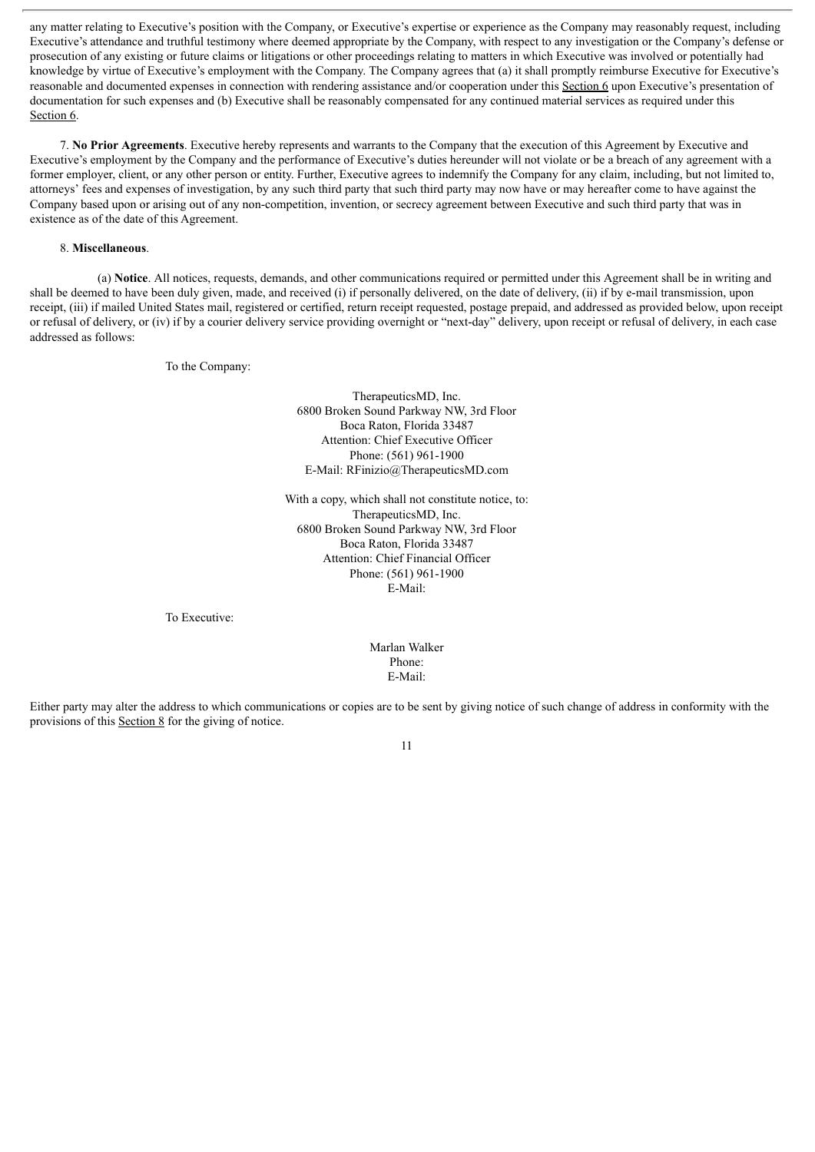any matter relating to Executive's position with the Company, or Executive's expertise or experience as the Company may reasonably request, including Executive's attendance and truthful testimony where deemed appropriate by the Company, with respect to any investigation or the Company's defense or prosecution of any existing or future claims or litigations or other proceedings relating to matters in which Executive was involved or potentially had knowledge by virtue of Executive's employment with the Company. The Company agrees that (a) it shall promptly reimburse Executive for Executive's reasonable and documented expenses in connection with rendering assistance and/or cooperation under this Section 6 upon Executive's presentation of documentation for such expenses and (b) Executive shall be reasonably compensated for any continued material services as required under this Section 6.

7. **No Prior Agreements**. Executive hereby represents and warrants to the Company that the execution of this Agreement by Executive and Executive's employment by the Company and the performance of Executive's duties hereunder will not violate or be a breach of any agreement with a former employer, client, or any other person or entity. Further, Executive agrees to indemnify the Company for any claim, including, but not limited to, attorneys' fees and expenses of investigation, by any such third party that such third party may now have or may hereafter come to have against the Company based upon or arising out of any non-competition, invention, or secrecy agreement between Executive and such third party that was in existence as of the date of this Agreement.

### 8. **Miscellaneous**.

(a) **Notice**. All notices, requests, demands, and other communications required or permitted under this Agreement shall be in writing and shall be deemed to have been duly given, made, and received (i) if personally delivered, on the date of delivery, (ii) if by e-mail transmission, upon receipt, (iii) if mailed United States mail, registered or certified, return receipt requested, postage prepaid, and addressed as provided below, upon receipt or refusal of delivery, or (iv) if by a courier delivery service providing overnight or "next-day" delivery, upon receipt or refusal of delivery, in each case addressed as follows:

To the Company:

TherapeuticsMD, Inc. 6800 Broken Sound Parkway NW, 3rd Floor Boca Raton, Florida 33487 Attention: Chief Executive Officer Phone: (561) 961-1900 E-Mail: RFinizio@TherapeuticsMD.com

With a copy, which shall not constitute notice, to: TherapeuticsMD, Inc. 6800 Broken Sound Parkway NW, 3rd Floor Boca Raton, Florida 33487 Attention: Chief Financial Officer Phone: (561) 961-1900 E-Mail:

To Executive:

Marlan Walker Phone: E-Mail:

Either party may alter the address to which communications or copies are to be sent by giving notice of such change of address in conformity with the provisions of this Section 8 for the giving of notice.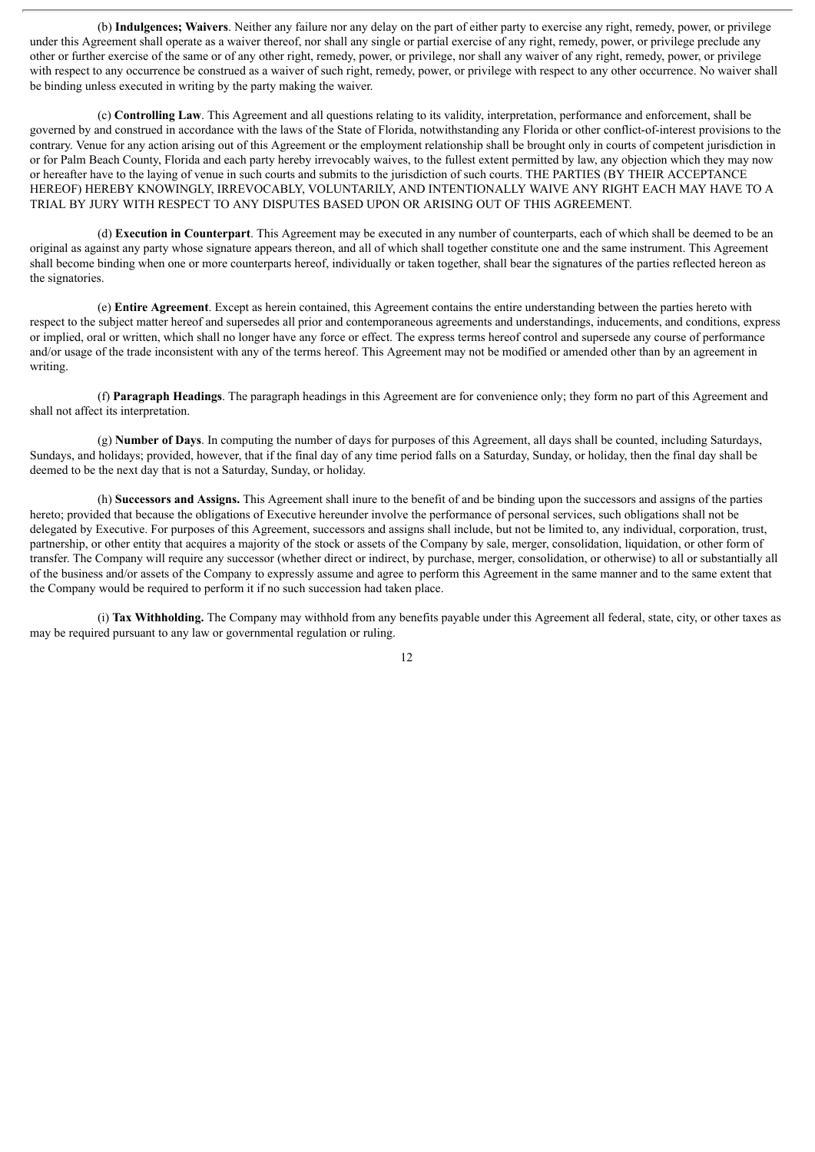(b) **Indulgences; Waivers**. Neither any failure nor any delay on the part of either party to exercise any right, remedy, power, or privilege under this Agreement shall operate as a waiver thereof, nor shall any single or partial exercise of any right, remedy, power, or privilege preclude any other or further exercise of the same or of any other right, remedy, power, or privilege, nor shall any waiver of any right, remedy, power, or privilege with respect to any occurrence be construed as a waiver of such right, remedy, power, or privilege with respect to any other occurrence. No waiver shall be binding unless executed in writing by the party making the waiver.

(c) **Controlling Law**. This Agreement and all questions relating to its validity, interpretation, performance and enforcement, shall be governed by and construed in accordance with the laws of the State of Florida, notwithstanding any Florida or other conflict-of-interest provisions to the contrary. Venue for any action arising out of this Agreement or the employment relationship shall be brought only in courts of competent jurisdiction in or for Palm Beach County, Florida and each party hereby irrevocably waives, to the fullest extent permitted by law, any objection which they may now or hereafter have to the laying of venue in such courts and submits to the jurisdiction of such courts. THE PARTIES (BY THEIR ACCEPTANCE HEREOF) HEREBY KNOWINGLY, IRREVOCABLY, VOLUNTARILY, AND INTENTIONALLY WAIVE ANY RIGHT EACH MAY HAVE TO A TRIAL BY JURY WITH RESPECT TO ANY DISPUTES BASED UPON OR ARISING OUT OF THIS AGREEMENT.

(d) **Execution in Counterpart**. This Agreement may be executed in any number of counterparts, each of which shall be deemed to be an original as against any party whose signature appears thereon, and all of which shall together constitute one and the same instrument. This Agreement shall become binding when one or more counterparts hereof, individually or taken together, shall bear the signatures of the parties reflected hereon as the signatories.

(e) **Entire Agreement**. Except as herein contained, this Agreement contains the entire understanding between the parties hereto with respect to the subject matter hereof and supersedes all prior and contemporaneous agreements and understandings, inducements, and conditions, express or implied, oral or written, which shall no longer have any force or effect. The express terms hereof control and supersede any course of performance and/or usage of the trade inconsistent with any of the terms hereof. This Agreement may not be modified or amended other than by an agreement in writing.

(f) **Paragraph Headings**. The paragraph headings in this Agreement are for convenience only; they form no part of this Agreement and shall not affect its interpretation.

(g) **Number of Days**. In computing the number of days for purposes of this Agreement, all days shall be counted, including Saturdays, Sundays, and holidays; provided, however, that if the final day of any time period falls on a Saturday, Sunday, or holiday, then the final day shall be deemed to be the next day that is not a Saturday, Sunday, or holiday.

(h) **Successors and Assigns.** This Agreement shall inure to the benefit of and be binding upon the successors and assigns of the parties hereto; provided that because the obligations of Executive hereunder involve the performance of personal services, such obligations shall not be delegated by Executive. For purposes of this Agreement, successors and assigns shall include, but not be limited to, any individual, corporation, trust, partnership, or other entity that acquires a majority of the stock or assets of the Company by sale, merger, consolidation, liquidation, or other form of transfer. The Company will require any successor (whether direct or indirect, by purchase, merger, consolidation, or otherwise) to all or substantially all of the business and/or assets of the Company to expressly assume and agree to perform this Agreement in the same manner and to the same extent that the Company would be required to perform it if no such succession had taken place.

(i) **Tax Withholding.** The Company may withhold from any benefits payable under this Agreement all federal, state, city, or other taxes as may be required pursuant to any law or governmental regulation or ruling.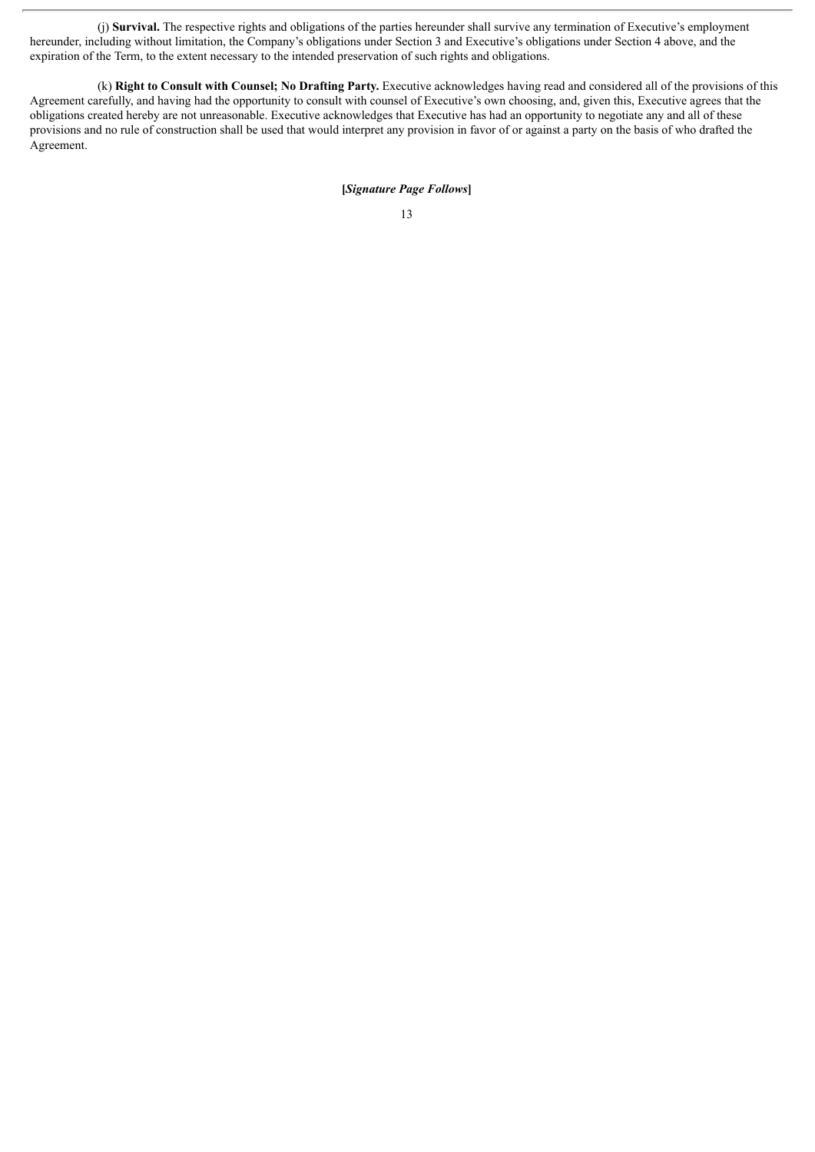(j) **Survival.** The respective rights and obligations of the parties hereunder shall survive any termination of Executive's employment hereunder, including without limitation, the Company's obligations under Section 3 and Executive's obligations under Section 4 above, and the expiration of the Term, to the extent necessary to the intended preservation of such rights and obligations.

(k) **Right to Consult with Counsel; No Drafting Party.** Executive acknowledges having read and considered all of the provisions of this Agreement carefully, and having had the opportunity to consult with counsel of Executive's own choosing, and, given this, Executive agrees that the obligations created hereby are not unreasonable. Executive acknowledges that Executive has had an opportunity to negotiate any and all of these provisions and no rule of construction shall be used that would interpret any provision in favor of or against a party on the basis of who drafted the Agreement.

### **[***Signature Page Follows***]**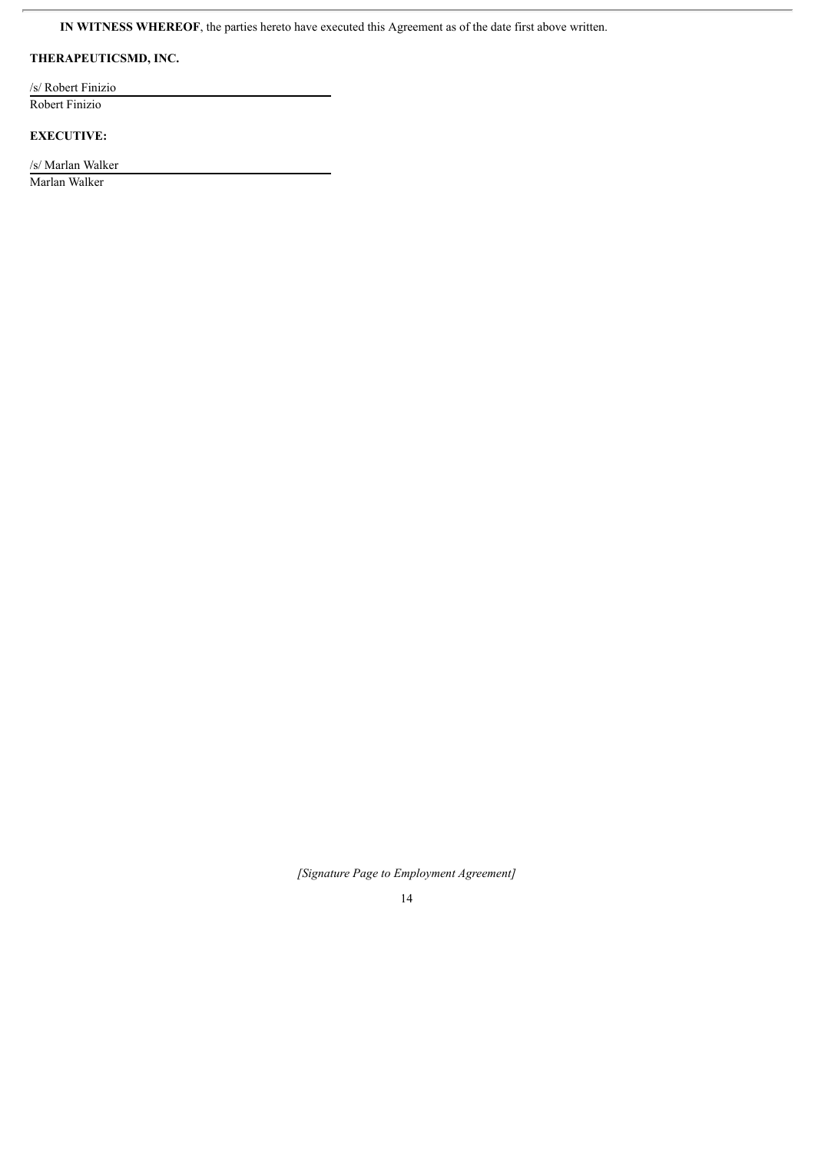**IN WITNESS WHEREOF**, the parties hereto have executed this Agreement as of the date first above written.

# **THERAPEUTICSMD, INC.**

/s/ Robert Finizio

Robert Finizio

ł.

# **EXECUTIVE:**

/s/ Marlan Walker Marlan Walker

*[Signature Page to Employment Agreement]*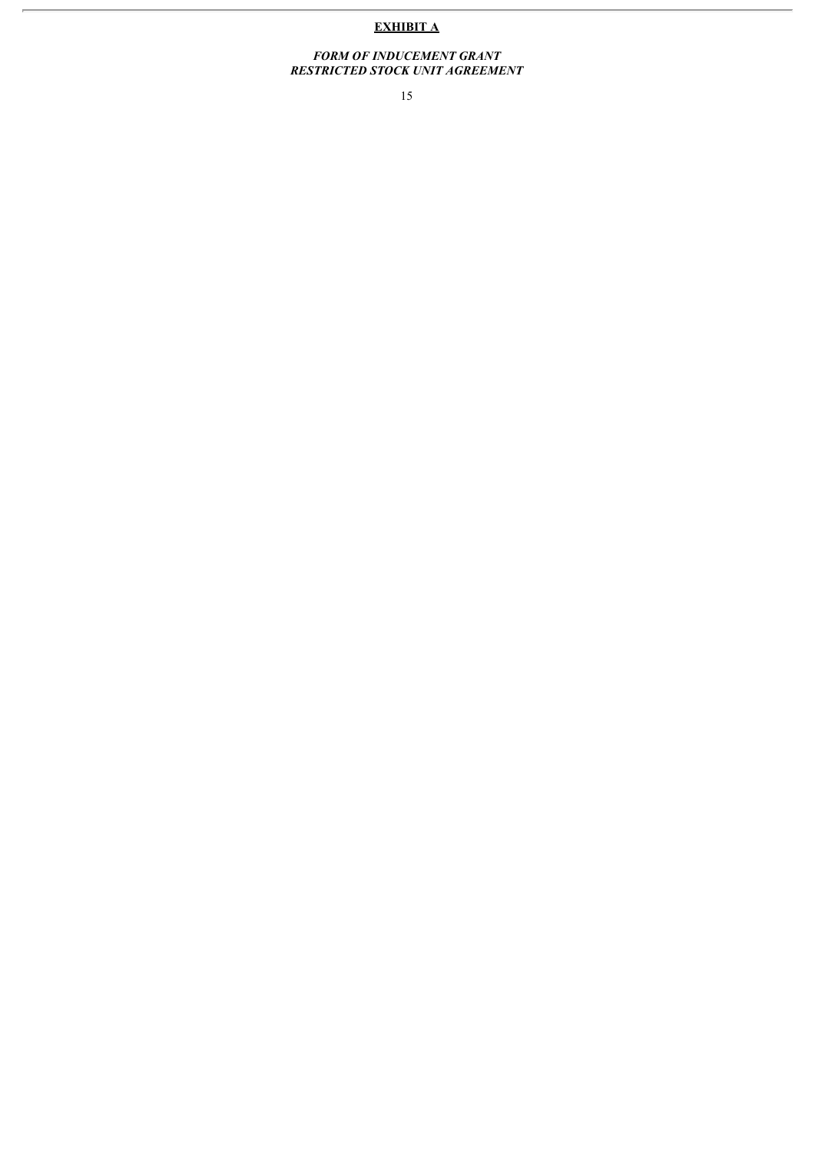# **EXHIBIT A**

#### *FORM OF INDUCEMENT GRANT RESTRICTED STOCK UNIT AGREEMENT*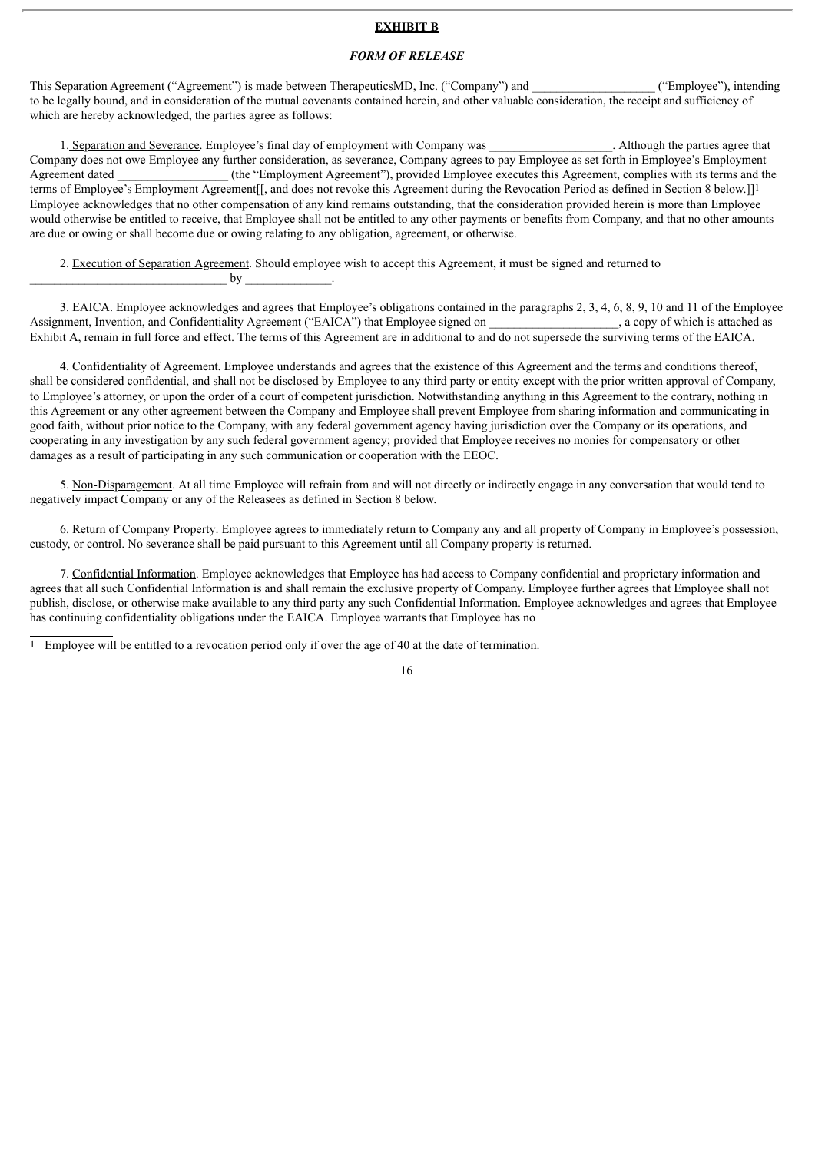### **EXHIBIT B**

### *FORM OF RELEASE*

This Separation Agreement ("Agreement") is made between TherapeuticsMD, Inc. ("Company") and ("Employee"), intending to be legally bound, and in consideration of the mutual covenants contained herein, and other valuable consideration, the receipt and sufficiency of which are hereby acknowledged, the parties agree as follows:

1. Separation and Severance. Employee's final day of employment with Company was . Although the parties agree that Company does not owe Employee any further consideration, as severance, Company agrees to pay Employee as set forth in Employee's Employment Agreement dated (the "Employment Agreement"), provided Employee executes this Agreement, complies with its terms and the terms of Employee's Employment Agreement[[, and does not revoke this Agreement during the Revocation Period as defined in Section 8 below.]]1 Employee acknowledges that no other compensation of any kind remains outstanding, that the consideration provided herein is more than Employee would otherwise be entitled to receive, that Employee shall not be entitled to any other payments or benefits from Company, and that no other amounts are due or owing or shall become due or owing relating to any obligation, agreement, or otherwise.

2. Execution of Separation Agreement. Should employee wish to accept this Agreement, it must be signed and returned to  $by$   $\qquad \qquad$ 

3. EAICA. Employee acknowledges and agrees that Employee's obligations contained in the paragraphs 2, 3, 4, 6, 8, 9, 10 and 11 of the Employee Assignment, Invention, and Confidentiality Agreement ("EAICA") that Employee signed on \_\_\_\_\_\_\_\_\_\_\_\_\_\_, a copy of which is attached as Exhibit A, remain in full force and effect. The terms of this Agreement are in additional to and do not supersede the surviving terms of the EAICA.

4. Confidentiality of Agreement. Employee understands and agrees that the existence of this Agreement and the terms and conditions thereof, shall be considered confidential, and shall not be disclosed by Employee to any third party or entity except with the prior written approval of Company, to Employee's attorney, or upon the order of a court of competent jurisdiction. Notwithstanding anything in this Agreement to the contrary, nothing in this Agreement or any other agreement between the Company and Employee shall prevent Employee from sharing information and communicating in good faith, without prior notice to the Company, with any federal government agency having jurisdiction over the Company or its operations, and cooperating in any investigation by any such federal government agency; provided that Employee receives no monies for compensatory or other damages as a result of participating in any such communication or cooperation with the EEOC.

5. Non-Disparagement. At all time Employee will refrain from and will not directly or indirectly engage in any conversation that would tend to negatively impact Company or any of the Releasees as defined in Section 8 below.

6. Return of Company Property. Employee agrees to immediately return to Company any and all property of Company in Employee's possession, custody, or control. No severance shall be paid pursuant to this Agreement until all Company property is returned.

7. Confidential Information. Employee acknowledges that Employee has had access to Company confidential and proprietary information and agrees that all such Confidential Information is and shall remain the exclusive property of Company. Employee further agrees that Employee shall not publish, disclose, or otherwise make available to any third party any such Confidential Information. Employee acknowledges and agrees that Employee has continuing confidentiality obligations under the EAICA. Employee warrants that Employee has no

1 Employee will be entitled to a revocation period only if over the age of 40 at the date of termination.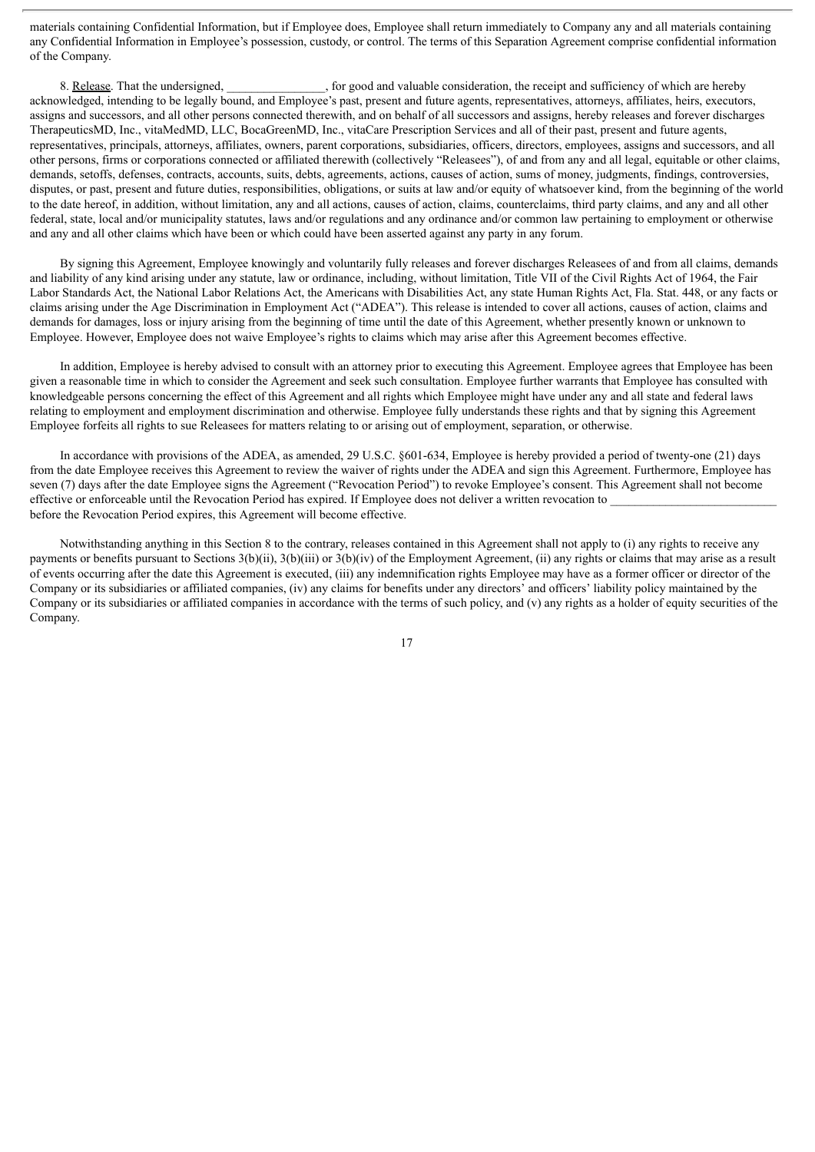materials containing Confidential Information, but if Employee does, Employee shall return immediately to Company any and all materials containing any Confidential Information in Employee's possession, custody, or control. The terms of this Separation Agreement comprise confidential information of the Company.

8. Release. That the undersigned, \_\_\_\_\_\_\_\_\_\_, for good and valuable consideration, the receipt and sufficiency of which are hereby acknowledged, intending to be legally bound, and Employee's past, present and future agents, representatives, attorneys, affiliates, heirs, executors, assigns and successors, and all other persons connected therewith, and on behalf of all successors and assigns, hereby releases and forever discharges TherapeuticsMD, Inc., vitaMedMD, LLC, BocaGreenMD, Inc., vitaCare Prescription Services and all of their past, present and future agents, representatives, principals, attorneys, affiliates, owners, parent corporations, subsidiaries, officers, directors, employees, assigns and successors, and all other persons, firms or corporations connected or affiliated therewith (collectively "Releasees"), of and from any and all legal, equitable or other claims, demands, setoffs, defenses, contracts, accounts, suits, debts, agreements, actions, causes of action, sums of money, judgments, findings, controversies, disputes, or past, present and future duties, responsibilities, obligations, or suits at law and/or equity of whatsoever kind, from the beginning of the world to the date hereof, in addition, without limitation, any and all actions, causes of action, claims, counterclaims, third party claims, and any and all other federal, state, local and/or municipality statutes, laws and/or regulations and any ordinance and/or common law pertaining to employment or otherwise and any and all other claims which have been or which could have been asserted against any party in any forum.

By signing this Agreement, Employee knowingly and voluntarily fully releases and forever discharges Releasees of and from all claims, demands and liability of any kind arising under any statute, law or ordinance, including, without limitation, Title VII of the Civil Rights Act of 1964, the Fair Labor Standards Act, the National Labor Relations Act, the Americans with Disabilities Act, any state Human Rights Act, Fla. Stat. 448, or any facts or claims arising under the Age Discrimination in Employment Act ("ADEA"). This release is intended to cover all actions, causes of action, claims and demands for damages, loss or injury arising from the beginning of time until the date of this Agreement, whether presently known or unknown to Employee. However, Employee does not waive Employee's rights to claims which may arise after this Agreement becomes effective.

In addition, Employee is hereby advised to consult with an attorney prior to executing this Agreement. Employee agrees that Employee has been given a reasonable time in which to consider the Agreement and seek such consultation. Employee further warrants that Employee has consulted with knowledgeable persons concerning the effect of this Agreement and all rights which Employee might have under any and all state and federal laws relating to employment and employment discrimination and otherwise. Employee fully understands these rights and that by signing this Agreement Employee forfeits all rights to sue Releasees for matters relating to or arising out of employment, separation, or otherwise.

In accordance with provisions of the ADEA, as amended, 29 U.S.C. §601-634, Employee is hereby provided a period of twenty-one (21) days from the date Employee receives this Agreement to review the waiver of rights under the ADEA and sign this Agreement. Furthermore, Employee has seven (7) days after the date Employee signs the Agreement ("Revocation Period") to revoke Employee's consent. This Agreement shall not become effective or enforceable until the Revocation Period has expired. If Employee does not deliver a written revocation to before the Revocation Period expires, this Agreement will become effective.

Notwithstanding anything in this Section 8 to the contrary, releases contained in this Agreement shall not apply to (i) any rights to receive any payments or benefits pursuant to Sections 3(b)(ii), 3(b)(iii) or 3(b)(iv) of the Employment Agreement, (ii) any rights or claims that may arise as a result of events occurring after the date this Agreement is executed, (iii) any indemnification rights Employee may have as a former officer or director of the Company or its subsidiaries or affiliated companies, (iv) any claims for benefits under any directors' and officers' liability policy maintained by the Company or its subsidiaries or affiliated companies in accordance with the terms of such policy, and (v) any rights as a holder of equity securities of the Company.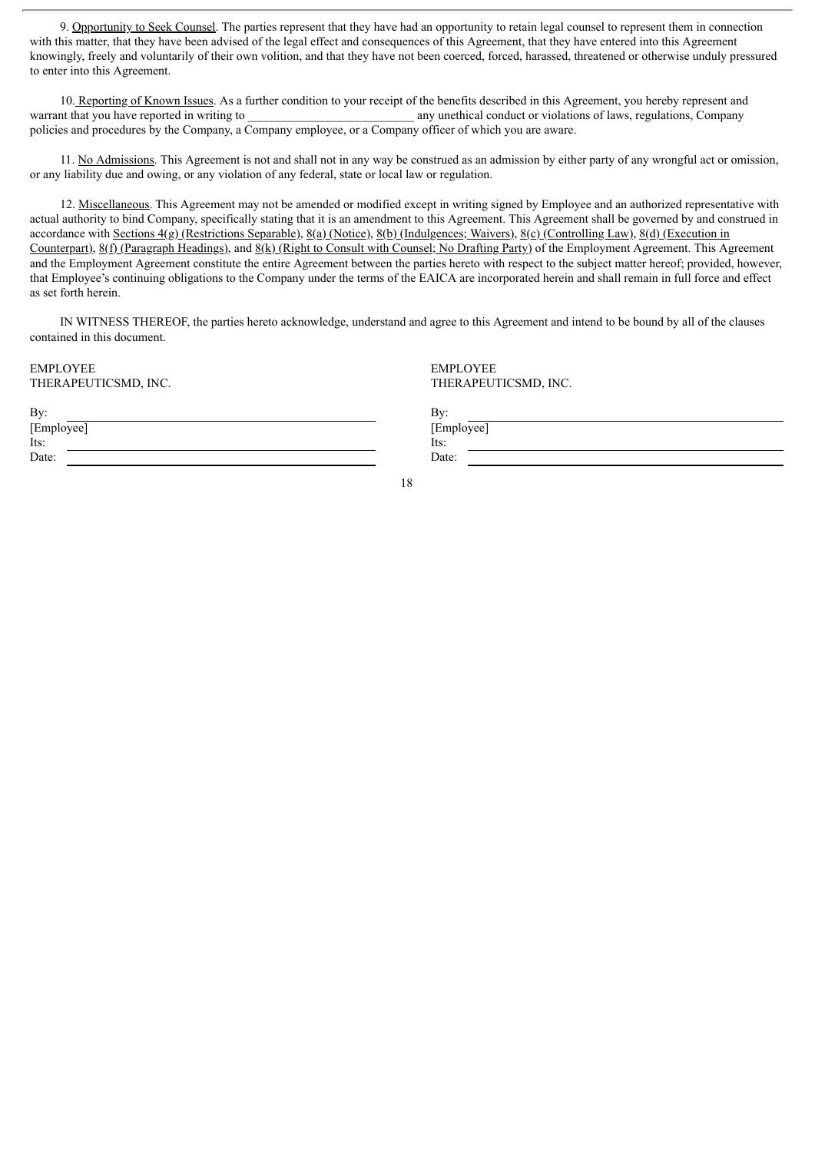9. Opportunity to Seek Counsel. The parties represent that they have had an opportunity to retain legal counsel to represent them in connection with this matter, that they have been advised of the legal effect and consequences of this Agreement, that they have entered into this Agreement knowingly, freely and voluntarily of their own volition, and that they have not been coerced, forced, harassed, threatened or otherwise unduly pressured to enter into this Agreement.

10. Reporting of Known Issues. As a further condition to your receipt of the benefits described in this Agreement, you hereby represent and warrant that you have reported in writing to \_\_\_\_\_\_\_\_\_\_\_\_\_\_\_\_\_\_\_\_\_\_\_\_\_\_\_ any unethical conduct or violations of laws, regulations, Company policies and procedures by the Company, a Company employee, or a Company officer of which you are aware.

11. No Admissions. This Agreement is not and shall not in any way be construed as an admission by either party of any wrongful act or omission, or any liability due and owing, or any violation of any federal, state or local law or regulation.

12. Miscellaneous. This Agreement may not be amended or modified except in writing signed by Employee and an authorized representative with actual authority to bind Company, specifically stating that it is an amendment to this Agreement. This Agreement shall be governed by and construed in accordance with Sections 4(g) (Restrictions Separable), 8(a) (Notice), 8(b) (Indulgences; Waivers), 8(c) (Controlling Law), 8(d) (Execution in Counterpart),  $8(f)$  (Paragraph Headings), and  $8(k)$  (Right to Consult with Counsel; No Drafting Party) of the Employment Agreement. This Agreement and the Employment Agreement constitute the entire Agreement between the parties hereto with respect to the subject matter hereof; provided, however, that Employee's continuing obligations to the Company under the terms of the EAICA are incorporated herein and shall remain in full force and effect as set forth herein.

IN WITNESS THEREOF, the parties hereto acknowledge, understand and agree to this Agreement and intend to be bound by all of the clauses contained in this document.

EMPLOYEE EMPLOYEE

| [Employee] | [Emp  |
|------------|-------|
| Its:       | Its:  |
| Date:      | Date: |

THERAPEUTICSMD, INC. THERAPEUTICSMD, INC.

[Employee]

18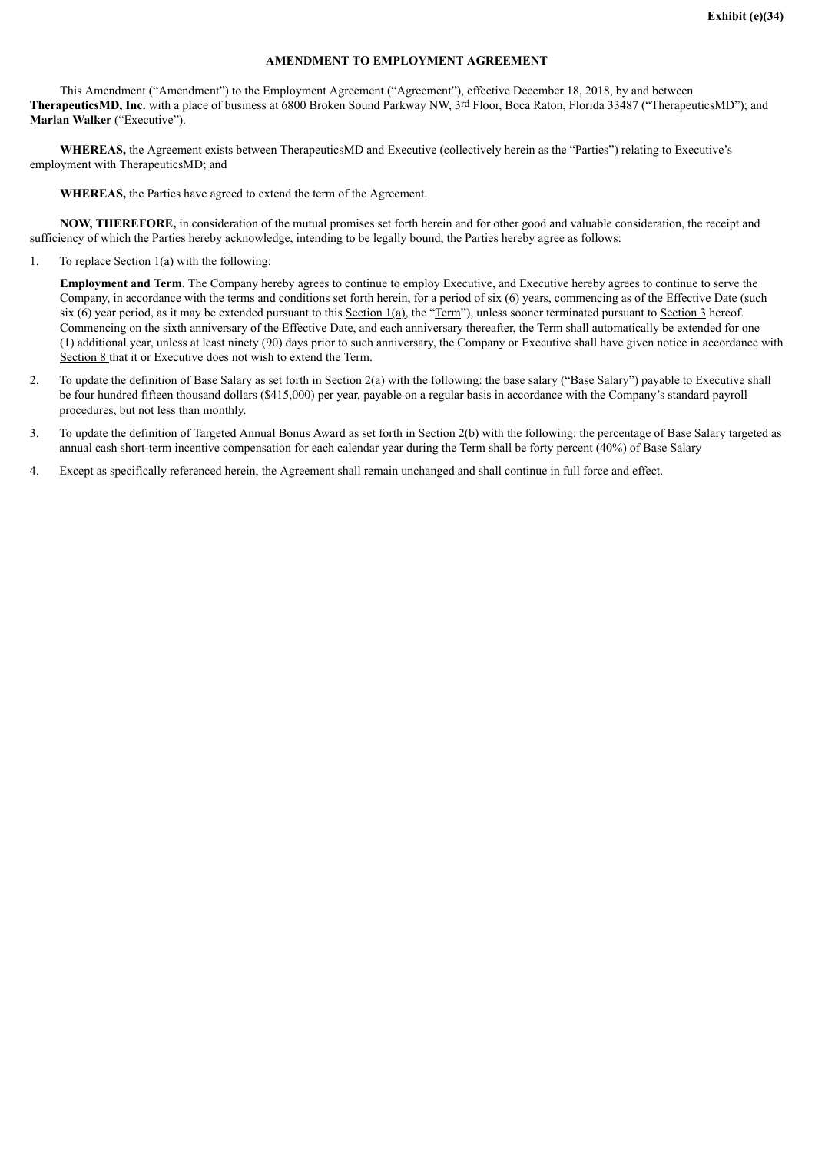## **AMENDMENT TO EMPLOYMENT AGREEMENT**

This Amendment ("Amendment") to the Employment Agreement ("Agreement"), effective December 18, 2018, by and between **TherapeuticsMD, Inc.** with a place of business at 6800 Broken Sound Parkway NW, 3rd Floor, Boca Raton, Florida 33487 ("TherapeuticsMD"); and **Marlan Walker** ("Executive").

**WHEREAS,** the Agreement exists between TherapeuticsMD and Executive (collectively herein as the "Parties") relating to Executive's employment with TherapeuticsMD; and

**WHEREAS,** the Parties have agreed to extend the term of the Agreement.

**NOW, THEREFORE,** in consideration of the mutual promises set forth herein and for other good and valuable consideration, the receipt and sufficiency of which the Parties hereby acknowledge, intending to be legally bound, the Parties hereby agree as follows:

1. To replace Section 1(a) with the following:

**Employment and Term**. The Company hereby agrees to continue to employ Executive, and Executive hereby agrees to continue to serve the Company, in accordance with the terms and conditions set forth herein, for a period of six (6) years, commencing as of the Effective Date (such six (6) year period, as it may be extended pursuant to this Section  $1(a)$ , the "Term"), unless sooner terminated pursuant to Section 3 hereof. Commencing on the sixth anniversary of the Effective Date, and each anniversary thereafter, the Term shall automatically be extended for one (1) additional year, unless at least ninety (90) days prior to such anniversary, the Company or Executive shall have given notice in accordance with Section 8 that it or Executive does not wish to extend the Term.

- 2. To update the definition of Base Salary as set forth in Section 2(a) with the following: the base salary ("Base Salary") payable to Executive shall be four hundred fifteen thousand dollars (\$415,000) per year, payable on a regular basis in accordance with the Company's standard payroll procedures, but not less than monthly.
- 3. To update the definition of Targeted Annual Bonus Award as set forth in Section 2(b) with the following: the percentage of Base Salary targeted as annual cash short-term incentive compensation for each calendar year during the Term shall be forty percent (40%) of Base Salary
- 4. Except as specifically referenced herein, the Agreement shall remain unchanged and shall continue in full force and effect.